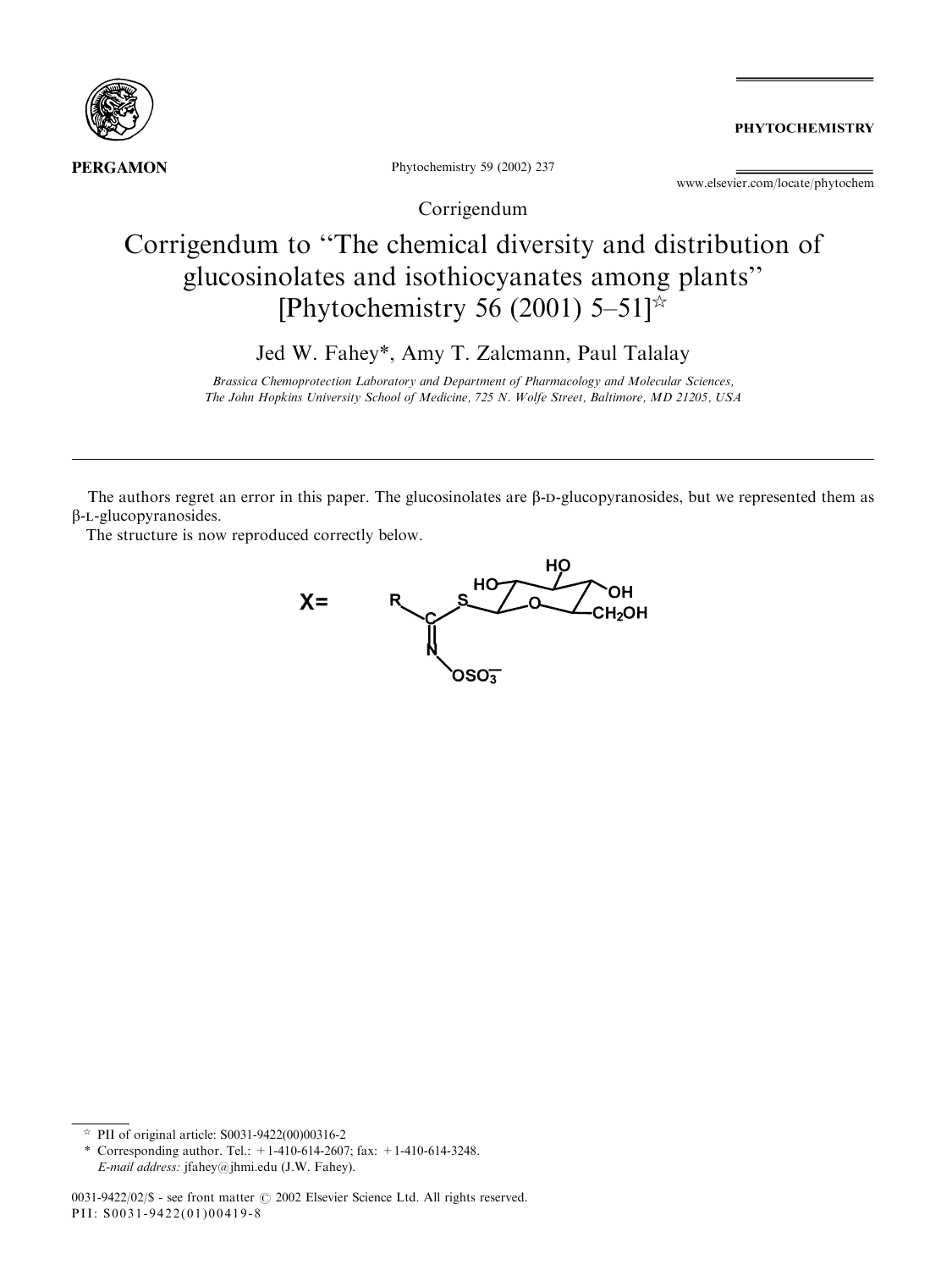

**PHYTOCHEMISTRY** 

Phytochemistry 59 (2002) 237

www.elsevier.com/locate/phytochem

Corrigendum

# Corrigendum to ''The chemical diversity and distribution of glucosinolates and isothiocyanates among plants'' [Phytochemistry 56 (2001) 5–51] $\approx$

Jed W. Fahey\*, Amy T. Zalcmann, Paul Talalay

Brassica Chemoprotection Laboratory and Department of Pharmacology and Molecular Sciences, The John Hopkins University School of Medicine, 725 N. Wolfe Street, Baltimore, MD 21205, USA

The authors regret an error in this paper. The glucosinolates are  $\beta$ -D-glucopyranosides, but we represented them as b-l-glucopyranosides.

The structure is now reproduced correctly below.



 $\approx$  PII of original article: S0031-9422(00)00316-2

<sup>\*</sup> Corresponding author. Tel.:  $+1-410-614-2607$ ; fax:  $+1-410-614-3248$ . E-mail address: jfahey@jhmi.edu (J.W. Fahey).

<sup>0031-9422/02/\$ -</sup> see front matter  $\odot$  2002 Elsevier Science Ltd. All rights reserved. PII: S0031-9422(01)00419-8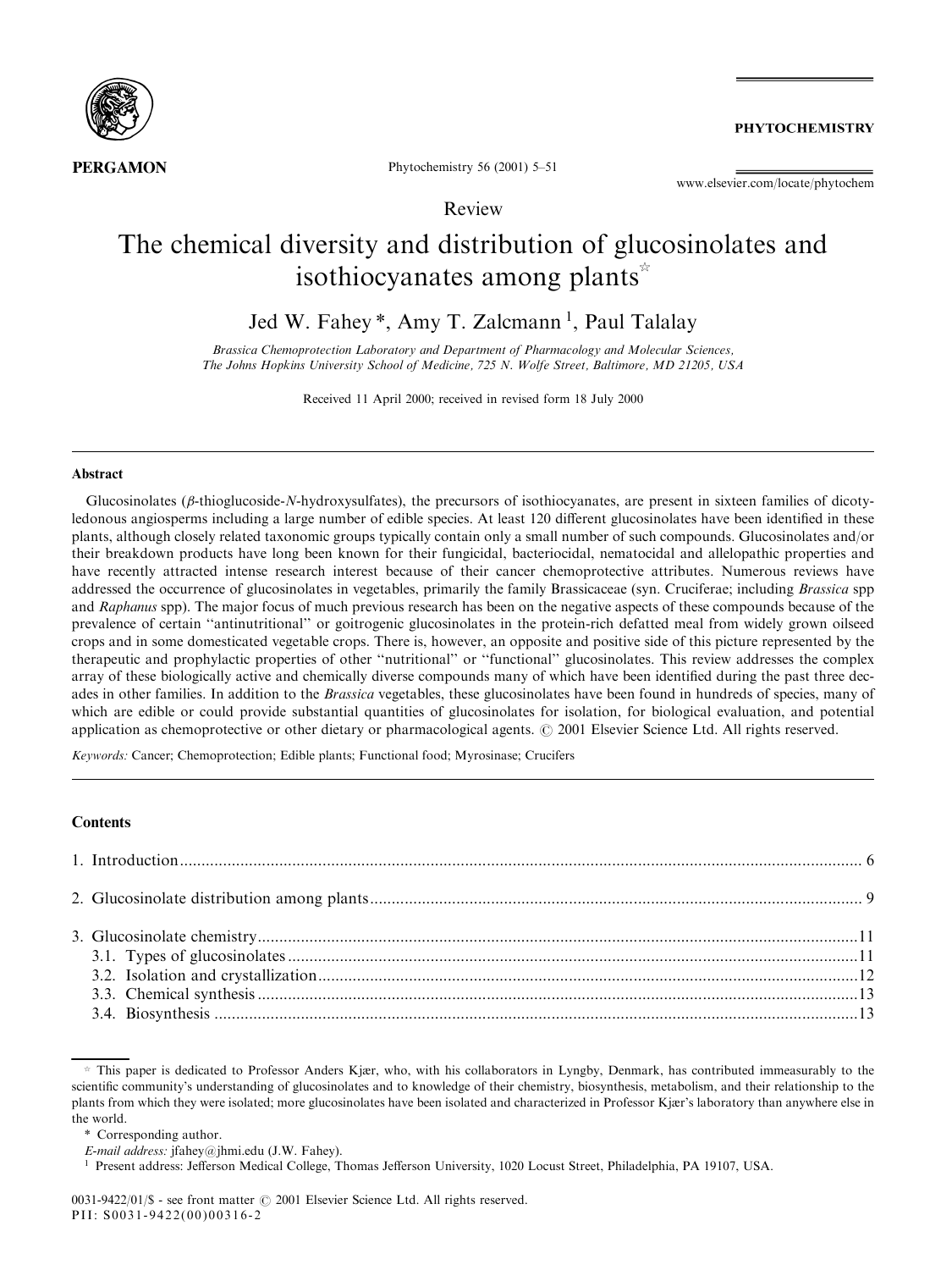

**PHYTOCHEMISTRY** 

Phytochemistry 56 (2001) 5-51

www.elsevier.com/locate/phytochem

# Review

# The chemical diversity and distribution of glucosinolates and isothiocyanates among plants<sup> $\star$ </sup>

Jed W. Fahey\*, Amy T. Zalcmann<sup>1</sup>, Paul Talalay

Brassica Chemoprotection Laboratory and Department of Pharmacology and Molecular Sciences, The Johns Hopkins University School of Medicine, 725 N. Wolfe Street, Baltimore, MD 21205, USA

Received 11 April 2000; received in revised form 18 July 2000

#### Abstract

Glucosinolates ( $\beta$ -thioglucoside-N-hydroxysulfates), the precursors of isothiocyanates, are present in sixteen families of dicotyledonous angiosperms including a large number of edible species. At least 120 different glucosinolates have been identified in these plants, although closely related taxonomic groups typically contain only a small number of such compounds. Glucosinolates and/or their breakdown products have long been known for their fungicidal, bacteriocidal, nematocidal and allelopathic properties and have recently attracted intense research interest because of their cancer chemoprotective attributes. Numerous reviews have addressed the occurrence of glucosinolates in vegetables, primarily the family Brassicaceae (syn. Cruciferae; including Brassica spp and Raphanus spp). The major focus of much previous research has been on the negative aspects of these compounds because of the prevalence of certain "antinutritional" or goitrogenic glucosinolates in the protein-rich defatted meal from widely grown oilseed crops and in some domesticated vegetable crops. There is, however, an opposite and positive side of this picture represented by the therapeutic and prophylactic properties of other "nutritional" or "functional" glucosinolates. This review addresses the complex array of these biologically active and chemically diverse compounds many of which have been identified during the past three decades in other families. In addition to the *Brassica* vegetables, these glucosinolates have been found in hundreds of species, many of which are edible or could provide substantial quantities of glucosinolates for isolation, for biological evaluation, and potential application as chemoprotective or other dietary or pharmacological agents.  $\odot$  2001 Elsevier Science Ltd. All rights reserved.

Keywords: Cancer; Chemoprotection; Edible plants; Functional food; Myrosinase; Crucifers

# **Contents**

 $*$  This paper is dedicated to Professor Anders Kjær, who, with his collaborators in Lyngby, Denmark, has contributed immeasurably to the scientific community's understanding of glucosinolates and to knowledge of their chemistry, biosynthesis, metabolism, and their relationship to the plants from which they were isolated; more glucosinolates have been isolated and characterized in Professor Kjær's laboratory than anywhere else in the world.

<sup>\*</sup> Corresponding author.

E-mail address: jfahey@jhmi.edu (J.W. Fahey).

<sup>&</sup>lt;sup>1</sup> Present address: Jefferson Medical College, Thomas Jefferson University, 1020 Locust Street, Philadelphia, PA 19107, USA.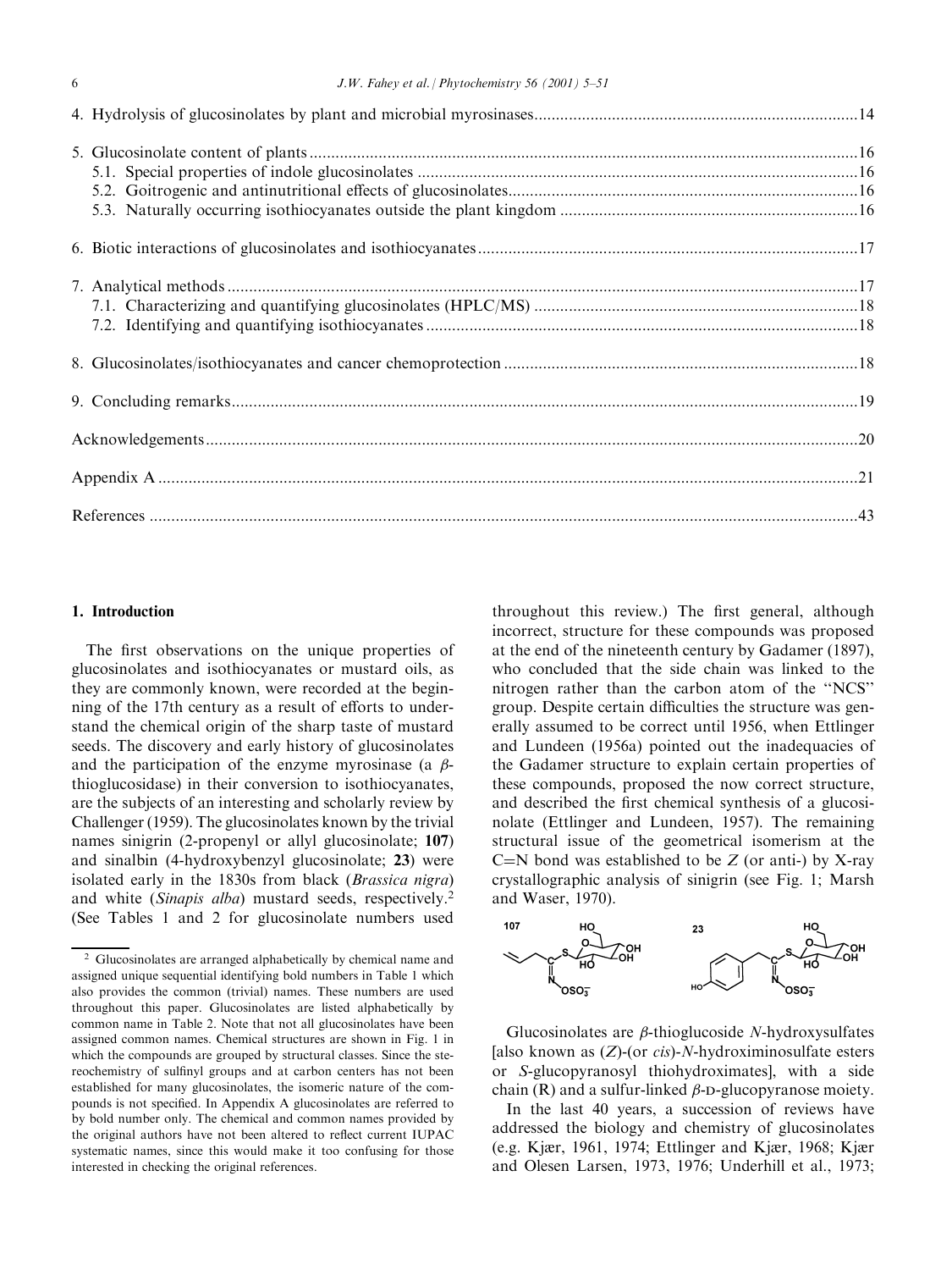# 1. Introduction

The first observations on the unique properties of glucosinolates and isothiocyanates or mustard oils, as they are commonly known, were recorded at the beginning of the 17th century as a result of efforts to understand the chemical origin of the sharp taste of mustard seeds. The discovery and early history of glucosinolates and the participation of the enzyme myrosinase (a  $\beta$ thioglucosidase) in their conversion to isothiocyanates, are the subjects of an interesting and scholarly review by Challenger (1959). The glucosinolates known by the trivial names sinigrin (2-propenyl or allyl glucosinolate; 107) and sinalbin (4-hydroxybenzyl glucosinolate; 23) were isolated early in the 1830s from black (Brassica nigra) and white (Sinapis alba) mustard seeds, respectively.<sup>2</sup> (See Tables 1 and 2 for glucosinolate numbers used

throughout this review.) The first general, although incorrect, structure for these compounds was proposed at the end of the nineteenth century by Gadamer (1897), who concluded that the side chain was linked to the nitrogen rather than the carbon atom of the "NCS" group. Despite certain difficulties the structure was generally assumed to be correct until 1956, when Ettlinger and Lundeen (1956a) pointed out the inadequacies of the Gadamer structure to explain certain properties of these compounds, proposed the now correct structure, and described the first chemical synthesis of a glucosinolate (Ettlinger and Lundeen, 1957). The remaining structural issue of the geometrical isomerism at the C=N bond was established to be  $Z$  (or anti-) by X-ray crystallographic analysis of sinigrin (see Fig. 1; Marsh and Waser, 1970).



Glucosinolates are  $\beta$ -thioglucoside N-hydroxysulfates [also known as  $(Z)$ -(or *cis*)-N-hydroximinosulfate esters or S-glucopyranosyl thiohydroximates], with a side chain  $(R)$  and a sulfur-linked  $\beta$ -D-glucopyranose moiety.

In the last 40 years, a succession of reviews have addressed the biology and chemistry of glucosinolates (e.g. Kjær, 1961, 1974; Ettlinger and Kjær, 1968; Kjær and Olesen Larsen, 1973, 1976; Underhill et al., 1973;

<sup>2</sup> Glucosinolates are arranged alphabetically by chemical name and assigned unique sequential identifying bold numbers in Table 1 which also provides the common (trivial) names. These numbers are used throughout this paper. Glucosinolates are listed alphabetically by common name in Table 2. Note that not all glucosinolates have been assigned common names. Chemical structures are shown in Fig. 1 in which the compounds are grouped by structural classes. Since the stereochemistry of sulfinyl groups and at carbon centers has not been established for many glucosinolates, the isomeric nature of the compounds is not specified. In Appendix A glucosinolates are referred to by bold number only. The chemical and common names provided by the original authors have not been altered to reflect current IUPAC systematic names, since this would make it too confusing for those interested in checking the original references.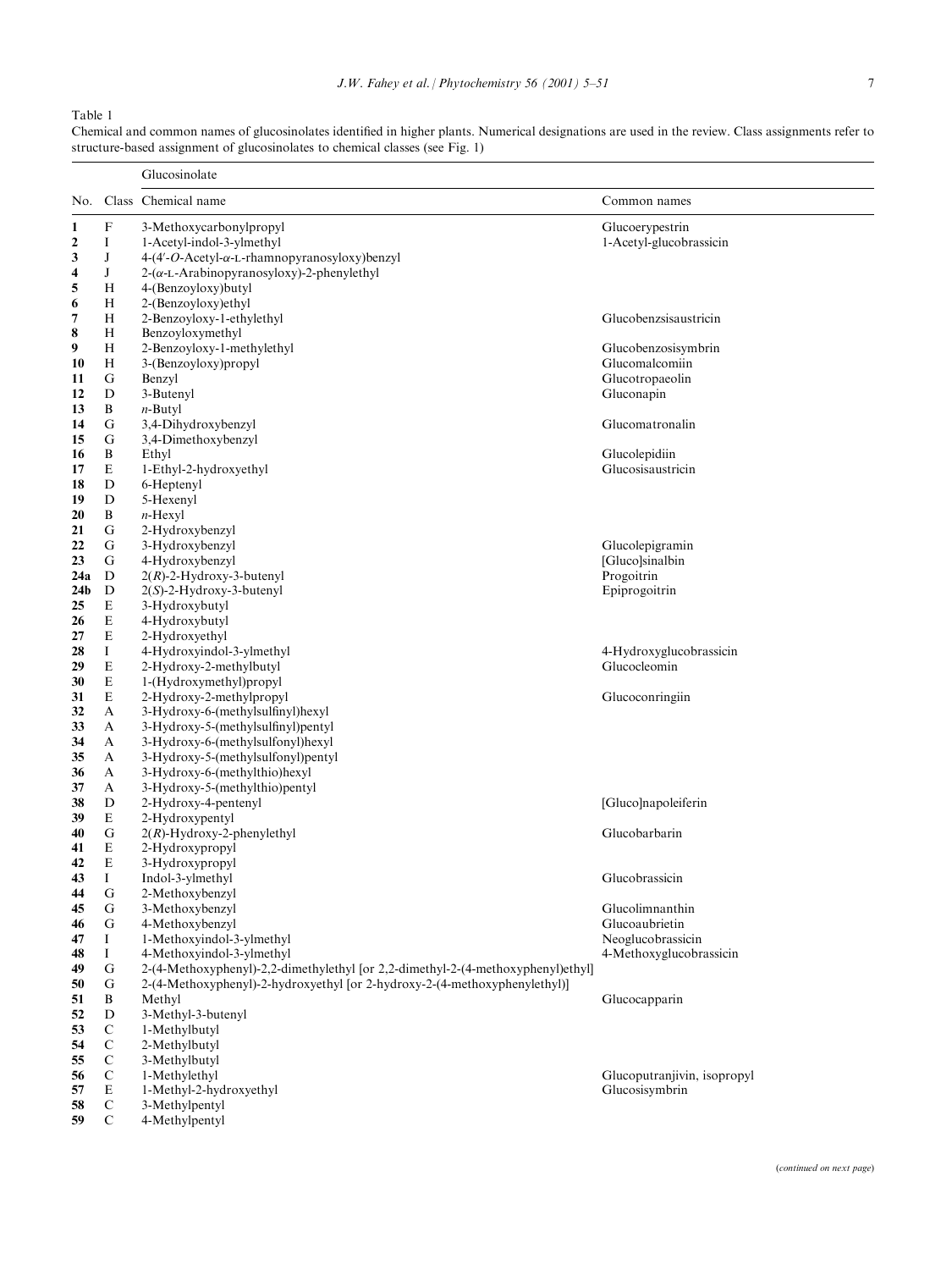Chemical and common names of glucosinolates identified in higher plants. Numerical designations are used in the review. Class assignments refer to

Table 1

Glucosinolate

39 E 2-Hydroxypentyl<br>40 G  $2(R)$ -Hydroxy-2-1

41 E 2-Hydroxypropyl<br>42 E 3-Hydroxypropyl

44 G 2-Methoxybenzyl<br>45 G 3-Methoxybenzyl

52 D 3-Methyl-3-butenyl<br>53 C 1-Methylbutyl 53 C 1-Methylbutyl<br>54 C 2-Methylbutyl 54 C 2-Methylbutyl<br>55 C 3-Methylbutyl 55 C 3-Methylbutyl<br>56 C 1-Methylethyl

58 C 3-Methylpentyl<br>59 C 4-Methylpentyl

4-Methylpentyl

3-Hydroxypropyl

49 G 2-(4-Methoxyphenyl)-2,2-dimethylethyl [or 2,2-dimethyl-2-(4-methoxyphenyl)ethyl]<br>50 G 2-(4-Methoxyphenyl)-2-hydroxyethyl [or 2-hydroxy-2-(4-methoxyphenylethyl)] 50 G 2-(4-Methoxyphenyl)-2-hydroxyethyl [or 2-hydroxy-2-(4-methoxyphenylethyl)]

structure-based assignment of glucosinolates to chemical classes (see Fig. 1)

No. Class Chemical name Common names 1 F 3-Methoxycarbonylpropyl<br>
2 I 1-Acetyl-indol-3-vlmethyl<br>
1-Acetyl-glucobrate and the set of the set of the set of the set of the set of the set of the set of the set of the set of the set of the set of the set of the se 2 I 1-Acetyl-indol-3-ylmethyl 1-Acetyl-glucobrassicin  $3$  J  $4-(4'-O$ -Acetyl- $\alpha$ -L-rhamnopyranosyloxy)benzyl 4 J  $2-(\alpha$ -L-Arabinopyranosyloxy)-2-phenylethyl<br>5 H  $4$ -(Benzovloxy)butyl 5 H 4-(Benzoyloxy) butyl<br>6 H 2-(Benzoyloxy) ethyl  $2-($ Benzoyloxy)ethyl 7 H 2-Benzoyloxy-1-ethylethyl Glucobenzsisaustricin 8 H Benzoyloxymethyl<br>9 H 2-Benzovloxy-1-me 2-Benzoyloxy-1-methylethyl Glucobenzosisymbrin 10 H 3-(Benzoyloxy)propyl Glucomalcomiin 11 Glucotropaeolin<br>
11 Glucotropaeolin<br>
12 Gluconapin<br>
12 Gluconapin<br>
13 Gluconapin 12 D 3-Butenyl Gluconapin 13 B  $n-\text{Butyl}$ <br>14 G 3.4-Dih 14 G 3,4-Dihydroxybenzyl Glucomatronalin 15 G 3,4-Dimethoxybenzyl 16 B Ethyl Glucolepidiin<br>
17 E 1-Ethyl-2-hydroxyethyl Glucosisaustricin<br>
Glucosisaustricin 17 E 1-Ethyl-2-hydroxyethyl<br>18 D 6-Hentenvl 6-Heptenyl 19 D 5-Hexenyl 20 B  $n$ -Hexyl<br>21 G 2-Hydro 2-Hydroxybenzyl 22 G 3-Hydroxybenzyl Glucolepigramin<br>
23 G 4-Hydroxybenzyl Glucolepigramin<br>
23 G 4-Hydroxybenzyl G 4-Hydroxybenzyl [Gluco]sina<br>
22. D 2. 2. Explorer 2. Hydroxy-3-butenyl and the contract of the contract of the contract of the contract of the contract of the contract of the contract of the contract of the contract of t 24a D  $2(R)$ -2-Hydroxy-3-butenyl<br>24b D  $2(S)$ -2-Hydroxy-3-butenyl 24b D  $2(S)$ -2-Hydroxy-3-butenyl Epiprogoitrin Epiprogoitrin Epiprogoitrin 25 E  $3-Hydroxybutyl$ <br>26 E  $4-Hvdroxubutvl$ 4-Hydroxybutyl 27 E 2-Hydroxyethyl 28 I 4-Hydroxyindol-3-ylmethyl 4-Hydroxyglucobrassicin<br>29 E 2-Hydroxy-2-methylbutyl Glucocleomin  $2-Hydroxy-2-methylbutyl$ 30 E 1-(Hydroxymethyl)propyl 31 E 2-Hydroxy-2-methylpropyl Glucoconringiin<br>
32 A 3-Hydroxy-6-(methylsulfinyl)hexyl 32 A 3-Hydroxy-6-(methylsulfinyl)hexyl<br>33 A 3-Hydroxy-5-(methylsulfinyl)pentyl 33 A 3-Hydroxy-5-(methylsulfinyl)pentyl<br>34 A 3-Hydroxy-6-(methylsulfonyl)hexyl 34 A 3-Hydroxy-6-(methylsulfonyl)hexyl<br>35 A 3-Hydroxy-5-(methylsulfonyl)penty 35 A 3-Hydroxy-5-(methylsulfonyl)pentyl 36 A 3-Hydroxy-6-(methylthio)hexyl<br>37 A 3-Hydroxy-5-(methylthio)nenty 3-Hydroxy-5-(methylthio)pentyl 38 D 2-Hydroxy-4-pentenyl [Gluco]napoleiferin [Gluco]napoleiferin [Gluco]napoleiferin

40 G  $2(R)$ -Hydroxy-2-phenylethyl Glucobarbarin Glucobarbarin Glucobarbarin

#### 43 I Indol-3-ylmethyl Glucobrassicin

45 G 3-Methoxybenzyl Glucolimnanthin 46 G 4-Methoxybenzyl Glucoaubrietin 47 I 1-Methoxyindol-3-ylmethyl 2008 and the set of the set of the Neoglucobrassicin<br>14 14-Methoxyindol-3-ylmethyl 2008 and the set of the 4-Methoxyglucobrassic I 4-Methoxyindol-3-ylmethyl 4-Methoxyglucobrassicin

Methyl Glucocapparin Glucocapparin Glucocapparin Glucocapparin Glucocapparin Glucocapparin Glucocapparin Glucocapparin Glucocapparin Glucocapparin Glucocapparin Glucocapparin Glucocapparin Glucocapparin Glucocapparin Gluco

56 C 1-Methylethyl<br>
57 E 1-Methyl-2-hydroxyethyl<br>
57 E 1-Methyl-2-hydroxyethyl 57 E 1-Methyl-2-hydroxyethyl Glucosisymbrin Glucosisymbrin Glucosisymbrin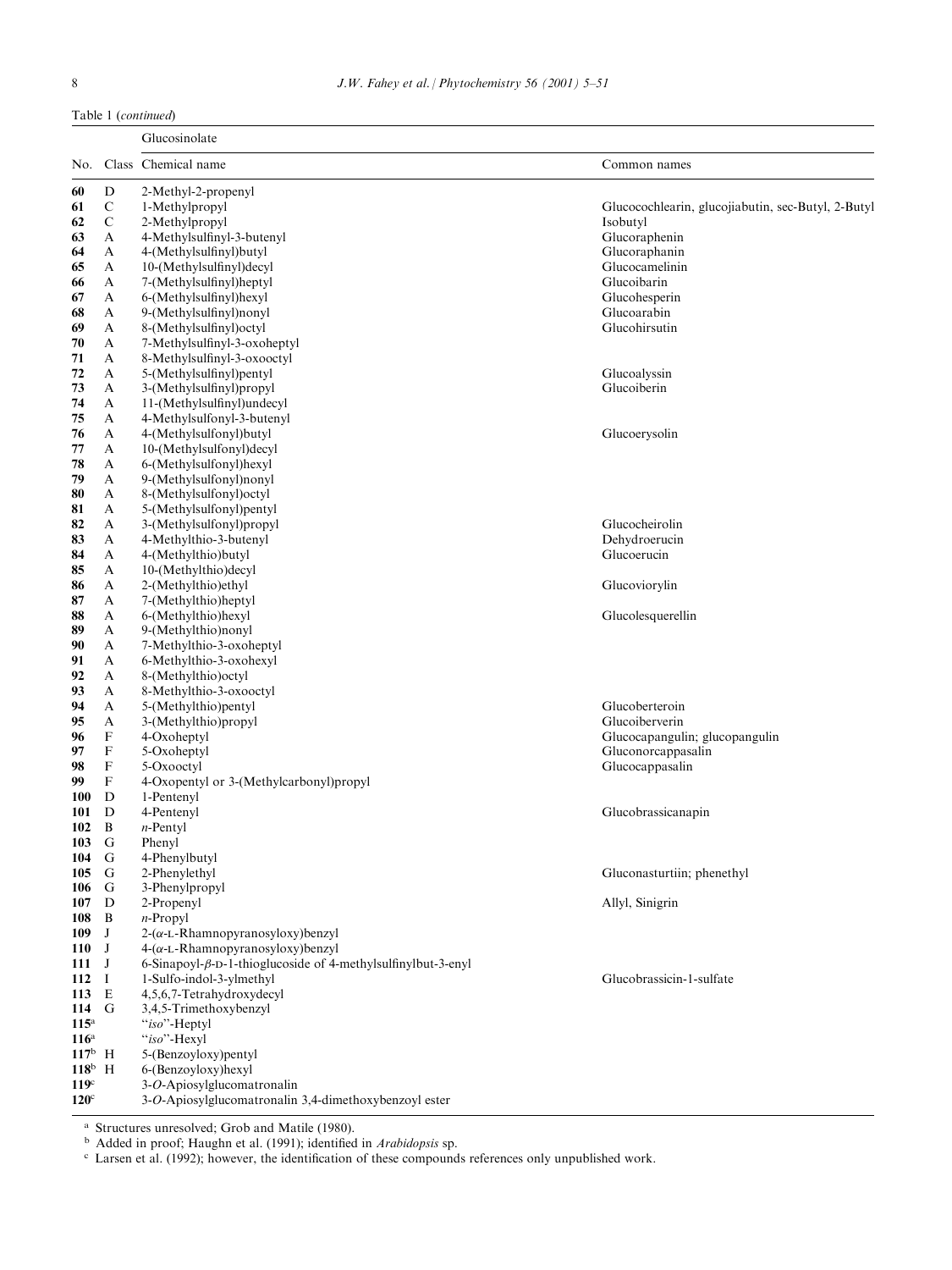Table 1 (continued)

|                  |                  | Glucosinolate                                                        |                                                    |
|------------------|------------------|----------------------------------------------------------------------|----------------------------------------------------|
| No.              |                  | Class Chemical name                                                  | Common names                                       |
| 60               | $\mathbf D$      | 2-Methyl-2-propenyl                                                  |                                                    |
| 61               | $\mathbf C$      | 1-Methylpropyl                                                       | Glucocochlearin, glucojiabutin, sec-Butyl, 2-Butyl |
| 62               | $\mathbf C$      | 2-Methylpropyl                                                       | Isobutyl                                           |
| 63               | A                | 4-Methylsulfinyl-3-butenyl                                           | Glucoraphenin                                      |
| 64               | A                | 4-(Methylsulfinyl)butyl                                              | Glucoraphanin                                      |
| 65               | A                | 10-(Methylsulfinyl)decyl                                             | Glucocamelinin                                     |
| 66               | A                | 7-(Methylsulfinyl)heptyl                                             | Glucoibarin                                        |
| 67               | A                | 6-(Methylsulfinyl)hexyl                                              | Glucohesperin                                      |
| 68               | A                | 9-(Methylsulfinyl)nonyl                                              | Glucoarabin                                        |
| 69               | A                | 8-(Methylsulfinyl) octyl                                             | Glucohirsutin                                      |
| 70               | A                | 7-Methylsulfinyl-3-oxoheptyl                                         |                                                    |
| 71               | A                | 8-Methylsulfinyl-3-oxooctyl                                          |                                                    |
| 72               | A                | 5-(Methylsulfinyl)pentyl                                             | Glucoalyssin                                       |
| 73               | A                | 3-(Methylsulfinyl)propyl                                             | Glucoiberin                                        |
| 74               | A                | 11-(Methylsulfinyl)undecyl                                           |                                                    |
| 75               | A                | 4-Methylsulfonyl-3-butenyl                                           |                                                    |
| 76               | A                | 4-(Methylsulfonyl)butyl                                              | Glucoerysolin                                      |
| 77               | A                | 10-(Methylsulfonyl)decyl                                             |                                                    |
| 78               | A                | 6-(Methylsulfonyl)hexyl                                              |                                                    |
| 79               | A                | 9-(Methylsulfonyl)nonyl                                              |                                                    |
| 80               | A                | 8-(Methylsulfonyl)octyl                                              |                                                    |
| 81               | A                | 5-(Methylsulfonyl)pentyl                                             |                                                    |
| 82               | A                | 3-(Methylsulfonyl)propyl                                             | Glucocheirolin                                     |
| 83               | A                | 4-Methylthio-3-butenyl                                               | Dehydroerucin                                      |
| 84               | A                | 4-(Methylthio)butyl                                                  | Glucoerucin                                        |
| 85               | A                | 10-(Methylthio)decyl                                                 |                                                    |
| 86               | A                | 2-(Methylthio)ethyl                                                  | Glucoviorylin                                      |
| 87               | A                | 7-(Methylthio)heptyl                                                 |                                                    |
| 88               | A                | 6-(Methylthio)hexyl                                                  | Glucolesquerellin                                  |
| 89               | A                | 9-(Methylthio)nonyl                                                  |                                                    |
| 90               | A                | 7-Methylthio-3-oxoheptyl                                             |                                                    |
| 91               | A                | 6-Methylthio-3-oxohexyl                                              |                                                    |
| 92               | A                | 8-(Methylthio)octyl                                                  |                                                    |
| 93               | A                | 8-Methylthio-3-oxooctyl                                              |                                                    |
| 94               | A                | 5-(Methylthio) pentyl                                                | Glucoberteroin<br>Glucoiberverin                   |
| 95               | A<br>$\mathbf F$ | 3-(Methylthio)propyl<br>4-Oxoheptyl                                  | Glucocapangulin; glucopangulin                     |
| 96               | $\mathbf F$      |                                                                      | Gluconorcappasalin                                 |
| 97<br>98         | $\mathbf F$      | 5-Oxoheptyl<br>5-Oxooctyl                                            | Glucocappasalin                                    |
| 99               | F                | 4-Oxopentyl or 3-(Methylcarbonyl)propyl                              |                                                    |
| 100              | D                | 1-Pentenyl                                                           |                                                    |
| 101              | D                | 4-Pentenyl                                                           | Glucobrassicanapin                                 |
| 102              | B                | $n$ -Pentyl                                                          |                                                    |
| 103              | G                | Phenyl                                                               |                                                    |
| 104              | G                | 4-Phenylbutyl                                                        |                                                    |
| 105              | G                | 2-Phenylethyl                                                        | Gluconasturtiin; phenethyl                         |
| 106              | G                | 3-Phenylpropyl                                                       |                                                    |
| 107              | D                | 2-Propenyl                                                           | Allyl, Sinigrin                                    |
| 108              | B                | $n$ -Propyl                                                          |                                                    |
| 109              | J                | $2-(\alpha$ -L-Rhamnopyranosyloxy)benzyl                             |                                                    |
| $110$ J          |                  | $4-(\alpha$ -L-Rhamnopyranosyloxy)benzyl                             |                                                    |
| 111 J            |                  | 6-Sinapoyl- $\beta$ -D-1-thioglucoside of 4-methylsulfinylbut-3-enyl |                                                    |
| $112 \quad I$    |                  | 1-Sulfo-indol-3-ylmethyl                                             | Glucobrassicin-1-sulfate                           |
| 113 E            |                  | 4,5,6,7-Tetrahydroxydecyl                                            |                                                    |
| 114 G            |                  | 3,4,5-Trimethoxybenzyl                                               |                                                    |
| $115^{\rm a}$    |                  | "iso"-Heptyl                                                         |                                                    |
| $116^a$          |                  | "iso"-Hexyl                                                          |                                                    |
| $117^{\rm b}$ H  |                  | 5-(Benzoyloxy)pentyl                                                 |                                                    |
| $118^b$ H        |                  | 6-(Benzoyloxy)hexyl                                                  |                                                    |
| 119 <sup>c</sup> |                  | 3-O-Apiosylglucomatronalin                                           |                                                    |
| $120^{\circ}$    |                  | 3-O-Apiosylglucomatronalin 3,4-dimethoxybenzoyl ester                |                                                    |
|                  |                  | <sup>a</sup> Structures unresolved; Grob and Matile (1980).          |                                                    |

<sup>b</sup> Added in proof; Haughn et al. (1991); identified in Arabidopsis sp.

 $c$  Larsen et al. (1992); however, the identification of these compounds references only unpublished work.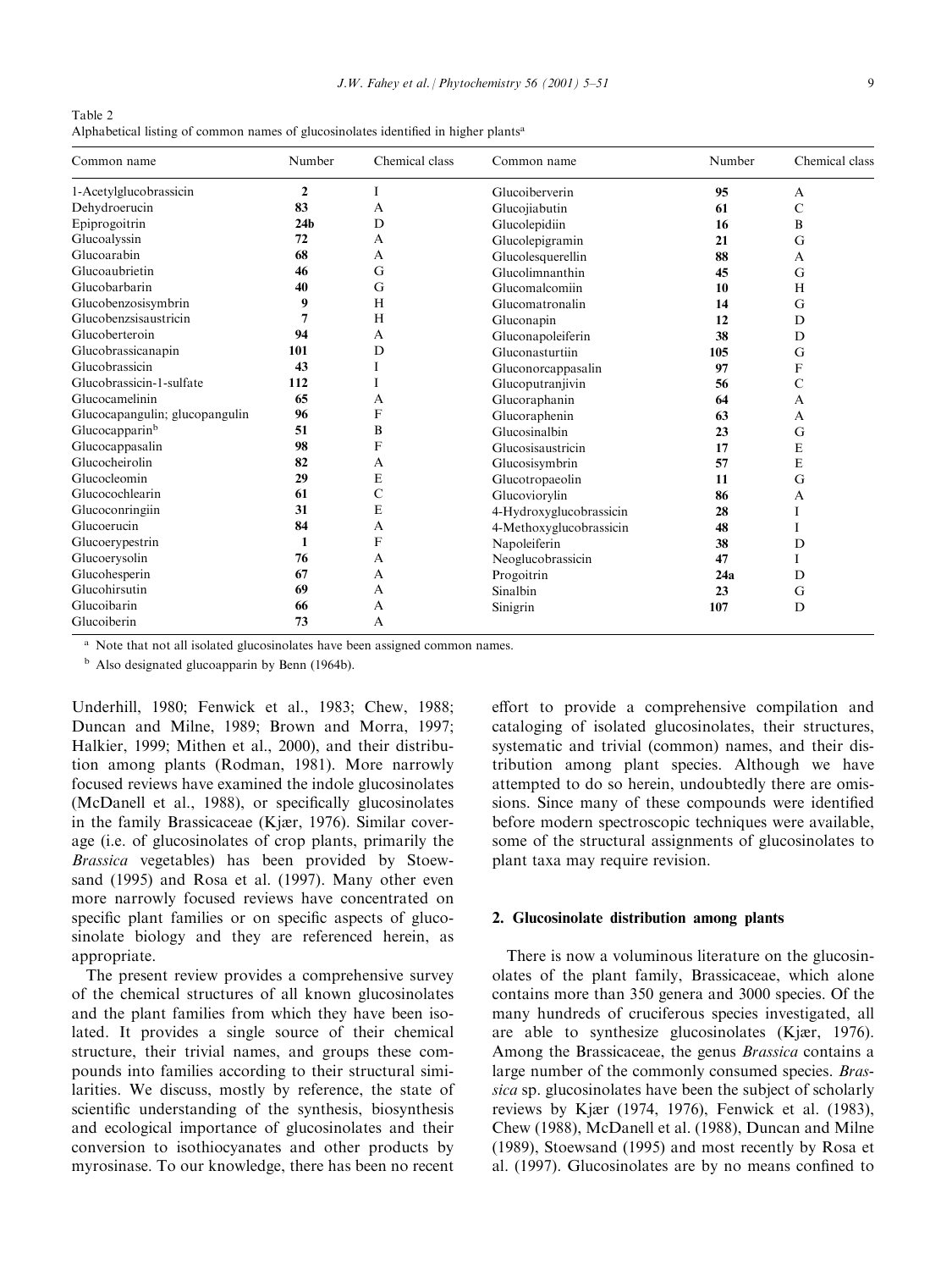Table 2 Alphabetical listing of common names of glucosinolates identified in higher plants<sup>a</sup>

| Common name                    | Number          |   | Common name             | Number | Chemical class |
|--------------------------------|-----------------|---|-------------------------|--------|----------------|
| 1-Acetylglucobrassicin         | $\overline{2}$  |   | Glucoiberverin          | 95     | A              |
| Dehydroerucin                  | 83              | А | Glucojiabutin           | 61     | C              |
| Epiprogoitrin                  | 24 <sub>b</sub> | D | Glucolepidiin           | 16     | B              |
| Glucoalyssin                   | 72              | A | Glucolepigramin         | 21     | G              |
| Glucoarabin                    | 68              | A | Glucolesquerellin       | 88     | A              |
| Glucoaubrietin                 | 46              | G | Glucolimnanthin         | 45     | G              |
| Glucobarbarin                  | 40              | G | Glucomalcomiin          | 10     | H              |
| Glucobenzosisymbrin            | 9               | H | Glucomatronalin         | 14     | G              |
| Glucobenzsisaustricin          |                 | H | Gluconapin              | 12     | D              |
| Glucoberteroin                 | 94              | A | Gluconapoleiferin       | 38     | D              |
| Glucobrassicanapin             | 101             | D | Gluconasturtiin         | 105    | G              |
| Glucobrassicin                 | 43              |   | Gluconorcappasalin      | 97     | F              |
| Glucobrassicin-1-sulfate       | 112             |   | Glucoputranjivin        | 56     | C              |
| Glucocamelinin                 | 65              | A | Glucoraphanin           | 64     | A              |
| Glucocapangulin; glucopangulin | 96              | F | Glucoraphenin           | 63     | A              |
| Glucocapparin <sup>b</sup>     | 51              | B | Glucosinalbin           | 23     | G              |
| Glucocappasalin                | 98              | F | Glucosisaustricin       | 17     | E              |
| Glucocheirolin                 | 82              | A | Glucosisymbrin          | 57     | E              |
| Glucocleomin                   | 29              | E | Glucotropaeolin         | 11     | G              |
| Glucocochlearin                | 61              | C | Glucoviorylin           | 86     | A              |
| Glucoconringiin                | 31              | E | 4-Hydroxyglucobrassicin | 28     | I              |
| Glucoerucin                    | 84              | A | 4-Methoxyglucobrassicin | 48     |                |
| Glucoerypestrin                | 1               | F | Napoleiferin            | 38     | D              |
| Glucoerysolin                  | 76              | А | Neoglucobrassicin       | 47     | I              |
| Glucohesperin                  | 67              | А | Progoitrin              | 24a    | D              |
| Glucohirsutin                  | 69              | А | Sinalbin                | 23     | G              |
| Glucoibarin                    | 66              | A | Sinigrin                | 107    | D              |
| Glucoiberin                    | 73              | А |                         |        |                |

<sup>a</sup> Note that not all isolated glucosinolates have been assigned common names.

<sup>b</sup> Also designated glucoapparin by Benn (1964b).

Underhill, 1980; Fenwick et al., 1983; Chew, 1988; Duncan and Milne, 1989; Brown and Morra, 1997; Halkier, 1999; Mithen et al., 2000), and their distribution among plants (Rodman, 1981). More narrowly focused reviews have examined the indole glucosinolates  $(McDanell$  et al., 1988), or specifically glucosinolates in the family Brassicaceae (Kjær, 1976). Similar coverage (i.e. of glucosinolates of crop plants, primarily the Brassica vegetables) has been provided by Stoewsand (1995) and Rosa et al. (1997). Many other even more narrowly focused reviews have concentrated on specific plant families or on specific aspects of glucosinolate biology and they are referenced herein, as appropriate.

The present review provides a comprehensive survey of the chemical structures of all known glucosinolates and the plant families from which they have been isolated. It provides a single source of their chemical structure, their trivial names, and groups these compounds into families according to their structural similarities. We discuss, mostly by reference, the state of scientific understanding of the synthesis, biosynthesis and ecological importance of glucosinolates and their conversion to isothiocyanates and other products by myrosinase. To our knowledge, there has been no recent effort to provide a comprehensive compilation and cataloging of isolated glucosinolates, their structures, systematic and trivial (common) names, and their distribution among plant species. Although we have attempted to do so herein, undoubtedly there are omissions. Since many of these compounds were identified before modern spectroscopic techniques were available, some of the structural assignments of glucosinolates to plant taxa may require revision.

#### 2. Glucosinolate distribution among plants

There is now a voluminous literature on the glucosinolates of the plant family, Brassicaceae, which alone contains more than 350 genera and 3000 species. Of the many hundreds of cruciferous species investigated, all are able to synthesize glucosinolates  $(K<sub>i</sub>ær, 1976)$ . Among the Brassicaceae, the genus Brassica contains a large number of the commonly consumed species. Brassica sp. glucosinolates have been the subject of scholarly reviews by Kjær (1974, 1976), Fenwick et al. (1983), Chew (1988), McDanell et al. (1988), Duncan and Milne (1989), Stoewsand (1995) and most recently by Rosa et al. (1997). Glucosinolates are by no means confined to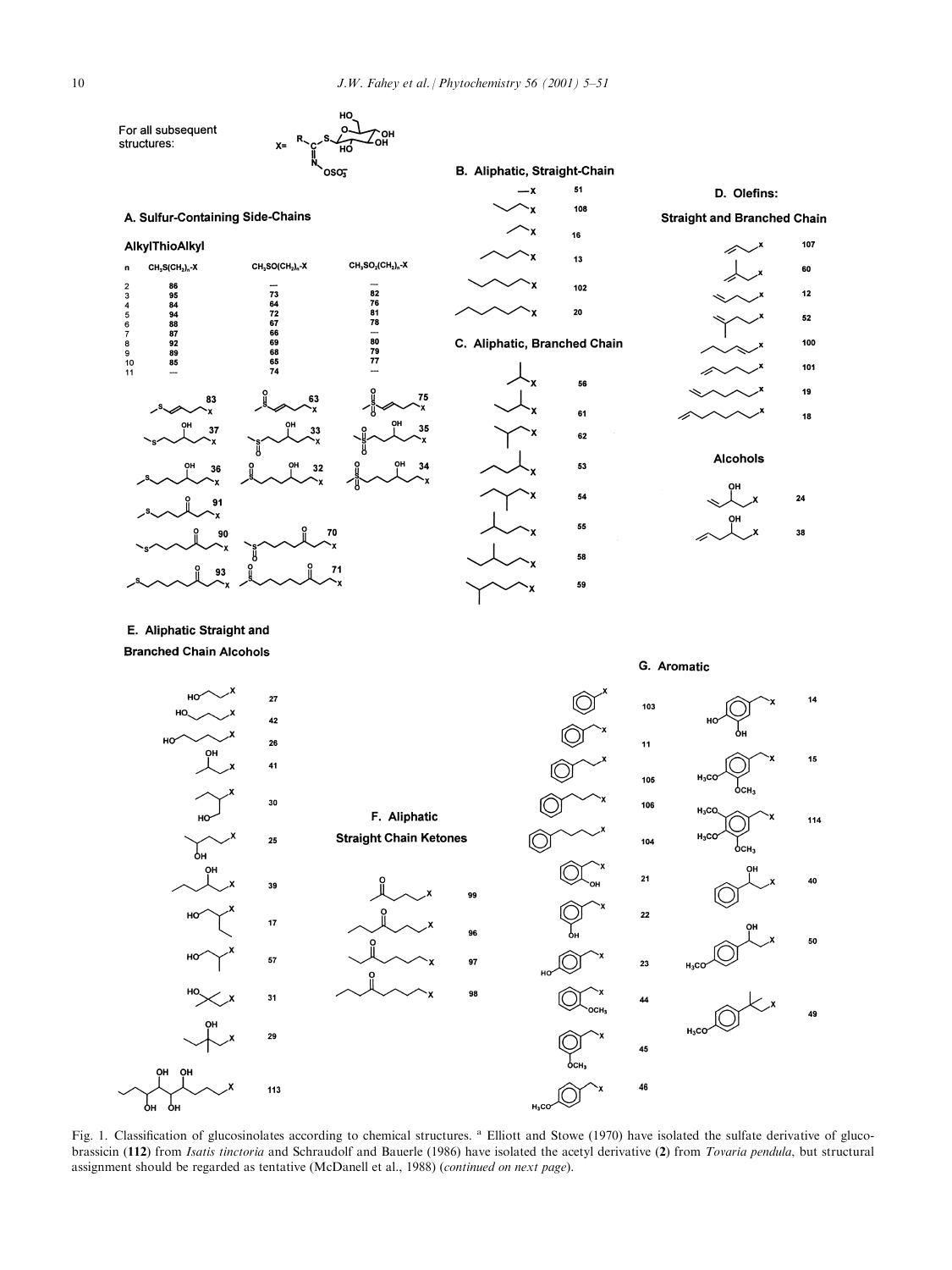

Fig. 1. Classification of glucosinolates according to chemical structures. <sup>a</sup> Elliott and Stowe (1970) have isolated the sulfate derivative of glucobrassicin (112) from Isatis tinctoria and Schraudolf and Bauerle (1986) have isolated the acetyl derivative (2) from Tovaria pendula, but structural assignment should be regarded as tentative (McDanell et al., 1988) (continued on next page).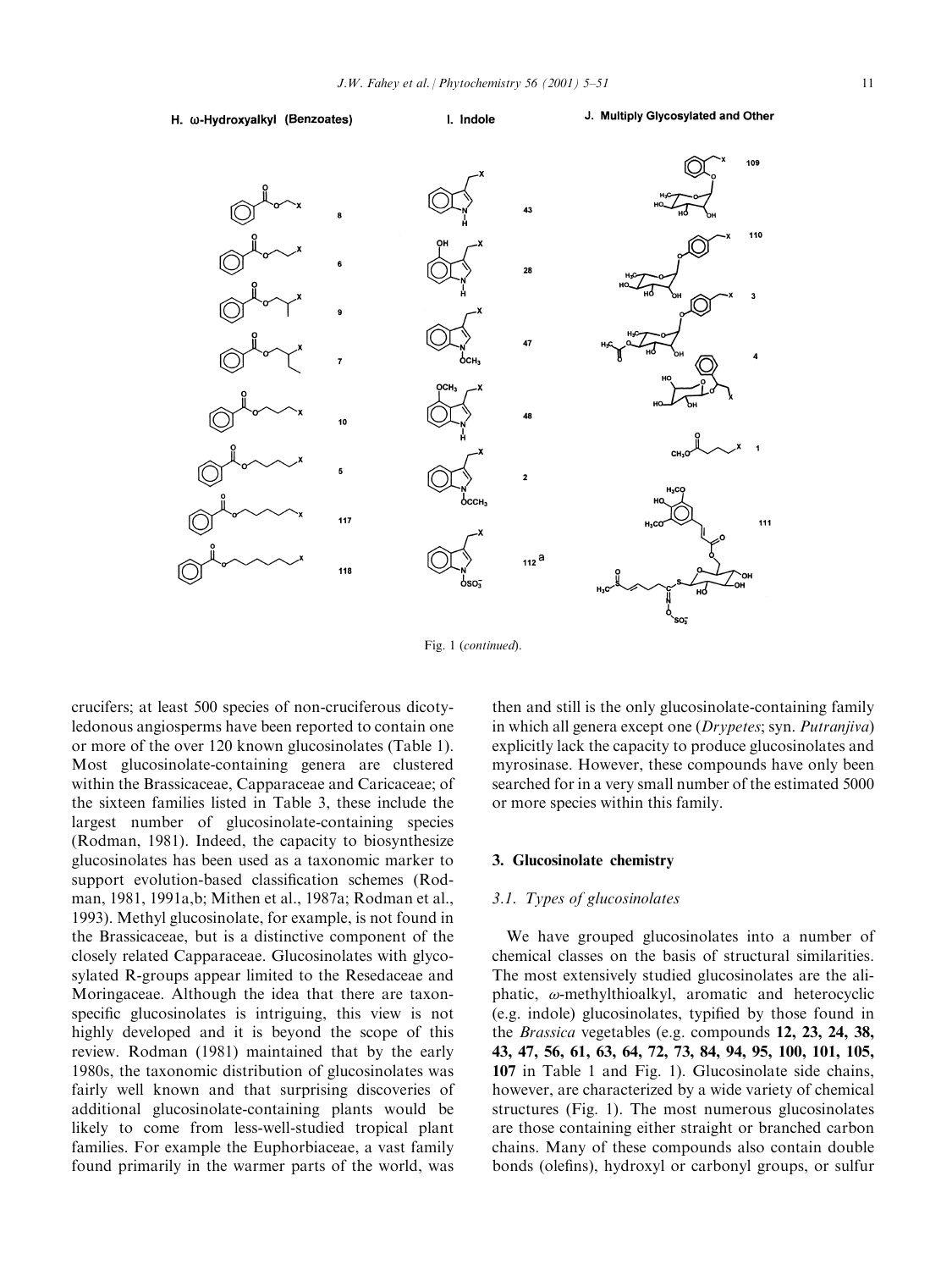H. ω-Hydroxyalkyl (Benzoates)

I. Indole



Fig. 1 (continued).

crucifers; at least 500 species of non-cruciferous dicotyledonous angiosperms have been reported to contain one or more of the over 120 known glucosinolates (Table 1). Most glucosinolate-containing genera are clustered within the Brassicaceae, Capparaceae and Caricaceae; of the sixteen families listed in Table 3, these include the largest number of glucosinolate-containing species (Rodman, 1981). Indeed, the capacity to biosynthesize glucosinolates has been used as a taxonomic marker to support evolution-based classification schemes (Rodman, 1981, 1991a,b; Mithen et al., 1987a; Rodman et al., 1993). Methyl glucosinolate, for example, is not found in the Brassicaceae, but is a distinctive component of the closely related Capparaceae. Glucosinolates with glycosylated R-groups appear limited to the Resedaceae and Moringaceae. Although the idea that there are taxonspecific glucosinolates is intriguing, this view is not highly developed and it is beyond the scope of this review. Rodman (1981) maintained that by the early 1980s, the taxonomic distribution of glucosinolates was fairly well known and that surprising discoveries of additional glucosinolate-containing plants would be likely to come from less-well-studied tropical plant families. For example the Euphorbiaceae, a vast family found primarily in the warmer parts of the world, was then and still is the only glucosinolate-containing family in which all genera except one (Drypetes; syn. Putranjiva) explicitly lack the capacity to produce glucosinolates and myrosinase. However, these compounds have only been searched for in a very small number of the estimated 5000 or more species within this family.

#### 3. Glucosinolate chemistry

#### 3.1. Types of glucosinolates

We have grouped glucosinolates into a number of chemical classes on the basis of structural similarities. The most extensively studied glucosinolates are the aliphatic,  $\omega$ -methylthioalkyl, aromatic and heterocyclic (e.g. indole) glucosinolates, typified by those found in the Brassica vegetables (e.g. compounds 12, 23, 24, 38, 43, 47, 56, 61, 63, 64, 72, 73, 84, 94, 95, 100, 101, 105, 107 in Table 1 and Fig. 1). Glucosinolate side chains, however, are characterized by a wide variety of chemical structures (Fig. 1). The most numerous glucosinolates are those containing either straight or branched carbon chains. Many of these compounds also contain double bonds (olefins), hydroxyl or carbonyl groups, or sulfur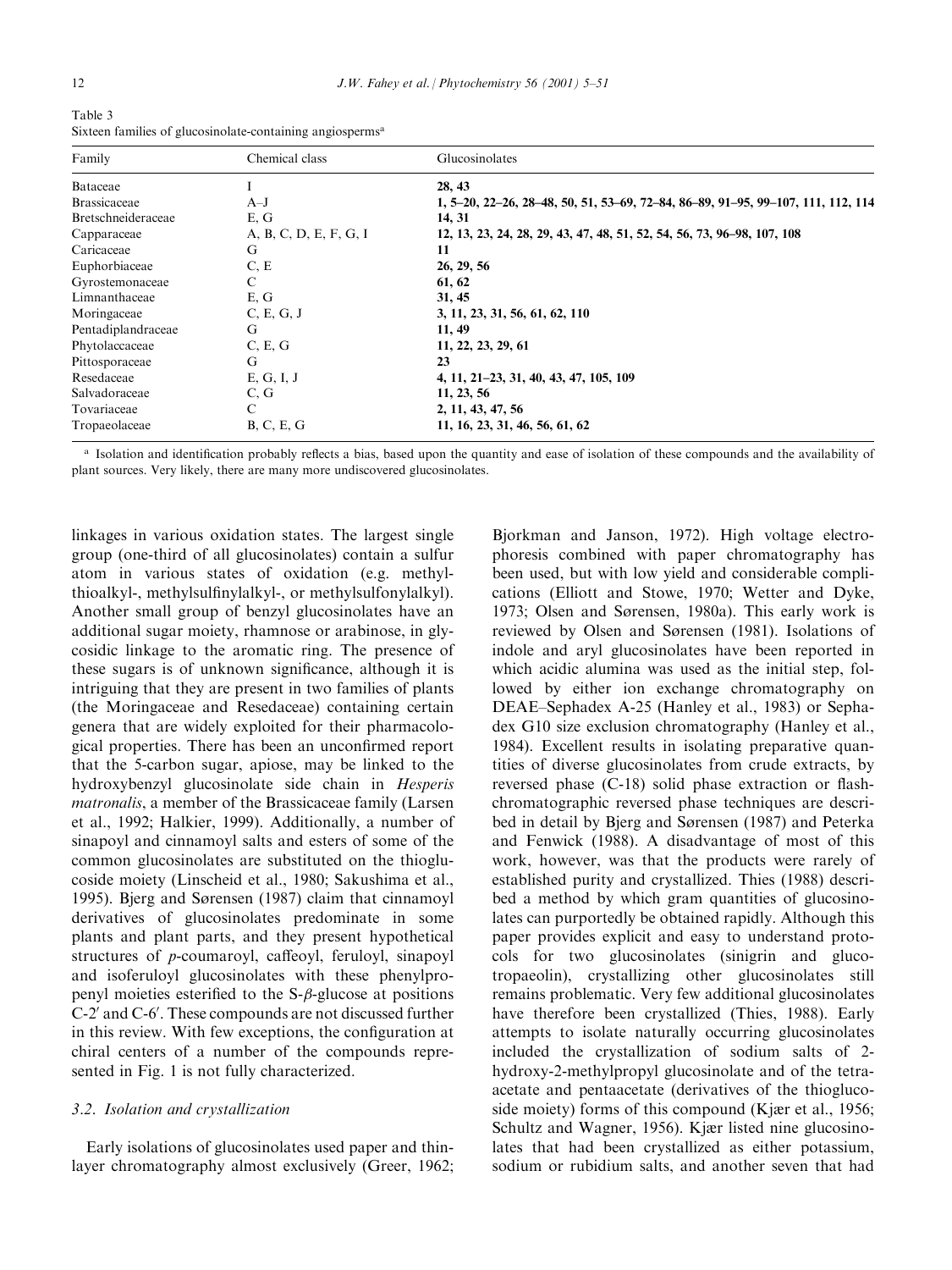| <b>Taviv</b> |                                                                       |  |
|--------------|-----------------------------------------------------------------------|--|
|              | Sixteen families of glucosinolate-containing angiosperms <sup>a</sup> |  |

| Family              | Chemical class         | Glucosinolates                                                                   |
|---------------------|------------------------|----------------------------------------------------------------------------------|
| Bataceae            |                        | 28, 43                                                                           |
| <b>Brassicaceae</b> | $A-J$                  | 1, 5–20, 22–26, 28–48, 50, 51, 53–69, 72–84, 86–89, 91–95, 99–107, 111, 112, 114 |
| Bretschneideraceae  | E, G                   | 14, 31                                                                           |
| Capparaceae         | A, B, C, D, E, F, G, I | 12, 13, 23, 24, 28, 29, 43, 47, 48, 51, 52, 54, 56, 73, 96-98, 107, 108          |
| Caricaceae          | G                      | 11                                                                               |
| Euphorbiaceae       | C, E                   | 26, 29, 56                                                                       |
| Gyrostemonaceae     | C                      | 61, 62                                                                           |
| Limnanthaceae       | E, G                   | 31, 45                                                                           |
| Moringaceae         | C, E, G, J             | 3, 11, 23, 31, 56, 61, 62, 110                                                   |
| Pentadiplandraceae  | G                      | 11, 49                                                                           |
| Phytolaccaceae      | C, E, G                | 11, 22, 23, 29, 61                                                               |
| Pittosporaceae      | G                      | 23                                                                               |
| Resedaceae          | E, G, I, J             | 4, 11, 21–23, 31, 40, 43, 47, 105, 109                                           |
| Salvadoraceae       | C, G                   | 11, 23, 56                                                                       |
| Tovariaceae         | C                      | 2, 11, 43, 47, 56                                                                |
| Tropaeolaceae       | B, C, E, G             | 11, 16, 23, 31, 46, 56, 61, 62                                                   |

<sup>a</sup> Isolation and identification probably reflects a bias, based upon the quantity and ease of isolation of these compounds and the availability of plant sources. Very likely, there are many more undiscovered glucosinolates.

linkages in various oxidation states. The largest single group (one-third of all glucosinolates) contain a sulfur atom in various states of oxidation (e.g. methylthioalkyl-, methylsulfinylalkyl-, or methylsulfonylalkyl). Another small group of benzyl glucosinolates have an additional sugar moiety, rhamnose or arabinose, in glycosidic linkage to the aromatic ring. The presence of these sugars is of unknown significance, although it is intriguing that they are present in two families of plants (the Moringaceae and Resedaceae) containing certain genera that are widely exploited for their pharmacological properties. There has been an unconfirmed report that the 5-carbon sugar, apiose, may be linked to the hydroxybenzyl glucosinolate side chain in Hesperis matronalis, a member of the Brassicaceae family (Larsen et al., 1992; Halkier, 1999). Additionally, a number of sinapoyl and cinnamoyl salts and esters of some of the common glucosinolates are substituted on the thioglucoside moiety (Linscheid et al., 1980; Sakushima et al., 1995). Bjerg and Sørensen (1987) claim that cinnamoyl derivatives of glucosinolates predominate in some plants and plant parts, and they present hypothetical structures of  $p$ -coumaroyl, caffeoyl, feruloyl, sinapoyl and isoferuloyl glucosinolates with these phenylpropenyl moieties esterified to the  $S$ - $\beta$ -glucose at positions  $C-2'$  and  $C-6'$ . These compounds are not discussed further in this review. With few exceptions, the configuration at chiral centers of a number of the compounds represented in Fig. 1 is not fully characterized.

# 3.2. Isolation and crystallization

Early isolations of glucosinolates used paper and thinlayer chromatography almost exclusively (Greer, 1962; Bjorkman and Janson, 1972). High voltage electrophoresis combined with paper chromatography has been used, but with low yield and considerable complications (Elliott and Stowe, 1970; Wetter and Dyke, 1973; Olsen and Sørensen, 1980a). This early work is reviewed by Olsen and Sørensen (1981). Isolations of indole and aryl glucosinolates have been reported in which acidic alumina was used as the initial step, followed by either ion exchange chromatography on DEAE-Sephadex A-25 (Hanley et al., 1983) or Sephadex G10 size exclusion chromatography (Hanley et al., 1984). Excellent results in isolating preparative quantities of diverse glucosinolates from crude extracts, by reversed phase  $(C-18)$  solid phase extraction or flashchromatographic reversed phase techniques are described in detail by Bjerg and Sørensen (1987) and Peterka and Fenwick (1988). A disadvantage of most of this work, however, was that the products were rarely of established purity and crystallized. Thies (1988) described a method by which gram quantities of glucosinolates can purportedly be obtained rapidly. Although this paper provides explicit and easy to understand protocols for two glucosinolates (sinigrin and glucotropaeolin), crystallizing other glucosinolates still remains problematic. Very few additional glucosinolates have therefore been crystallized (Thies, 1988). Early attempts to isolate naturally occurring glucosinolates included the crystallization of sodium salts of 2 hydroxy-2-methylpropyl glucosinolate and of the tetraacetate and pentaacetate (derivatives of the thioglucoside moiety) forms of this compound (Kjær et al., 1956; Schultz and Wagner, 1956). Kjær listed nine glucosinolates that had been crystallized as either potassium, sodium or rubidium salts, and another seven that had

Table 3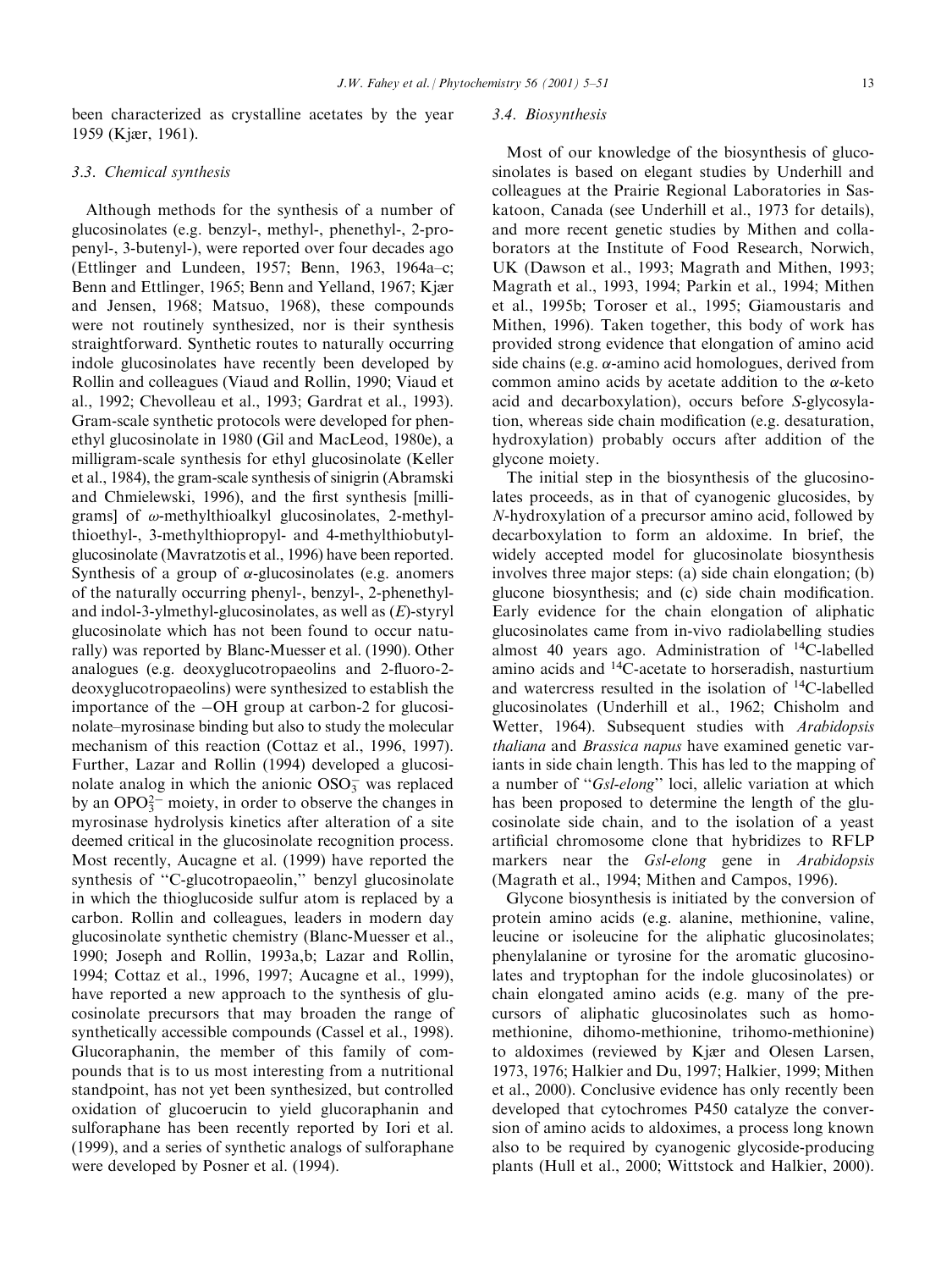been characterized as crystalline acetates by the year 1959 (Kjær, 1961).

#### 3.3. Chemical synthesis

Although methods for the synthesis of a number of glucosinolates (e.g. benzyl-, methyl-, phenethyl-, 2-propenyl-, 3-butenyl-), were reported over four decades ago (Ettlinger and Lundeen, 1957; Benn, 1963, 1964a-c; Benn and Ettlinger, 1965; Benn and Yelland, 1967; Kjær and Jensen, 1968; Matsuo, 1968), these compounds were not routinely synthesized, nor is their synthesis straightforward. Synthetic routes to naturally occurring indole glucosinolates have recently been developed by Rollin and colleagues (Viaud and Rollin, 1990; Viaud et al., 1992; Chevolleau et al., 1993; Gardrat et al., 1993). Gram-scale synthetic protocols were developed for phenethyl glucosinolate in 1980 (Gil and MacLeod, 1980e), a milligram-scale synthesis for ethyl glucosinolate (Keller et al., 1984), the gram-scale synthesis of sinigrin (Abramski and Chmielewski, 1996), and the first synthesis [milligrams] of  $\omega$ -methylthioalkyl glucosinolates, 2-methylthioethyl-, 3-methylthiopropyl- and 4-methylthiobutylglucosinolate (Mavratzotis et al., 1996) have been reported. Synthesis of a group of  $\alpha$ -glucosinolates (e.g. anomers of the naturally occurring phenyl-, benzyl-, 2-phenethyland indol-3-ylmethyl-glucosinolates, as well as  $(E)$ -styryl glucosinolate which has not been found to occur naturally) was reported by Blanc-Muesser et al. (1990). Other analogues (e.g. deoxyglucotropaeolins and 2-fluoro-2deoxyglucotropaeolins) were synthesized to establish the importance of the  $-OH$  group at carbon-2 for glucosinolate–myrosinase binding but also to study the molecular mechanism of this reaction (Cottaz et al., 1996, 1997). Further, Lazar and Rollin (1994) developed a glucosinolate analog in which the anionic  $OSO_3^-$  was replaced by an  $OPO_3^{2-}$  moiety, in order to observe the changes in myrosinase hydrolysis kinetics after alteration of a site deemed critical in the glucosinolate recognition process. Most recently, Aucagne et al. (1999) have reported the synthesis of "C-glucotropaeolin," benzyl glucosinolate in which the thioglucoside sulfur atom is replaced by a carbon. Rollin and colleagues, leaders in modern day glucosinolate synthetic chemistry (Blanc-Muesser et al., 1990; Joseph and Rollin, 1993a,b; Lazar and Rollin, 1994; Cottaz et al., 1996, 1997; Aucagne et al., 1999), have reported a new approach to the synthesis of glucosinolate precursors that may broaden the range of synthetically accessible compounds (Cassel et al., 1998). Glucoraphanin, the member of this family of compounds that is to us most interesting from a nutritional standpoint, has not yet been synthesized, but controlled oxidation of glucoerucin to yield glucoraphanin and sulforaphane has been recently reported by Iori et al. (1999), and a series of synthetic analogs of sulforaphane were developed by Posner et al. (1994).

# 3.4. Biosynthesis

Most of our knowledge of the biosynthesis of glucosinolates is based on elegant studies by Underhill and colleagues at the Prairie Regional Laboratories in Saskatoon, Canada (see Underhill et al., 1973 for details), and more recent genetic studies by Mithen and collaborators at the Institute of Food Research, Norwich, UK (Dawson et al., 1993; Magrath and Mithen, 1993; Magrath et al., 1993, 1994; Parkin et al., 1994; Mithen et al., 1995b; Toroser et al., 1995; Giamoustaris and Mithen, 1996). Taken together, this body of work has provided strong evidence that elongation of amino acid side chains (e.g.  $\alpha$ -amino acid homologues, derived from common amino acids by acetate addition to the  $\alpha$ -keto acid and decarboxylation), occurs before S-glycosylation, whereas side chain modification (e.g. desaturation, hydroxylation) probably occurs after addition of the glycone moiety.

The initial step in the biosynthesis of the glucosinolates proceeds, as in that of cyanogenic glucosides, by N-hydroxylation of a precursor amino acid, followed by decarboxylation to form an aldoxime. In brief, the widely accepted model for glucosinolate biosynthesis involves three major steps: (a) side chain elongation; (b) glucone biosynthesis; and (c) side chain modification. Early evidence for the chain elongation of aliphatic glucosinolates came from in-vivo radiolabelling studies almost 40 years ago. Administration of 14C-labelled amino acids and 14C-acetate to horseradish, nasturtium and watercress resulted in the isolation of 14C-labelled glucosinolates (Underhill et al., 1962; Chisholm and Wetter, 1964). Subsequent studies with Arabidopsis thaliana and Brassica napus have examined genetic variants in side chain length. This has led to the mapping of a number of "Gsl-elong" loci, allelic variation at which has been proposed to determine the length of the glucosinolate side chain, and to the isolation of a yeast artificial chromosome clone that hybridizes to RFLP markers near the Gsl-elong gene in Arabidopsis (Magrath et al., 1994; Mithen and Campos, 1996).

Glycone biosynthesis is initiated by the conversion of protein amino acids (e.g. alanine, methionine, valine, leucine or isoleucine for the aliphatic glucosinolates; phenylalanine or tyrosine for the aromatic glucosinolates and tryptophan for the indole glucosinolates) or chain elongated amino acids (e.g. many of the precursors of aliphatic glucosinolates such as homomethionine, dihomo-methionine, trihomo-methionine) to aldoximes (reviewed by Kjær and Olesen Larsen, 1973, 1976; Halkier and Du, 1997; Halkier, 1999; Mithen et al., 2000). Conclusive evidence has only recently been developed that cytochromes P450 catalyze the conversion of amino acids to aldoximes, a process long known also to be required by cyanogenic glycoside-producing plants (Hull et al., 2000; Wittstock and Halkier, 2000).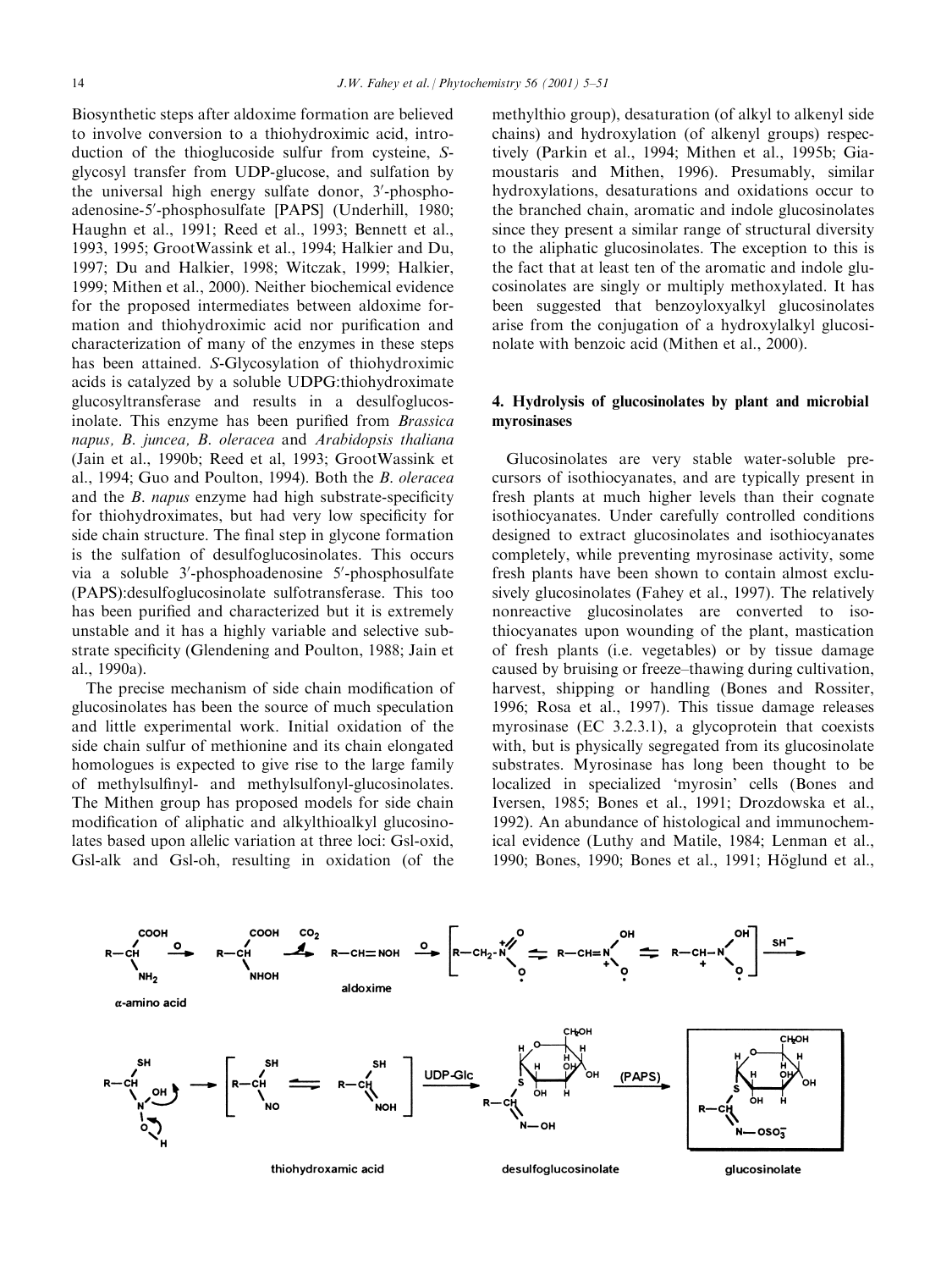Biosynthetic steps after aldoxime formation are believed to involve conversion to a thiohydroximic acid, introduction of the thioglucoside sulfur from cysteine, Sglycosyl transfer from UDP-glucose, and sulfation by the universal high energy sulfate donor, 3'-phosphoadenosine-5'-phosphosulfate [PAPS] (Underhill, 1980; Haughn et al., 1991; Reed et al., 1993; Bennett et al., 1993, 1995; GrootWassink et al., 1994; Halkier and Du, 1997; Du and Halkier, 1998; Witczak, 1999; Halkier, 1999; Mithen et al., 2000). Neither biochemical evidence for the proposed intermediates between aldoxime formation and thiohydroximic acid nor purification and characterization of many of the enzymes in these steps has been attained. S-Glycosylation of thiohydroximic acids is catalyzed by a soluble UDPG:thiohydroximate glucosyltransferase and results in a desulfoglucosinolate. This enzyme has been purified from Brassica napus, B. juncea, B. oleracea and Arabidopsis thaliana (Jain et al., 1990b; Reed et al, 1993; GrootWassink et al., 1994; Guo and Poulton, 1994). Both the B. oleracea and the  $B$ . *napus* enzyme had high substrate-specificity for thiohydroximates, but had very low specificity for side chain structure. The final step in glycone formation is the sulfation of desulfoglucosinolates. This occurs via a soluble 3'-phosphoadenosine 5'-phosphosulfate (PAPS):desulfoglucosinolate sulfotransferase. This too has been purified and characterized but it is extremely unstable and it has a highly variable and selective substrate specificity (Glendening and Poulton, 1988; Jain et al., 1990a).

The precise mechanism of side chain modification of glucosinolates has been the source of much speculation and little experimental work. Initial oxidation of the side chain sulfur of methionine and its chain elongated homologues is expected to give rise to the large family of methylsulfinyl- and methylsulfonyl-glucosinolates. The Mithen group has proposed models for side chain modification of aliphatic and alkylthioalkyl glucosinolates based upon allelic variation at three loci: Gsl-oxid, Gsl-alk and Gsl-oh, resulting in oxidation (of the methylthio group), desaturation (of alkyl to alkenyl side chains) and hydroxylation (of alkenyl groups) respectively (Parkin et al., 1994; Mithen et al., 1995b; Giamoustaris and Mithen, 1996). Presumably, similar hydroxylations, desaturations and oxidations occur to the branched chain, aromatic and indole glucosinolates since they present a similar range of structural diversity to the aliphatic glucosinolates. The exception to this is the fact that at least ten of the aromatic and indole glucosinolates are singly or multiply methoxylated. It has been suggested that benzoyloxyalkyl glucosinolates arise from the conjugation of a hydroxylalkyl glucosinolate with benzoic acid (Mithen et al., 2000).

# 4. Hydrolysis of glucosinolates by plant and microbial myrosinases

Glucosinolates are very stable water-soluble precursors of isothiocyanates, and are typically present in fresh plants at much higher levels than their cognate isothiocyanates. Under carefully controlled conditions designed to extract glucosinolates and isothiocyanates completely, while preventing myrosinase activity, some fresh plants have been shown to contain almost exclusively glucosinolates (Fahey et al., 1997). The relatively nonreactive glucosinolates are converted to isothiocyanates upon wounding of the plant, mastication of fresh plants (i.e. vegetables) or by tissue damage caused by bruising or freeze-thawing during cultivation. harvest, shipping or handling (Bones and Rossiter, 1996; Rosa et al., 1997). This tissue damage releases myrosinase (EC 3.2.3.1), a glycoprotein that coexists with, but is physically segregated from its glucosinolate substrates. Myrosinase has long been thought to be localized in specialized `myrosin' cells (Bones and Iversen, 1985; Bones et al., 1991; Drozdowska et al., 1992). An abundance of histological and immunochemical evidence (Luthy and Matile, 1984; Lenman et al., 1990; Bones, 1990; Bones et al., 1991; Höglund et al.,

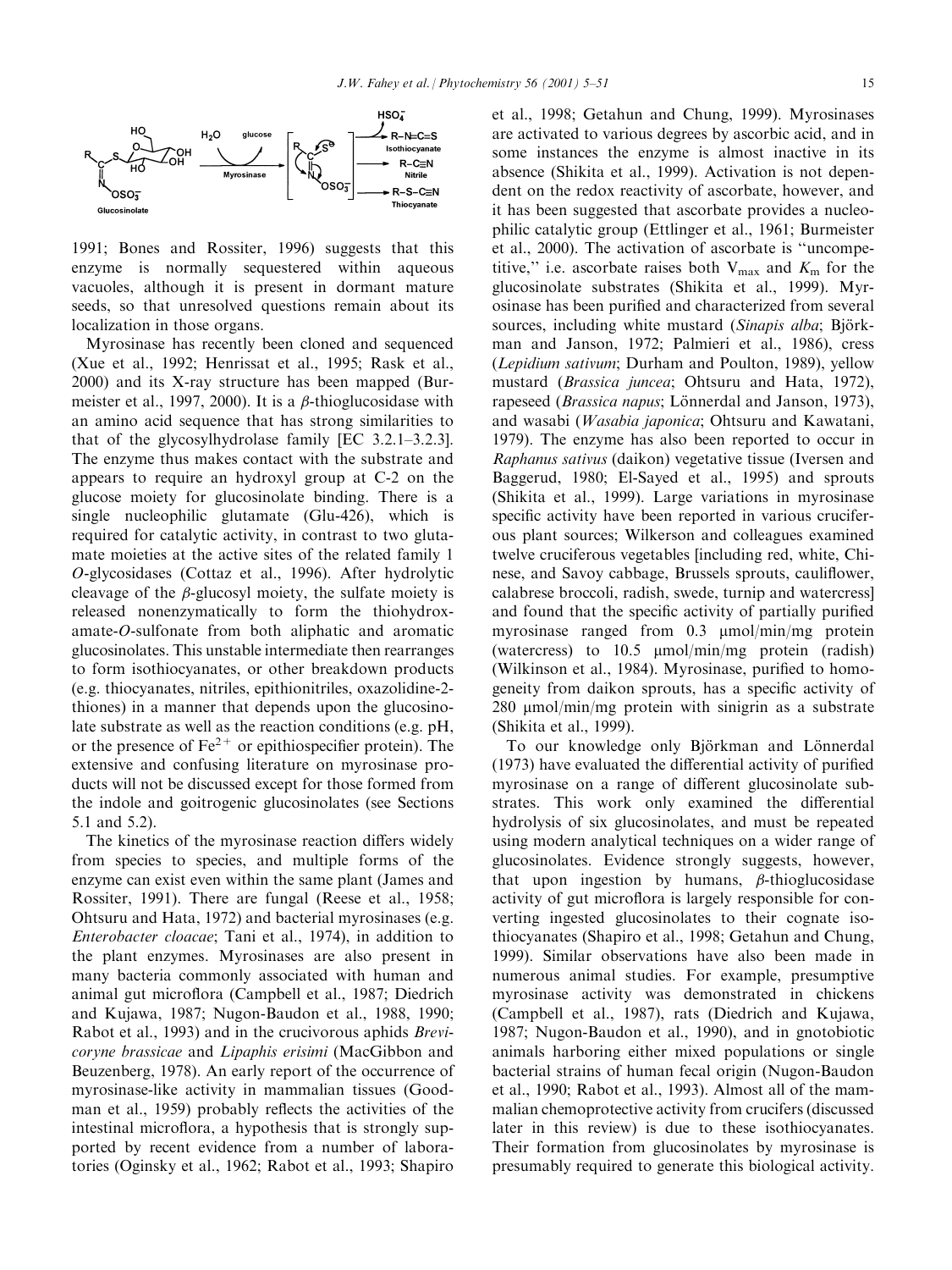

1991; Bones and Rossiter, 1996) suggests that this enzyme is normally sequestered within aqueous vacuoles, although it is present in dormant mature seeds, so that unresolved questions remain about its localization in those organs.

Myrosinase has recently been cloned and sequenced (Xue et al., 1992; Henrissat et al., 1995; Rask et al., 2000) and its X-ray structure has been mapped (Burmeister et al., 1997, 2000). It is a  $\beta$ -thioglucosidase with an amino acid sequence that has strong similarities to that of the glycosylhydrolase family [EC  $3.2.1-3.2.3$ ]. The enzyme thus makes contact with the substrate and appears to require an hydroxyl group at C-2 on the glucose moiety for glucosinolate binding. There is a single nucleophilic glutamate (Glu-426), which is required for catalytic activity, in contrast to two glutamate moieties at the active sites of the related family 1 O-glycosidases (Cottaz et al., 1996). After hydrolytic cleavage of the  $\beta$ -glucosyl moiety, the sulfate moiety is released nonenzymatically to form the thiohydroxamate-O-sulfonate from both aliphatic and aromatic glucosinolates. This unstable intermediate then rearranges to form isothiocyanates, or other breakdown products (e.g. thiocyanates, nitriles, epithionitriles, oxazolidine-2 thiones) in a manner that depends upon the glucosinolate substrate as well as the reaction conditions (e.g. pH, or the presence of  $Fe^{2+}$  or epithiospecifier protein). The extensive and confusing literature on myrosinase products will not be discussed except for those formed from the indole and goitrogenic glucosinolates (see Sections 5.1 and 5.2).

The kinetics of the myrosinase reaction differs widely from species to species, and multiple forms of the enzyme can exist even within the same plant (James and Rossiter, 1991). There are fungal (Reese et al., 1958; Ohtsuru and Hata, 1972) and bacterial myrosinases (e.g. Enterobacter cloacae; Tani et al., 1974), in addition to the plant enzymes. Myrosinases are also present in many bacteria commonly associated with human and animal gut microflora (Campbell et al., 1987; Diedrich and Kujawa, 1987; Nugon-Baudon et al., 1988, 1990; Rabot et al., 1993) and in the crucivorous aphids Brevicoryne brassicae and Lipaphis erisimi (MacGibbon and Beuzenberg, 1978). An early report of the occurrence of myrosinase-like activity in mammalian tissues (Goodman et al., 1959) probably reflects the activities of the intestinal microflora, a hypothesis that is strongly supported by recent evidence from a number of laboratories (Oginsky et al., 1962; Rabot et al., 1993; Shapiro

et al., 1998; Getahun and Chung, 1999). Myrosinases are activated to various degrees by ascorbic acid, and in some instances the enzyme is almost inactive in its absence (Shikita et al., 1999). Activation is not dependent on the redox reactivity of ascorbate, however, and it has been suggested that ascorbate provides a nucleophilic catalytic group (Ettlinger et al., 1961; Burmeister et al., 2000). The activation of ascorbate is "uncompetitive," i.e. ascorbate raises both  $V_{\text{max}}$  and  $K_{\text{m}}$  for the glucosinolate substrates (Shikita et al., 1999). Myrosinase has been purified and characterized from several sources, including white mustard (Sinapis alba; Björkman and Janson, 1972; Palmieri et al., 1986), cress (Lepidium sativum; Durham and Poulton, 1989), yellow mustard (Brassica juncea; Ohtsuru and Hata, 1972), rapeseed (*Brassica napus*; Lönnerdal and Janson, 1973), and wasabi (Wasabia japonica; Ohtsuru and Kawatani, 1979). The enzyme has also been reported to occur in Raphanus sativus (daikon) vegetative tissue (Iversen and Baggerud, 1980; El-Sayed et al., 1995) and sprouts (Shikita et al., 1999). Large variations in myrosinase specific activity have been reported in various cruciferous plant sources; Wilkerson and colleagues examined twelve cruciferous vegetables [including red, white, Chinese, and Savoy cabbage, Brussels sprouts, cauliflower, calabrese broccoli, radish, swede, turnip and watercress] and found that the specific activity of partially purified myrosinase ranged from  $0.3 \mu$ mol/min/mg protein (watercress) to 10.5 mmol/min/mg protein (radish) (Wilkinson et al., 1984). Myrosinase, purified to homogeneity from daikon sprouts, has a specific activity of 280 µmol/min/mg protein with sinigrin as a substrate (Shikita et al., 1999).

To our knowledge only Björkman and Lönnerdal  $(1973)$  have evaluated the differential activity of purified myrosinase on a range of different glucosinolate substrates. This work only examined the differential hydrolysis of six glucosinolates, and must be repeated using modern analytical techniques on a wider range of glucosinolates. Evidence strongly suggests, however, that upon ingestion by humans,  $\beta$ -thioglucosidase activity of gut microflora is largely responsible for converting ingested glucosinolates to their cognate isothiocyanates (Shapiro et al., 1998; Getahun and Chung, 1999). Similar observations have also been made in numerous animal studies. For example, presumptive myrosinase activity was demonstrated in chickens (Campbell et al., 1987), rats (Diedrich and Kujawa, 1987; Nugon-Baudon et al., 1990), and in gnotobiotic animals harboring either mixed populations or single bacterial strains of human fecal origin (Nugon-Baudon et al., 1990; Rabot et al., 1993). Almost all of the mammalian chemoprotective activity from crucifers (discussed later in this review) is due to these isothiocyanates. Their formation from glucosinolates by myrosinase is presumably required to generate this biological activity.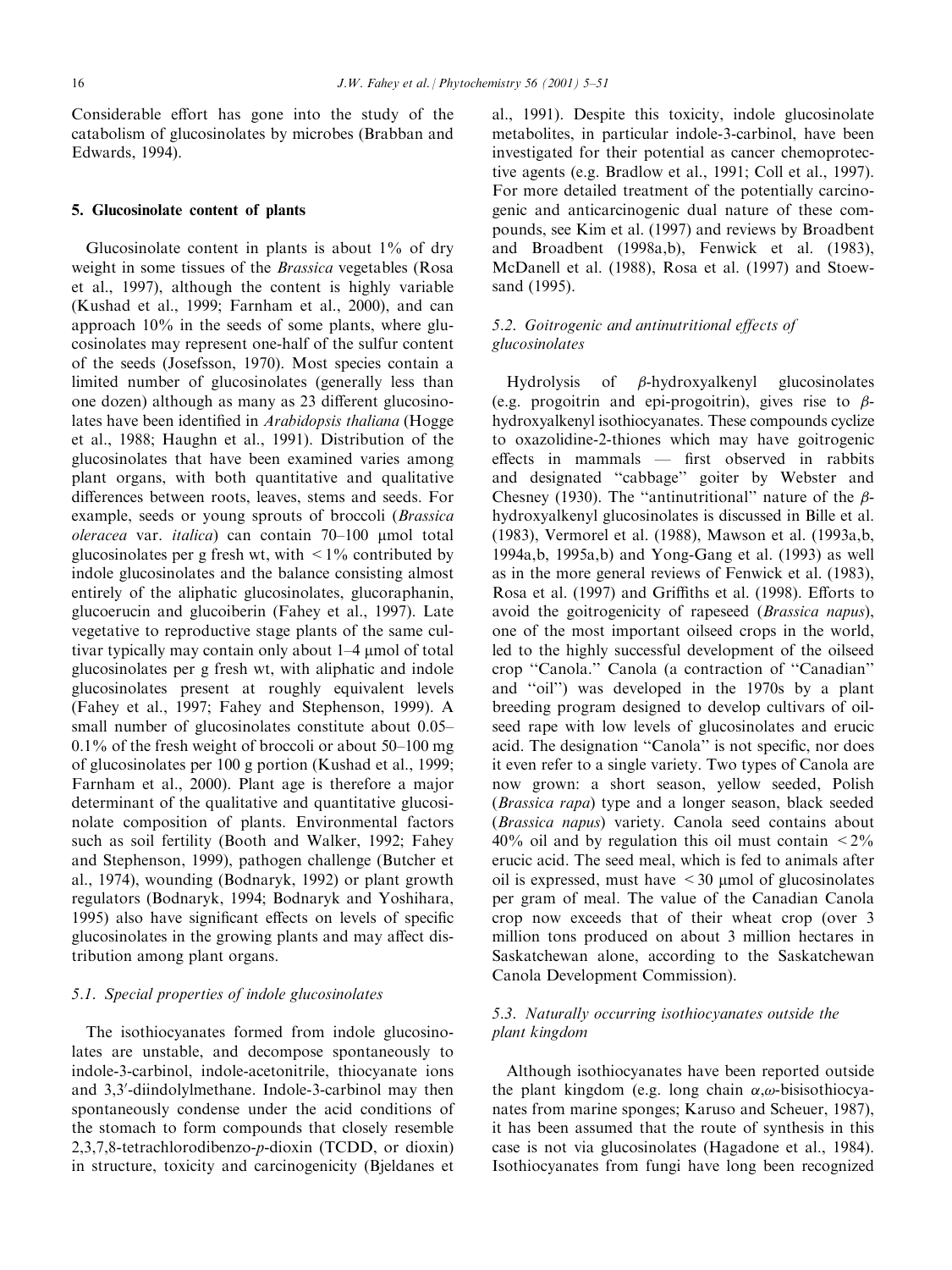Considerable effort has gone into the study of the catabolism of glucosinolates by microbes (Brabban and Edwards, 1994).

#### 5. Glucosinolate content of plants

Glucosinolate content in plants is about 1% of dry weight in some tissues of the Brassica vegetables (Rosa et al., 1997), although the content is highly variable (Kushad et al., 1999; Farnham et al., 2000), and can approach 10% in the seeds of some plants, where glucosinolates may represent one-half of the sulfur content of the seeds (Josefsson, 1970). Most species contain a limited number of glucosinolates (generally less than one dozen) although as many as 23 different glucosinolates have been identified in Arabidopsis thaliana (Hogge et al., 1988; Haughn et al., 1991). Distribution of the glucosinolates that have been examined varies among plant organs, with both quantitative and qualitative differences between roots, leaves, stems and seeds. For example, seeds or young sprouts of broccoli (Brassica oleracea var. *italica*) can contain  $70-100$  µmol total glucosinolates per g fresh wt, with  $\leq 1\%$  contributed by indole glucosinolates and the balance consisting almost entirely of the aliphatic glucosinolates, glucoraphanin, glucoerucin and glucoiberin (Fahey et al., 1997). Late vegetative to reproductive stage plants of the same cultivar typically may contain only about 1-4 µmol of total glucosinolates per g fresh wt, with aliphatic and indole glucosinolates present at roughly equivalent levels (Fahey et al., 1997; Fahey and Stephenson, 1999). A small number of glucosinolates constitute about 0.05 $0.1\%$  of the fresh weight of broccoli or about 50–100 mg of glucosinolates per 100 g portion (Kushad et al., 1999; Farnham et al., 2000). Plant age is therefore a major determinant of the qualitative and quantitative glucosinolate composition of plants. Environmental factors such as soil fertility (Booth and Walker, 1992; Fahey and Stephenson, 1999), pathogen challenge (Butcher et al., 1974), wounding (Bodnaryk, 1992) or plant growth regulators (Bodnaryk, 1994; Bodnaryk and Yoshihara, 1995) also have significant effects on levels of specific glucosinolates in the growing plants and may affect distribution among plant organs.

#### 5.1. Special properties of indole glucosinolates

The isothiocyanates formed from indole glucosinolates are unstable, and decompose spontaneously to indole-3-carbinol, indole-acetonitrile, thiocyanate ions and 3,3'-diindolylmethane. Indole-3-carbinol may then spontaneously condense under the acid conditions of the stomach to form compounds that closely resemble 2,3,7,8-tetrachlorodibenzo-p-dioxin (TCDD, or dioxin) in structure, toxicity and carcinogenicity (Bjeldanes et al., 1991). Despite this toxicity, indole glucosinolate metabolites, in particular indole-3-carbinol, have been investigated for their potential as cancer chemoprotective agents (e.g. Bradlow et al., 1991; Coll et al., 1997). For more detailed treatment of the potentially carcinogenic and anticarcinogenic dual nature of these compounds, see Kim et al. (1997) and reviews by Broadbent and Broadbent (1998a,b), Fenwick et al. (1983), McDanell et al. (1988), Rosa et al. (1997) and Stoewsand (1995).

# 5.2. Goitrogenic and antinutritional effects of glucosinolates

Hydrolysis of  $\beta$ -hydroxyalkenyl glucosinolates (e.g. progoitrin and epi-progoitrin), gives rise to  $\beta$ hydroxyalkenyl isothiocyanates. These compounds cyclize to oxazolidine-2-thiones which may have goitrogenic  $effects$  in mammals  $-$  first observed in rabbits and designated "cabbage" goiter by Webster and Chesney (1930). The "antinutritional" nature of the  $\beta$ hydroxyalkenyl glucosinolates is discussed in Bille et al. (1983), Vermorel et al. (1988), Mawson et al. (1993a,b, 1994a,b, 1995a,b) and Yong-Gang et al. (1993) as well as in the more general reviews of Fenwick et al. (1983), Rosa et al. (1997) and Griffiths et al. (1998). Efforts to avoid the goitrogenicity of rapeseed (Brassica napus), one of the most important oilseed crops in the world, led to the highly successful development of the oilseed crop "Canola." Canola (a contraction of "Canadian" and "oil") was developed in the 1970s by a plant breeding program designed to develop cultivars of oilseed rape with low levels of glucosinolates and erucic acid. The designation "Canola" is not specific, nor does it even refer to a single variety. Two types of Canola are now grown: a short season, yellow seeded, Polish (Brassica rapa) type and a longer season, black seeded (Brassica napus) variety. Canola seed contains about  $40\%$  oil and by regulation this oil must contain  $\leq 2\%$ erucic acid. The seed meal, which is fed to animals after oil is expressed, must have  $\leq$  30  $\mu$ mol of glucosinolates per gram of meal. The value of the Canadian Canola crop now exceeds that of their wheat crop (over 3 million tons produced on about 3 million hectares in Saskatchewan alone, according to the Saskatchewan Canola Development Commission).

# 5.3. Naturally occurring isothiocyanates outside the plant kingdom

Although isothiocyanates have been reported outside the plant kingdom (e.g. long chain  $\alpha$ , $\omega$ -bisisothiocyanates from marine sponges; Karuso and Scheuer, 1987), it has been assumed that the route of synthesis in this case is not via glucosinolates (Hagadone et al., 1984). Isothiocyanates from fungi have long been recognized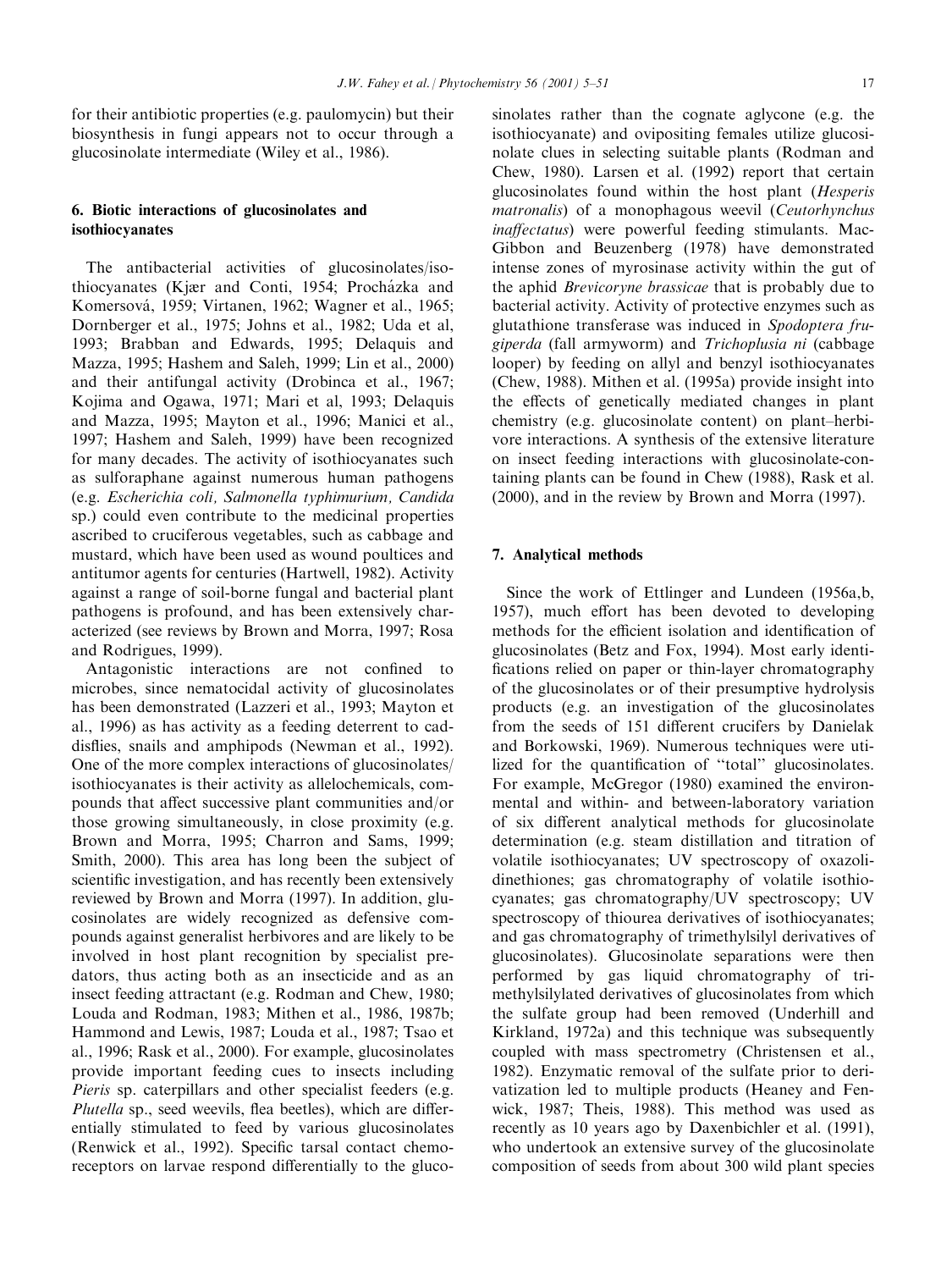for their antibiotic properties (e.g. paulomycin) but their biosynthesis in fungi appears not to occur through a glucosinolate intermediate (Wiley et al., 1986).

# 6. Biotic interactions of glucosinolates and isothiocyanates

The antibacterial activities of glucosinolates/isothiocyanates (Kjær and Conti, 1954; Procházka and Komersová, 1959; Virtanen, 1962; Wagner et al., 1965; Dornberger et al., 1975; Johns et al., 1982; Uda et al, 1993; Brabban and Edwards, 1995; Delaquis and Mazza, 1995; Hashem and Saleh, 1999; Lin et al., 2000) and their antifungal activity (Drobinca et al., 1967; Kojima and Ogawa, 1971; Mari et al, 1993; Delaquis and Mazza, 1995; Mayton et al., 1996; Manici et al., 1997; Hashem and Saleh, 1999) have been recognized for many decades. The activity of isothiocyanates such as sulforaphane against numerous human pathogens (e.g. Escherichia coli, Salmonella typhimurium, Candida sp.) could even contribute to the medicinal properties ascribed to cruciferous vegetables, such as cabbage and mustard, which have been used as wound poultices and antitumor agents for centuries (Hartwell, 1982). Activity against a range of soil-borne fungal and bacterial plant pathogens is profound, and has been extensively characterized (see reviews by Brown and Morra, 1997; Rosa and Rodrigues, 1999).

Antagonistic interactions are not confined to microbes, since nematocidal activity of glucosinolates has been demonstrated (Lazzeri et al., 1993; Mayton et al., 1996) as has activity as a feeding deterrent to caddisflies, snails and amphipods (Newman et al., 1992). One of the more complex interactions of glucosinolates/ isothiocyanates is their activity as allelochemicals, compounds that affect successive plant communities and/or those growing simultaneously, in close proximity (e.g. Brown and Morra, 1995; Charron and Sams, 1999; Smith, 2000). This area has long been the subject of scientific investigation, and has recently been extensively reviewed by Brown and Morra (1997). In addition, glucosinolates are widely recognized as defensive compounds against generalist herbivores and are likely to be involved in host plant recognition by specialist predators, thus acting both as an insecticide and as an insect feeding attractant (e.g. Rodman and Chew, 1980; Louda and Rodman, 1983; Mithen et al., 1986, 1987b; Hammond and Lewis, 1987; Louda et al., 1987; Tsao et al., 1996; Rask et al., 2000). For example, glucosinolates provide important feeding cues to insects including Pieris sp. caterpillars and other specialist feeders (e.g. Plutella sp., seed weevils, flea beetles), which are differentially stimulated to feed by various glucosinolates (Renwick et al., 1992). Specific tarsal contact chemoreceptors on larvae respond differentially to the glucosinolates rather than the cognate aglycone (e.g. the isothiocyanate) and ovipositing females utilize glucosinolate clues in selecting suitable plants (Rodman and Chew, 1980). Larsen et al. (1992) report that certain glucosinolates found within the host plant (Hesperis matronalis) of a monophagous weevil (Ceutorhynchus inaffectatus) were powerful feeding stimulants. Mac-Gibbon and Beuzenberg (1978) have demonstrated intense zones of myrosinase activity within the gut of the aphid Brevicoryne brassicae that is probably due to bacterial activity. Activity of protective enzymes such as glutathione transferase was induced in Spodoptera frugiperda (fall armyworm) and Trichoplusia ni (cabbage looper) by feeding on allyl and benzyl isothiocyanates (Chew, 1988). Mithen et al. (1995a) provide insight into the effects of genetically mediated changes in plant chemistry (e.g. glucosinolate content) on plant-herbivore interactions. A synthesis of the extensive literature on insect feeding interactions with glucosinolate-containing plants can be found in Chew (1988), Rask et al. (2000), and in the review by Brown and Morra (1997).

# 7. Analytical methods

Since the work of Ettlinger and Lundeen (1956a,b, 1957), much effort has been devoted to developing methods for the efficient isolation and identification of glucosinolates (Betz and Fox, 1994). Most early identi fications relied on paper or thin-layer chromatography of the glucosinolates or of their presumptive hydrolysis products (e.g. an investigation of the glucosinolates from the seeds of 151 different crucifers by Danielak and Borkowski, 1969). Numerous techniques were utilized for the quantification of "total" glucosinolates. For example, McGregor (1980) examined the environmental and within- and between-laboratory variation of six different analytical methods for glucosinolate determination (e.g. steam distillation and titration of volatile isothiocyanates; UV spectroscopy of oxazolidinethiones; gas chromatography of volatile isothiocyanates; gas chromatography/UV spectroscopy; UV spectroscopy of thiourea derivatives of isothiocyanates; and gas chromatography of trimethylsilyl derivatives of glucosinolates). Glucosinolate separations were then performed by gas liquid chromatography of trimethylsilylated derivatives of glucosinolates from which the sulfate group had been removed (Underhill and Kirkland, 1972a) and this technique was subsequently coupled with mass spectrometry (Christensen et al., 1982). Enzymatic removal of the sulfate prior to derivatization led to multiple products (Heaney and Fenwick, 1987; Theis, 1988). This method was used as recently as 10 years ago by Daxenbichler et al. (1991), who undertook an extensive survey of the glucosinolate composition of seeds from about 300 wild plant species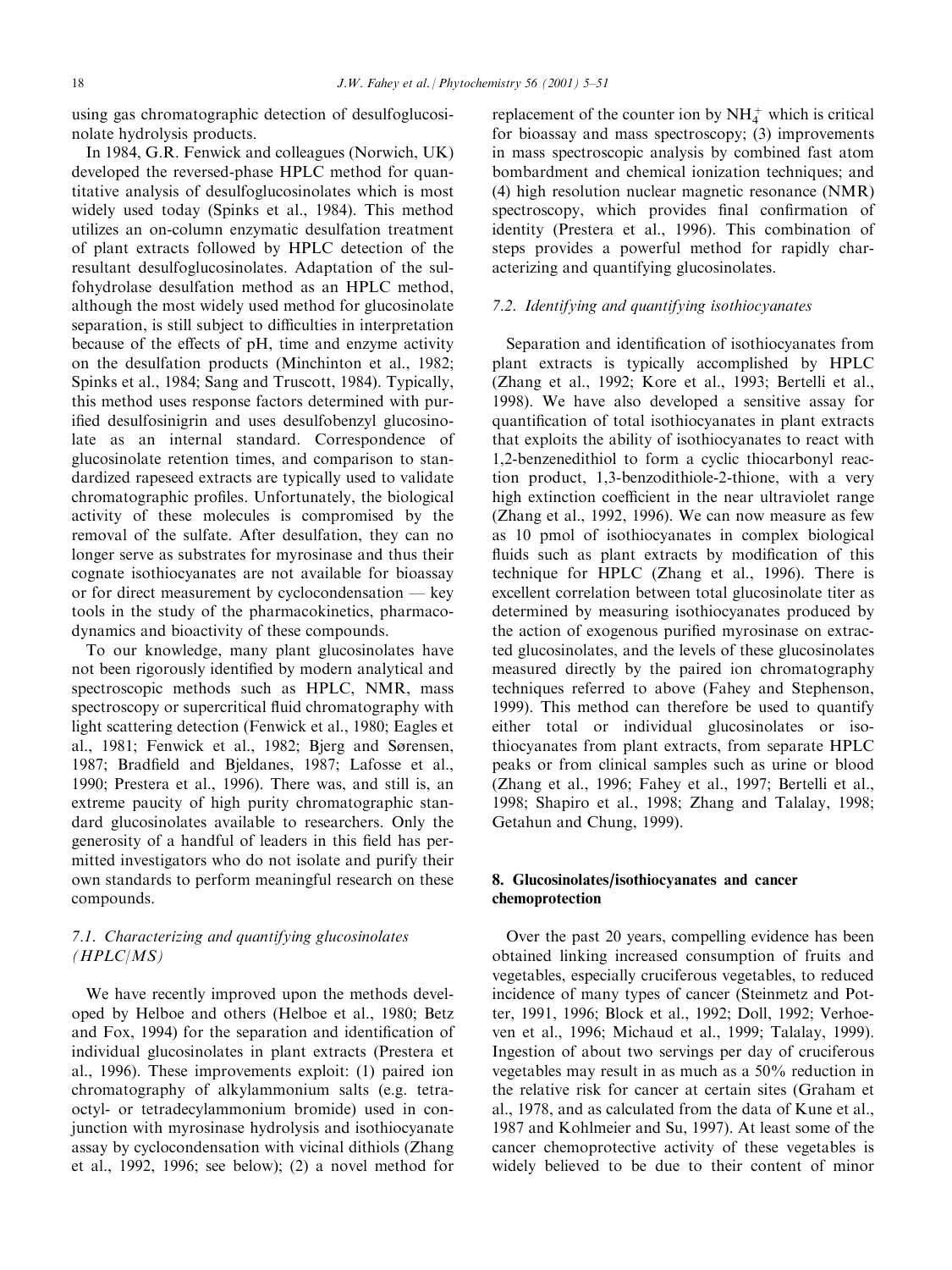using gas chromatographic detection of desulfoglucosinolate hydrolysis products.

In 1984, G.R. Fenwick and colleagues (Norwich, UK) developed the reversed-phase HPLC method for quantitative analysis of desulfoglucosinolates which is most widely used today (Spinks et al., 1984). This method utilizes an on-column enzymatic desulfation treatment of plant extracts followed by HPLC detection of the resultant desulfoglucosinolates. Adaptation of the sulfohydrolase desulfation method as an HPLC method, although the most widely used method for glucosinolate separation, is still subject to difficulties in interpretation because of the effects of pH, time and enzyme activity on the desulfation products (Minchinton et al., 1982; Spinks et al., 1984; Sang and Truscott, 1984). Typically, this method uses response factors determined with purified desulfosinigrin and uses desulfobenzyl glucosinolate as an internal standard. Correspondence of glucosinolate retention times, and comparison to standardized rapeseed extracts are typically used to validate chromatographic profiles. Unfortunately, the biological activity of these molecules is compromised by the removal of the sulfate. After desulfation, they can no longer serve as substrates for myrosinase and thus their cognate isothiocyanates are not available for bioassay or for direct measurement by cyclocondensation  $-$  key tools in the study of the pharmacokinetics, pharmacodynamics and bioactivity of these compounds.

To our knowledge, many plant glucosinolates have not been rigorously identified by modern analytical and spectroscopic methods such as HPLC, NMR, mass spectroscopy or supercritical fluid chromatography with light scattering detection (Fenwick et al., 1980; Eagles et al., 1981; Fenwick et al., 1982; Bjerg and Sørensen, 1987; Bradfield and Bjeldanes, 1987; Lafosse et al., 1990; Prestera et al., 1996). There was, and still is, an extreme paucity of high purity chromatographic standard glucosinolates available to researchers. Only the generosity of a handful of leaders in this field has permitted investigators who do not isolate and purify their own standards to perform meaningful research on these compounds.

# 7.1. Characterizing and quantifying glucosinolates (HPLC/MS)

We have recently improved upon the methods developed by Helboe and others (Helboe et al., 1980; Betz and Fox, 1994) for the separation and identification of individual glucosinolates in plant extracts (Prestera et al., 1996). These improvements exploit: (1) paired ion chromatography of alkylammonium salts (e.g. tetraoctyl- or tetradecylammonium bromide) used in conjunction with myrosinase hydrolysis and isothiocyanate assay by cyclocondensation with vicinal dithiols (Zhang et al., 1992, 1996; see below); (2) a novel method for

replacement of the counter ion by  $NH<sub>4</sub><sup>+</sup>$  which is critical for bioassay and mass spectroscopy; (3) improvements in mass spectroscopic analysis by combined fast atom bombardment and chemical ionization techniques; and (4) high resolution nuclear magnetic resonance (NMR) spectroscopy, which provides final confirmation of identity (Prestera et al., 1996). This combination of steps provides a powerful method for rapidly characterizing and quantifying glucosinolates.

### 7.2. Identifying and quantifying isothiocyanates

Separation and identification of isothiocyanates from plant extracts is typically accomplished by HPLC (Zhang et al., 1992; Kore et al., 1993; Bertelli et al., 1998). We have also developed a sensitive assay for quantification of total isothiocyanates in plant extracts that exploits the ability of isothiocyanates to react with 1,2-benzenedithiol to form a cyclic thiocarbonyl reaction product, 1,3-benzodithiole-2-thione, with a very high extinction coefficient in the near ultraviolet range (Zhang et al., 1992, 1996). We can now measure as few as 10 pmol of isothiocyanates in complex biological fluids such as plant extracts by modification of this technique for HPLC (Zhang et al., 1996). There is excellent correlation between total glucosinolate titer as determined by measuring isothiocyanates produced by the action of exogenous purified myrosinase on extracted glucosinolates, and the levels of these glucosinolates measured directly by the paired ion chromatography techniques referred to above (Fahey and Stephenson, 1999). This method can therefore be used to quantify either total or individual glucosinolates or isothiocyanates from plant extracts, from separate HPLC peaks or from clinical samples such as urine or blood (Zhang et al., 1996; Fahey et al., 1997; Bertelli et al., 1998; Shapiro et al., 1998; Zhang and Talalay, 1998; Getahun and Chung, 1999).

# 8. Glucosinolates/isothiocyanates and cancer chemoprotection

Over the past 20 years, compelling evidence has been obtained linking increased consumption of fruits and vegetables, especially cruciferous vegetables, to reduced incidence of many types of cancer (Steinmetz and Potter, 1991, 1996; Block et al., 1992; Doll, 1992; Verhoeven et al., 1996; Michaud et al., 1999; Talalay, 1999). Ingestion of about two servings per day of cruciferous vegetables may result in as much as a 50% reduction in the relative risk for cancer at certain sites (Graham et al., 1978, and as calculated from the data of Kune et al., 1987 and Kohlmeier and Su, 1997). At least some of the cancer chemoprotective activity of these vegetables is widely believed to be due to their content of minor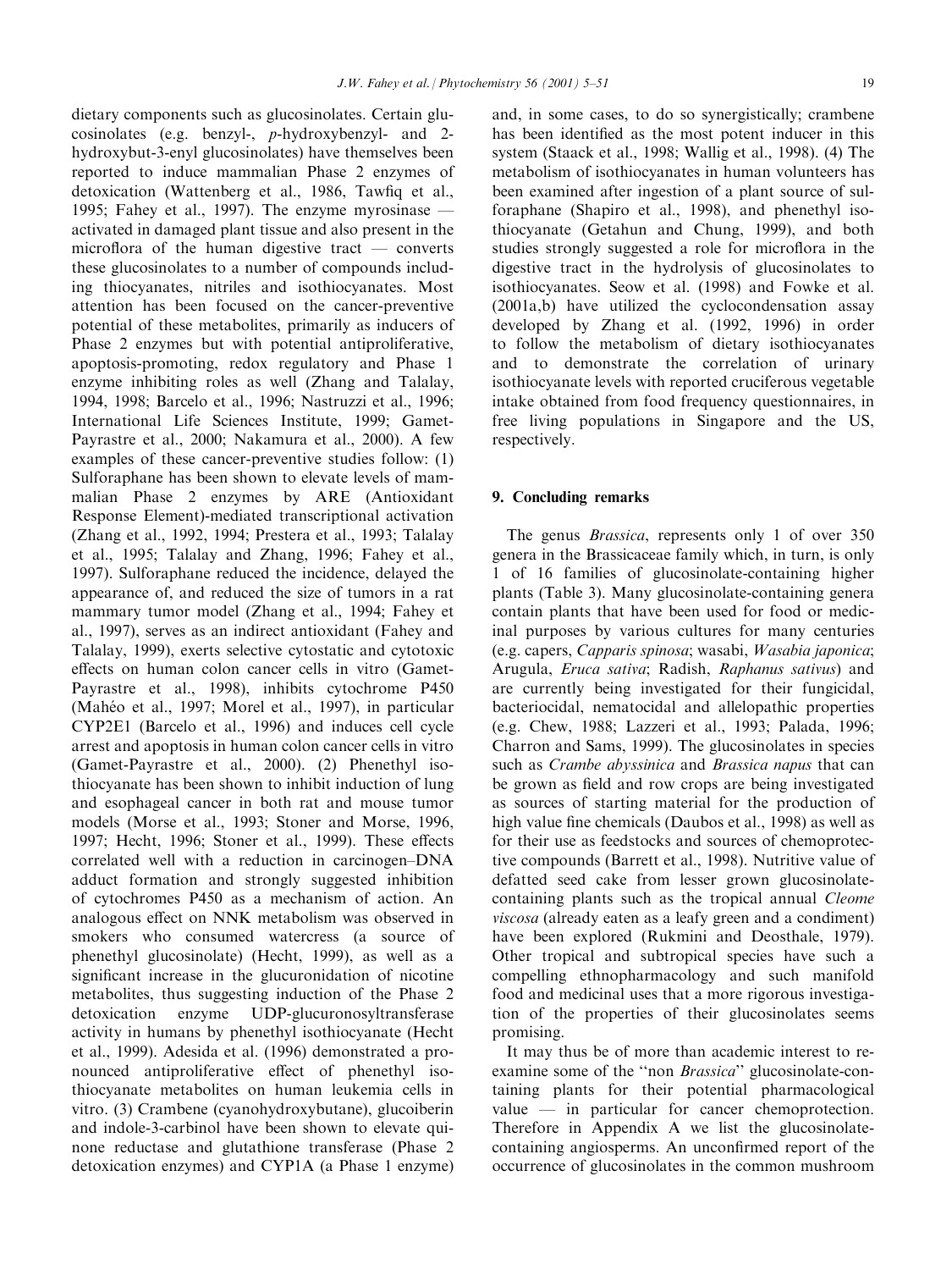dietary components such as glucosinolates. Certain glucosinolates (e.g. benzyl-, p-hydroxybenzyl- and 2 hydroxybut-3-enyl glucosinolates) have themselves been reported to induce mammalian Phase 2 enzymes of detoxication (Wattenberg et al., 1986, Tawfiq et al., 1995; Fahey et al., 1997). The enzyme myrosinase  $$ activated in damaged plant tissue and also present in the microflora of the human digestive tract  $-$  converts these glucosinolates to a number of compounds including thiocyanates, nitriles and isothiocyanates. Most attention has been focused on the cancer-preventive potential of these metabolites, primarily as inducers of Phase 2 enzymes but with potential antiproliferative, apoptosis-promoting, redox regulatory and Phase 1 enzyme inhibiting roles as well (Zhang and Talalay, 1994, 1998; Barcelo et al., 1996; Nastruzzi et al., 1996; International Life Sciences Institute, 1999; Gamet-Payrastre et al., 2000; Nakamura et al., 2000). A few examples of these cancer-preventive studies follow: (1) Sulforaphane has been shown to elevate levels of mammalian Phase 2 enzymes by ARE (Antioxidant Response Element)-mediated transcriptional activation (Zhang et al., 1992, 1994; Prestera et al., 1993; Talalay et al., 1995; Talalay and Zhang, 1996; Fahey et al., 1997). Sulforaphane reduced the incidence, delayed the appearance of, and reduced the size of tumors in a rat mammary tumor model (Zhang et al., 1994; Fahey et al., 1997), serves as an indirect antioxidant (Fahey and Talalay, 1999), exerts selective cytostatic and cytotoxic effects on human colon cancer cells in vitro (Gamet-Payrastre et al., 1998), inhibits cytochrome P450 (Mahéo et al., 1997; Morel et al., 1997), in particular CYP2E1 (Barcelo et al., 1996) and induces cell cycle arrest and apoptosis in human colon cancer cells in vitro (Gamet-Payrastre et al., 2000). (2) Phenethyl isothiocyanate has been shown to inhibit induction of lung and esophageal cancer in both rat and mouse tumor models (Morse et al., 1993; Stoner and Morse, 1996, 1997; Hecht, 1996; Stoner et al., 1999). These effects correlated well with a reduction in carcinogen-DNA adduct formation and strongly suggested inhibition of cytochromes P450 as a mechanism of action. An analogous effect on NNK metabolism was observed in smokers who consumed watercress (a source of phenethyl glucosinolate) (Hecht, 1999), as well as a significant increase in the glucuronidation of nicotine metabolites, thus suggesting induction of the Phase 2 detoxication enzyme UDP-glucuronosyltransferase activity in humans by phenethyl isothiocyanate (Hecht et al., 1999). Adesida et al. (1996) demonstrated a pronounced antiproliferative effect of phenethyl isothiocyanate metabolites on human leukemia cells in vitro. (3) Crambene (cyanohydroxybutane), glucoiberin and indole-3-carbinol have been shown to elevate quinone reductase and glutathione transferase (Phase 2 detoxication enzymes) and CYP1A (a Phase 1 enzyme) and, in some cases, to do so synergistically; crambene has been identified as the most potent inducer in this system (Staack et al., 1998; Wallig et al., 1998). (4) The metabolism of isothiocyanates in human volunteers has been examined after ingestion of a plant source of sulforaphane (Shapiro et al., 1998), and phenethyl isothiocyanate (Getahun and Chung, 1999), and both studies strongly suggested a role for microflora in the digestive tract in the hydrolysis of glucosinolates to isothiocyanates. Seow et al. (1998) and Fowke et al. (2001a,b) have utilized the cyclocondensation assay developed by Zhang et al. (1992, 1996) in order to follow the metabolism of dietary isothiocyanates and to demonstrate the correlation of urinary isothiocyanate levels with reported cruciferous vegetable intake obtained from food frequency questionnaires, in free living populations in Singapore and the US, respectively.

# 9. Concluding remarks

The genus *Brassica*, represents only 1 of over 350 genera in the Brassicaceae family which, in turn, is only 1 of 16 families of glucosinolate-containing higher plants (Table 3). Many glucosinolate-containing genera contain plants that have been used for food or medicinal purposes by various cultures for many centuries (e.g. capers, Capparis spinosa; wasabi, Wasabia japonica; Arugula, Eruca sativa; Radish, Raphanus sativus) and are currently being investigated for their fungicidal, bacteriocidal, nematocidal and allelopathic properties (e.g. Chew, 1988; Lazzeri et al., 1993; Palada, 1996; Charron and Sams, 1999). The glucosinolates in species such as Crambe abyssinica and Brassica napus that can be grown as field and row crops are being investigated as sources of starting material for the production of high value fine chemicals (Daubos et al., 1998) as well as for their use as feedstocks and sources of chemoprotective compounds (Barrett et al., 1998). Nutritive value of defatted seed cake from lesser grown glucosinolatecontaining plants such as the tropical annual Cleome viscosa (already eaten as a leafy green and a condiment) have been explored (Rukmini and Deosthale, 1979). Other tropical and subtropical species have such a compelling ethnopharmacology and such manifold food and medicinal uses that a more rigorous investigation of the properties of their glucosinolates seems promising.

It may thus be of more than academic interest to reexamine some of the "non *Brassica*" glucosinolate-containing plants for their potential pharmacological value  $-\text{in}$  particular for cancer chemoprotection. Therefore in Appendix A we list the glucosinolatecontaining angiosperms. An unconfirmed report of the occurrence of glucosinolates in the common mushroom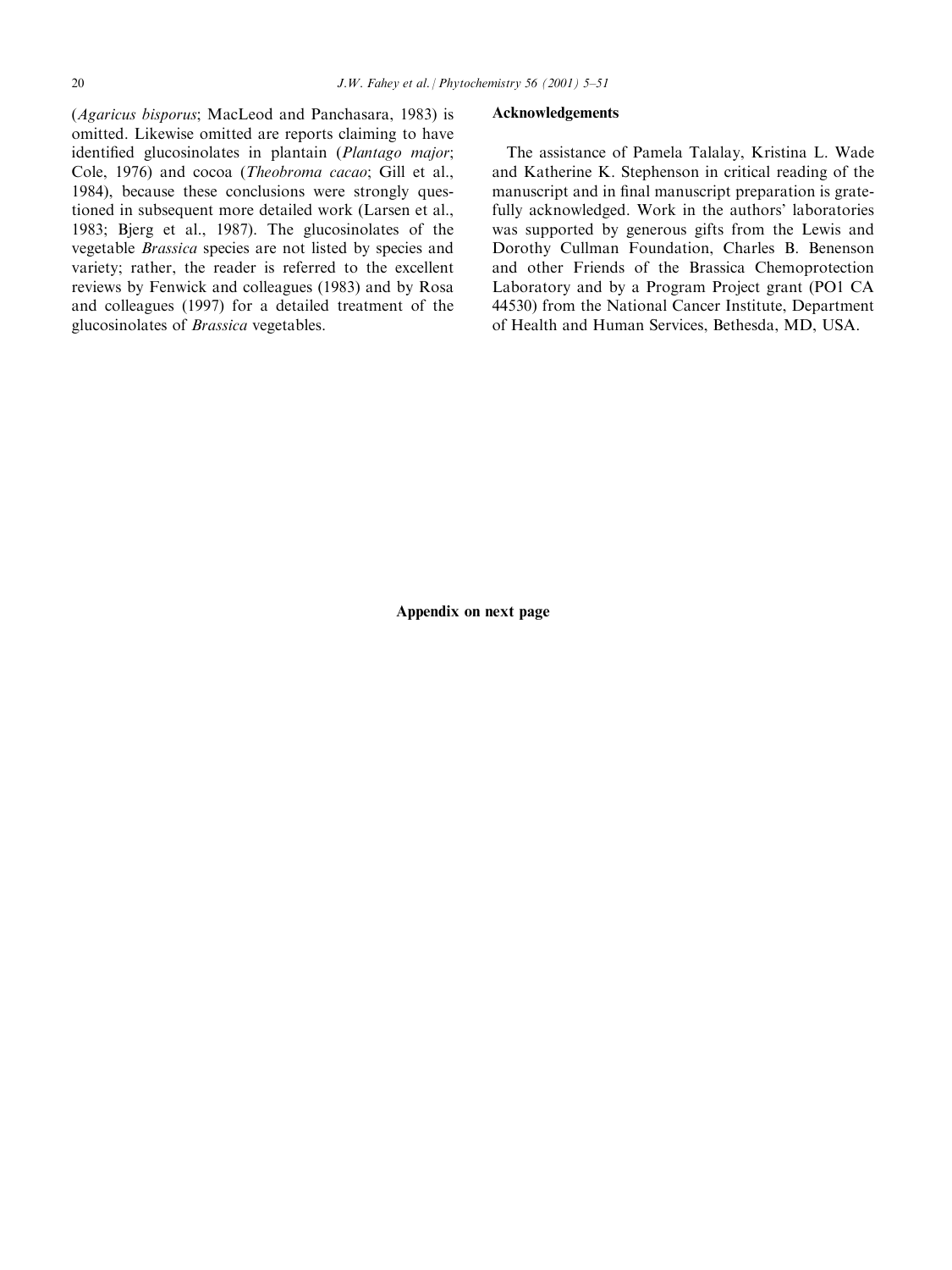(Agaricus bisporus; MacLeod and Panchasara, 1983) is omitted. Likewise omitted are reports claiming to have identified glucosinolates in plantain (Plantago major; Cole, 1976) and cocoa (Theobroma cacao; Gill et al., 1984), because these conclusions were strongly questioned in subsequent more detailed work (Larsen et al., 1983; Bjerg et al., 1987). The glucosinolates of the vegetable Brassica species are not listed by species and variety; rather, the reader is referred to the excellent reviews by Fenwick and colleagues (1983) and by Rosa and colleagues (1997) for a detailed treatment of the glucosinolates of Brassica vegetables.

#### Acknowledgements

The assistance of Pamela Talalay, Kristina L. Wade and Katherine K. Stephenson in critical reading of the manuscript and in final manuscript preparation is gratefully acknowledged. Work in the authors' laboratories was supported by generous gifts from the Lewis and Dorothy Cullman Foundation, Charles B. Benenson and other Friends of the Brassica Chemoprotection Laboratory and by a Program Project grant (PO1 CA 44530) from the National Cancer Institute, Department of Health and Human Services, Bethesda, MD, USA.

Appendix on next page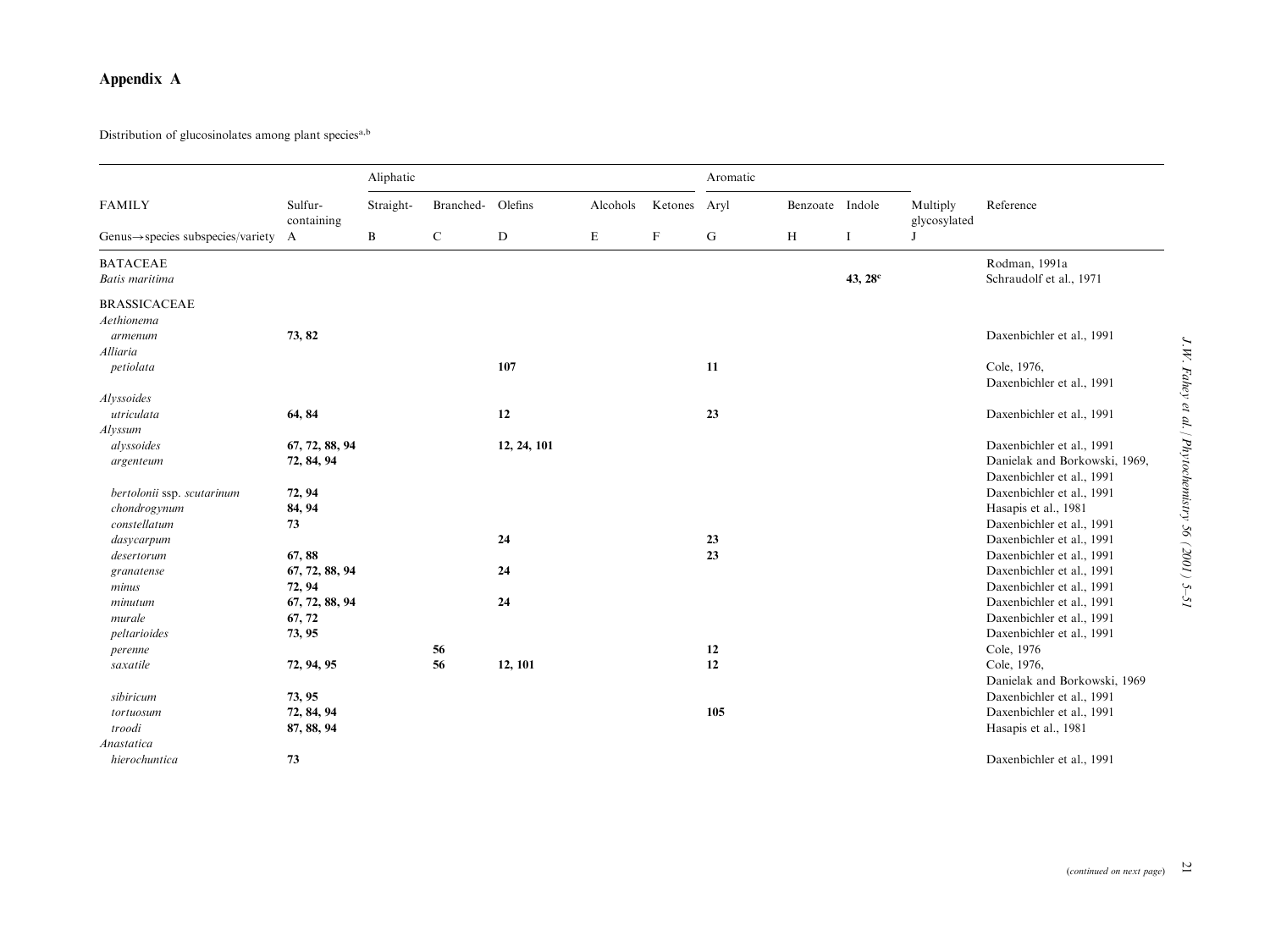# Appendix A

Distribution of glucosinolates among plant species<sup>a,b</sup>

|                                                  |                       | Aliphatic    |             |             |          |             | Aromatic |                 |                     |                          |                               |
|--------------------------------------------------|-----------------------|--------------|-------------|-------------|----------|-------------|----------|-----------------|---------------------|--------------------------|-------------------------------|
| <b>FAMILY</b>                                    | Sulfur-<br>containing | Straight-    | Branched-   | Olefins     | Alcohols | Ketones     | Aryl     | Benzoate Indole |                     | Multiply<br>glycosylated | Reference                     |
| Genus $\rightarrow$ species subspecies/variety A |                       | $\, {\bf B}$ | $\mathbf C$ | D           | E        | $\mathbf F$ | G        | $\, {\rm H}$    | <b>I</b>            | J                        |                               |
| <b>BATACEAE</b>                                  |                       |              |             |             |          |             |          |                 |                     |                          | Rodman, 1991a                 |
| Batis maritima                                   |                       |              |             |             |          |             |          |                 | 43, 28 <sup>c</sup> |                          | Schraudolf et al., 1971       |
| <b>BRASSICACEAE</b>                              |                       |              |             |             |          |             |          |                 |                     |                          |                               |
| Aethionema                                       |                       |              |             |             |          |             |          |                 |                     |                          |                               |
| armenum                                          | 73, 82                |              |             |             |          |             |          |                 |                     |                          | Daxenbichler et al., 1991     |
| Alliaria                                         |                       |              |             |             |          |             |          |                 |                     |                          |                               |
| petiolata                                        |                       |              |             | 107         |          |             | 11       |                 |                     |                          | Cole, 1976,                   |
|                                                  |                       |              |             |             |          |             |          |                 |                     |                          | Daxenbichler et al., 1991     |
| Alyssoides                                       |                       |              |             |             |          |             |          |                 |                     |                          |                               |
| utriculata                                       | 64, 84                |              |             | 12          |          |             | 23       |                 |                     |                          | Daxenbichler et al., 1991     |
| Alyssum                                          |                       |              |             |             |          |             |          |                 |                     |                          |                               |
| alyssoides                                       | 67, 72, 88, 94        |              |             | 12, 24, 101 |          |             |          |                 |                     |                          | Daxenbichler et al., 1991     |
| argenteum                                        | 72, 84, 94            |              |             |             |          |             |          |                 |                     |                          | Danielak and Borkowski, 1969, |
|                                                  |                       |              |             |             |          |             |          |                 |                     |                          | Daxenbichler et al., 1991     |
| bertolonii ssp. scutarinum                       | 72, 94                |              |             |             |          |             |          |                 |                     |                          | Daxenbichler et al., 1991     |
| chondrogynum                                     | 84, 94                |              |             |             |          |             |          |                 |                     |                          | Hasapis et al., 1981          |
| constellatum                                     | 73                    |              |             |             |          |             |          |                 |                     |                          | Daxenbichler et al., 1991     |
| dasycarpum                                       |                       |              |             | 24          |          |             | 23       |                 |                     |                          | Daxenbichler et al., 1991     |
| desertorum                                       | 67,88                 |              |             |             |          |             | 23       |                 |                     |                          | Daxenbichler et al., 1991     |
| granatense                                       | 67, 72, 88, 94        |              |             | 24          |          |             |          |                 |                     |                          | Daxenbichler et al., 1991     |
| minus                                            | 72, 94                |              |             |             |          |             |          |                 |                     |                          | Daxenbichler et al., 1991     |
| minutum                                          | 67, 72, 88, 94        |              |             | 24          |          |             |          |                 |                     |                          | Daxenbichler et al., 1991     |
| murale                                           | 67, 72                |              |             |             |          |             |          |                 |                     |                          | Daxenbichler et al., 1991     |
| peltarioides                                     | 73, 95                |              |             |             |          |             |          |                 |                     |                          | Daxenbichler et al., 1991     |
| perenne                                          |                       |              | 56          |             |          |             | 12       |                 |                     |                          | Cole, 1976                    |
| saxatile                                         | 72, 94, 95            |              | 56          | 12, 101     |          |             | 12       |                 |                     |                          | Cole, 1976,                   |
|                                                  |                       |              |             |             |          |             |          |                 |                     |                          | Danielak and Borkowski, 1969  |
| sibiricum                                        | 73, 95                |              |             |             |          |             |          |                 |                     |                          | Daxenbichler et al., 1991     |
| tortuosum                                        | 72, 84, 94            |              |             |             |          |             | 105      |                 |                     |                          | Daxenbichler et al., 1991     |
| troodi                                           | 87, 88, 94            |              |             |             |          |             |          |                 |                     |                          | Hasapis et al., 1981          |
| Anastatica                                       |                       |              |             |             |          |             |          |                 |                     |                          |                               |
| hierochuntica                                    | 73                    |              |             |             |          |             |          |                 |                     |                          | Daxenbichler et al., 1991     |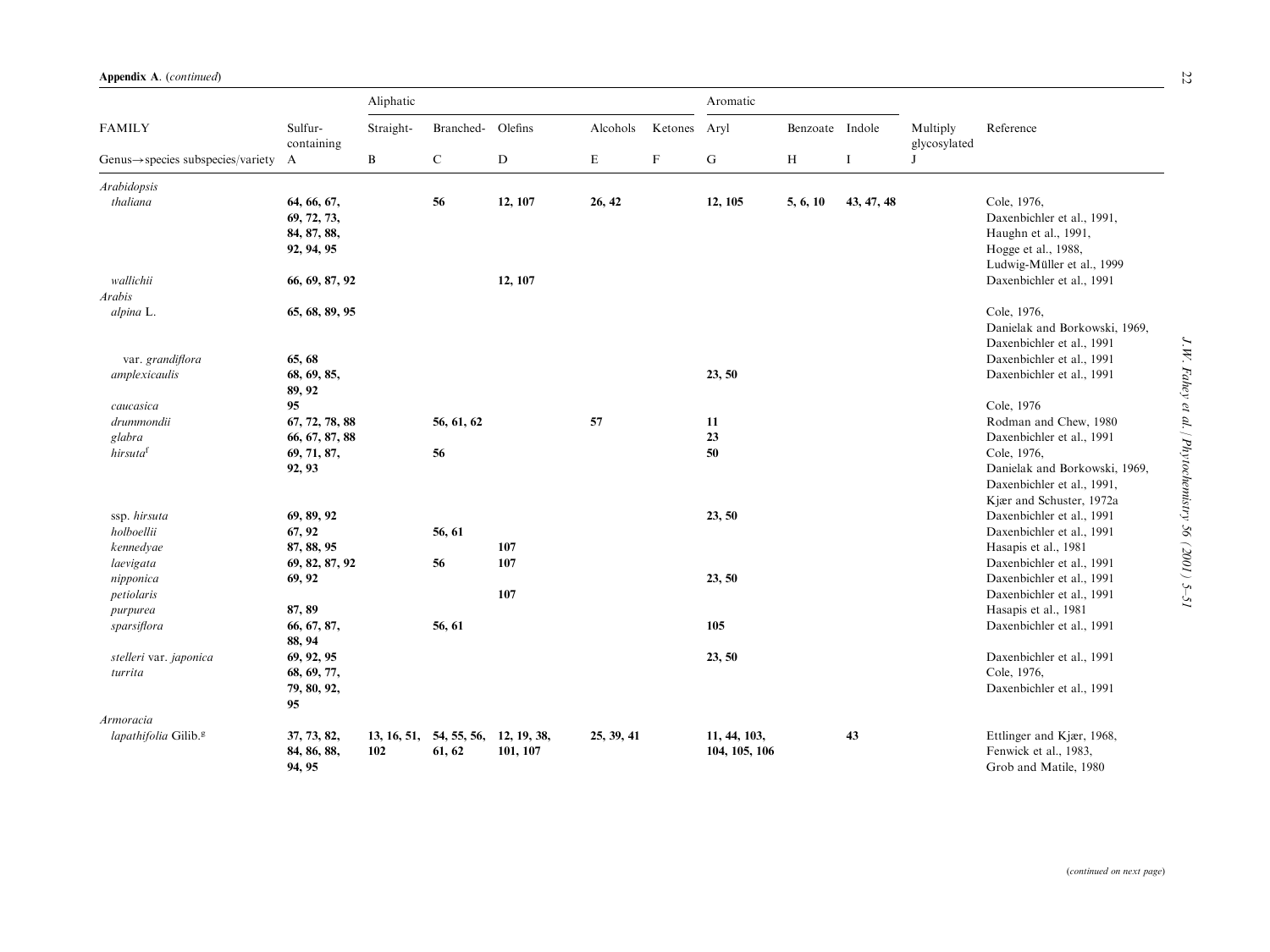|                                                |                                                         | Aliphatic          |                                   |           |            |                         |                               | Aromatic        |             |                                          |                                                                                                                        |
|------------------------------------------------|---------------------------------------------------------|--------------------|-----------------------------------|-----------|------------|-------------------------|-------------------------------|-----------------|-------------|------------------------------------------|------------------------------------------------------------------------------------------------------------------------|
| <b>FAMILY</b>                                  | Sulfur-<br>containing                                   | Straight-          | Branched- Olefins                 |           | Alcohols   | Ketones<br>$\mathbf{F}$ | Aryl<br>G                     | Benzoate Indole | $\mathbf I$ | Multiply<br>glycosylated<br>$\mathbf{J}$ | Reference                                                                                                              |
| $Genus \rightarrow species$ subspecies/variety | $\mathbf{A}$                                            | $\, {\bf B}$       | $\mathbf C$                       | ${\bf D}$ | E          |                         |                               | H               |             |                                          |                                                                                                                        |
| Arabidopsis                                    |                                                         |                    |                                   |           |            |                         |                               |                 |             |                                          |                                                                                                                        |
| thaliana                                       | 64, 66, 67,<br>69, 72, 73,<br>84, 87, 88,<br>92, 94, 95 |                    | 56                                | 12, 107   | 26, 42     |                         | 12, 105                       | 5, 6, 10        | 43, 47, 48  |                                          | Cole, 1976,<br>Daxenbichler et al., 1991,<br>Haughn et al., 1991,<br>Hogge et al., 1988,<br>Ludwig-Müller et al., 1999 |
| wallichii                                      | 66, 69, 87, 92                                          |                    |                                   | 12, 107   |            |                         |                               |                 |             |                                          | Daxenbichler et al., 1991                                                                                              |
| <b>Arabis</b>                                  |                                                         |                    |                                   |           |            |                         |                               |                 |             |                                          |                                                                                                                        |
| alpina L.                                      | 65, 68, 89, 95                                          |                    |                                   |           |            |                         |                               |                 |             |                                          | Cole, 1976,<br>Danielak and Borkowski, 1969,<br>Daxenbichler et al., 1991                                              |
| var. grandiflora                               | 65, 68                                                  |                    |                                   |           |            |                         |                               |                 |             |                                          | Daxenbichler et al., 1991                                                                                              |
| amplexicaulis                                  | 68, 69, 85,                                             |                    |                                   |           |            |                         | 23, 50                        |                 |             |                                          | Daxenbichler et al., 1991                                                                                              |
|                                                | 89, 92<br>95                                            |                    |                                   |           |            |                         |                               |                 |             |                                          | Cole, 1976                                                                                                             |
| caucasica<br>drummondii                        | 67, 72, 78, 88                                          |                    | 56, 61, 62                        |           | 57         |                         | 11                            |                 |             |                                          | Rodman and Chew, 1980                                                                                                  |
| glabra                                         | 66, 67, 87, 88                                          |                    |                                   |           |            |                         | 23                            |                 |             |                                          | Daxenbichler et al., 1991                                                                                              |
| hirsutaf                                       | 69, 71, 87,                                             |                    | 56                                |           |            |                         | 50                            |                 |             |                                          | Cole, 1976,                                                                                                            |
|                                                | 92, 93                                                  |                    |                                   |           |            |                         |                               |                 |             |                                          | Danielak and Borkowski, 1969,                                                                                          |
|                                                |                                                         |                    |                                   |           |            |                         |                               |                 |             |                                          | Daxenbichler et al., 1991,                                                                                             |
|                                                |                                                         |                    |                                   |           |            |                         |                               |                 |             |                                          | Kjær and Schuster, 1972a                                                                                               |
| ssp. hirsuta<br>holboellii                     | 69, 89, 92                                              |                    |                                   |           |            |                         | 23, 50                        |                 |             |                                          | Daxenbichler et al., 1991<br>Daxenbichler et al., 1991                                                                 |
|                                                | 67, 92<br>87, 88, 95                                    |                    | 56, 61                            | 107       |            |                         |                               |                 |             |                                          | Hasapis et al., 1981                                                                                                   |
| kennedyae                                      |                                                         |                    |                                   |           |            |                         |                               |                 |             |                                          | Daxenbichler et al., 1991                                                                                              |
| laevigata                                      | 69, 82, 87, 92<br>69, 92                                |                    | 56                                | 107       |            |                         | 23, 50                        |                 |             |                                          | Daxenbichler et al., 1991                                                                                              |
| nipponica<br>petiolaris                        |                                                         |                    |                                   | 107       |            |                         |                               |                 |             |                                          | Daxenbichler et al., 1991                                                                                              |
|                                                |                                                         |                    |                                   |           |            |                         |                               |                 |             |                                          |                                                                                                                        |
| purpurea                                       | 87, 89                                                  |                    |                                   |           |            |                         |                               |                 |             |                                          | Hasapis et al., 1981                                                                                                   |
| sparsiflora                                    | 66, 67, 87,                                             |                    | 56, 61                            |           |            |                         | 105                           |                 |             |                                          | Daxenbichler et al., 1991                                                                                              |
|                                                | 88, 94<br>69, 92, 95                                    |                    |                                   |           |            |                         | 23, 50                        |                 |             |                                          | Daxenbichler et al., 1991                                                                                              |
| stelleri var. japonica                         |                                                         |                    |                                   |           |            |                         |                               |                 |             |                                          |                                                                                                                        |
| turrita                                        | 68, 69, 77,                                             |                    |                                   |           |            |                         |                               |                 |             |                                          | Cole, 1976,                                                                                                            |
|                                                | 79, 80, 92,                                             |                    |                                   |           |            |                         |                               |                 |             |                                          | Daxenbichler et al., 1991                                                                                              |
|                                                | 95                                                      |                    |                                   |           |            |                         |                               |                 |             |                                          |                                                                                                                        |
| Armoracia                                      |                                                         |                    |                                   |           |            |                         |                               |                 |             |                                          |                                                                                                                        |
| lapathifolia Gilib. <sup>8</sup>               | 37, 73, 82,<br>84, 86, 88,<br>94, 95                    | 13, 16, 51,<br>102 | 54, 55, 56, 12, 19, 38,<br>61, 62 | 101, 107  | 25, 39, 41 |                         | 11, 44, 103,<br>104, 105, 106 |                 | 43          |                                          | Ettlinger and Kjær, 1968,<br>Fenwick et al., 1983,<br>Grob and Matile, 1980                                            |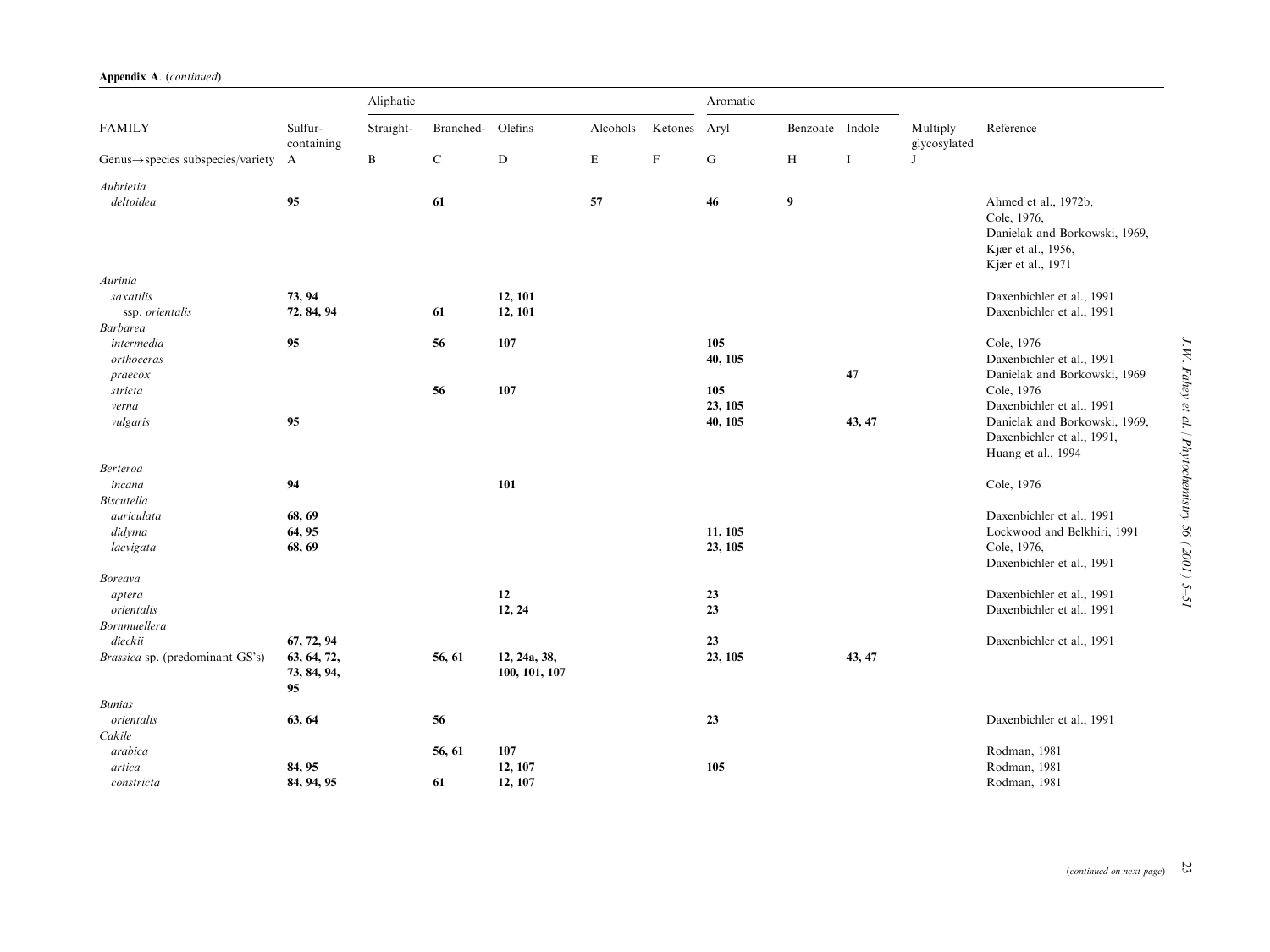|  | Appendix A. (continued) |
|--|-------------------------|
|  |                         |

|                                                                 | Sulfur-<br>containing            | Aliphatic    |                   |                               |          |             | Aromatic  |                 |             |                          |                                                                                                                 |
|-----------------------------------------------------------------|----------------------------------|--------------|-------------------|-------------------------------|----------|-------------|-----------|-----------------|-------------|--------------------------|-----------------------------------------------------------------------------------------------------------------|
| <b>FAMILY</b><br>Genus $\rightarrow$ species subspecies/variety |                                  | Straight-    | Branched- Olefins |                               | Alcohols | Ketones     | Aryl      | Benzoate Indole |             | Multiply<br>glycosylated | Reference                                                                                                       |
|                                                                 | A                                | $\, {\bf B}$ | $\mathbf C$       | $\mathbf D$                   | E        | $\mathbf F$ | ${\bf G}$ | $\, {\rm H}$    | $\mathbf I$ | J                        |                                                                                                                 |
| Aubrietia                                                       |                                  |              |                   |                               |          |             |           |                 |             |                          |                                                                                                                 |
| deltoidea                                                       | 95                               |              | 61                |                               | 57       |             | 46        | 9               |             |                          | Ahmed et al., 1972b,<br>Cole, 1976,<br>Danielak and Borkowski, 1969,<br>Kjær et al., 1956,<br>Kjær et al., 1971 |
| Aurinia                                                         |                                  |              |                   |                               |          |             |           |                 |             |                          |                                                                                                                 |
| saxatilis                                                       | 73, 94                           |              |                   | 12, 101                       |          |             |           |                 |             |                          | Daxenbichler et al., 1991                                                                                       |
| ssp. orientalis                                                 | 72, 84, 94                       |              | 61                | 12, 101                       |          |             |           |                 |             |                          | Daxenbichler et al., 1991                                                                                       |
| <b>Barbarea</b>                                                 |                                  |              |                   |                               |          |             |           |                 |             |                          |                                                                                                                 |
| intermedia                                                      | 95                               |              | 56                | 107                           |          |             | 105       |                 |             |                          | Cole, 1976<br>Daxenbichler et al., 1991                                                                         |
| orthoceras                                                      |                                  |              |                   |                               |          |             | 40, 105   |                 | 47          |                          | Danielak and Borkowski, 1969                                                                                    |
| praecox<br>stricta                                              |                                  |              | 56                | 107                           |          |             | 105       |                 |             |                          | Cole, 1976                                                                                                      |
| verna                                                           |                                  |              |                   |                               |          |             | 23, 105   |                 |             |                          | Daxenbichler et al., 1991                                                                                       |
| vulgaris                                                        | 95                               |              |                   |                               |          |             | 40, 105   |                 | 43, 47      |                          | Danielak and Borkowski, 1969,                                                                                   |
|                                                                 |                                  |              |                   |                               |          |             |           |                 |             |                          | Daxenbichler et al., 1991,<br>Huang et al., 1994                                                                |
| Berteroa                                                        |                                  |              |                   |                               |          |             |           |                 |             |                          |                                                                                                                 |
| incana                                                          | 94                               |              |                   | 101                           |          |             |           |                 |             |                          | Cole, 1976                                                                                                      |
| <b>Biscutella</b>                                               |                                  |              |                   |                               |          |             |           |                 |             |                          |                                                                                                                 |
| auriculata                                                      | 68, 69                           |              |                   |                               |          |             |           |                 |             |                          | Daxenbichler et al., 1991                                                                                       |
| didyma                                                          | 64, 95                           |              |                   |                               |          |             | 11, 105   |                 |             |                          | Lockwood and Belkhiri, 1991                                                                                     |
| laevigata                                                       | 68, 69                           |              |                   |                               |          |             | 23, 105   |                 |             |                          | Cole, 1976,<br>Daxenbichler et al., 1991                                                                        |
| <b>Boreava</b>                                                  |                                  |              |                   |                               |          |             |           |                 |             |                          |                                                                                                                 |
| aptera                                                          |                                  |              |                   | 12                            |          |             | 23        |                 |             |                          | Daxenbichler et al., 1991                                                                                       |
| orientalis                                                      |                                  |              |                   | 12, 24                        |          |             | 23        |                 |             |                          | Daxenbichler et al., 1991                                                                                       |
| Bornmuellera                                                    |                                  |              |                   |                               |          |             |           |                 |             |                          |                                                                                                                 |
| dieckii                                                         | 67, 72, 94                       |              |                   |                               |          |             | 23        |                 |             |                          | Daxenbichler et al., 1991                                                                                       |
| <i>Brassica</i> sp. (predominant GS's)                          | 63, 64, 72,<br>73, 84, 94,<br>95 |              | 56, 61            | 12, 24a, 38,<br>100, 101, 107 |          |             | 23, 105   |                 | 43, 47      |                          |                                                                                                                 |
| <b>Bunias</b>                                                   |                                  |              |                   |                               |          |             |           |                 |             |                          |                                                                                                                 |
| orientalis                                                      | 63, 64                           |              | 56                |                               |          |             | 23        |                 |             |                          | Daxenbichler et al., 1991                                                                                       |
| Cakile                                                          |                                  |              |                   |                               |          |             |           |                 |             |                          |                                                                                                                 |
| arabica                                                         |                                  |              | 56, 61            | 107                           |          |             |           |                 |             |                          | Rodman, 1981                                                                                                    |
| artica                                                          | 84, 95                           |              |                   | 12, 107                       |          |             | 105       |                 |             |                          | Rodman, 1981                                                                                                    |
| constricta                                                      | 84, 94, 95                       |              | 61                | 12, 107                       |          |             |           |                 |             |                          | Rodman, 1981                                                                                                    |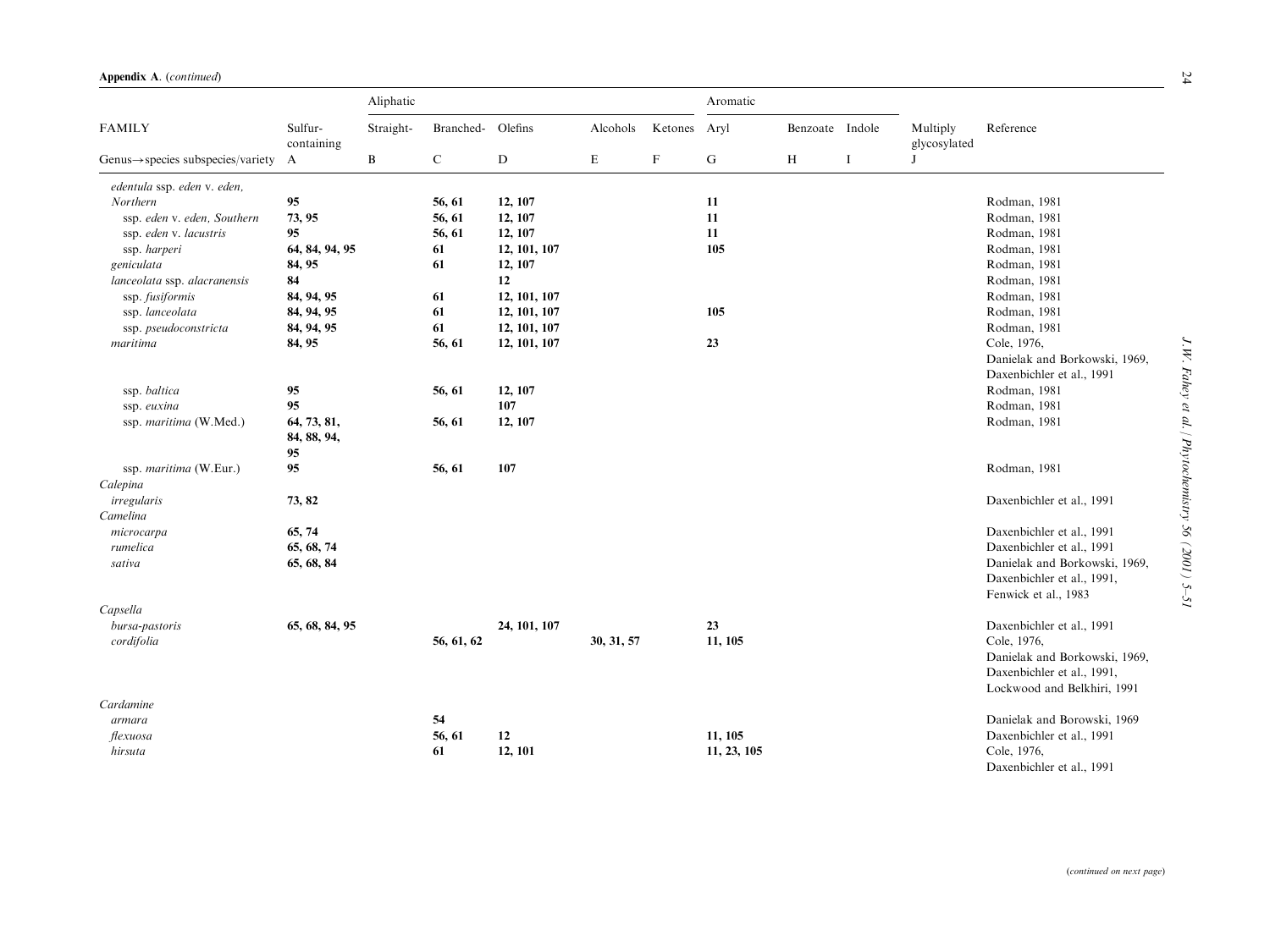|                                                |                       | Aliphatic    |             |              |             |         | Aromatic    |                 |   |                          |                               |
|------------------------------------------------|-----------------------|--------------|-------------|--------------|-------------|---------|-------------|-----------------|---|--------------------------|-------------------------------|
| <b>FAMILY</b>                                  | Sulfur-<br>containing | Straight-    | Branched-   | Olefins      | Alcohols    | Ketones | Aryl        | Benzoate Indole |   | Multiply<br>glycosylated | Reference                     |
| Genus $\rightarrow$ species subspecies/variety | A                     | $\, {\bf B}$ | $\mathbf C$ | D            | $\mathbf E$ | F       | G           | $\, {\rm H}$    | 1 | J                        |                               |
| edentula ssp. eden v. eden,                    |                       |              |             |              |             |         |             |                 |   |                          |                               |
| Northern                                       | 95                    |              | 56, 61      | 12, 107      |             |         | 11          |                 |   |                          | Rodman, 1981                  |
| ssp. eden v. eden, Southern                    | 73, 95                |              | 56, 61      | 12, 107      |             |         | 11          |                 |   |                          | Rodman, 1981                  |
| ssp. eden v. lacustris                         | 95                    |              | 56, 61      | 12, 107      |             |         | 11          |                 |   |                          | Rodman, 1981                  |
| ssp. harperi                                   | 64, 84, 94, 95        |              | 61          | 12, 101, 107 |             |         | 105         |                 |   |                          | Rodman, 1981                  |
| geniculata                                     | 84, 95                |              | 61          | 12, 107      |             |         |             |                 |   |                          | Rodman, 1981                  |
| lanceolata ssp. alacranensis                   | 84                    |              |             | 12           |             |         |             |                 |   |                          | Rodman, 1981                  |
| ssp. fusiformis                                | 84, 94, 95            |              | 61          | 12, 101, 107 |             |         |             |                 |   |                          | Rodman, 1981                  |
| ssp. lanceolata                                | 84, 94, 95            |              | 61          | 12, 101, 107 |             |         | 105         |                 |   |                          | Rodman, 1981                  |
| ssp. pseudoconstricta                          | 84, 94, 95            |              | 61          | 12, 101, 107 |             |         |             |                 |   |                          | Rodman, 1981                  |
| maritima                                       | 84, 95                |              | 56, 61      | 12, 101, 107 |             |         | 23          |                 |   |                          | Cole, 1976,                   |
|                                                |                       |              |             |              |             |         |             |                 |   |                          | Danielak and Borkowski, 1969, |
|                                                |                       |              |             |              |             |         |             |                 |   |                          | Daxenbichler et al., 1991     |
| ssp. baltica                                   | 95                    |              | 56, 61      | 12, 107      |             |         |             |                 |   |                          | Rodman, 1981                  |
| ssp. euxina                                    | 95                    |              |             | 107          |             |         |             |                 |   |                          | Rodman, 1981                  |
| ssp. maritima (W.Med.)                         | 64, 73, 81,           |              | 56, 61      | 12, 107      |             |         |             |                 |   |                          | Rodman, 1981                  |
|                                                | 84, 88, 94,           |              |             |              |             |         |             |                 |   |                          |                               |
|                                                | 95                    |              |             |              |             |         |             |                 |   |                          |                               |
| ssp. maritima (W.Eur.)                         | 95                    |              | 56, 61      | 107          |             |         |             |                 |   |                          | Rodman, 1981                  |
| Calepina                                       |                       |              |             |              |             |         |             |                 |   |                          |                               |
| irregularis                                    | 73, 82                |              |             |              |             |         |             |                 |   |                          | Daxenbichler et al., 1991     |
| Camelina                                       |                       |              |             |              |             |         |             |                 |   |                          |                               |
| microcarpa                                     | 65, 74                |              |             |              |             |         |             |                 |   |                          | Daxenbichler et al., 1991     |
| rumelica                                       | 65, 68, 74            |              |             |              |             |         |             |                 |   |                          | Daxenbichler et al., 1991     |
| sativa                                         | 65, 68, 84            |              |             |              |             |         |             |                 |   |                          | Danielak and Borkowski, 1969, |
|                                                |                       |              |             |              |             |         |             |                 |   |                          | Daxenbichler et al., 1991,    |
|                                                |                       |              |             |              |             |         |             |                 |   |                          | Fenwick et al., 1983          |
| Capsella                                       |                       |              |             |              |             |         |             |                 |   |                          |                               |
| bursa-pastoris                                 | 65, 68, 84, 95        |              |             | 24, 101, 107 |             |         | 23          |                 |   |                          | Daxenbichler et al., 1991     |
| cordifolia                                     |                       |              | 56, 61, 62  |              | 30, 31, 57  |         | 11, 105     |                 |   |                          | Cole, 1976,                   |
|                                                |                       |              |             |              |             |         |             |                 |   |                          | Danielak and Borkowski, 1969, |
|                                                |                       |              |             |              |             |         |             |                 |   |                          | Daxenbichler et al., 1991,    |
|                                                |                       |              |             |              |             |         |             |                 |   |                          | Lockwood and Belkhiri, 1991   |
| Cardamine                                      |                       |              |             |              |             |         |             |                 |   |                          |                               |
| armara                                         |                       |              | 54          |              |             |         |             |                 |   |                          | Danielak and Borowski, 1969   |
| flexuosa                                       |                       |              | 56, 61      | 12           |             |         | 11, 105     |                 |   |                          | Daxenbichler et al., 1991     |
| hirsuta                                        |                       |              | 61          | 12, 101      |             |         | 11, 23, 105 |                 |   |                          | Cole, 1976,                   |
|                                                |                       |              |             |              |             |         |             |                 |   |                          | Daxenbichler et al., 1991     |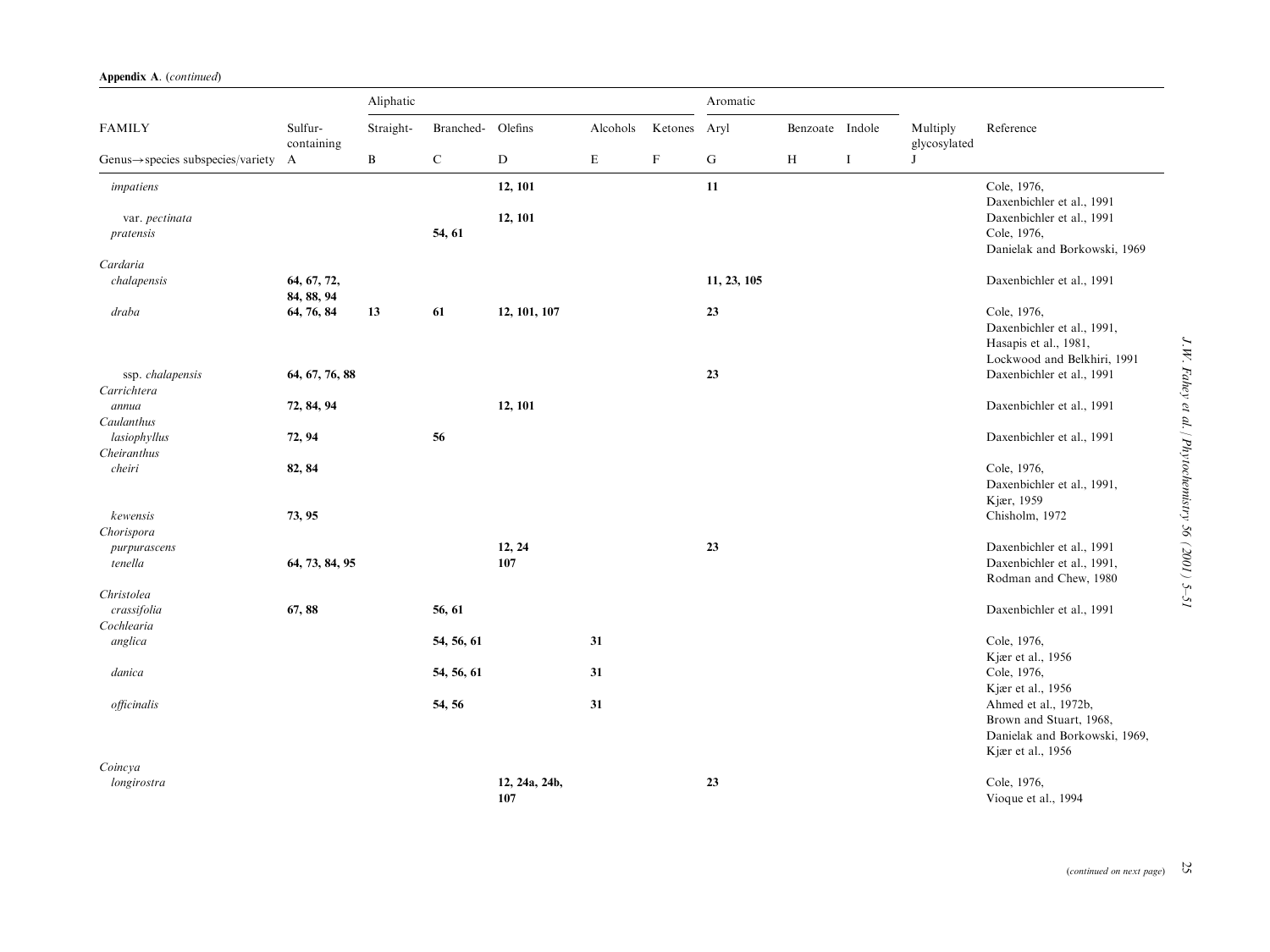|  | Appendix A. (continued) |  |
|--|-------------------------|--|
|--|-------------------------|--|

|                                                |                           | Aliphatic    |                   |                      |             | Aromatic    |             |                 |   |                          |                                                                                                                            |
|------------------------------------------------|---------------------------|--------------|-------------------|----------------------|-------------|-------------|-------------|-----------------|---|--------------------------|----------------------------------------------------------------------------------------------------------------------------|
| <b>FAMILY</b>                                  | Sulfur-<br>containing     | Straight-    | Branched- Olefins |                      | Alcohols    | Ketones     | Aryl        | Benzoate Indole |   | Multiply<br>glycosylated | Reference                                                                                                                  |
| $Genus \rightarrow species$ subspecies/variety | $\mathbf{A}$              | $\, {\bf B}$ | $\mathbf C$       | ${\bf D}$            | $\mathbf E$ | $\mathbf F$ | ${\bf G}$   | $\,$ H          | Ι | J                        |                                                                                                                            |
| impatiens                                      |                           |              |                   | 12, 101              |             |             | 11          |                 |   |                          | Cole, 1976,<br>Daxenbichler et al., 1991                                                                                   |
| var. pectinata<br>pratensis                    |                           |              | 54, 61            | 12, 101              |             |             |             |                 |   |                          | Daxenbichler et al., 1991<br>Cole, 1976,<br>Danielak and Borkowski, 1969                                                   |
| Cardaria                                       |                           |              |                   |                      |             |             |             |                 |   |                          |                                                                                                                            |
| chalapensis                                    | 64, 67, 72,<br>84, 88, 94 |              |                   |                      |             |             | 11, 23, 105 |                 |   |                          | Daxenbichler et al., 1991                                                                                                  |
| draba                                          | 64, 76, 84                | 13           | 61                | 12, 101, 107         |             |             | 23          |                 |   |                          | Cole, 1976,<br>Daxenbichler et al., 1991,<br>Hasapis et al., 1981,<br>Lockwood and Belkhiri, 1991                          |
| ssp. chalapensis<br>Carrichtera                | 64, 67, 76, 88            |              |                   |                      |             |             | 23          |                 |   |                          | Daxenbichler et al., 1991                                                                                                  |
| annua<br>Caulanthus                            | 72, 84, 94                |              |                   | 12, 101              |             |             |             |                 |   |                          | Daxenbichler et al., 1991                                                                                                  |
| lasiophyllus<br>Cheiranthus                    | 72, 94                    |              | 56                |                      |             |             |             |                 |   |                          | Daxenbichler et al., 1991                                                                                                  |
| cheiri                                         | 82, 84                    |              |                   |                      |             |             |             |                 |   |                          | Cole, 1976,<br>Daxenbichler et al., 1991,<br>Kjær, 1959                                                                    |
| kewensis<br>Chorispora                         | 73, 95                    |              |                   |                      |             |             |             |                 |   |                          | Chisholm, 1972                                                                                                             |
| purpurascens<br>tenella                        | 64, 73, 84, 95            |              |                   | 12, 24<br>107        |             |             | 23          |                 |   |                          | Daxenbichler et al., 1991<br>Daxenbichler et al., 1991,<br>Rodman and Chew, 1980                                           |
| Christolea<br>crassifolia<br>Cochlearia        | 67,88                     |              | 56, 61            |                      |             |             |             |                 |   |                          | Daxenbichler et al., 1991                                                                                                  |
| anglica                                        |                           |              | 54, 56, 61        |                      | 31          |             |             |                 |   |                          | Cole, 1976,<br>Kjær et al., 1956                                                                                           |
| danica                                         |                           |              | 54, 56, 61        |                      | 31          |             |             |                 |   |                          | Cole, 1976,                                                                                                                |
| officinalis                                    |                           |              | 54, 56            |                      | 31          |             |             |                 |   |                          | Kjær et al., 1956<br>Ahmed et al., 1972b,<br>Brown and Stuart, 1968,<br>Danielak and Borkowski, 1969,<br>Kjær et al., 1956 |
| Coincya<br>longirostra                         |                           |              |                   | 12, 24a, 24b,<br>107 |             |             | 23          |                 |   |                          | Cole, 1976,<br>Vioque et al., 1994                                                                                         |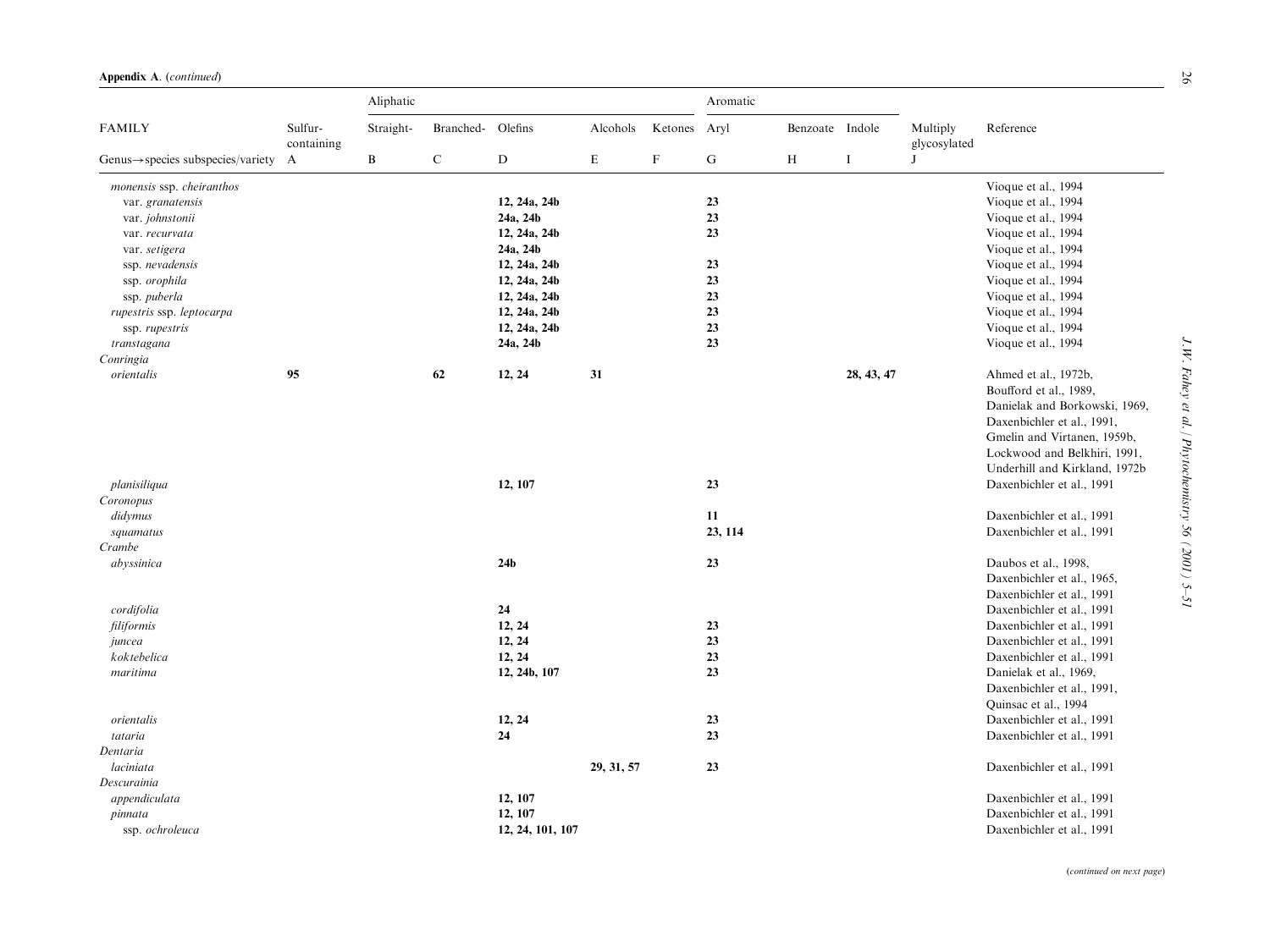|                                                |                       | Aliphatic    |           |                  |             |                           | Aromatic      |                 |            |                          |                                                        |
|------------------------------------------------|-----------------------|--------------|-----------|------------------|-------------|---------------------------|---------------|-----------------|------------|--------------------------|--------------------------------------------------------|
| <b>FAMILY</b>                                  | Sulfur-<br>containing | Straight-    | Branched- | Olefins          | Alcohols    | Ketones                   | Aryl          | Benzoate Indole |            | Multiply<br>glycosylated | Reference                                              |
| $Genus \rightarrow species$ subspecies/variety | $\mathbf{A}$          | $\, {\bf B}$ | ${\bf C}$ | D                | $\mathbf E$ | $\boldsymbol{\mathrm{F}}$ | ${\bf G}$     | $\, {\rm H}$    | $\bf{I}$   | J                        |                                                        |
| monensis ssp. cheiranthos                      |                       |              |           |                  |             |                           |               |                 |            |                          | Vioque et al., 1994                                    |
| var. granatensis                               |                       |              |           | 12, 24a, 24b     |             |                           | 23            |                 |            |                          | Vioque et al., 1994                                    |
| var. johnstonii                                |                       |              |           | 24a, 24b         |             |                           | 23            |                 |            |                          | Vioque et al., 1994                                    |
| var. recurvata                                 |                       |              |           | 12, 24a, 24b     |             |                           | 23            |                 |            |                          | Vioque et al., 1994                                    |
| var. setigera                                  |                       |              |           | 24a, 24b         |             |                           |               |                 |            |                          | Vioque et al., 1994                                    |
| ssp. nevadensis                                |                       |              |           | 12, 24a, 24b     |             |                           | 23            |                 |            |                          | Vioque et al., 1994                                    |
| ssp. orophila                                  |                       |              |           | 12, 24a, 24b     |             |                           | 23            |                 |            |                          | Vioque et al., 1994                                    |
| ssp. puberla                                   |                       |              |           | 12, 24a, 24b     |             |                           | 23            |                 |            |                          | Vioque et al., 1994                                    |
| rupestris ssp. leptocarpa                      |                       |              |           | 12, 24a, 24b     |             |                           | 23            |                 |            |                          | Vioque et al., 1994                                    |
| ssp. rupestris                                 |                       |              |           | 12, 24a, 24b     |             |                           | 23            |                 |            |                          | Vioque et al., 1994                                    |
| transtagana                                    |                       |              |           | 24a, 24b         |             |                           | 23            |                 |            |                          | Vioque et al., 1994                                    |
| Conringia                                      |                       |              |           |                  |             |                           |               |                 |            |                          |                                                        |
| orientalis                                     | 95                    |              | 62        | 12, 24           | 31          |                           |               |                 | 28, 43, 47 |                          | Ahmed et al., 1972b,                                   |
|                                                |                       |              |           |                  |             |                           |               |                 |            |                          | Boufford et al., 1989,                                 |
|                                                |                       |              |           |                  |             |                           |               |                 |            |                          | Danielak and Borkowski, 1969,                          |
|                                                |                       |              |           |                  |             |                           |               |                 |            |                          | Daxenbichler et al., 1991,                             |
|                                                |                       |              |           |                  |             |                           |               |                 |            |                          | Gmelin and Virtanen, 1959b,                            |
|                                                |                       |              |           |                  |             |                           |               |                 |            |                          | Lockwood and Belkhiri, 1991,                           |
|                                                |                       |              |           |                  |             |                           |               |                 |            |                          | Underhill and Kirkland, 1972b                          |
| planisiliqua                                   |                       |              |           | 12, 107          |             |                           | 23            |                 |            |                          | Daxenbichler et al., 1991                              |
| Coronopus                                      |                       |              |           |                  |             |                           |               |                 |            |                          |                                                        |
| didymus                                        |                       |              |           |                  |             |                           | 11<br>23, 114 |                 |            |                          | Daxenbichler et al., 1991<br>Daxenbichler et al., 1991 |
| squamatus<br>Crambe                            |                       |              |           |                  |             |                           |               |                 |            |                          |                                                        |
| abyssinica                                     |                       |              |           | 24 <sub>b</sub>  |             |                           | 23            |                 |            |                          | Daubos et al., 1998,                                   |
|                                                |                       |              |           |                  |             |                           |               |                 |            |                          | Daxenbichler et al., 1965,                             |
|                                                |                       |              |           |                  |             |                           |               |                 |            |                          | Daxenbichler et al., 1991                              |
| cordifolia                                     |                       |              |           | 24               |             |                           |               |                 |            |                          | Daxenbichler et al., 1991                              |
| filiformis                                     |                       |              |           | 12, 24           |             |                           | 23            |                 |            |                          | Daxenbichler et al., 1991                              |
| juncea                                         |                       |              |           | 12, 24           |             |                           | 23            |                 |            |                          | Daxenbichler et al., 1991                              |
| koktebelica                                    |                       |              |           | 12, 24           |             |                           | 23            |                 |            |                          | Daxenbichler et al., 1991                              |
| maritima                                       |                       |              |           | 12, 24b, 107     |             |                           | 23            |                 |            |                          | Danielak et al., 1969,                                 |
|                                                |                       |              |           |                  |             |                           |               |                 |            |                          | Daxenbichler et al., 1991,                             |
|                                                |                       |              |           |                  |             |                           |               |                 |            |                          | Quinsac et al., 1994                                   |
| orientalis                                     |                       |              |           | 12, 24           |             |                           | 23            |                 |            |                          | Daxenbichler et al., 1991                              |
| tataria                                        |                       |              |           | 24               |             |                           | 23            |                 |            |                          | Daxenbichler et al., 1991                              |
| Dentaria                                       |                       |              |           |                  |             |                           |               |                 |            |                          |                                                        |
| laciniata                                      |                       |              |           |                  | 29, 31, 57  |                           | 23            |                 |            |                          | Daxenbichler et al., 1991                              |
| Descurainia                                    |                       |              |           |                  |             |                           |               |                 |            |                          |                                                        |
| appendiculata                                  |                       |              |           | 12, 107          |             |                           |               |                 |            |                          | Daxenbichler et al., 1991                              |
| pinnata                                        |                       |              |           | 12, 107          |             |                           |               |                 |            |                          | Daxenbichler et al., 1991                              |
| ssp. ochroleuca                                |                       |              |           | 12, 24, 101, 107 |             |                           |               |                 |            |                          | Daxenbichler et al., 1991                              |

(continued on next page)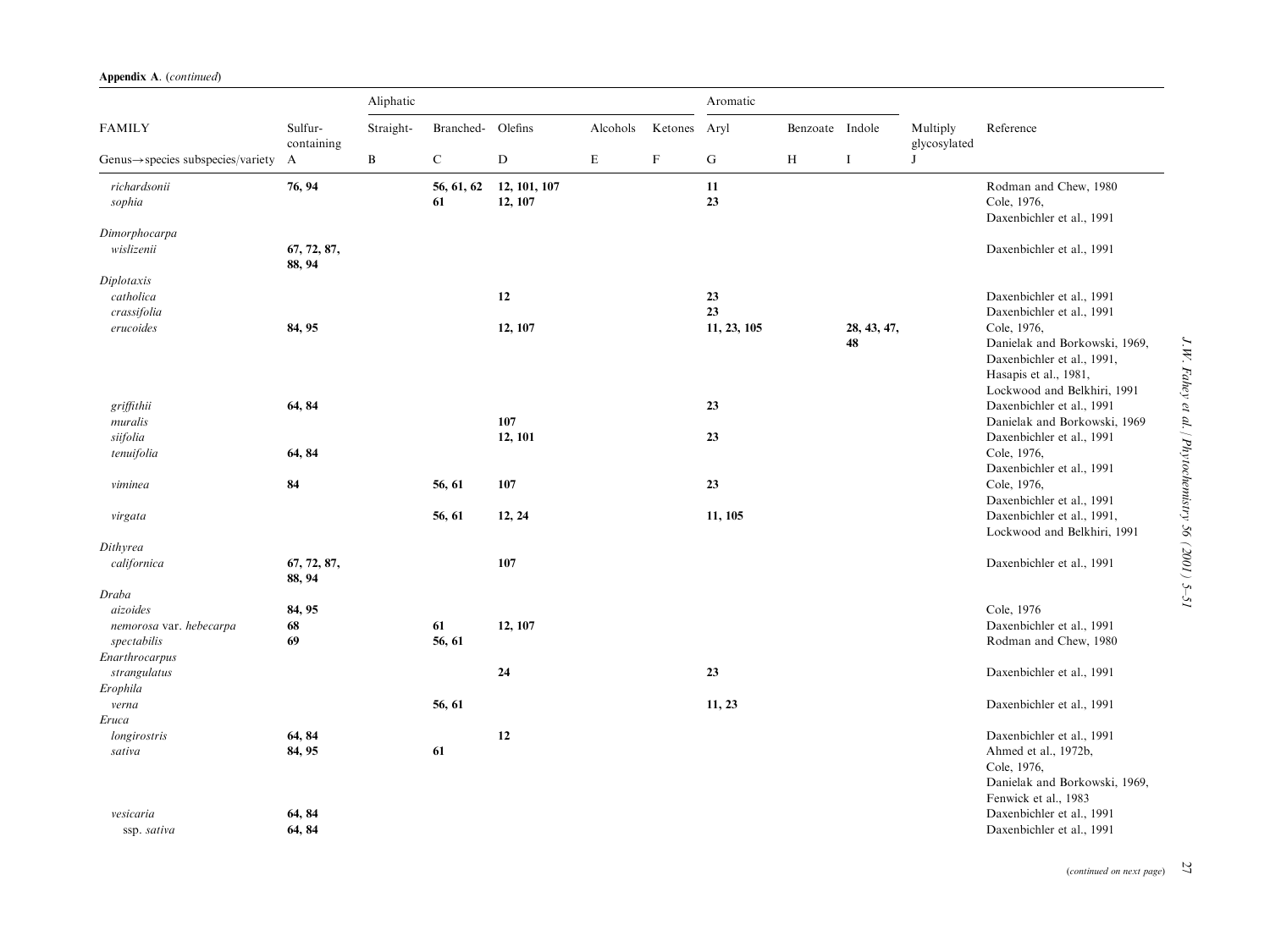| Appendix A. (continued) |
|-------------------------|
|-------------------------|

|                                                                      |                            | Aliphatic    |                  | Aromatic                |             |             |             |                 |                   |                          |                                                                                                                                                        |
|----------------------------------------------------------------------|----------------------------|--------------|------------------|-------------------------|-------------|-------------|-------------|-----------------|-------------------|--------------------------|--------------------------------------------------------------------------------------------------------------------------------------------------------|
| <b>FAMILY</b>                                                        | Sulfur-<br>containing      | Straight-    | Branched-        | Olefins                 | Alcohols    | Ketones     | Aryl        | Benzoate Indole |                   | Multiply<br>glycosylated | Reference                                                                                                                                              |
| $Genus \rightarrow species$ subspecies/variety                       | $\mathbf{A}$               | $\, {\bf B}$ | $\mathbf C$      | D                       | $\mathbf E$ | $\mathbf F$ | $\mathbf G$ | H               | I                 | J                        |                                                                                                                                                        |
| richardsonii<br>sophia                                               | 76, 94                     |              | 56, 61, 62<br>61 | 12, 101, 107<br>12, 107 |             |             | 11<br>23    |                 |                   |                          | Rodman and Chew, 1980<br>Cole, 1976,<br>Daxenbichler et al., 1991                                                                                      |
| Dimorphocarpa<br>wislizenii                                          | 67, 72, 87,<br>88, 94      |              |                  |                         |             |             |             |                 |                   |                          | Daxenbichler et al., 1991                                                                                                                              |
| Diplotaxis<br>catholica<br>crassifolia                               |                            |              |                  | 12                      |             |             | 23<br>23    |                 |                   |                          | Daxenbichler et al., 1991<br>Daxenbichler et al., 1991                                                                                                 |
| erucoides                                                            | 84, 95                     |              |                  | 12, 107                 |             |             | 11, 23, 105 |                 | 28, 43, 47,<br>48 |                          | Cole, 1976,<br>Danielak and Borkowski, 1969,<br>Daxenbichler et al., 1991,<br>Hasapis et al., 1981,                                                    |
| griffithii<br>muralis                                                | 64, 84                     |              |                  | 107                     |             |             | 23          |                 |                   |                          | Lockwood and Belkhiri, 1991<br>Daxenbichler et al., 1991<br>Danielak and Borkowski, 1969                                                               |
| siifolia<br>tenuifolia                                               | 64, 84                     |              |                  | 12, 101                 |             |             | 23          |                 |                   |                          | Daxenbichler et al., 1991<br>Cole, 1976,<br>Daxenbichler et al., 1991                                                                                  |
| viminea                                                              | 84                         |              | 56, 61           | 107                     |             |             | 23          |                 |                   |                          | Cole, 1976,<br>Daxenbichler et al., 1991                                                                                                               |
| virgata                                                              |                            |              | 56, 61           | 12, 24                  |             |             | 11, 105     |                 |                   |                          | Daxenbichler et al., 1991,<br>Lockwood and Belkhiri, 1991                                                                                              |
| Dithyrea                                                             |                            |              |                  |                         |             |             |             |                 |                   |                          |                                                                                                                                                        |
| californica                                                          | 67, 72, 87,<br>88, 94      |              |                  | 107                     |             |             |             |                 |                   |                          | Daxenbichler et al., 1991                                                                                                                              |
| Draba                                                                |                            |              |                  |                         |             |             |             |                 |                   |                          |                                                                                                                                                        |
| aizoides<br>nemorosa var. hebecarpa<br>spectabilis<br>Enarthrocarpus | 84, 95<br>68<br>69         |              | 61<br>56, 61     | 12, 107                 |             |             |             |                 |                   |                          | Cole, 1976<br>Daxenbichler et al., 1991<br>Rodman and Chew, 1980                                                                                       |
| strangulatus<br>Erophila                                             |                            |              |                  | 24                      |             |             | 23          |                 |                   |                          | Daxenbichler et al., 1991                                                                                                                              |
| verna<br>Eruca                                                       |                            |              | 56, 61           |                         |             |             | 11, 23      |                 |                   |                          | Daxenbichler et al., 1991                                                                                                                              |
| longirostris<br>sativa<br>vesicaria                                  | 64, 84<br>84, 95<br>64, 84 |              | 61               | 12                      |             |             |             |                 |                   |                          | Daxenbichler et al., 1991<br>Ahmed et al., 1972b,<br>Cole, 1976,<br>Danielak and Borkowski, 1969,<br>Fenwick et al., 1983<br>Daxenbichler et al., 1991 |
| ssp. sativa                                                          | 64, 84                     |              |                  |                         |             |             |             |                 |                   |                          | Daxenbichler et al., 1991                                                                                                                              |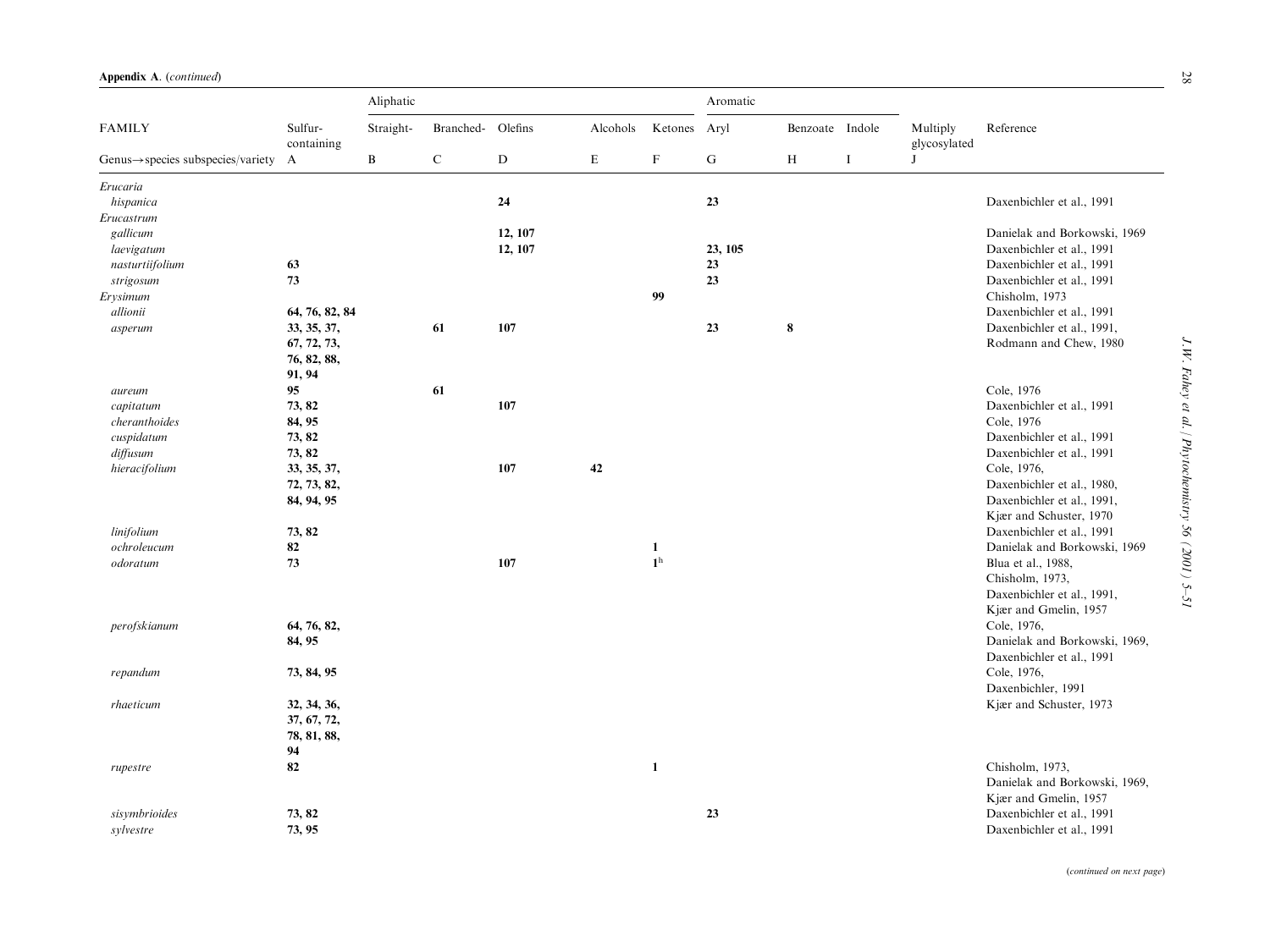|                                                |                       | Aliphatic    |                   |           |          |                |             |                 |          |                          |                               |
|------------------------------------------------|-----------------------|--------------|-------------------|-----------|----------|----------------|-------------|-----------------|----------|--------------------------|-------------------------------|
| <b>FAMILY</b>                                  | Sulfur-<br>containing | Straight-    | Branched- Olefins |           | Alcohols | Ketones Aryl   |             | Benzoate Indole |          | Multiply<br>glycosylated | Reference                     |
| $Genus \rightarrow species$ subspecies/variety | $\mathbf{A}$          | $\, {\bf B}$ | $\mathbf C$       | ${\bf D}$ | E        | $\mathbf F$    | $\mathbf G$ | H               | $\bf{I}$ | $\mathbf{J}$             |                               |
| Erucaria                                       |                       |              |                   |           |          |                |             |                 |          |                          |                               |
| hispanica                                      |                       |              |                   | 24        |          |                | 23          |                 |          |                          | Daxenbichler et al., 1991     |
| Erucastrum                                     |                       |              |                   |           |          |                |             |                 |          |                          |                               |
| gallicum                                       |                       |              |                   | 12, 107   |          |                |             |                 |          |                          | Danielak and Borkowski, 1969  |
| laevigatum                                     |                       |              |                   | 12, 107   |          |                | 23, 105     |                 |          |                          | Daxenbichler et al., 1991     |
| nasturtiifolium                                | 63                    |              |                   |           |          |                | 23          |                 |          |                          | Daxenbichler et al., 1991     |
| strigosum                                      | 73                    |              |                   |           |          |                | 23          |                 |          |                          | Daxenbichler et al., 1991     |
| Erysimum                                       |                       |              |                   |           |          | 99             |             |                 |          |                          | Chisholm, 1973                |
| allionii                                       | 64, 76, 82, 84        |              |                   |           |          |                |             |                 |          |                          | Daxenbichler et al., 1991     |
| asperum                                        | 33, 35, 37,           |              | 61                | 107       |          |                | 23          | $\bf 8$         |          |                          | Daxenbichler et al., 1991,    |
|                                                | 67, 72, 73,           |              |                   |           |          |                |             |                 |          |                          | Rodmann and Chew, 1980        |
|                                                | 76, 82, 88,           |              |                   |           |          |                |             |                 |          |                          |                               |
|                                                | 91, 94                |              |                   |           |          |                |             |                 |          |                          |                               |
| aureum                                         | 95                    |              | 61                |           |          |                |             |                 |          |                          | Cole, 1976                    |
| capitatum                                      | 73, 82                |              |                   | 107       |          |                |             |                 |          |                          | Daxenbichler et al., 1991     |
| cheranthoides                                  | 84, 95                |              |                   |           |          |                |             |                 |          |                          | Cole, 1976                    |
| cuspidatum                                     | 73, 82                |              |                   |           |          |                |             |                 |          |                          | Daxenbichler et al., 1991     |
| diffusum                                       | 73, 82                |              |                   |           |          |                |             |                 |          |                          | Daxenbichler et al., 1991     |
| hieracifolium                                  | 33, 35, 37,           |              |                   | 107       | 42       |                |             |                 |          |                          | Cole, 1976,                   |
|                                                | 72, 73, 82,           |              |                   |           |          |                |             |                 |          |                          | Daxenbichler et al., 1980,    |
|                                                | 84, 94, 95            |              |                   |           |          |                |             |                 |          |                          | Daxenbichler et al., 1991,    |
|                                                |                       |              |                   |           |          |                |             |                 |          |                          | Kjær and Schuster, 1970       |
| linifolium                                     | 73, 82                |              |                   |           |          |                |             |                 |          |                          | Daxenbichler et al., 1991     |
| ochroleucum                                    | 82                    |              |                   |           |          | 1              |             |                 |          |                          | Danielak and Borkowski, 1969  |
| odoratum                                       | 73                    |              |                   | 107       |          | 1 <sup>h</sup> |             |                 |          |                          | Blua et al., 1988,            |
|                                                |                       |              |                   |           |          |                |             |                 |          |                          | Chisholm, 1973,               |
|                                                |                       |              |                   |           |          |                |             |                 |          |                          | Daxenbichler et al., 1991,    |
|                                                |                       |              |                   |           |          |                |             |                 |          |                          | Kjær and Gmelin, 1957         |
| perofskianum                                   | 64, 76, 82,           |              |                   |           |          |                |             |                 |          |                          | Cole, 1976,                   |
|                                                | 84, 95                |              |                   |           |          |                |             |                 |          |                          | Danielak and Borkowski, 1969, |
|                                                |                       |              |                   |           |          |                |             |                 |          |                          | Daxenbichler et al., 1991     |
| repandum                                       | 73, 84, 95            |              |                   |           |          |                |             |                 |          |                          | Cole, 1976,                   |
|                                                |                       |              |                   |           |          |                |             |                 |          |                          | Daxenbichler, 1991            |
| rhaeticum                                      | 32, 34, 36,           |              |                   |           |          |                |             |                 |          |                          | Kjær and Schuster, 1973       |
|                                                | 37, 67, 72,           |              |                   |           |          |                |             |                 |          |                          |                               |
|                                                | 78, 81, 88,           |              |                   |           |          |                |             |                 |          |                          |                               |
|                                                | 94                    |              |                   |           |          |                |             |                 |          |                          |                               |
| rupestre                                       | 82                    |              |                   |           |          | $\mathbf{1}$   |             |                 |          |                          | Chisholm, 1973.               |
|                                                |                       |              |                   |           |          |                |             |                 |          |                          | Danielak and Borkowski, 1969, |
|                                                |                       |              |                   |           |          |                |             |                 |          |                          | Kjær and Gmelin, 1957         |
| sisymbrioides                                  | 73, 82                |              |                   |           |          |                | 23          |                 |          |                          | Daxenbichler et al., 1991     |
| sylvestre                                      | 73, 95                |              |                   |           |          |                |             |                 |          |                          | Daxenbichler et al., 1991     |

(continued on next page)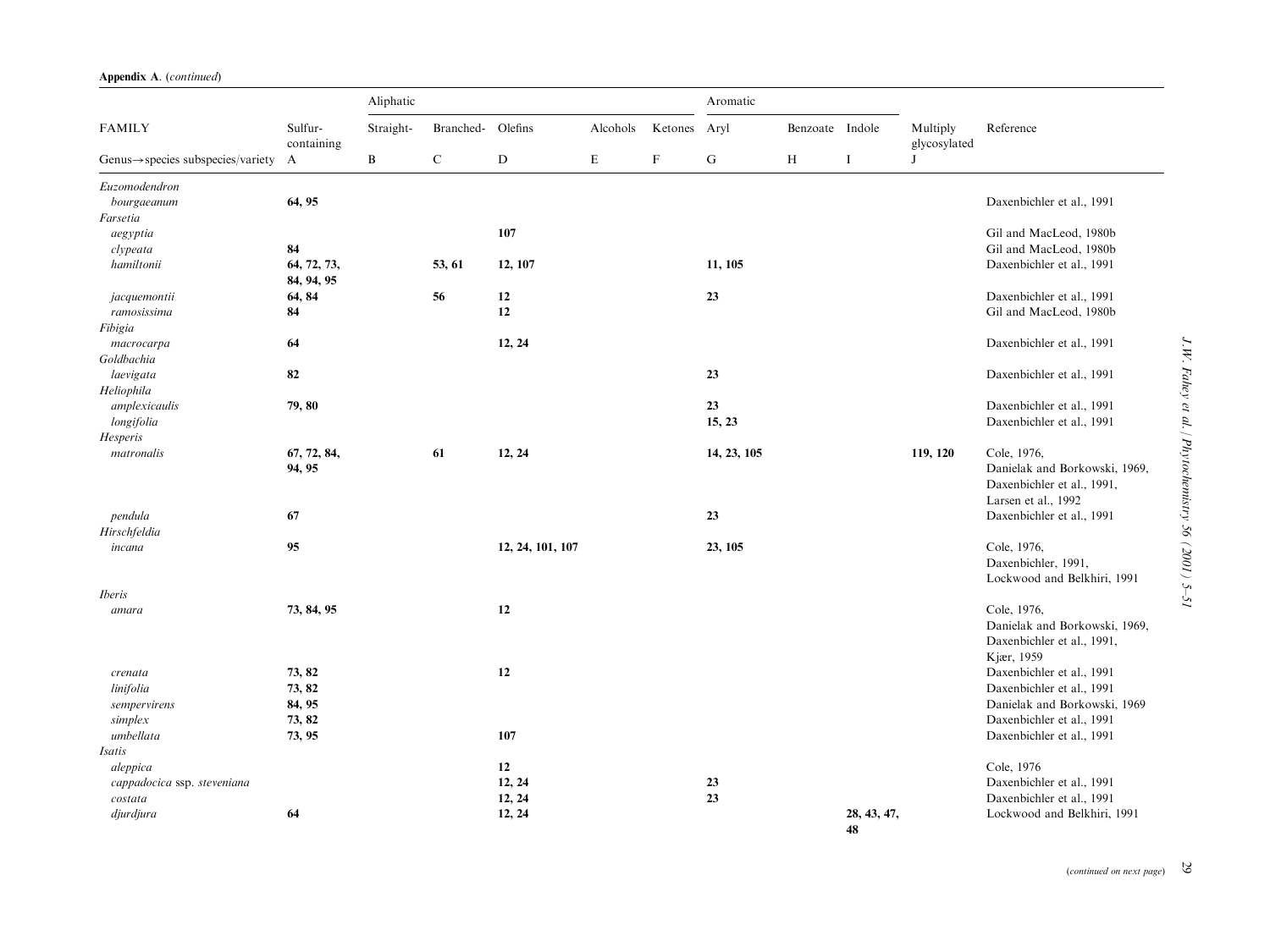|                                                |                           | Aliphatic    |             |                  |          |             | Aromatic    |                 |                   |                          |                                                                                                   |
|------------------------------------------------|---------------------------|--------------|-------------|------------------|----------|-------------|-------------|-----------------|-------------------|--------------------------|---------------------------------------------------------------------------------------------------|
| <b>FAMILY</b>                                  | Sulfur-<br>containing     | Straight-    | Branched-   | Olefins          | Alcohols | Ketones     | Aryl        | Benzoate Indole |                   | Multiply<br>glycosylated | Reference                                                                                         |
| $Genus \rightarrow species$ subspecies/variety | $\mathbf{A}$              | $\mathbf{B}$ | $\mathbf C$ | D                | E        | $\mathbf F$ | G           | H               | $\bf{I}$          | J                        |                                                                                                   |
| Euzomodendron                                  |                           |              |             |                  |          |             |             |                 |                   |                          |                                                                                                   |
| bourgaeanum                                    | 64, 95                    |              |             |                  |          |             |             |                 |                   |                          | Daxenbichler et al., 1991                                                                         |
| Farsetia                                       |                           |              |             |                  |          |             |             |                 |                   |                          |                                                                                                   |
| aegyptia                                       |                           |              |             | 107              |          |             |             |                 |                   |                          | Gil and MacLeod, 1980b                                                                            |
| clypeata                                       | 84                        |              |             |                  |          |             |             |                 |                   |                          | Gil and MacLeod, 1980b                                                                            |
| hamiltonii                                     | 64, 72, 73,<br>84, 94, 95 |              | 53, 61      | 12, 107          |          |             | 11, 105     |                 |                   |                          | Daxenbichler et al., 1991                                                                         |
| jacquemontii                                   | 64, 84                    |              | 56          | 12               |          |             | 23          |                 |                   |                          | Daxenbichler et al., 1991                                                                         |
| ramosissima                                    | 84                        |              |             | 12               |          |             |             |                 |                   |                          | Gil and MacLeod, 1980b                                                                            |
| Fibigia                                        |                           |              |             |                  |          |             |             |                 |                   |                          |                                                                                                   |
| macrocarpa                                     | 64                        |              |             | 12, 24           |          |             |             |                 |                   |                          | Daxenbichler et al., 1991                                                                         |
| Goldbachia                                     |                           |              |             |                  |          |             |             |                 |                   |                          |                                                                                                   |
| laevigata                                      | 82                        |              |             |                  |          |             | 23          |                 |                   |                          | Daxenbichler et al., 1991                                                                         |
| Heliophila                                     |                           |              |             |                  |          |             |             |                 |                   |                          |                                                                                                   |
| amplexicaulis                                  | 79, 80                    |              |             |                  |          |             | 23          |                 |                   |                          | Daxenbichler et al., 1991                                                                         |
| longifolia                                     |                           |              |             |                  |          |             | 15, 23      |                 |                   |                          | Daxenbichler et al., 1991                                                                         |
| Hesperis                                       |                           |              |             |                  |          |             |             |                 |                   |                          |                                                                                                   |
| matronalis                                     | 67, 72, 84,<br>94, 95     |              | 61          | 12, 24           |          |             | 14, 23, 105 |                 |                   | 119, 120                 | Cole, 1976,<br>Danielak and Borkowski, 1969,<br>Daxenbichler et al., 1991,<br>Larsen et al., 1992 |
| pendula                                        | 67                        |              |             |                  |          |             | 23          |                 |                   |                          | Daxenbichler et al., 1991                                                                         |
| Hirschfeldia                                   |                           |              |             |                  |          |             |             |                 |                   |                          |                                                                                                   |
| incana                                         | 95                        |              |             | 12, 24, 101, 107 |          |             | 23, 105     |                 |                   |                          | Cole, 1976,                                                                                       |
|                                                |                           |              |             |                  |          |             |             |                 |                   |                          | Daxenbichler, 1991,<br>Lockwood and Belkhiri, 1991                                                |
| <i>Iberis</i>                                  |                           |              |             |                  |          |             |             |                 |                   |                          |                                                                                                   |
| amara                                          | 73, 84, 95                |              |             | 12               |          |             |             |                 |                   |                          | Cole, 1976,<br>Danielak and Borkowski, 1969,<br>Daxenbichler et al., 1991,<br>Kjær, 1959          |
| crenata                                        | 73, 82                    |              |             | 12               |          |             |             |                 |                   |                          | Daxenbichler et al., 1991                                                                         |
| linifolia                                      | 73, 82                    |              |             |                  |          |             |             |                 |                   |                          | Daxenbichler et al., 1991                                                                         |
| sempervirens                                   | 84, 95                    |              |             |                  |          |             |             |                 |                   |                          | Danielak and Borkowski, 1969                                                                      |
| simplex                                        | 73, 82                    |              |             |                  |          |             |             |                 |                   |                          | Daxenbichler et al., 1991                                                                         |
| umbellata                                      | 73, 95                    |              |             | 107              |          |             |             |                 |                   |                          | Daxenbichler et al., 1991                                                                         |
| Isatis                                         |                           |              |             |                  |          |             |             |                 |                   |                          |                                                                                                   |
| aleppica                                       |                           |              |             | 12               |          |             |             |                 |                   |                          | Cole, 1976                                                                                        |
| cappadocica ssp. steveniana                    |                           |              |             | 12, 24           |          |             | 23          |                 |                   |                          | Daxenbichler et al., 1991                                                                         |
| costata                                        |                           |              |             | 12, 24           |          |             | 23          |                 |                   |                          | Daxenbichler et al., 1991                                                                         |
| djurdjura                                      | 64                        |              |             | 12, 24           |          |             |             |                 | 28, 43, 47,<br>48 |                          | Lockwood and Belkhiri, 1991                                                                       |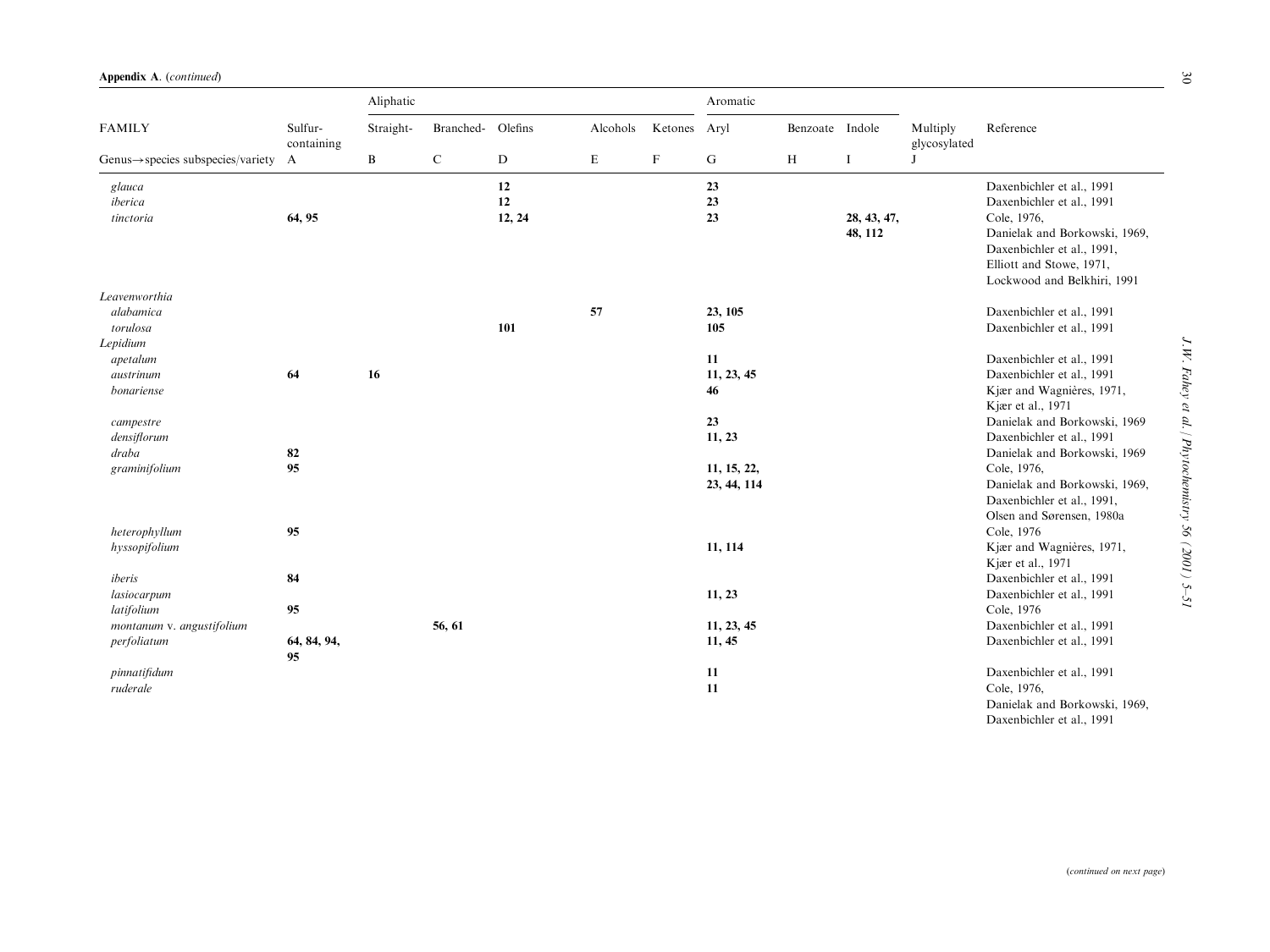|                                                  | Sulfur-<br>containing | Aliphatic |                   |        |          | Aromatic                  |             |                 |             |                          |                               |
|--------------------------------------------------|-----------------------|-----------|-------------------|--------|----------|---------------------------|-------------|-----------------|-------------|--------------------------|-------------------------------|
| <b>FAMILY</b>                                    |                       | Straight- | Branched- Olefins |        | Alcohols | Ketones Aryl              |             | Benzoate Indole |             | Multiply<br>glycosylated | Reference                     |
| Genus $\rightarrow$ species subspecies/variety A |                       | B         | $\mathbf C$       | D      | E        | $\boldsymbol{\mathrm{F}}$ | G           | H               | I           | J                        |                               |
| glauca                                           |                       |           |                   | 12     |          |                           | 23          |                 |             |                          | Daxenbichler et al., 1991     |
| iberica                                          |                       |           |                   | 12     |          |                           | 23          |                 |             |                          | Daxenbichler et al., 1991     |
| tinctoria                                        | 64, 95                |           |                   | 12, 24 |          |                           | 23          |                 | 28, 43, 47, |                          | Cole, 1976,                   |
|                                                  |                       |           |                   |        |          |                           |             |                 | 48, 112     |                          | Danielak and Borkowski, 1969, |
|                                                  |                       |           |                   |        |          |                           |             |                 |             |                          | Daxenbichler et al., 1991,    |
|                                                  |                       |           |                   |        |          |                           |             |                 |             |                          | Elliott and Stowe, 1971,      |
|                                                  |                       |           |                   |        |          |                           |             |                 |             |                          | Lockwood and Belkhiri, 1991   |
| Leavenworthia<br>alabamica                       |                       |           |                   |        | 57       |                           |             |                 |             |                          |                               |
|                                                  |                       |           |                   |        |          |                           | 23, 105     |                 |             |                          | Daxenbichler et al., 1991     |
| torulosa                                         |                       |           |                   | 101    |          |                           | 105         |                 |             |                          | Daxenbichler et al., 1991     |
| Lepidium<br>apetalum                             |                       |           |                   |        |          |                           | 11          |                 |             |                          | Daxenbichler et al., 1991     |
| austrinum                                        | 64                    | 16        |                   |        |          |                           | 11, 23, 45  |                 |             |                          | Daxenbichler et al., 1991     |
| bonariense                                       |                       |           |                   |        |          |                           | 46          |                 |             |                          | Kjær and Wagnières, 1971,     |
|                                                  |                       |           |                   |        |          |                           |             |                 |             |                          | Kjær et al., 1971             |
| campestre                                        |                       |           |                   |        |          |                           | 23          |                 |             |                          | Danielak and Borkowski, 1969  |
| densiflorum                                      |                       |           |                   |        |          |                           | 11, 23      |                 |             |                          | Daxenbichler et al., 1991     |
| draba                                            | 82                    |           |                   |        |          |                           |             |                 |             |                          | Danielak and Borkowski, 1969  |
| graminifolium                                    | 95                    |           |                   |        |          |                           | 11, 15, 22, |                 |             |                          | Cole, 1976,                   |
|                                                  |                       |           |                   |        |          |                           | 23, 44, 114 |                 |             |                          | Danielak and Borkowski, 1969, |
|                                                  |                       |           |                   |        |          |                           |             |                 |             |                          | Daxenbichler et al., 1991,    |
|                                                  |                       |           |                   |        |          |                           |             |                 |             |                          | Olsen and Sørensen, 1980a     |
| heterophyllum                                    | 95                    |           |                   |        |          |                           |             |                 |             |                          | Cole, 1976                    |
| hyssopifolium                                    |                       |           |                   |        |          |                           | 11, 114     |                 |             |                          | Kjær and Wagnières, 1971,     |
|                                                  |                       |           |                   |        |          |                           |             |                 |             |                          | Kjær et al., 1971             |
| iberis                                           | 84                    |           |                   |        |          |                           |             |                 |             |                          | Daxenbichler et al., 1991     |
| lasiocarpum                                      |                       |           |                   |        |          |                           | 11, 23      |                 |             |                          | Daxenbichler et al., 1991     |
| latifolium                                       | 95                    |           |                   |        |          |                           |             |                 |             |                          | Cole, 1976                    |
| montanum v. angustifolium                        |                       |           | 56, 61            |        |          |                           | 11, 23, 45  |                 |             |                          | Daxenbichler et al., 1991     |
| perfoliatum                                      | 64, 84, 94,           |           |                   |        |          |                           | 11, 45      |                 |             |                          | Daxenbichler et al., 1991     |
|                                                  | 95                    |           |                   |        |          |                           |             |                 |             |                          |                               |
| pinnatifidum                                     |                       |           |                   |        |          |                           | 11          |                 |             |                          | Daxenbichler et al., 1991     |
| ruderale                                         |                       |           |                   |        |          |                           | 11          |                 |             |                          | Cole, 1976,                   |
|                                                  |                       |           |                   |        |          |                           |             |                 |             |                          | Danielak and Borkowski, 1969, |
|                                                  |                       |           |                   |        |          |                           |             |                 |             |                          | Daxenbichler et al., 1991     |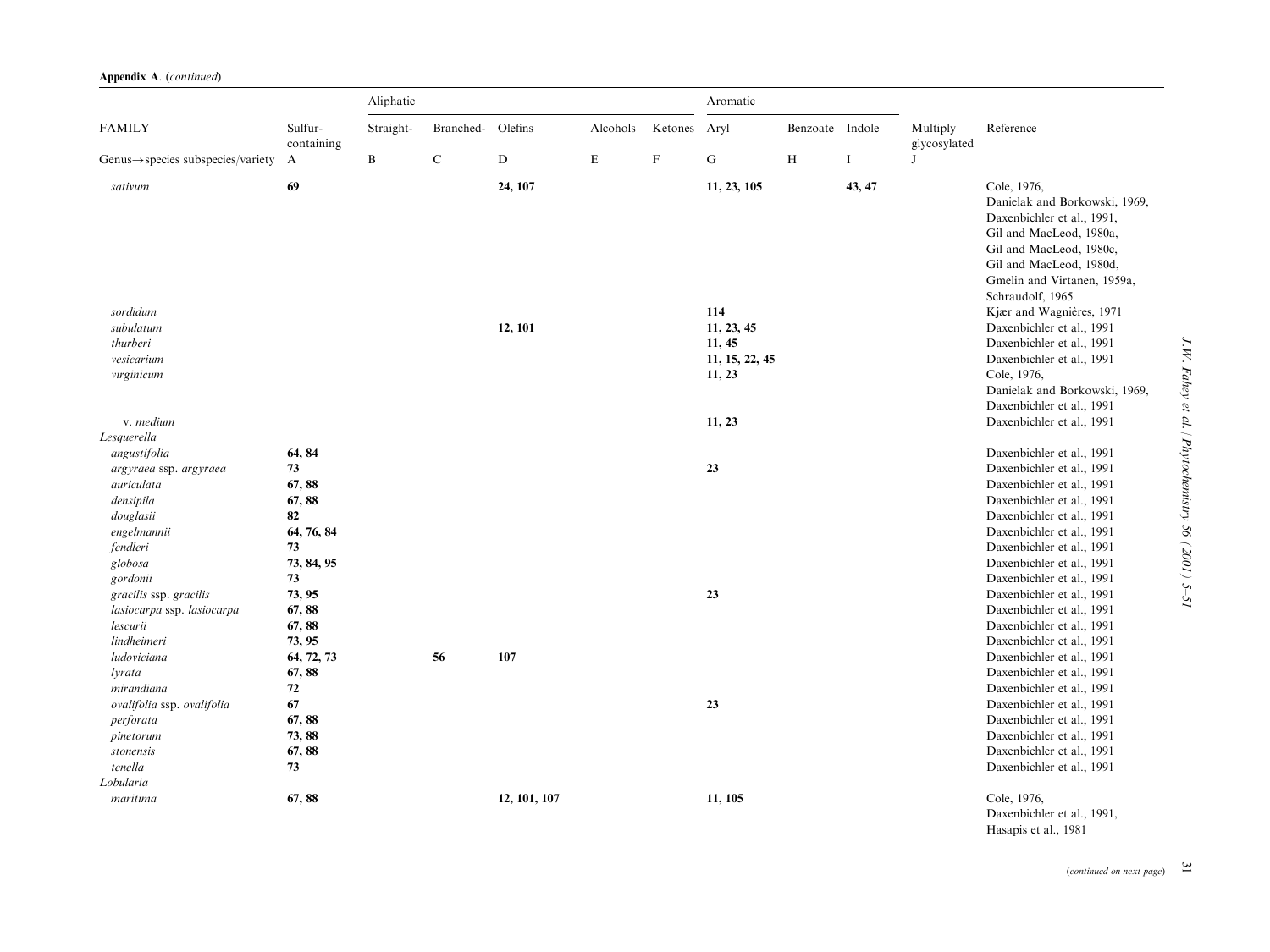|                                                |                       | Aliphatic    |                   | Aromatic     |          |             |                |                 |        |                          |                                                                                                                                                                                                                |
|------------------------------------------------|-----------------------|--------------|-------------------|--------------|----------|-------------|----------------|-----------------|--------|--------------------------|----------------------------------------------------------------------------------------------------------------------------------------------------------------------------------------------------------------|
| <b>FAMILY</b>                                  | Sulfur-<br>containing | Straight-    | Branched- Olefins |              | Alcohols | Ketones     | Aryl           | Benzoate Indole |        | Multiply<br>glycosylated | Reference                                                                                                                                                                                                      |
| $Genus \rightarrow species$ subspecies/variety | A                     | $\, {\bf B}$ | $\mathbf C$       | ${\rm D}$    | E        | $\mathbf F$ | ${\bf G}$      | H               | Ι.     | J                        |                                                                                                                                                                                                                |
| sativum                                        | 69                    |              |                   | 24, 107      |          |             | 11, 23, 105    |                 | 43, 47 |                          | Cole, 1976,<br>Danielak and Borkowski, 1969,<br>Daxenbichler et al., 1991,<br>Gil and MacLeod, 1980a,<br>Gil and MacLeod, 1980c,<br>Gil and MacLeod, 1980d,<br>Gmelin and Virtanen, 1959a,<br>Schraudolf, 1965 |
| sordidum                                       |                       |              |                   |              |          |             | 114            |                 |        |                          | Kjær and Wagnières, 1971                                                                                                                                                                                       |
| subulatum                                      |                       |              |                   | 12, 101      |          |             | 11, 23, 45     |                 |        |                          | Daxenbichler et al., 1991                                                                                                                                                                                      |
| thurberi                                       |                       |              |                   |              |          |             | 11, 45         |                 |        |                          | Daxenbichler et al., 1991                                                                                                                                                                                      |
| vesicarium                                     |                       |              |                   |              |          |             | 11, 15, 22, 45 |                 |        |                          | Daxenbichler et al., 1991                                                                                                                                                                                      |
| virginicum                                     |                       |              |                   |              |          |             | 11, 23         |                 |        |                          | Cole, 1976,                                                                                                                                                                                                    |
|                                                |                       |              |                   |              |          |             |                |                 |        |                          | Danielak and Borkowski, 1969,                                                                                                                                                                                  |
|                                                |                       |              |                   |              |          |             |                |                 |        |                          | Daxenbichler et al., 1991                                                                                                                                                                                      |
| v. medium                                      |                       |              |                   |              |          |             | 11, 23         |                 |        |                          | Daxenbichler et al., 1991                                                                                                                                                                                      |
| Lesquerella                                    |                       |              |                   |              |          |             |                |                 |        |                          |                                                                                                                                                                                                                |
| angustifolia                                   | 64, 84                |              |                   |              |          |             |                |                 |        |                          | Daxenbichler et al., 1991                                                                                                                                                                                      |
| argyraea ssp. argyraea                         | 73                    |              |                   |              |          |             | 23             |                 |        |                          | Daxenbichler et al., 1991                                                                                                                                                                                      |
| auriculata                                     | 67,88                 |              |                   |              |          |             |                |                 |        |                          | Daxenbichler et al., 1991                                                                                                                                                                                      |
| densipila                                      | 67,88                 |              |                   |              |          |             |                |                 |        |                          | Daxenbichler et al., 1991                                                                                                                                                                                      |
| douglasii                                      | 82                    |              |                   |              |          |             |                |                 |        |                          | Daxenbichler et al., 1991                                                                                                                                                                                      |
| engelmannii                                    | 64, 76, 84            |              |                   |              |          |             |                |                 |        |                          | Daxenbichler et al., 1991                                                                                                                                                                                      |
| fendleri                                       | 73                    |              |                   |              |          |             |                |                 |        |                          | Daxenbichler et al., 1991                                                                                                                                                                                      |
| globosa                                        | 73, 84, 95            |              |                   |              |          |             |                |                 |        |                          | Daxenbichler et al., 1991                                                                                                                                                                                      |
| gordonii                                       | 73                    |              |                   |              |          |             |                |                 |        |                          | Daxenbichler et al., 1991                                                                                                                                                                                      |
| gracilis ssp. gracilis                         | 73, 95                |              |                   |              |          |             | 23             |                 |        |                          | Daxenbichler et al., 1991                                                                                                                                                                                      |
| lasiocarpa ssp. lasiocarpa                     | 67,88                 |              |                   |              |          |             |                |                 |        |                          | Daxenbichler et al., 1991                                                                                                                                                                                      |
| lescurii                                       | 67,88                 |              |                   |              |          |             |                |                 |        |                          | Daxenbichler et al., 1991                                                                                                                                                                                      |
| lindheimeri                                    | 73, 95                |              |                   |              |          |             |                |                 |        |                          | Daxenbichler et al., 1991                                                                                                                                                                                      |
| ludoviciana                                    | 64, 72, 73            |              | 56                | 107          |          |             |                |                 |        |                          | Daxenbichler et al., 1991                                                                                                                                                                                      |
| <i>lyrata</i>                                  | 67,88                 |              |                   |              |          |             |                |                 |        |                          | Daxenbichler et al., 1991                                                                                                                                                                                      |
| mirandiana                                     | $72\,$                |              |                   |              |          |             |                |                 |        |                          | Daxenbichler et al., 1991                                                                                                                                                                                      |
| ovalifolia ssp. ovalifolia                     | 67                    |              |                   |              |          |             | 23             |                 |        |                          | Daxenbichler et al., 1991                                                                                                                                                                                      |
| perforata                                      | 67,88                 |              |                   |              |          |             |                |                 |        |                          | Daxenbichler et al., 1991                                                                                                                                                                                      |
| pinetorum                                      | 73, 88                |              |                   |              |          |             |                |                 |        |                          | Daxenbichler et al., 1991<br>Daxenbichler et al., 1991                                                                                                                                                         |
| stonensis<br>tenella                           | 67,88<br>73           |              |                   |              |          |             |                |                 |        |                          | Daxenbichler et al., 1991                                                                                                                                                                                      |
| Lobularia                                      |                       |              |                   |              |          |             |                |                 |        |                          |                                                                                                                                                                                                                |
| maritima                                       | 67, 88                |              |                   | 12, 101, 107 |          |             | 11, 105        |                 |        |                          | Cole, 1976,                                                                                                                                                                                                    |
|                                                |                       |              |                   |              |          |             |                |                 |        |                          | Daxenbichler et al., 1991,                                                                                                                                                                                     |

(continued on next page)  $\Box$ 

J.W. Fahey et al. / Phytochemistry 56 (2001) 5-51 J.W. Fahey et al. / Phytochemistry 56 (2001) 5–51

Hasapis et al., 1981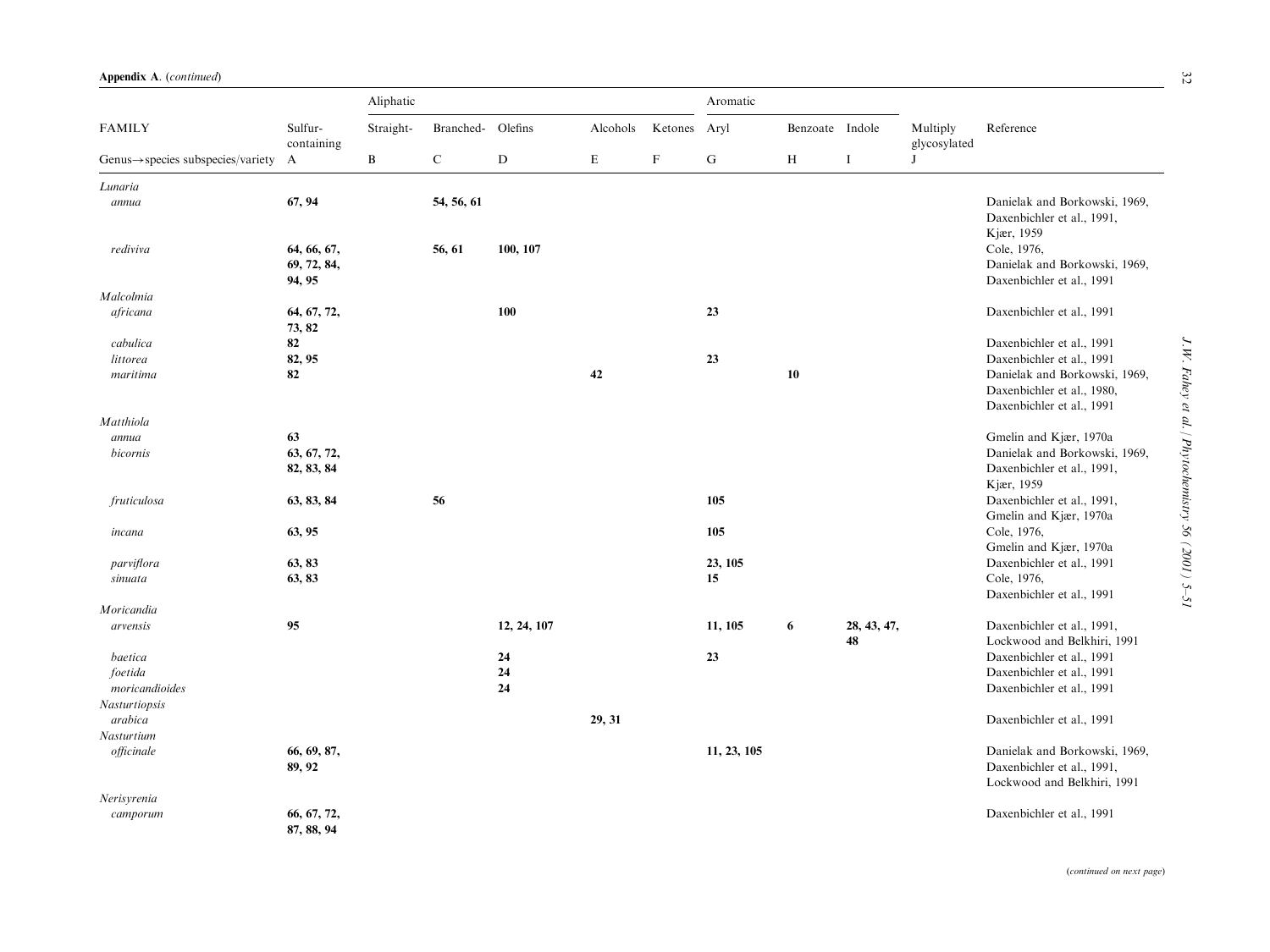|                                                | Sulfur-<br>containing                | Aliphatic |                   |             |          |              |             |                 |                   |                          |                                                                           |
|------------------------------------------------|--------------------------------------|-----------|-------------------|-------------|----------|--------------|-------------|-----------------|-------------------|--------------------------|---------------------------------------------------------------------------|
| <b>FAMILY</b>                                  |                                      | Straight- | Branched- Olefins |             | Alcohols | Ketones Aryl |             | Benzoate Indole |                   | Multiply<br>glycosylated | Reference                                                                 |
| $Genus \rightarrow species$ subspecies/variety | A                                    | B         | $\mathbf C$       | $\mathbf D$ | E        | $\mathbf F$  | ${\bf G}$   | H               | $\bf{I}$          | J                        |                                                                           |
| Lunaria                                        |                                      |           |                   |             |          |              |             |                 |                   |                          |                                                                           |
| annua                                          | 67, 94                               |           | 54, 56, 61        |             |          |              |             |                 |                   |                          | Danielak and Borkowski, 1969,<br>Daxenbichler et al., 1991,<br>Kjær, 1959 |
| rediviva                                       | 64, 66, 67,<br>69, 72, 84,<br>94, 95 |           | 56, 61            | 100, 107    |          |              |             |                 |                   |                          | Cole, 1976,<br>Danielak and Borkowski, 1969,<br>Daxenbichler et al., 1991 |
| Malcolmia                                      |                                      |           |                   |             |          |              |             |                 |                   |                          |                                                                           |
| africana                                       | 64, 67, 72,<br>73, 82                |           |                   | 100         |          |              | 23          |                 |                   |                          | Daxenbichler et al., 1991                                                 |
| cabulica                                       | 82                                   |           |                   |             |          |              |             |                 |                   |                          | Daxenbichler et al., 1991                                                 |
| littorea                                       | 82, 95                               |           |                   |             |          |              | 23          |                 |                   |                          | Daxenbichler et al., 1991                                                 |
| maritima                                       | 82                                   |           |                   |             | 42       |              |             | 10              |                   |                          | Danielak and Borkowski, 1969,                                             |
|                                                |                                      |           |                   |             |          |              |             |                 |                   |                          | Daxenbichler et al., 1980,<br>Daxenbichler et al., 1991                   |
| Matthiola                                      |                                      |           |                   |             |          |              |             |                 |                   |                          |                                                                           |
| annua                                          | 63                                   |           |                   |             |          |              |             |                 |                   |                          | Gmelin and Kjær, 1970a                                                    |
| bicornis                                       | 63, 67, 72,                          |           |                   |             |          |              |             |                 |                   |                          | Danielak and Borkowski, 1969,                                             |
|                                                | 82, 83, 84                           |           |                   |             |          |              |             |                 |                   |                          | Daxenbichler et al., 1991,                                                |
|                                                |                                      |           |                   |             |          |              |             |                 |                   |                          | Kjær, 1959                                                                |
| fruticulosa                                    | 63, 83, 84                           |           | 56                |             |          |              | 105         |                 |                   |                          | Daxenbichler et al., 1991,                                                |
|                                                |                                      |           |                   |             |          |              |             |                 |                   |                          | Gmelin and Kjær, 1970a                                                    |
| incana                                         | 63, 95                               |           |                   |             |          |              | 105         |                 |                   |                          | Cole, 1976,                                                               |
|                                                |                                      |           |                   |             |          |              |             |                 |                   |                          | Gmelin and Kjær, 1970a                                                    |
| parviflora                                     | 63, 83                               |           |                   |             |          |              | 23, 105     |                 |                   |                          | Daxenbichler et al., 1991                                                 |
|                                                | 63, 83                               |           |                   |             |          |              | 15          |                 |                   |                          | Cole, 1976,                                                               |
| sinuata                                        |                                      |           |                   |             |          |              |             |                 |                   |                          | Daxenbichler et al., 1991                                                 |
|                                                |                                      |           |                   |             |          |              |             |                 |                   |                          |                                                                           |
| Moricandia                                     |                                      |           |                   |             |          |              |             |                 |                   |                          |                                                                           |
| arvensis                                       | 95                                   |           |                   | 12, 24, 107 |          |              | 11, 105     | 6               | 28, 43, 47,<br>48 |                          | Daxenbichler et al., 1991,<br>Lockwood and Belkhiri, 1991                 |
| baetica                                        |                                      |           |                   | 24          |          |              | 23          |                 |                   |                          | Daxenbichler et al., 1991                                                 |
| foetida                                        |                                      |           |                   | 24          |          |              |             |                 |                   |                          | Daxenbichler et al., 1991                                                 |
| moricandioides                                 |                                      |           |                   | 24          |          |              |             |                 |                   |                          | Daxenbichler et al., 1991                                                 |
| Nasturtiopsis                                  |                                      |           |                   |             |          |              |             |                 |                   |                          |                                                                           |
| arabica                                        |                                      |           |                   |             | 29, 31   |              |             |                 |                   |                          | Daxenbichler et al., 1991                                                 |
| Nasturtium                                     |                                      |           |                   |             |          |              |             |                 |                   |                          |                                                                           |
| officinale                                     | 66, 69, 87,                          |           |                   |             |          |              | 11, 23, 105 |                 |                   |                          | Danielak and Borkowski, 1969,                                             |
|                                                | 89, 92                               |           |                   |             |          |              |             |                 |                   |                          | Daxenbichler et al., 1991,<br>Lockwood and Belkhiri, 1991                 |
| Nerisyrenia                                    |                                      |           |                   |             |          |              |             |                 |                   |                          |                                                                           |
| camporum                                       | 66, 67, 72,<br>87, 88, 94            |           |                   |             |          |              |             |                 |                   |                          | Daxenbichler et al., 1991                                                 |
|                                                |                                      |           |                   |             |          |              |             |                 |                   |                          |                                                                           |

32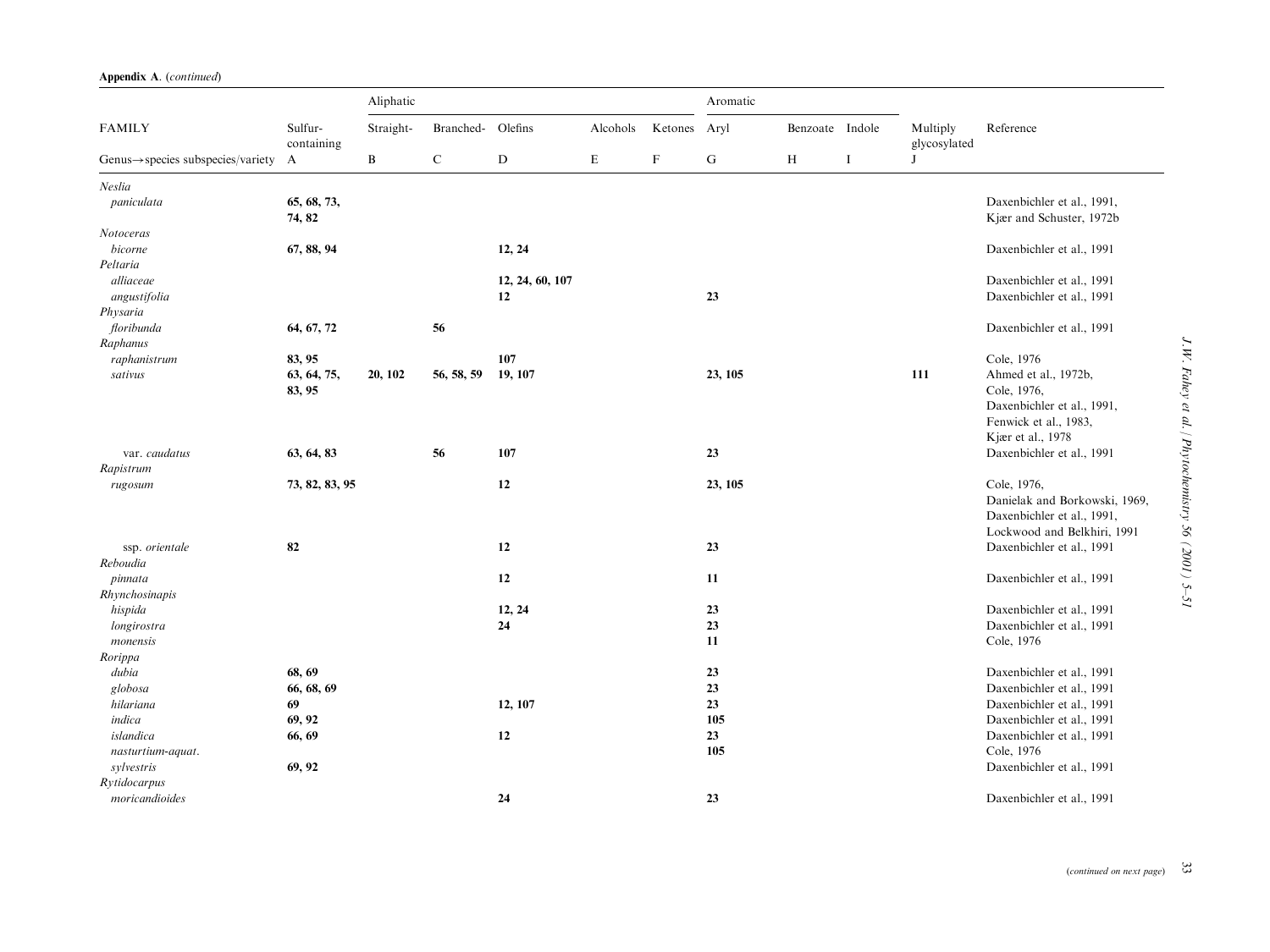|                                                |                       | Aliphatic |            |                 |          |             |         |                 |          |                          |                                                        |
|------------------------------------------------|-----------------------|-----------|------------|-----------------|----------|-------------|---------|-----------------|----------|--------------------------|--------------------------------------------------------|
| <b>FAMILY</b>                                  | Sulfur-<br>containing | Straight- | Branched-  | Olefins         | Alcohols | Ketones     | Aryl    | Benzoate Indole |          | Multiply<br>glycosylated | Reference                                              |
| $Genus \rightarrow species$ subspecies/variety | A                     | B         | ${\bf C}$  | ${\rm D}$       | E        | $\mathbf F$ | G       | H               | $\bf{I}$ | J                        |                                                        |
| Neslia                                         |                       |           |            |                 |          |             |         |                 |          |                          |                                                        |
| paniculata                                     | 65, 68, 73,<br>74, 82 |           |            |                 |          |             |         |                 |          |                          | Daxenbichler et al., 1991,<br>Kjær and Schuster, 1972b |
| Notoceras                                      |                       |           |            |                 |          |             |         |                 |          |                          |                                                        |
| bicorne                                        | 67, 88, 94            |           |            | 12, 24          |          |             |         |                 |          |                          | Daxenbichler et al., 1991                              |
| Peltaria                                       |                       |           |            |                 |          |             |         |                 |          |                          |                                                        |
| alliaceae                                      |                       |           |            | 12, 24, 60, 107 |          |             |         |                 |          |                          | Daxenbichler et al., 1991                              |
| angustifolia                                   |                       |           |            | 12              |          |             | 23      |                 |          |                          | Daxenbichler et al., 1991                              |
| Physaria                                       |                       |           |            |                 |          |             |         |                 |          |                          |                                                        |
| floribunda<br>Raphanus                         | 64, 67, 72            |           | 56         |                 |          |             |         |                 |          |                          | Daxenbichler et al., 1991                              |
| raphanistrum                                   | 83, 95                |           |            | 107             |          |             |         |                 |          |                          | Cole, 1976                                             |
| sativus                                        | 63, 64, 75,           | 20, 102   | 56, 58, 59 | 19, 107         |          |             | 23, 105 |                 |          | 111                      | Ahmed et al., 1972b,                                   |
|                                                | 83, 95                |           |            |                 |          |             |         |                 |          |                          | Cole, 1976,                                            |
|                                                |                       |           |            |                 |          |             |         |                 |          |                          | Daxenbichler et al., 1991,                             |
|                                                |                       |           |            |                 |          |             |         |                 |          |                          | Fenwick et al., 1983,                                  |
|                                                |                       |           |            |                 |          |             |         |                 |          |                          | Kjær et al., 1978                                      |
| var. caudatus                                  | 63, 64, 83            |           | 56         | 107             |          |             | 23      |                 |          |                          | Daxenbichler et al., 1991                              |
| Rapistrum                                      |                       |           |            |                 |          |             |         |                 |          |                          |                                                        |
| rugosum                                        | 73, 82, 83, 95        |           |            | 12              |          |             | 23, 105 |                 |          |                          | Cole, 1976,                                            |
|                                                |                       |           |            |                 |          |             |         |                 |          |                          | Danielak and Borkowski, 1969,                          |
|                                                |                       |           |            |                 |          |             |         |                 |          |                          | Daxenbichler et al., 1991,                             |
|                                                |                       |           |            |                 |          |             |         |                 |          |                          | Lockwood and Belkhiri, 1991                            |
| ssp. orientale                                 | 82                    |           |            | 12              |          |             | 23      |                 |          |                          | Daxenbichler et al., 1991                              |
| Reboudia                                       |                       |           |            |                 |          |             |         |                 |          |                          |                                                        |
| pinnata<br>Rhynchosinapis                      |                       |           |            | 12              |          |             | 11      |                 |          |                          | Daxenbichler et al., 1991                              |
|                                                |                       |           |            | 12, 24          |          |             | 23      |                 |          |                          | Daxenbichler et al., 1991                              |
| hispida<br>longirostra                         |                       |           |            | 24              |          |             | 23      |                 |          |                          | Daxenbichler et al., 1991                              |
| monensis                                       |                       |           |            |                 |          |             | 11      |                 |          |                          | Cole, 1976                                             |
| Rorippa                                        |                       |           |            |                 |          |             |         |                 |          |                          |                                                        |
| dubia                                          | 68, 69                |           |            |                 |          |             | 23      |                 |          |                          | Daxenbichler et al., 1991                              |
| globosa                                        | 66, 68, 69            |           |            |                 |          |             | 23      |                 |          |                          | Daxenbichler et al., 1991                              |
| hilariana                                      | 69                    |           |            | 12, 107         |          |             | 23      |                 |          |                          | Daxenbichler et al., 1991                              |
| indica                                         | 69, 92                |           |            |                 |          |             | 105     |                 |          |                          | Daxenbichler et al., 1991                              |
| islandica                                      | 66, 69                |           |            | 12              |          |             | 23      |                 |          |                          | Daxenbichler et al., 1991                              |
| nasturtium-aquat.                              |                       |           |            |                 |          |             | 105     |                 |          |                          | Cole, 1976                                             |
| sylvestris                                     | 69, 92                |           |            |                 |          |             |         |                 |          |                          | Daxenbichler et al., 1991                              |
| Rytidocarpus                                   |                       |           |            |                 |          |             |         |                 |          |                          |                                                        |
| moricandioides                                 |                       |           |            | 24              |          |             | 23      |                 |          |                          | Daxenbichler et al., 1991                              |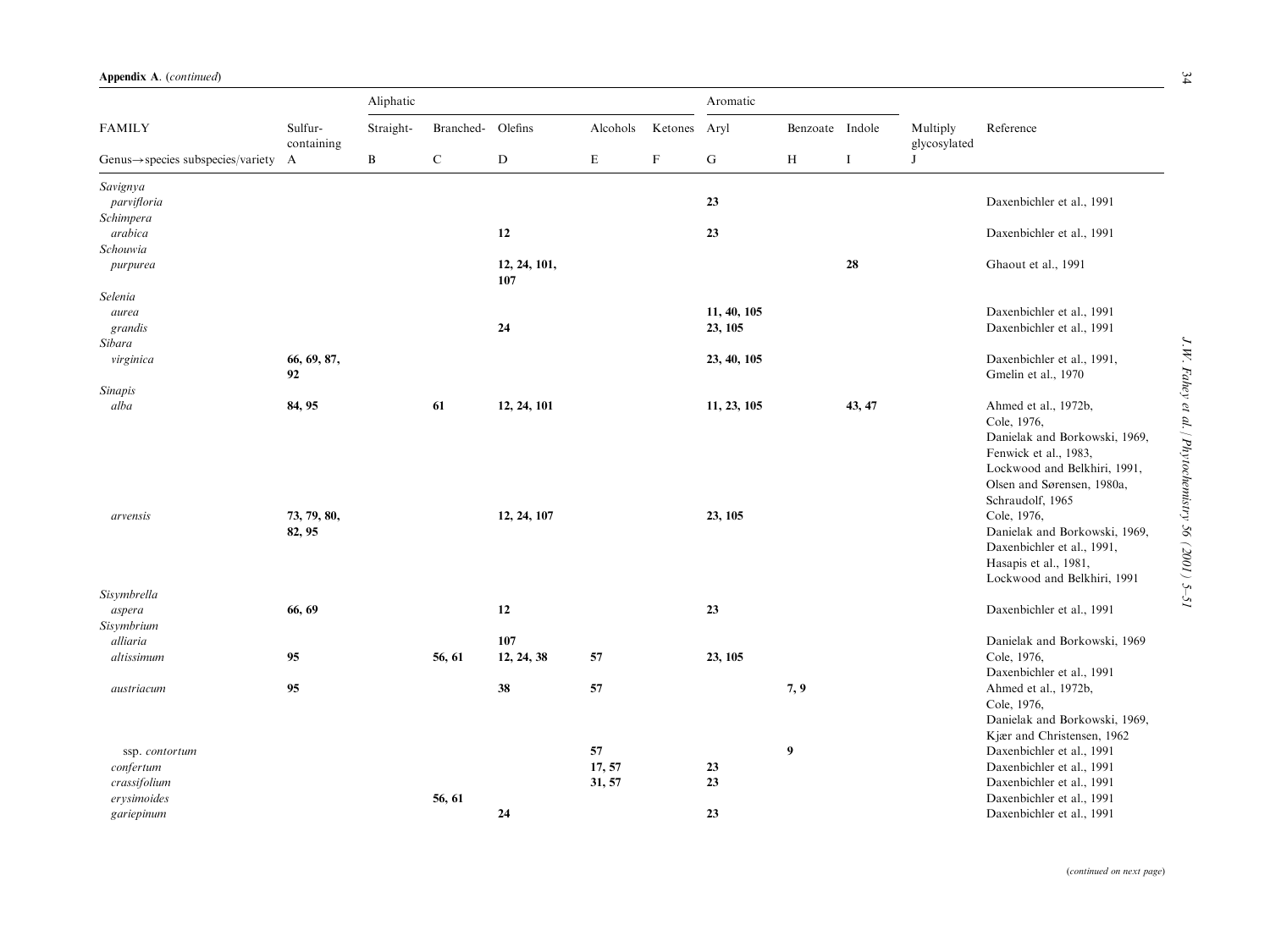|                                                | Sulfur-<br>containing | Aliphatic    |           |                     |             |             | Aromatic    |                  |             |                          |                                                                                                                                                                                 |
|------------------------------------------------|-----------------------|--------------|-----------|---------------------|-------------|-------------|-------------|------------------|-------------|--------------------------|---------------------------------------------------------------------------------------------------------------------------------------------------------------------------------|
| <b>FAMILY</b>                                  |                       | Straight-    | Branched- | Olefins             | Alcohols    | Ketones     | Aryl        | Benzoate Indole  |             | Multiply<br>glycosylated | Reference                                                                                                                                                                       |
| $Genus \rightarrow species$ subspecies/variety | $\mathbf{A}$          | $\, {\bf B}$ | ${\bf C}$ | ${\bf D}$           | $\mathbf E$ | $\mathbf F$ | $\mathbf G$ | $\, {\rm H}$     | $\mathbf I$ | J                        |                                                                                                                                                                                 |
| Savignya                                       |                       |              |           |                     |             |             |             |                  |             |                          |                                                                                                                                                                                 |
| parvifloria                                    |                       |              |           |                     |             |             | 23          |                  |             |                          | Daxenbichler et al., 1991                                                                                                                                                       |
| Schimpera                                      |                       |              |           |                     |             |             |             |                  |             |                          |                                                                                                                                                                                 |
| arabica                                        |                       |              |           | 12                  |             |             | 23          |                  |             |                          | Daxenbichler et al., 1991                                                                                                                                                       |
| Schouwia                                       |                       |              |           |                     |             |             |             |                  |             |                          |                                                                                                                                                                                 |
| purpurea                                       |                       |              |           | 12, 24, 101,<br>107 |             |             |             |                  | 28          |                          | Ghaout et al., 1991                                                                                                                                                             |
| Selenia                                        |                       |              |           |                     |             |             |             |                  |             |                          |                                                                                                                                                                                 |
| aurea                                          |                       |              |           |                     |             |             | 11, 40, 105 |                  |             |                          | Daxenbichler et al., 1991                                                                                                                                                       |
| grandis                                        |                       |              |           | 24                  |             |             | 23, 105     |                  |             |                          | Daxenbichler et al., 1991                                                                                                                                                       |
| Sibara                                         |                       |              |           |                     |             |             |             |                  |             |                          |                                                                                                                                                                                 |
| virginica                                      | 66, 69, 87,<br>92     |              |           |                     |             |             | 23, 40, 105 |                  |             |                          | Daxenbichler et al., 1991,<br>Gmelin et al., 1970                                                                                                                               |
| <b>Sinapis</b>                                 |                       |              |           |                     |             |             |             |                  |             |                          |                                                                                                                                                                                 |
| alba                                           | 84, 95                |              | 61        | 12, 24, 101         |             |             | 11, 23, 105 |                  | 43, 47      |                          | Ahmed et al., 1972b,<br>Cole, 1976,<br>Danielak and Borkowski, 1969,<br>Fenwick et al., 1983,<br>Lockwood and Belkhiri, 1991,<br>Olsen and Sørensen, 1980a,<br>Schraudolf, 1965 |
| arvensis                                       | 73, 79, 80,<br>82, 95 |              |           | 12, 24, 107         |             |             | 23, 105     |                  |             |                          | Cole, 1976,<br>Danielak and Borkowski, 1969,<br>Daxenbichler et al., 1991,<br>Hasapis et al., 1981,<br>Lockwood and Belkhiri, 1991                                              |
| Sisymbrella                                    |                       |              |           |                     |             |             |             |                  |             |                          |                                                                                                                                                                                 |
| aspera<br>Sisymbrium                           | 66, 69                |              |           | 12                  |             |             | 23          |                  |             |                          | Daxenbichler et al., 1991                                                                                                                                                       |
| alliaria                                       |                       |              |           | 107                 |             |             |             |                  |             |                          | Danielak and Borkowski, 1969                                                                                                                                                    |
| altissimum                                     | 95                    |              | 56, 61    | 12, 24, 38          | 57          |             | 23, 105     |                  |             |                          | Cole, 1976,                                                                                                                                                                     |
|                                                |                       |              |           |                     |             |             |             |                  |             |                          | Daxenbichler et al., 1991                                                                                                                                                       |
| austriacum                                     | 95                    |              |           | 38                  | 57          |             |             | 7, 9             |             |                          | Ahmed et al., 1972b,<br>Cole, 1976,                                                                                                                                             |
|                                                |                       |              |           |                     |             |             |             |                  |             |                          | Danielak and Borkowski, 1969,                                                                                                                                                   |
|                                                |                       |              |           |                     |             |             |             |                  |             |                          | Kjær and Christensen, 1962                                                                                                                                                      |
| ssp. contortum                                 |                       |              |           |                     | 57          |             |             | $\boldsymbol{9}$ |             |                          | Daxenbichler et al., 1991                                                                                                                                                       |
| confertum                                      |                       |              |           |                     | 17, 57      |             | 23          |                  |             |                          | Daxenbichler et al., 1991                                                                                                                                                       |
| crassifolium                                   |                       |              |           |                     | 31, 57      |             | 23          |                  |             |                          | Daxenbichler et al., 1991                                                                                                                                                       |
| erysimoides                                    |                       |              | 56, 61    |                     |             |             |             |                  |             |                          | Daxenbichler et al., 1991                                                                                                                                                       |
| gariepinum                                     |                       |              |           | 24                  |             |             | 23          |                  |             |                          | Daxenbichler et al., 1991                                                                                                                                                       |

34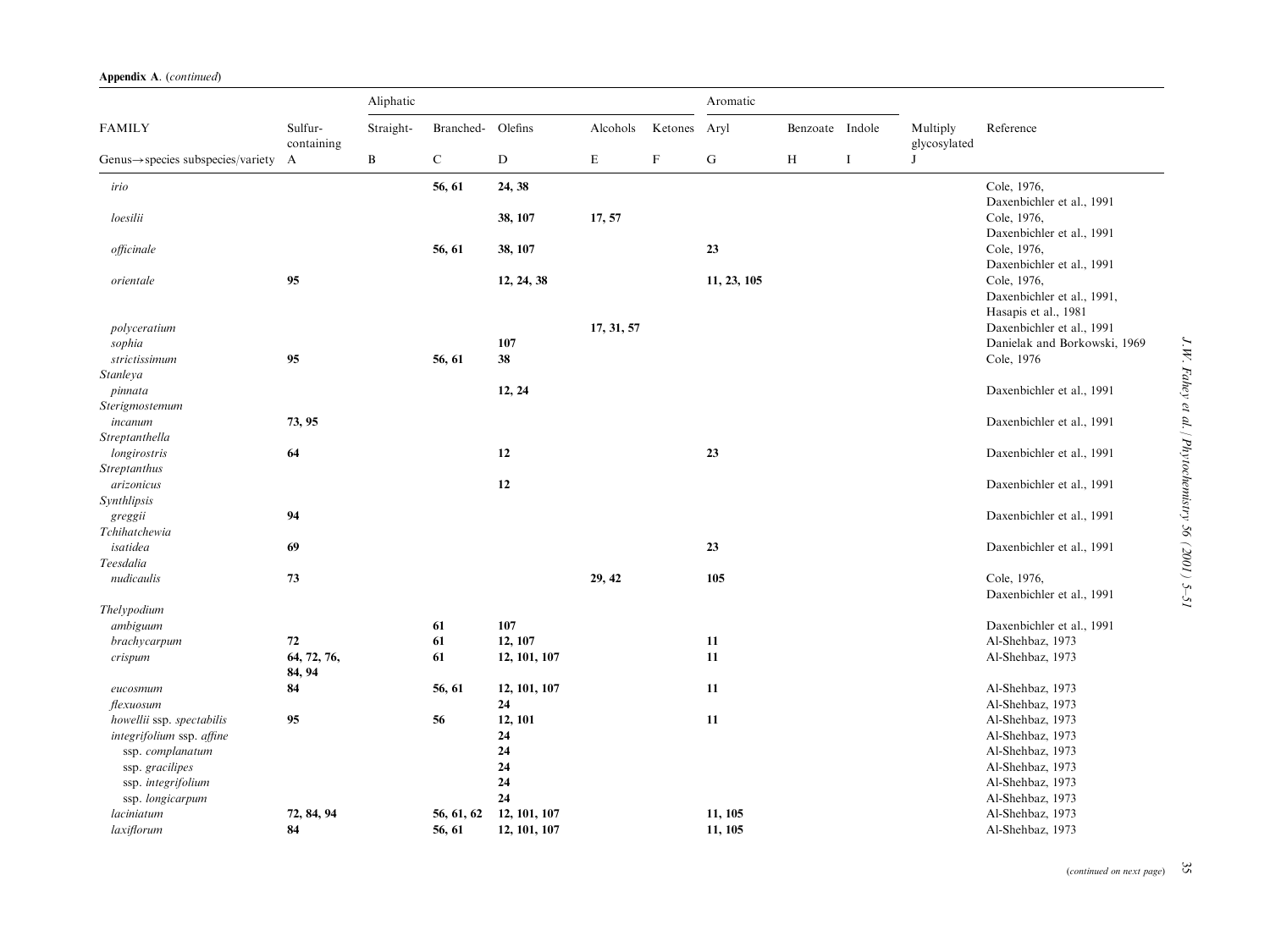|  | Appendix A. (continued) |
|--|-------------------------|
|  |                         |

|                                                |                       | Aliphatic<br>Aromatic |                   |              |            |             |             |                 |          |                          |                                                                   |
|------------------------------------------------|-----------------------|-----------------------|-------------------|--------------|------------|-------------|-------------|-----------------|----------|--------------------------|-------------------------------------------------------------------|
| <b>FAMILY</b>                                  | Sulfur-<br>containing | Straight-             | Branched- Olefins |              | Alcohols   | Ketones     | Aryl        | Benzoate Indole |          | Multiply<br>glycosylated | Reference                                                         |
| $Genus \rightarrow species$ subspecies/variety | A                     | $\, {\bf B}$          | ${\bf C}$         | ${\bf D}$    | E          | $\mathbf F$ | ${\bf G}$   | $\, {\rm H}$    | $\bf{I}$ | J                        |                                                                   |
| irio                                           |                       |                       | 56, 61            | 24, 38       |            |             |             |                 |          |                          | Cole, 1976,<br>Daxenbichler et al., 1991                          |
| loesilii                                       |                       |                       |                   | 38, 107      | 17, 57     |             |             |                 |          |                          | Cole, 1976,<br>Daxenbichler et al., 1991                          |
| officinale                                     |                       |                       | 56, 61            | 38, 107      |            |             | 23          |                 |          |                          | Cole, 1976,<br>Daxenbichler et al., 1991                          |
| orientale                                      | 95                    |                       |                   | 12, 24, 38   |            |             | 11, 23, 105 |                 |          |                          | Cole, 1976,<br>Daxenbichler et al., 1991,<br>Hasapis et al., 1981 |
| polyceratium                                   |                       |                       |                   |              | 17, 31, 57 |             |             |                 |          |                          | Daxenbichler et al., 1991                                         |
| sophia                                         |                       |                       |                   | 107          |            |             |             |                 |          |                          | Danielak and Borkowski, 1969                                      |
| strictissimum                                  | 95                    |                       | 56, 61            | 38           |            |             |             |                 |          |                          | Cole, 1976                                                        |
| Stanleya                                       |                       |                       |                   |              |            |             |             |                 |          |                          |                                                                   |
| pinnata                                        |                       |                       |                   | 12, 24       |            |             |             |                 |          |                          | Daxenbichler et al., 1991                                         |
| Sterigmostemum                                 |                       |                       |                   |              |            |             |             |                 |          |                          |                                                                   |
| incanum                                        | 73, 95                |                       |                   |              |            |             |             |                 |          |                          | Daxenbichler et al., 1991                                         |
| Streptanthella                                 |                       |                       |                   |              |            |             |             |                 |          |                          |                                                                   |
| longirostris                                   | 64                    |                       |                   | 12           |            |             | 23          |                 |          |                          | Daxenbichler et al., 1991                                         |
| Streptanthus                                   |                       |                       |                   |              |            |             |             |                 |          |                          |                                                                   |
| arizonicus                                     |                       |                       |                   | 12           |            |             |             |                 |          |                          | Daxenbichler et al., 1991                                         |
| Synthlipsis                                    |                       |                       |                   |              |            |             |             |                 |          |                          |                                                                   |
| greggii                                        | 94                    |                       |                   |              |            |             |             |                 |          |                          | Daxenbichler et al., 1991                                         |
| Tchihatchewia                                  |                       |                       |                   |              |            |             |             |                 |          |                          |                                                                   |
| isatidea                                       | 69                    |                       |                   |              |            |             | 23          |                 |          |                          | Daxenbichler et al., 1991                                         |
| Teesdalia                                      |                       |                       |                   |              |            |             |             |                 |          |                          |                                                                   |
| nudicaulis                                     | 73                    |                       |                   |              | 29, 42     |             | 105         |                 |          |                          | Cole, 1976,<br>Daxenbichler et al., 1991                          |
| Thelypodium                                    |                       |                       |                   |              |            |             |             |                 |          |                          |                                                                   |
| ambiguum                                       |                       |                       | 61                | 107          |            |             |             |                 |          |                          | Daxenbichler et al., 1991                                         |
| brachycarpum                                   | 72                    |                       | 61                | 12, 107      |            |             | 11          |                 |          |                          | Al-Shehbaz, 1973                                                  |
| crispum                                        | 64, 72, 76,<br>84, 94 |                       | 61                | 12, 101, 107 |            |             | 11          |                 |          |                          | Al-Shehbaz, 1973                                                  |
| eucosmum                                       | 84                    |                       | 56, 61            | 12, 101, 107 |            |             | 11          |                 |          |                          | Al-Shehbaz, 1973                                                  |
| flexuosum                                      |                       |                       |                   | 24           |            |             |             |                 |          |                          | Al-Shehbaz, 1973                                                  |
| howellii ssp. spectabilis                      | 95                    |                       | 56                | 12, 101      |            |             | 11          |                 |          |                          | Al-Shehbaz, 1973                                                  |
| integrifolium ssp. affine                      |                       |                       |                   | 24           |            |             |             |                 |          |                          | Al-Shehbaz, 1973                                                  |
| ssp. complanatum                               |                       |                       |                   | 24           |            |             |             |                 |          |                          | Al-Shehbaz, 1973                                                  |
| ssp. gracilipes                                |                       |                       |                   | 24           |            |             |             |                 |          |                          | Al-Shehbaz, 1973                                                  |
| ssp. integrifolium                             |                       |                       |                   | 24           |            |             |             |                 |          |                          | Al-Shehbaz, 1973                                                  |
| ssp. longicarpum                               |                       |                       |                   | 24           |            |             |             |                 |          |                          | Al-Shehbaz, 1973                                                  |
| laciniatum                                     | 72, 84, 94            |                       | 56, 61, 62        | 12, 101, 107 |            |             | 11, 105     |                 |          |                          | Al-Shehbaz, 1973                                                  |
| laxiflorum                                     | 84                    |                       | 56, 61            | 12, 101, 107 |            |             | 11, 105     |                 |          |                          | Al-Shehbaz, 1973                                                  |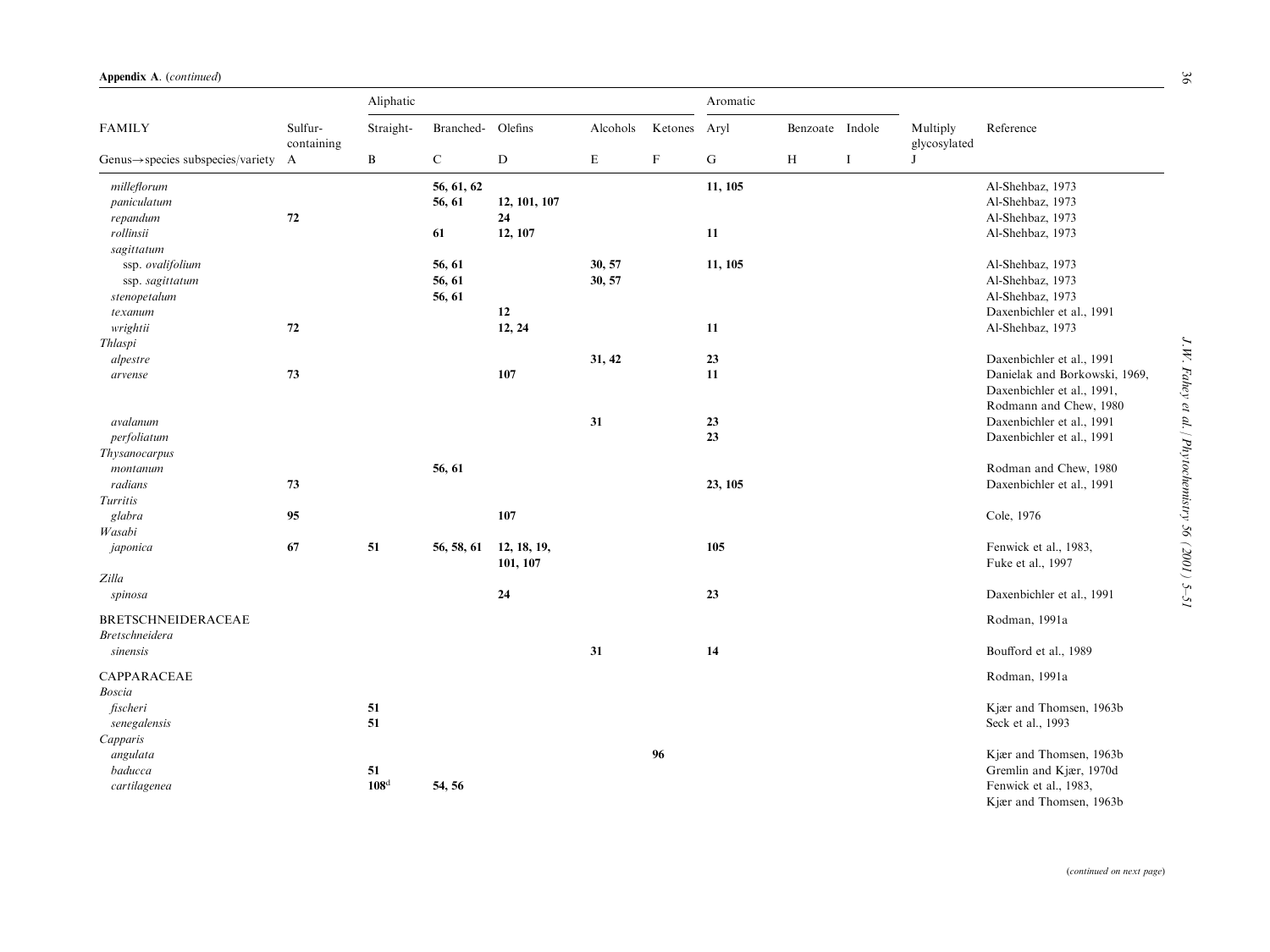|                                                                |                       | Aliphatic              |                            |                         |                  |                           | Aromatic     |                 |          |                          |                                                                                                        |
|----------------------------------------------------------------|-----------------------|------------------------|----------------------------|-------------------------|------------------|---------------------------|--------------|-----------------|----------|--------------------------|--------------------------------------------------------------------------------------------------------|
| <b>FAMILY</b>                                                  | Sulfur-<br>containing | Straight-              | Branched-                  | Olefins                 | Alcohols         | Ketones                   | Aryl         | Benzoate Indole |          | Multiply<br>glycosylated | Reference                                                                                              |
| $Genus \rightarrow species$ subspecies/variety                 | $\mathbf{A}$          | B                      | $\mathbf C$                | ${\bf D}$               | $\mathbf E$      | $\boldsymbol{\mathrm{F}}$ | ${\bf G}$    | H               | $\bf{I}$ | J                        |                                                                                                        |
| milleflorum<br>paniculatum                                     | 72                    |                        | 56, 61, 62<br>56, 61       | 12, 101, 107<br>24      |                  |                           | 11, 105      |                 |          |                          | Al-Shehbaz, 1973<br>Al-Shehbaz, 1973<br>Al-Shehbaz, 1973                                               |
| repandum<br>rollinsii<br>sagittatum                            |                       |                        | 61                         | 12, 107                 |                  |                           | 11           |                 |          |                          | Al-Shehbaz, 1973                                                                                       |
| ssp. ovalifolium<br>ssp. sagittatum<br>stenopetalum<br>texanum |                       |                        | 56, 61<br>56, 61<br>56, 61 | 12                      | 30, 57<br>30, 57 |                           | 11, 105      |                 |          |                          | Al-Shehbaz, 1973<br>Al-Shehbaz, 1973<br>Al-Shehbaz, 1973<br>Daxenbichler et al., 1991                  |
| wrightii<br>Thlaspi                                            | 72                    |                        |                            | 12, 24                  |                  |                           | 11           |                 |          |                          | Al-Shehbaz, 1973                                                                                       |
| alpestre<br>arvense                                            | 73                    |                        |                            | 107                     | 31, 42           |                           | 23<br>$11\,$ |                 |          |                          | Daxenbichler et al., 1991<br>Danielak and Borkowski, 1969,<br>Daxenbichler et al., 1991,               |
| avalanum<br>perfoliatum                                        |                       |                        |                            |                         | 31               |                           | 23<br>23     |                 |          |                          | Rodmann and Chew, 1980<br>Daxenbichler et al., 1991<br>Daxenbichler et al., 1991                       |
| Thysanocarpus<br>montanum<br>radians<br>Turritis               | 73                    |                        | 56, 61                     |                         |                  |                           | 23, 105      |                 |          |                          | Rodman and Chew, 1980<br>Daxenbichler et al., 1991                                                     |
| glabra<br>Wasabi                                               | 95                    |                        |                            | 107                     |                  |                           |              |                 |          |                          | Cole, 1976                                                                                             |
| japonica                                                       | 67                    | 51                     | 56, 58, 61                 | 12, 18, 19,<br>101, 107 |                  |                           | 105          |                 |          |                          | Fenwick et al., 1983,<br>Fuke et al., 1997                                                             |
| Zilla<br>spinosa                                               |                       |                        |                            | 24                      |                  |                           | 23           |                 |          |                          | Daxenbichler et al., 1991                                                                              |
| <b>BRETSCHNEIDERACEAE</b><br><b>Bretschneidera</b>             |                       |                        |                            |                         |                  |                           |              |                 |          |                          | Rodman, 1991a                                                                                          |
| sinensis                                                       |                       |                        |                            |                         | 31               |                           | 14           |                 |          |                          | Boufford et al., 1989                                                                                  |
| CAPPARACEAE<br>Boscia                                          |                       |                        |                            |                         |                  |                           |              |                 |          |                          | Rodman, 1991a                                                                                          |
| fischeri<br>senegalensis<br>Capparis                           |                       | 51<br>51               |                            |                         |                  |                           |              |                 |          |                          | Kjær and Thomsen, 1963b<br>Seck et al., 1993                                                           |
| angulata<br>baducca<br>cartilagenea                            |                       | 51<br>108 <sup>d</sup> | 54, 56                     |                         |                  | 96                        |              |                 |          |                          | Kjær and Thomsen, 1963b<br>Gremlin and Kjær, 1970d<br>Fenwick et al., 1983,<br>Kjær and Thomsen, 1963b |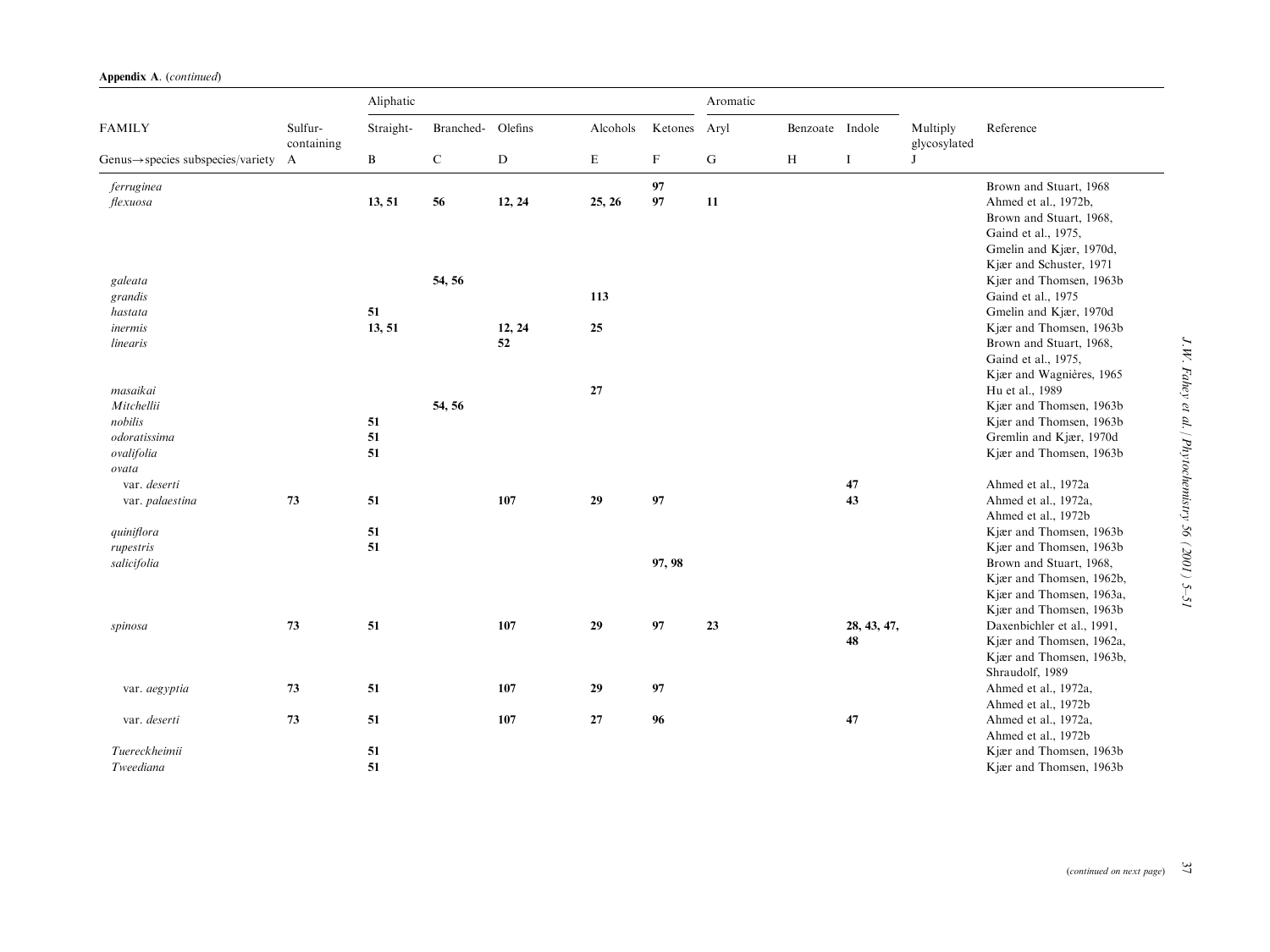|                                                  | Sulfur-<br>containing | Aliphatic |                   |           |             |              | Aromatic  |                 |             |                               |                                                    |
|--------------------------------------------------|-----------------------|-----------|-------------------|-----------|-------------|--------------|-----------|-----------------|-------------|-------------------------------|----------------------------------------------------|
| <b>FAMILY</b>                                    |                       | Straight- | Branched- Olefins |           | Alcohols    | Ketones Aryl |           | Benzoate Indole | $\bf I$     | Multiply<br>glycosylated<br>J | Reference                                          |
| Genus $\rightarrow$ species subspecies/variety A |                       | B         | ${\bf C}$         | ${\rm D}$ | $\mathbf E$ | $\mathbf F$  | ${\bf G}$ | $\, {\rm H}$    |             |                               |                                                    |
| ferruginea                                       |                       |           |                   |           |             | 97           |           |                 |             |                               | Brown and Stuart, 1968                             |
| flexuosa                                         |                       | 13, 51    | 56                | 12, 24    | 25, 26      | 97           | 11        |                 |             |                               | Ahmed et al., 1972b,                               |
|                                                  |                       |           |                   |           |             |              |           |                 |             |                               | Brown and Stuart, 1968,                            |
|                                                  |                       |           |                   |           |             |              |           |                 |             |                               | Gaind et al., 1975,                                |
|                                                  |                       |           |                   |           |             |              |           |                 |             |                               | Gmelin and Kjær, 1970d,                            |
|                                                  |                       |           |                   |           |             |              |           |                 |             |                               | Kjær and Schuster, 1971                            |
| galeata                                          |                       |           | 54, 56            |           |             |              |           |                 |             |                               | Kjær and Thomsen, 1963b                            |
| grandis                                          |                       |           |                   |           | 113         |              |           |                 |             |                               | Gaind et al., 1975                                 |
| hastata                                          |                       | 51        |                   |           |             |              |           |                 |             |                               | Gmelin and Kjær, 1970d                             |
| inermis                                          |                       | 13, 51    |                   | 12, 24    | 25          |              |           |                 |             |                               | Kjær and Thomsen, 1963b                            |
| linearis                                         |                       |           |                   | 52        |             |              |           |                 |             |                               | Brown and Stuart, 1968,                            |
|                                                  |                       |           |                   |           |             |              |           |                 |             |                               | Gaind et al., 1975,                                |
|                                                  |                       |           |                   |           |             |              |           |                 |             |                               | Kjær and Wagnières, 1965                           |
| masaikai                                         |                       |           |                   |           | $\bf 27$    |              |           |                 |             |                               | Hu et al., 1989                                    |
| Mitchellii                                       |                       |           | 54, 56            |           |             |              |           |                 |             |                               | Kjær and Thomsen, 1963b                            |
| nobilis<br>odoratissima                          |                       | 51        |                   |           |             |              |           |                 |             |                               | Kjær and Thomsen, 1963b<br>Gremlin and Kjær, 1970d |
| ovalifolia                                       |                       | 51<br>51  |                   |           |             |              |           |                 |             |                               | Kjær and Thomsen, 1963b                            |
| ovata                                            |                       |           |                   |           |             |              |           |                 |             |                               |                                                    |
| var. deserti                                     |                       |           |                   |           |             |              |           |                 | 47          |                               | Ahmed et al., 1972a                                |
| var. palaestina                                  | 73                    | 51        |                   | 107       | 29          | 97           |           |                 | 43          |                               | Ahmed et al., 1972a,                               |
|                                                  |                       |           |                   |           |             |              |           |                 |             |                               | Ahmed et al., 1972b                                |
| quiniflora                                       |                       | 51        |                   |           |             |              |           |                 |             |                               | Kjær and Thomsen, 1963b                            |
| rupestris                                        |                       | 51        |                   |           |             |              |           |                 |             |                               | Kjær and Thomsen, 1963b                            |
| salicifolia                                      |                       |           |                   |           |             | 97, 98       |           |                 |             |                               | Brown and Stuart, 1968,                            |
|                                                  |                       |           |                   |           |             |              |           |                 |             |                               | Kjær and Thomsen, 1962b,                           |
|                                                  |                       |           |                   |           |             |              |           |                 |             |                               | Kjær and Thomsen, 1963a,                           |
|                                                  |                       |           |                   |           |             |              |           |                 |             |                               | Kjær and Thomsen, 1963b                            |
| spinosa                                          | 73                    | 51        |                   | 107       | 29          | 97           | 23        |                 | 28, 43, 47, |                               | Daxenbichler et al., 1991,                         |
|                                                  |                       |           |                   |           |             |              |           |                 | 48          |                               | Kjær and Thomsen, 1962a,                           |
|                                                  |                       |           |                   |           |             |              |           |                 |             |                               | Kjær and Thomsen, 1963b,                           |
|                                                  |                       |           |                   |           |             |              |           |                 |             |                               | Shraudolf, 1989                                    |
| var. aegyptia                                    | 73                    | 51        |                   | 107       | 29          | 97           |           |                 |             |                               | Ahmed et al., 1972a,                               |
|                                                  |                       |           |                   |           |             |              |           |                 |             |                               | Ahmed et al., 1972b                                |
| var. deserti                                     | 73                    | 51        |                   | 107       | 27          | 96           |           |                 | 47          |                               | Ahmed et al., 1972a,                               |
|                                                  |                       |           |                   |           |             |              |           |                 |             |                               | Ahmed et al., 1972b                                |
| Tuereckheimii                                    |                       | 51        |                   |           |             |              |           |                 |             |                               | Kjær and Thomsen, 1963b                            |
| Tweediana                                        |                       | 51        |                   |           |             |              |           |                 |             |                               | Kjær and Thomsen, 1963b                            |

J.W. Fahey et al. / Phytochemistry 56 (2001) 5-51 J.W. Fahey et al. / Phytochemistry 56 (2001) 5–51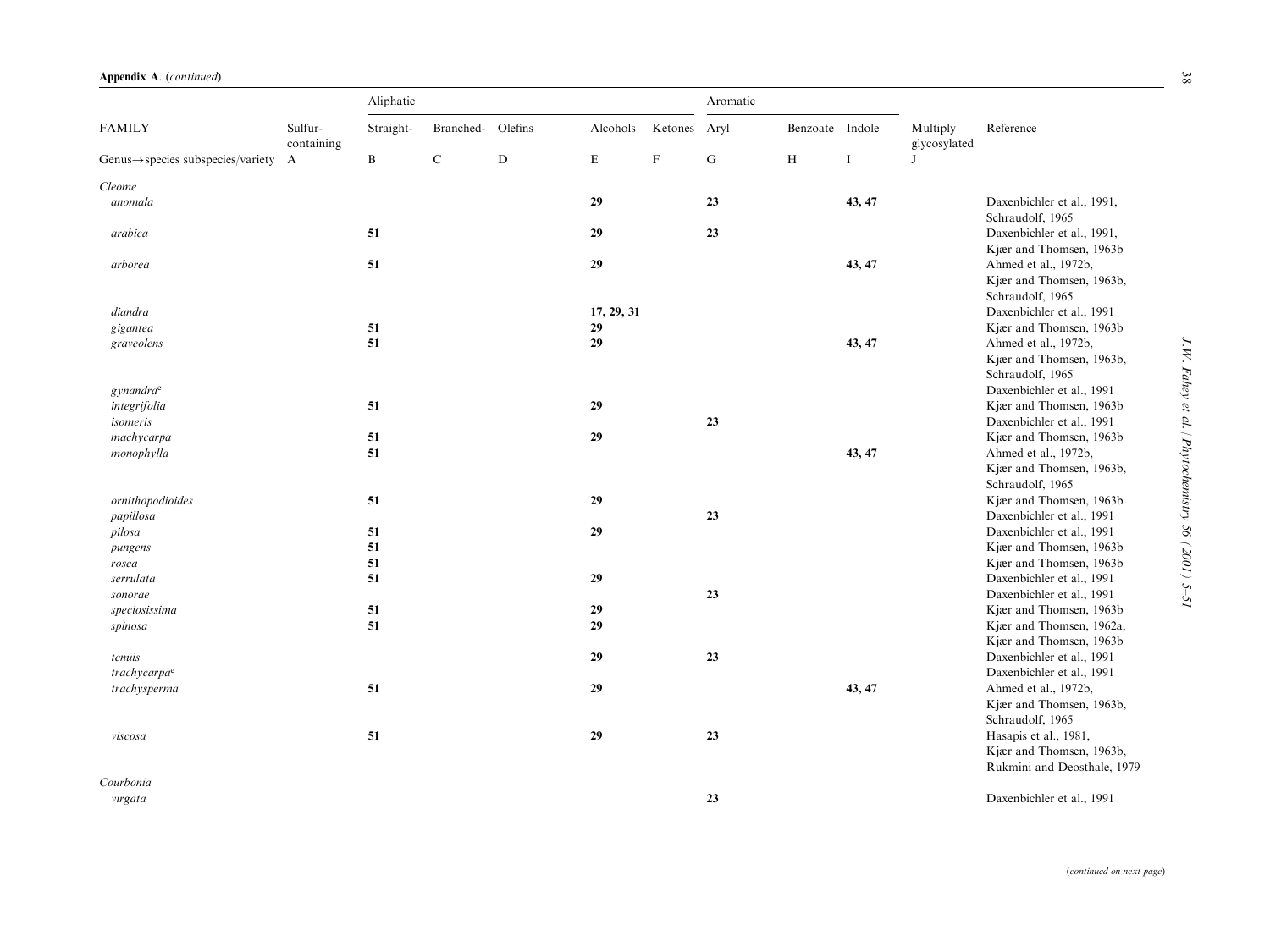|                                                  |                       | Aliphatic<br>Aromatic |           |           |             |                           |    |                 |          |                          |                                                      |
|--------------------------------------------------|-----------------------|-----------------------|-----------|-----------|-------------|---------------------------|----|-----------------|----------|--------------------------|------------------------------------------------------|
| <b>FAMILY</b>                                    | Sulfur-<br>containing | Straight-             | Branched- | Olefins   | Alcohols    | Ketones Aryl              |    | Benzoate Indole |          | Multiply<br>glycosylated | Reference                                            |
| Genus $\rightarrow$ species subspecies/variety A |                       | B                     | ${\bf C}$ | ${\bf D}$ | $\mathbf E$ | $\boldsymbol{\mathrm{F}}$ | G  | $\,$ H          | $\bf{I}$ | J                        |                                                      |
| Cleome                                           |                       |                       |           |           |             |                           |    |                 |          |                          |                                                      |
| anomala                                          |                       |                       |           |           | 29          |                           | 23 |                 | 43, 47   |                          | Daxenbichler et al., 1991,<br>Schraudolf, 1965       |
| arabica                                          |                       | 51                    |           |           | 29          |                           | 23 |                 |          |                          | Daxenbichler et al., 1991,                           |
| arborea                                          |                       | 51                    |           |           | 29          |                           |    |                 | 43, 47   |                          | Kjær and Thomsen, 1963b<br>Ahmed et al., 1972b,      |
|                                                  |                       |                       |           |           |             |                           |    |                 |          |                          | Kjær and Thomsen, 1963b,                             |
| diandra                                          |                       |                       |           |           | 17, 29, 31  |                           |    |                 |          |                          | Schraudolf, 1965<br>Daxenbichler et al., 1991        |
| gigantea                                         |                       | 51                    |           |           | 29          |                           |    |                 |          |                          | Kjær and Thomsen, 1963b                              |
| graveolens                                       |                       | 51                    |           |           | 29          |                           |    |                 | 43, 47   |                          | Ahmed et al., 1972b,                                 |
|                                                  |                       |                       |           |           |             |                           |    |                 |          |                          | Kjær and Thomsen, 1963b,                             |
|                                                  |                       |                       |           |           |             |                           |    |                 |          |                          | Schraudolf, 1965                                     |
| gynandra <sup>e</sup>                            |                       |                       |           |           |             |                           |    |                 |          |                          | Daxenbichler et al., 1991                            |
| integrifolia                                     |                       | 51                    |           |           | 29          |                           |    |                 |          |                          | Kjær and Thomsen, 1963b<br>Daxenbichler et al., 1991 |
| isomeris                                         |                       | 51                    |           |           |             |                           | 23 |                 |          |                          | Kjær and Thomsen, 1963b                              |
| machycarpa                                       |                       | 51                    |           |           | 29          |                           |    |                 | 43, 47   |                          |                                                      |
| monophylla                                       |                       |                       |           |           |             |                           |    |                 |          |                          | Ahmed et al., 1972b,<br>Kjær and Thomsen, 1963b,     |
|                                                  |                       |                       |           |           |             |                           |    |                 |          |                          | Schraudolf, 1965                                     |
| ornithopodioides                                 |                       | 51                    |           |           | 29          |                           |    |                 |          |                          | Kjær and Thomsen, 1963b                              |
| papillosa                                        |                       |                       |           |           |             |                           | 23 |                 |          |                          | Daxenbichler et al., 1991                            |
| pilosa                                           |                       | 51                    |           |           | 29          |                           |    |                 |          |                          | Daxenbichler et al., 1991                            |
| pungens                                          |                       | 51                    |           |           |             |                           |    |                 |          |                          | Kjær and Thomsen, 1963b                              |
| rosea                                            |                       | 51                    |           |           |             |                           |    |                 |          |                          | Kjær and Thomsen, 1963b                              |
| serrulata                                        |                       | 51                    |           |           | 29          |                           |    |                 |          |                          | Daxenbichler et al., 1991                            |
| sonorae                                          |                       |                       |           |           |             |                           | 23 |                 |          |                          | Daxenbichler et al., 1991                            |
| speciosissima                                    |                       | 51                    |           |           | 29          |                           |    |                 |          |                          | Kjær and Thomsen, 1963b                              |
| spinosa                                          |                       | 51                    |           |           | 29          |                           |    |                 |          |                          | Kjær and Thomsen, 1962a.                             |
|                                                  |                       |                       |           |           |             |                           |    |                 |          |                          | Kjær and Thomsen, 1963b                              |
| tenuis                                           |                       |                       |           |           | 29          |                           | 23 |                 |          |                          | Daxenbichler et al., 1991                            |
| trachycarpa <sup>e</sup>                         |                       |                       |           |           |             |                           |    |                 |          |                          | Daxenbichler et al., 1991                            |
| trachysperma                                     |                       | 51                    |           |           | 29          |                           |    |                 | 43, 47   |                          | Ahmed et al., 1972b,                                 |
|                                                  |                       |                       |           |           |             |                           |    |                 |          |                          | Kjær and Thomsen, 1963b,                             |
|                                                  |                       |                       |           |           |             |                           |    |                 |          |                          | Schraudolf, 1965                                     |
| viscosa                                          |                       | 51                    |           |           | 29          |                           | 23 |                 |          |                          | Hasapis et al., 1981,                                |
|                                                  |                       |                       |           |           |             |                           |    |                 |          |                          | Kjær and Thomsen, 1963b,                             |
|                                                  |                       |                       |           |           |             |                           |    |                 |          |                          | Rukmini and Deosthale, 1979                          |
| Courbonia                                        |                       |                       |           |           |             |                           |    |                 |          |                          |                                                      |
| virgata                                          |                       |                       |           |           |             |                           | 23 |                 |          |                          | Daxenbichler et al., 1991                            |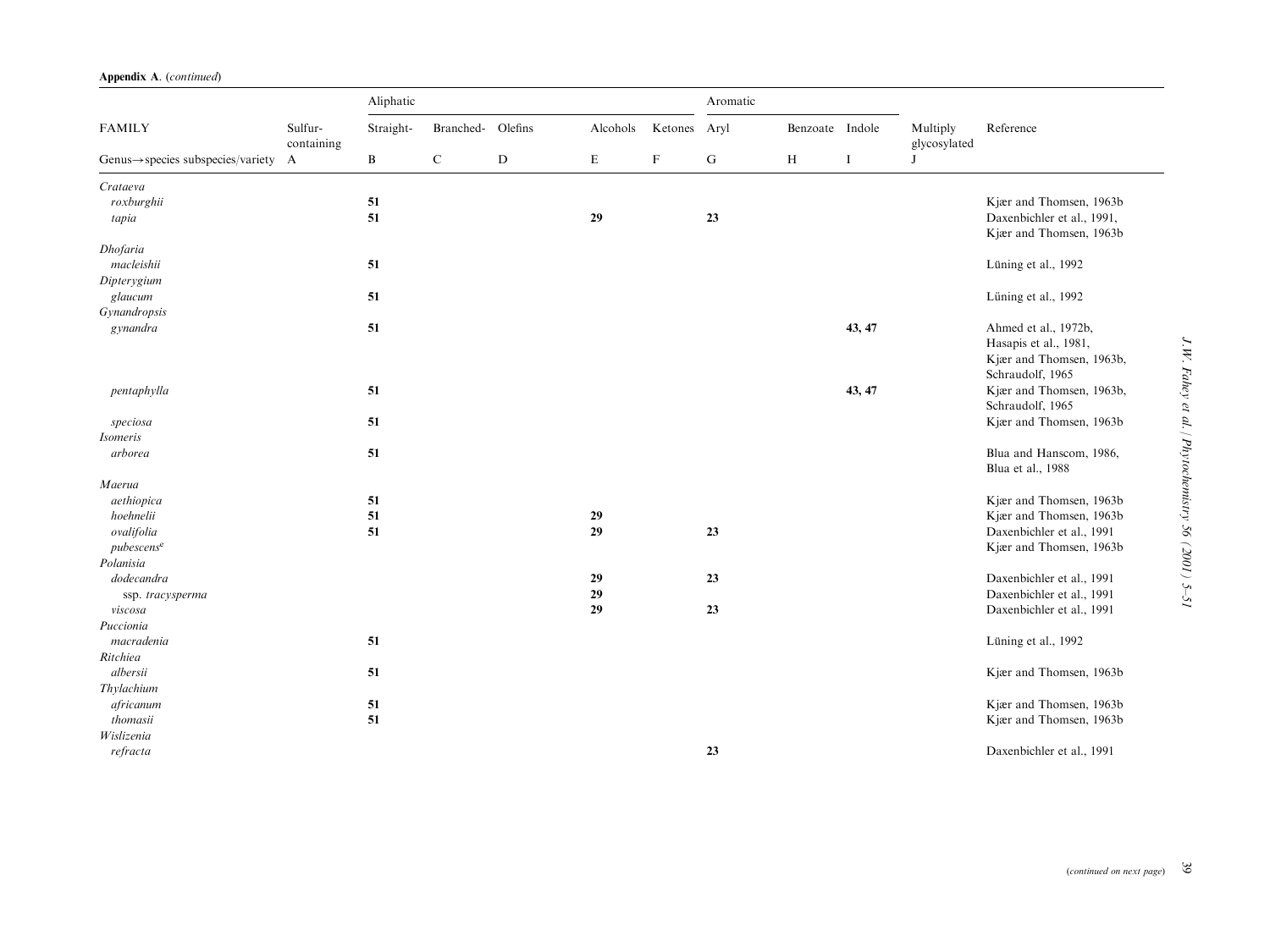| Appendix A. (continued) |  |
|-------------------------|--|
|-------------------------|--|

|                                                  |                       | Aliphatic |                   |             |          |             |           | Aromatic        |          |                          |                                                                                               |
|--------------------------------------------------|-----------------------|-----------|-------------------|-------------|----------|-------------|-----------|-----------------|----------|--------------------------|-----------------------------------------------------------------------------------------------|
| <b>FAMILY</b>                                    | Sulfur-<br>containing | Straight- | Branched- Olefins |             | Alcohols | Ketones     | Aryl      | Benzoate Indole |          | Multiply<br>glycosylated | Reference                                                                                     |
| Genus $\rightarrow$ species subspecies/variety A |                       | B         | $\mathbf C$       | $\mathbf D$ | E        | $\mathbf F$ | ${\bf G}$ | H               | $\bf{I}$ | J                        |                                                                                               |
| Crataeva                                         |                       |           |                   |             |          |             |           |                 |          |                          |                                                                                               |
| roxburghii                                       |                       | 51        |                   |             |          |             |           |                 |          |                          | Kjær and Thomsen, 1963b                                                                       |
| tapia                                            |                       | 51        |                   |             | 29       |             | 23        |                 |          |                          | Daxenbichler et al., 1991,                                                                    |
| Dhofaria                                         |                       |           |                   |             |          |             |           |                 |          |                          | Kjær and Thomsen, 1963b                                                                       |
| macleishii                                       |                       | 51        |                   |             |          |             |           |                 |          |                          | Lüning et al., 1992                                                                           |
| Dipterygium                                      |                       |           |                   |             |          |             |           |                 |          |                          |                                                                                               |
| glaucum                                          |                       | 51        |                   |             |          |             |           |                 |          |                          | Lüning et al., 1992                                                                           |
| Gynandropsis                                     |                       |           |                   |             |          |             |           |                 |          |                          |                                                                                               |
| gynandra                                         |                       | 51        |                   |             |          |             |           |                 | 43, 47   |                          | Ahmed et al., 1972b,<br>Hasapis et al., 1981,<br>Kjær and Thomsen, 1963b,<br>Schraudolf, 1965 |
| pentaphylla                                      |                       | 51        |                   |             |          |             |           |                 | 43, 47   |                          | Kjær and Thomsen, 1963b,<br>Schraudolf, 1965                                                  |
| speciosa                                         |                       | 51        |                   |             |          |             |           |                 |          |                          | Kjær and Thomsen, 1963b                                                                       |
| <b>Isomeris</b>                                  |                       |           |                   |             |          |             |           |                 |          |                          |                                                                                               |
| arborea                                          |                       | 51        |                   |             |          |             |           |                 |          |                          | Blua and Hanscom, 1986,<br>Blua et al., 1988                                                  |
| Maerua                                           |                       |           |                   |             |          |             |           |                 |          |                          |                                                                                               |
| aethiopica                                       |                       | 51        |                   |             |          |             |           |                 |          |                          | Kjær and Thomsen, 1963b                                                                       |
| hoehnelii                                        |                       | 51        |                   |             | 29       |             |           |                 |          |                          | Kjær and Thomsen, 1963b                                                                       |
| ovalifolia                                       |                       | 51        |                   |             | 29       |             | 23        |                 |          |                          | Daxenbichler et al., 1991                                                                     |
| pubescens <sup>e</sup>                           |                       |           |                   |             |          |             |           |                 |          |                          | Kjær and Thomsen, 1963b                                                                       |
| Polanisia                                        |                       |           |                   |             |          |             |           |                 |          |                          |                                                                                               |
| dodecandra                                       |                       |           |                   |             | 29       |             | 23        |                 |          |                          | Daxenbichler et al., 1991                                                                     |
| ssp. tracysperma                                 |                       |           |                   |             | 29       |             |           |                 |          |                          | Daxenbichler et al., 1991                                                                     |
| viscosa                                          |                       |           |                   |             | 29       |             | 23        |                 |          |                          | Daxenbichler et al., 1991                                                                     |
| Puccionia                                        |                       |           |                   |             |          |             |           |                 |          |                          |                                                                                               |
| macradenia                                       |                       | 51        |                   |             |          |             |           |                 |          |                          | Lüning et al., 1992                                                                           |
| Ritchiea                                         |                       |           |                   |             |          |             |           |                 |          |                          |                                                                                               |
| albersii                                         |                       | 51        |                   |             |          |             |           |                 |          |                          | Kjær and Thomsen, 1963b                                                                       |
| Thylachium                                       |                       |           |                   |             |          |             |           |                 |          |                          |                                                                                               |
| africanum                                        |                       | 51        |                   |             |          |             |           |                 |          |                          | Kjær and Thomsen, 1963b                                                                       |
| thomasii                                         |                       | 51        |                   |             |          |             |           |                 |          |                          | Kjær and Thomsen, 1963b                                                                       |
| Wislizenia                                       |                       |           |                   |             |          |             |           |                 |          |                          |                                                                                               |
| refracta                                         |                       |           |                   |             |          |             | 23        |                 |          |                          | Daxenbichler et al., 1991                                                                     |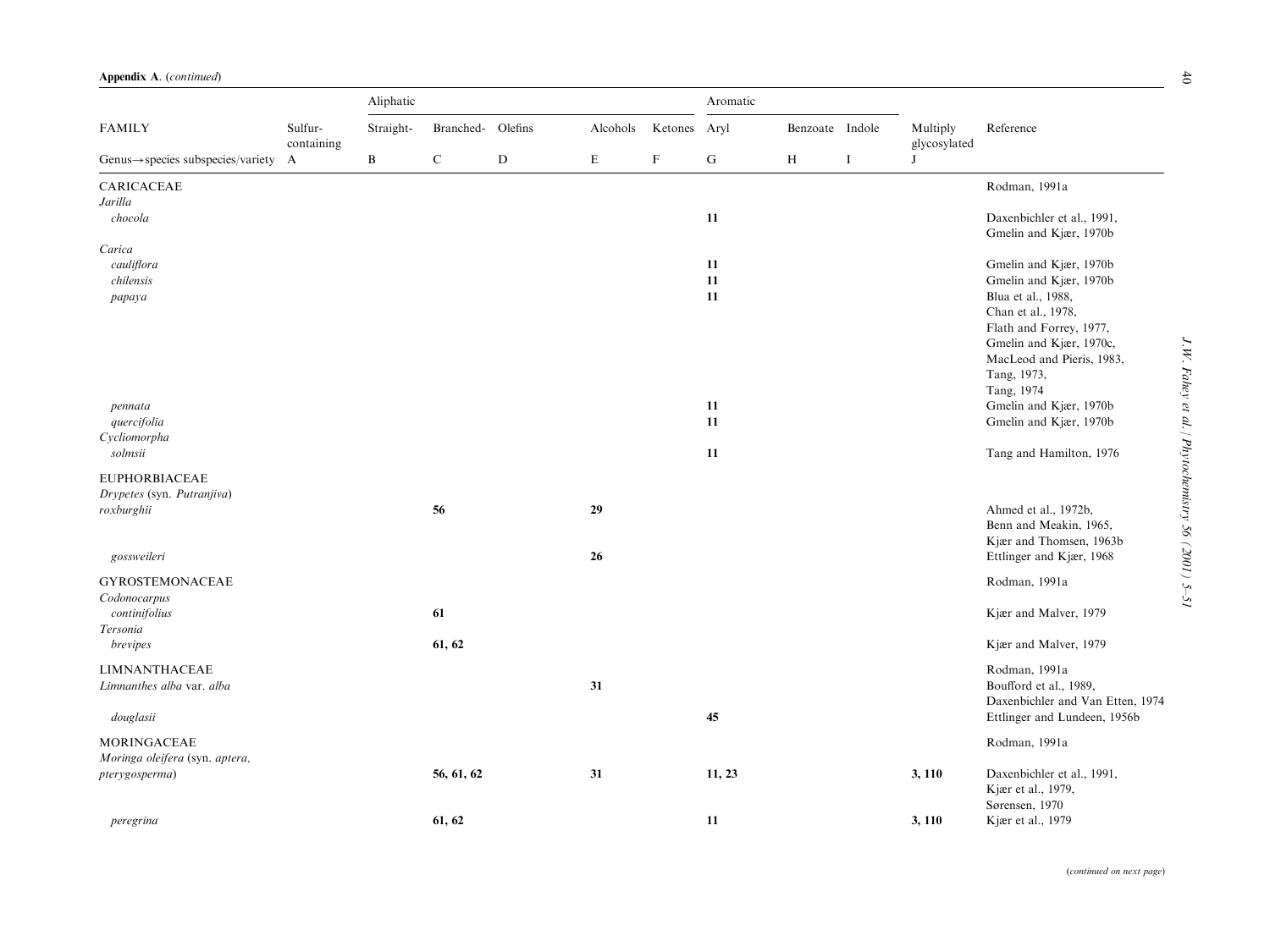|                                                | Sulfur-<br>containing<br>$\mathbf{A}$ | Aliphatic    |            |             |           |             |           |                 |          |                          |                                                      |
|------------------------------------------------|---------------------------------------|--------------|------------|-------------|-----------|-------------|-----------|-----------------|----------|--------------------------|------------------------------------------------------|
| <b>FAMILY</b>                                  |                                       | Straight-    | Branched-  | Olefins     | Alcohols  | Ketones     | Aryl      | Benzoate Indole |          | Multiply<br>glycosylated | Reference                                            |
| $Genus \rightarrow species$ subspecies/variety |                                       | $\, {\bf B}$ | ${\bf C}$  | $\mathbf D$ | ${\bf E}$ | $\mathbf F$ | ${\bf G}$ | $\, {\rm H}$    | $\bf{I}$ | J                        |                                                      |
| CARICACEAE                                     |                                       |              |            |             |           |             |           |                 |          |                          | Rodman, 1991a                                        |
| Jarilla                                        |                                       |              |            |             |           |             |           |                 |          |                          |                                                      |
| chocola                                        |                                       |              |            |             |           |             | 11        |                 |          |                          | Daxenbichler et al., 1991,<br>Gmelin and Kjær, 1970b |
| Carica                                         |                                       |              |            |             |           |             |           |                 |          |                          |                                                      |
| cauliflora                                     |                                       |              |            |             |           |             | 11        |                 |          |                          | Gmelin and Kjær, 1970b                               |
| chilensis                                      |                                       |              |            |             |           |             | 11        |                 |          |                          | Gmelin and Kjær, 1970b                               |
| papaya                                         |                                       |              |            |             |           |             | 11        |                 |          |                          | Blua et al., 1988,                                   |
|                                                |                                       |              |            |             |           |             |           |                 |          |                          | Chan et al., 1978,                                   |
|                                                |                                       |              |            |             |           |             |           |                 |          |                          | Flath and Forrey, 1977,                              |
|                                                |                                       |              |            |             |           |             |           |                 |          |                          | Gmelin and Kjær, 1970c,                              |
|                                                |                                       |              |            |             |           |             |           |                 |          |                          | MacLeod and Pieris, 1983,                            |
|                                                |                                       |              |            |             |           |             |           |                 |          |                          | Tang, 1973,                                          |
|                                                |                                       |              |            |             |           |             |           |                 |          |                          | Tang, 1974                                           |
| pennata                                        |                                       |              |            |             |           |             | 11        |                 |          |                          | Gmelin and Kjær, 1970b                               |
| quercifolia                                    |                                       |              |            |             |           |             | 11        |                 |          |                          | Gmelin and Kjær, 1970b                               |
| Cycliomorpha                                   |                                       |              |            |             |           |             |           |                 |          |                          |                                                      |
| solmsii                                        |                                       |              |            |             |           |             | 11        |                 |          |                          | Tang and Hamilton, 1976                              |
| <b>EUPHORBIACEAE</b>                           |                                       |              |            |             |           |             |           |                 |          |                          |                                                      |
| Drypetes (syn. Putranjiva)                     |                                       |              |            |             |           |             |           |                 |          |                          |                                                      |
| roxburghii                                     |                                       |              | 56         |             | 29        |             |           |                 |          |                          | Ahmed et al., 1972b,                                 |
|                                                |                                       |              |            |             |           |             |           |                 |          |                          | Benn and Meakin, 1965,                               |
|                                                |                                       |              |            |             |           |             |           |                 |          |                          |                                                      |
|                                                |                                       |              |            |             |           |             |           |                 |          |                          | Kjær and Thomsen, 1963b                              |
| gossweileri                                    |                                       |              |            |             | 26        |             |           |                 |          |                          | Ettlinger and Kjær, 1968                             |
| <b>GYROSTEMONACEAE</b>                         |                                       |              |            |             |           |             |           |                 |          |                          | Rodman, 1991a                                        |
| Codonocarpus                                   |                                       |              |            |             |           |             |           |                 |          |                          |                                                      |
| continifolius                                  |                                       |              | 61         |             |           |             |           |                 |          |                          | Kjær and Malver, 1979                                |
| Tersonia                                       |                                       |              |            |             |           |             |           |                 |          |                          |                                                      |
| brevipes                                       |                                       |              | 61, 62     |             |           |             |           |                 |          |                          | Kjær and Malver, 1979                                |
|                                                |                                       |              |            |             |           |             |           |                 |          |                          |                                                      |
| <b>LIMNANTHACEAE</b>                           |                                       |              |            |             |           |             |           |                 |          |                          | Rodman, 1991a                                        |
| Limnanthes alba var. alba                      |                                       |              |            |             | 31        |             |           |                 |          |                          | Boufford et al., 1989,                               |
|                                                |                                       |              |            |             |           |             |           |                 |          |                          | Daxenbichler and Van Etten, 1974                     |
| douglasii                                      |                                       |              |            |             |           |             | 45        |                 |          |                          | Ettlinger and Lundeen, 1956b                         |
| <b>MORINGACEAE</b>                             |                                       |              |            |             |           |             |           |                 |          |                          | Rodman, 1991a                                        |
|                                                |                                       |              |            |             |           |             |           |                 |          |                          |                                                      |
| Moringa oleifera (syn. aptera,                 |                                       |              |            |             |           |             |           |                 |          |                          |                                                      |
| pterygosperma)                                 |                                       |              | 56, 61, 62 |             | 31        |             | 11, 23    |                 |          | 3, 110                   | Daxenbichler et al., 1991,                           |
|                                                |                                       |              |            |             |           |             |           |                 |          |                          | Kjær et al., 1979,                                   |
|                                                |                                       |              |            |             |           |             |           |                 |          |                          | Sørensen, 1970                                       |
| peregrina                                      |                                       |              | 61, 62     |             |           |             | 11        |                 |          | 3, 110                   | Kjær et al., 1979                                    |

J.W. Fahey et al. / Phytochemistry 56 (2001) 5-51 J.W. Fahey et al. / Phytochemistry 56 (2001) 5–51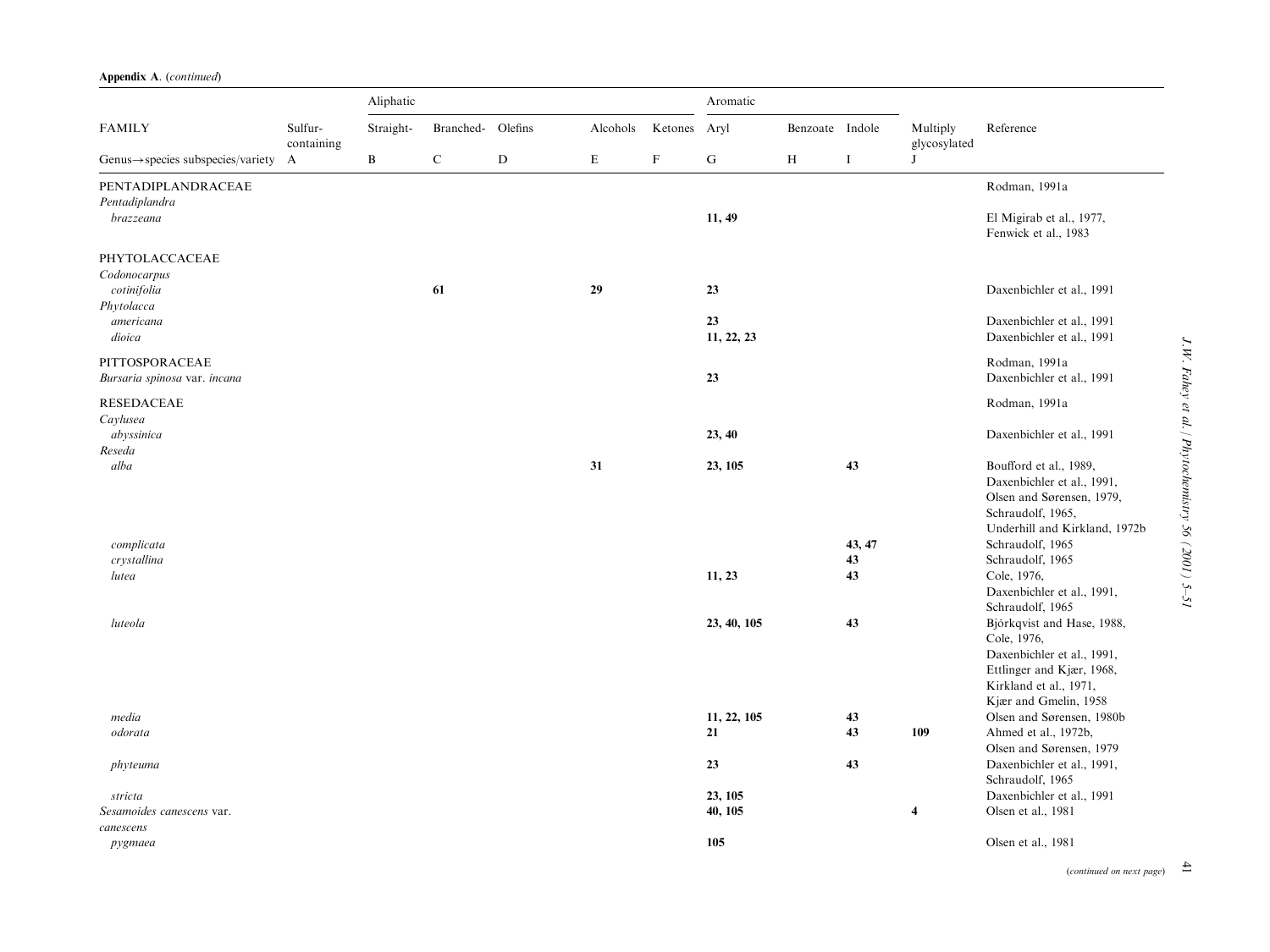|                                                | Sulfur-<br>containing<br>A | Aliphatic    |                   |           |             |              | Aromatic          |                 |          |                          |                                                                                   |
|------------------------------------------------|----------------------------|--------------|-------------------|-----------|-------------|--------------|-------------------|-----------------|----------|--------------------------|-----------------------------------------------------------------------------------|
| <b>FAMILY</b>                                  |                            | Straight-    | Branched- Olefins |           | Alcohols    | Ketones Aryl |                   | Benzoate Indole |          | Multiply<br>glycosylated | Reference                                                                         |
| $Genus \rightarrow species$ subspecies/variety |                            | $\, {\bf B}$ | $\mathbf C$       | ${\bf D}$ | $\mathbf E$ | F            | ${\bf G}$         | H               | $\bf{I}$ | J                        |                                                                                   |
| PENTADIPLANDRACEAE<br>Pentadiplandra           |                            |              |                   |           |             |              |                   |                 |          |                          | Rodman, 1991a                                                                     |
| brazzeana                                      |                            |              |                   |           |             |              | 11, 49            |                 |          |                          | El Migirab et al., 1977,<br>Fenwick et al., 1983                                  |
| PHYTOLACCACEAE<br>Codonocarpus<br>cotinifolia  |                            |              | 61                |           | 29          |              | 23                |                 |          |                          | Daxenbichler et al., 1991                                                         |
| Phytolacca                                     |                            |              |                   |           |             |              |                   |                 |          |                          |                                                                                   |
| americana<br>dioica                            |                            |              |                   |           |             |              | 23<br>11, 22, 23  |                 |          |                          | Daxenbichler et al., 1991<br>Daxenbichler et al., 1991                            |
| PITTOSPORACEAE<br>Bursaria spinosa var. incana |                            |              |                   |           |             |              | 23                |                 |          |                          | Rodman, 1991a<br>Daxenbichler et al., 1991                                        |
| <b>RESEDACEAE</b><br>Caylusea                  |                            |              |                   |           |             |              |                   |                 |          |                          | Rodman, 1991a                                                                     |
| abyssinica                                     |                            |              |                   |           |             |              | 23, 40            |                 |          |                          | Daxenbichler et al., 1991                                                         |
| Reseda<br>alba                                 |                            |              |                   |           | 31          |              | 23, 105           |                 | 43       |                          | Boufford et al., 1989,<br>Daxenbichler et al., 1991,<br>Olsen and Sørensen, 1979, |
|                                                |                            |              |                   |           |             |              |                   |                 |          |                          | Schraudolf, 1965,<br>Underhill and Kirkland, 1972b                                |
| complicata                                     |                            |              |                   |           |             |              |                   |                 | 43, 47   |                          | Schraudolf, 1965                                                                  |
| crystallina<br>lutea                           |                            |              |                   |           |             |              | 11, 23            |                 | 43<br>43 |                          | Schraudolf, 1965<br>Cole, 1976,                                                   |
|                                                |                            |              |                   |           |             |              |                   |                 |          |                          | Daxenbichler et al., 1991,<br>Schraudolf, 1965                                    |
| luteola                                        |                            |              |                   |           |             |              | 23, 40, 105       |                 | 43       |                          | Björkqvist and Hase, 1988,<br>Cole, 1976,<br>Daxenbichler et al., 1991,           |
|                                                |                            |              |                   |           |             |              |                   |                 |          |                          | Ettlinger and Kjær, 1968,<br>Kirkland et al., 1971,                               |
|                                                |                            |              |                   |           |             |              |                   |                 |          |                          | Kjær and Gmelin, 1958                                                             |
| media<br>odorata                               |                            |              |                   |           |             |              | 11, 22, 105<br>21 |                 | 43<br>43 | 109                      | Olsen and Sørensen, 1980b<br>Ahmed et al., 1972b,                                 |
|                                                |                            |              |                   |           |             |              |                   |                 |          |                          | Olsen and Sørensen, 1979                                                          |
| phyteuma                                       |                            |              |                   |           |             |              | 23                |                 | 43       |                          | Daxenbichler et al., 1991,<br>Schraudolf, 1965                                    |
| stricta                                        |                            |              |                   |           |             |              | 23, 105           |                 |          |                          | Daxenbichler et al., 1991                                                         |
| Sesamoides canescens var.                      |                            |              |                   |           |             |              | 40, 105           |                 |          | $\overline{\mathbf{4}}$  | Olsen et al., 1981                                                                |
| canescens<br>pygmaea                           |                            |              |                   |           |             |              | 105               |                 |          |                          | Olsen et al., 1981                                                                |

(continued on next page)  $\overrightarrow{=}$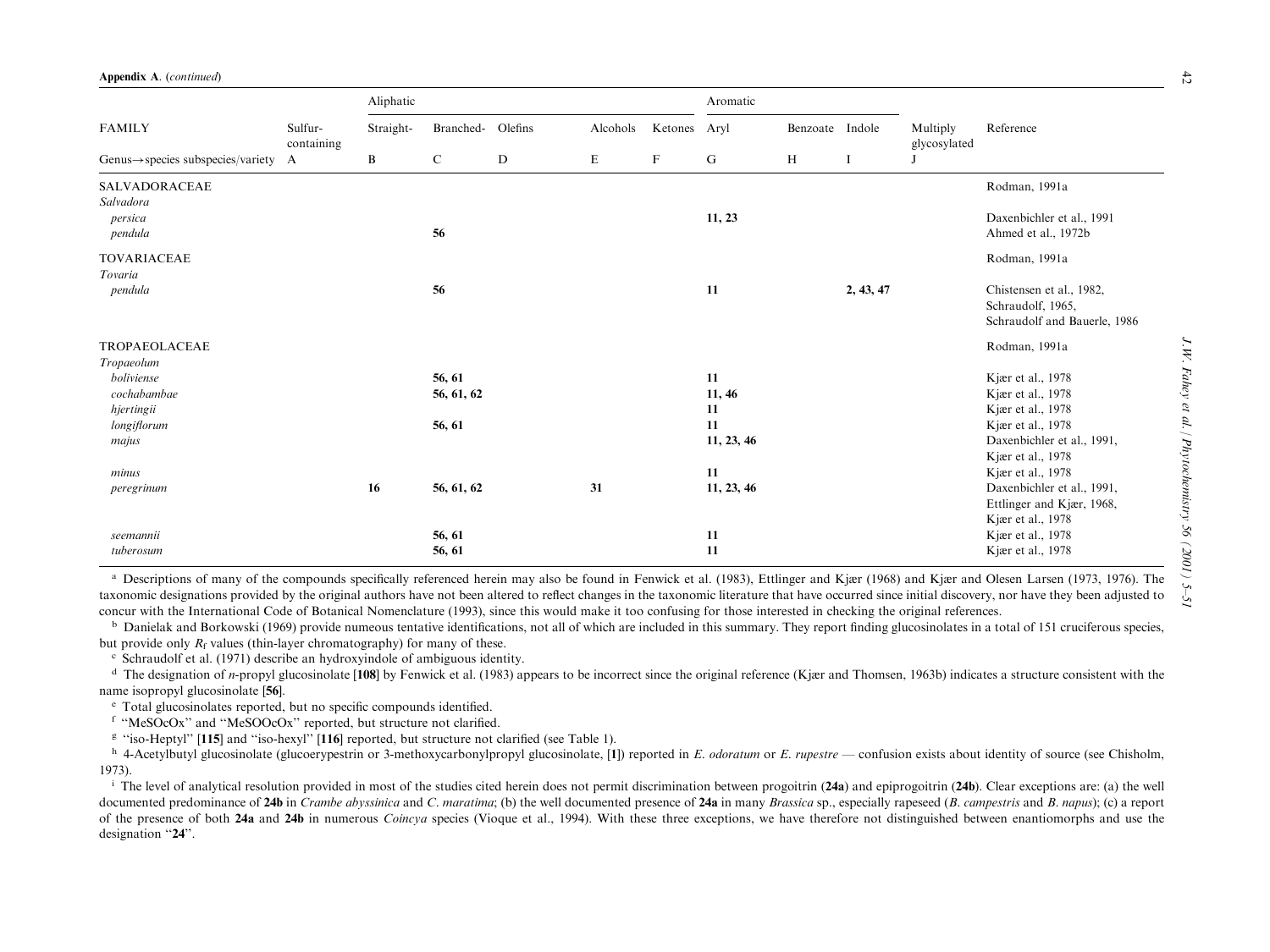|                                                  | Sulfur-<br>containing | Aliphatic       |                   | Aromatic |             |              |            |                 |           |                          |                              |
|--------------------------------------------------|-----------------------|-----------------|-------------------|----------|-------------|--------------|------------|-----------------|-----------|--------------------------|------------------------------|
| <b>FAMILY</b>                                    |                       | Straight-       | Branched- Olefins |          | Alcohols    | Ketones Aryl |            | Benzoate Indole |           | Multiply<br>glycosylated | Reference                    |
| Genus $\rightarrow$ species subspecies/variety A |                       | $\, {\bf B} \,$ | $\mathbf C$       | D        | $\mathbf E$ | $\mathbf F$  | ${\bf G}$  | H               | -1        |                          |                              |
| SALVADORACEAE<br>Salvadora                       |                       |                 |                   |          |             |              |            |                 |           |                          | Rodman, 1991a                |
| persica                                          |                       |                 |                   |          |             |              | 11, 23     |                 |           |                          | Daxenbichler et al., 1991    |
| pendula                                          |                       |                 | 56                |          |             |              |            |                 |           |                          | Ahmed et al., 1972b          |
| TOVARIACEAE<br>Tovaria                           |                       |                 |                   |          |             |              |            |                 |           |                          | Rodman, 1991a                |
| pendula                                          |                       |                 | 56                |          |             |              | 11         |                 | 2, 43, 47 |                          | Chistensen et al., 1982,     |
|                                                  |                       |                 |                   |          |             |              |            |                 |           |                          | Schraudolf, 1965,            |
|                                                  |                       |                 |                   |          |             |              |            |                 |           |                          | Schraudolf and Bauerle, 1986 |
| TROPAEOLACEAE                                    |                       |                 |                   |          |             |              |            |                 |           |                          | Rodman, 1991a                |
| Tropaeolum                                       |                       |                 |                   |          |             |              |            |                 |           |                          |                              |
| boliviense                                       |                       |                 | 56, 61            |          |             |              | 11         |                 |           |                          | Kjær et al., 1978            |
| cochabambae                                      |                       |                 | 56, 61, 62        |          |             |              | 11, 46     |                 |           |                          | Kjær et al., 1978            |
| hjertingii                                       |                       |                 |                   |          |             |              | 11         |                 |           |                          | Kjær et al., 1978            |
| longiflorum                                      |                       |                 | 56, 61            |          |             |              | 11         |                 |           |                          | Kjær et al., 1978            |
| majus                                            |                       |                 |                   |          |             |              | 11, 23, 46 |                 |           |                          | Daxenbichler et al., 1991,   |
|                                                  |                       |                 |                   |          |             |              |            |                 |           |                          | Kjær et al., 1978            |
| minus                                            |                       |                 |                   |          |             |              | 11         |                 |           |                          | Kjær et al., 1978            |
| peregrinum                                       |                       | 16              | 56, 61, 62        |          | 31          |              | 11, 23, 46 |                 |           |                          | Daxenbichler et al., 1991,   |
|                                                  |                       |                 |                   |          |             |              |            |                 |           |                          | Ettlinger and Kjær, 1968,    |
|                                                  |                       |                 |                   |          |             |              |            |                 |           |                          | Kjær et al., 1978            |
| seemannii                                        |                       |                 | 56, 61            |          |             |              | 11         |                 |           |                          | Kjær et al., 1978            |
| tuberosum                                        |                       |                 | 56, 61            |          |             |              | 11         |                 |           |                          | Kjær et al., 1978            |

<sup>a</sup> Descriptions of many of the compounds specifically referenced herein may also be found in Fenwick et al. (1983), Ettlinger and Kjær (1968) and Kjær and Olesen Larsen (1973, 1976). The taxonomic designations provided by the original authors have not been altered to reflect changes in the taxonomic literature that have occurred since initial discovery, nor have they been adjusted to concur with the International Code of Botanical Nomenclature (1993), since this would make it too confusing for those interested in checking the original references.

 $\rm^b$  Danielak and Borkowski (1969) provide numeous tentative identifications, not all of which are included in this summary. They report finding glucosinolates in a total of 151 cruciferous species, but provide only  $R_f$  values (thin-layer chromatography) for many of these.

c Schraudolf et al. (1971) describe an hydroxyindole of ambiguous identity.

<sup>d</sup> The designation of *n*-propyl glucosinolate [108] by Fenwick et al. (1983) appears to be incorrect since the original reference (Kjær and Thomsen, 1963b) indicates a structure consistent with the name isopropyl glucosinolate [56].

<sup>e</sup> Total glucosinolates reported, but no specific compounds identified.

f "MeSOcOx" and "MeSOOcOx" reported, but structure not clarified.

 $g$  "iso-Heptyl" [115] and "iso-hexyl" [116] reported, but structure not clarified (see Table 1).

<sup>h</sup> 4-Acetylbutyl glucosinolate (glucoerypestrin or 3-methoxycarbonylpropyl glucosinolate, [1]) reported in E. odoratum or E. rupestre — confusion exists about identity of source (see Chisholm, 1973).

<sup>i</sup> The level of analytical resolution provided in most of the studies cited herein does not permit discrimination between progoitrin (24a) and epiprogoitrin (24b). Clear exceptions are: (a) the well documented predominance of 24b in *Crambe abyssinica* and C. maratima; (b) the well documented presence of 24a in many *Brassica* sp., especially rapeseed (B. campestris and B. napus); (c) a report of the presence of both 24a and 24b in numerous *Coincya* species (Vioque et al., 1994). With these three exceptions, we have therefore not distinguished between enantiomorphs and use the designation "24".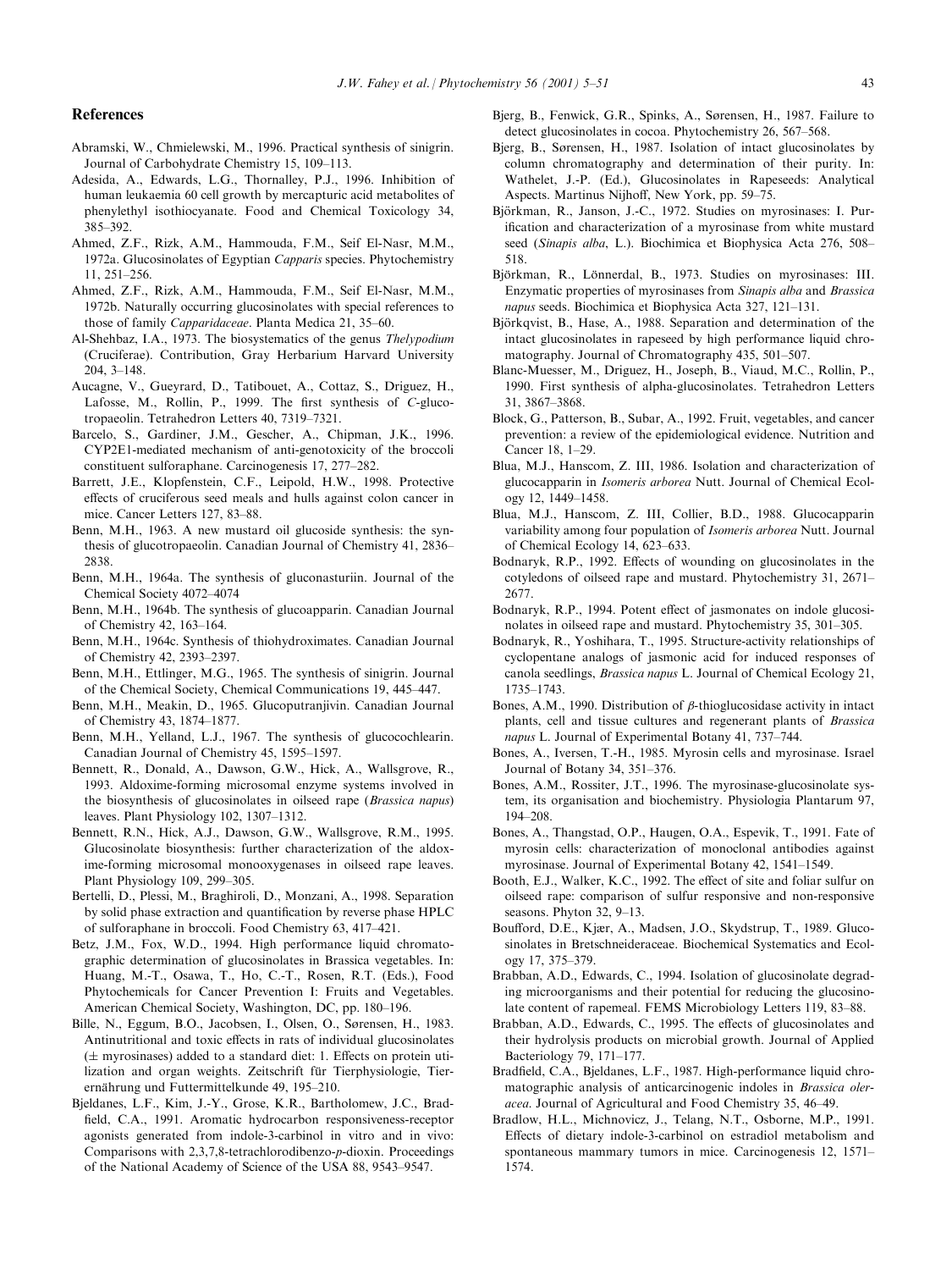### **References**

- Abramski, W., Chmielewski, M., 1996. Practical synthesis of sinigrin. Journal of Carbohydrate Chemistry 15, 109-113.
- Adesida, A., Edwards, L.G., Thornalley, P.J., 1996. Inhibition of human leukaemia 60 cell growth by mercapturic acid metabolites of phenylethyl isothiocyanate. Food and Chemical Toxicology 34, 385±392.
- Ahmed, Z.F., Rizk, A.M., Hammouda, F.M., Seif El-Nasr, M.M., 1972a. Glucosinolates of Egyptian Capparis species. Phytochemistry 11, 251±256.
- Ahmed, Z.F., Rizk, A.M., Hammouda, F.M., Seif El-Nasr, M.M., 1972b. Naturally occurring glucosinolates with special references to those of family Capparidaceae. Planta Medica 21, 35-60.
- Al-Shehbaz, I.A., 1973. The biosystematics of the genus Thelypodium (Cruciferae). Contribution, Gray Herbarium Harvard University  $204, 3-148.$
- Aucagne, V., Gueyrard, D., Tatibouet, A., Cottaz, S., Driguez, H., Lafosse, M., Rollin, P., 1999. The first synthesis of C-glucotropaeolin. Tetrahedron Letters 40, 7319-7321.
- Barcelo, S., Gardiner, J.M., Gescher, A., Chipman, J.K., 1996. CYP2E1-mediated mechanism of anti-genotoxicity of the broccoli constituent sulforaphane. Carcinogenesis 17, 277-282.
- Barrett, J.E., Klopfenstein, C.F., Leipold, H.W., 1998. Protective effects of cruciferous seed meals and hulls against colon cancer in mice. Cancer Letters 127, 83-88.
- Benn, M.H., 1963. A new mustard oil glucoside synthesis: the synthesis of glucotropaeolin. Canadian Journal of Chemistry 41, 2836– 2838.
- Benn, M.H., 1964a. The synthesis of gluconasturiin. Journal of the Chemical Society 4072-4074
- Benn, M.H., 1964b. The synthesis of glucoapparin. Canadian Journal of Chemistry 42, 163-164.
- Benn, M.H., 1964c. Synthesis of thiohydroximates. Canadian Journal of Chemistry 42, 2393-2397.
- Benn, M.H., Ettlinger, M.G., 1965. The synthesis of sinigrin. Journal of the Chemical Society, Chemical Communications 19, 445-447.
- Benn, M.H., Meakin, D., 1965. Glucoputranjivin. Canadian Journal of Chemistry 43, 1874-1877.
- Benn, M.H., Yelland, L.J., 1967. The synthesis of glucocochlearin. Canadian Journal of Chemistry 45, 1595-1597.
- Bennett, R., Donald, A., Dawson, G.W., Hick, A., Wallsgrove, R., 1993. Aldoxime-forming microsomal enzyme systems involved in the biosynthesis of glucosinolates in oilseed rape (Brassica napus) leaves. Plant Physiology 102, 1307-1312.
- Bennett, R.N., Hick, A.J., Dawson, G.W., Wallsgrove, R.M., 1995. Glucosinolate biosynthesis: further characterization of the aldoxime-forming microsomal monooxygenases in oilseed rape leaves. Plant Physiology 109, 299-305.
- Bertelli, D., Plessi, M., Braghiroli, D., Monzani, A., 1998. Separation by solid phase extraction and quantification by reverse phase HPLC of sulforaphane in broccoli. Food Chemistry 63, 417-421.
- Betz, J.M., Fox, W.D., 1994. High performance liquid chromatographic determination of glucosinolates in Brassica vegetables. In: Huang, M.-T., Osawa, T., Ho, C.-T., Rosen, R.T. (Eds.), Food Phytochemicals for Cancer Prevention I: Fruits and Vegetables. American Chemical Society, Washington, DC, pp. 180-196.
- Bille, N., Eggum, B.O., Jacobsen, I., Olsen, O., Sørensen, H., 1983. Antinutritional and toxic effects in rats of individual glucosinolates  $(\pm$  myrosinases) added to a standard diet: 1. Effects on protein utilization and organ weights. Zeitschrift für Tierphysiologie, Tierernährung und Futtermittelkunde 49, 195-210.
- Bjeldanes, L.F., Kim, J.-Y., Grose, K.R., Bartholomew, J.C., Brad field, C.A., 1991. Aromatic hydrocarbon responsiveness-receptor agonists generated from indole-3-carbinol in vitro and in vivo: Comparisons with 2,3,7,8-tetrachlorodibenzo-p-dioxin. Proceedings of the National Academy of Science of the USA 88, 9543-9547.
- Bjerg, B., Fenwick, G.R., Spinks, A., Sørensen, H., 1987. Failure to detect glucosinolates in cocoa. Phytochemistry 26, 567–568.
- Bjerg, B., Sørensen, H., 1987. Isolation of intact glucosinolates by column chromatography and determination of their purity. In: Wathelet, J.-P. (Ed.), Glucosinolates in Rapeseeds: Analytical Aspects. Martinus Nijhoff, New York, pp. 59-75.
- Björkman, R., Janson, J.-C., 1972. Studies on myrosinases: I. Purification and characterization of a myrosinase from white mustard seed (Sinapis alba, L.). Biochimica et Biophysica Acta 276, 508-518.
- Björkman, R., Lönnerdal, B., 1973. Studies on myrosinases: III. Enzymatic properties of myrosinases from Sinapis alba and Brassica napus seeds. Biochimica et Biophysica Acta 327, 121-131.
- Björkqvist, B., Hase, A., 1988. Separation and determination of the intact glucosinolates in rapeseed by high performance liquid chromatography. Journal of Chromatography 435, 501-507.
- Blanc-Muesser, M., Driguez, H., Joseph, B., Viaud, M.C., Rollin, P., 1990. First synthesis of alpha-glucosinolates. Tetrahedron Letters 31, 3867±3868.
- Block, G., Patterson, B., Subar, A., 1992. Fruit, vegetables, and cancer prevention: a review of the epidemiological evidence. Nutrition and Cancer 18, 1-29.
- Blua, M.J., Hanscom, Z. III, 1986. Isolation and characterization of glucocapparin in Isomeris arborea Nutt. Journal of Chemical Ecology 12, 1449-1458.
- Blua, M.J., Hanscom, Z. III, Collier, B.D., 1988. Glucocapparin variability among four population of Isomeris arborea Nutt. Journal of Chemical Ecology 14, 623-633.
- Bodnaryk, R.P., 1992. Effects of wounding on glucosinolates in the cotyledons of oilseed rape and mustard. Phytochemistry 31, 2671-2677.
- Bodnaryk, R.P., 1994. Potent effect of jasmonates on indole glucosinolates in oilseed rape and mustard. Phytochemistry 35, 301-305.
- Bodnaryk, R., Yoshihara, T., 1995. Structure-activity relationships of cyclopentane analogs of jasmonic acid for induced responses of canola seedlings, Brassica napus L. Journal of Chemical Ecology 21, 1735±1743.
- Bones, A.M., 1990. Distribution of  $\beta$ -thioglucosidase activity in intact plants, cell and tissue cultures and regenerant plants of Brassica napus L. Journal of Experimental Botany 41, 737-744.
- Bones, A., Iversen, T.-H., 1985. Myrosin cells and myrosinase. Israel Journal of Botany 34,  $351-376$ .
- Bones, A.M., Rossiter, J.T., 1996. The myrosinase-glucosinolate system, its organisation and biochemistry. Physiologia Plantarum 97, 194±208.
- Bones, A., Thangstad, O.P., Haugen, O.A., Espevik, T., 1991. Fate of myrosin cells: characterization of monoclonal antibodies against myrosinase. Journal of Experimental Botany 42, 1541-1549.
- Booth, E.J., Walker, K.C., 1992. The effect of site and foliar sulfur on oilseed rape: comparison of sulfur responsive and non-responsive seasons. Phyton  $32, 9-13$ .
- Boufford, D.E., Kjær, A., Madsen, J.O., Skydstrup, T., 1989. Glucosinolates in Bretschneideraceae. Biochemical Systematics and Ecology 17, 375-379.
- Brabban, A.D., Edwards, C., 1994. Isolation of glucosinolate degrading microorganisms and their potential for reducing the glucosinolate content of rapemeal. FEMS Microbiology Letters 119, 83-88.
- Brabban, A.D., Edwards, C., 1995. The effects of glucosinolates and their hydrolysis products on microbial growth. Journal of Applied Bacteriology  $79, 171–177$ .
- Bradfield, C.A., Bieldanes, L.F., 1987. High-performance liquid chromatographic analysis of anticarcinogenic indoles in Brassica oleracea. Journal of Agricultural and Food Chemistry 35, 46-49.
- Bradlow, H.L., Michnovicz, J., Telang, N.T., Osborne, M.P., 1991. Effects of dietary indole-3-carbinol on estradiol metabolism and spontaneous mammary tumors in mice. Carcinogenesis  $12$ ,  $1571-$ 1574.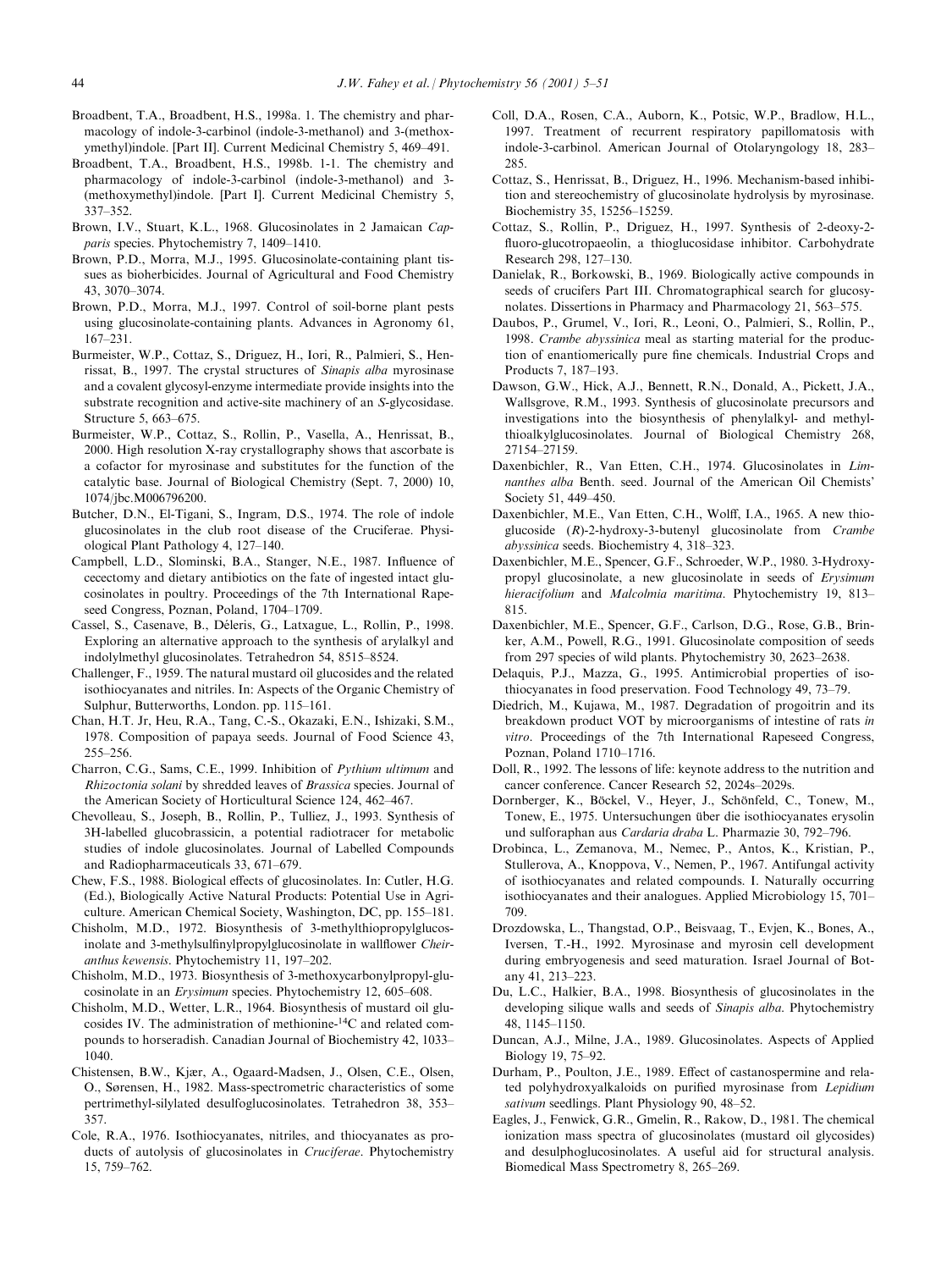- Broadbent, T.A., Broadbent, H.S., 1998a. 1. The chemistry and pharmacology of indole-3-carbinol (indole-3-methanol) and 3-(methoxymethyl)indole. [Part II]. Current Medicinal Chemistry 5, 469-491.
- Broadbent, T.A., Broadbent, H.S., 1998b. 1-1. The chemistry and pharmacology of indole-3-carbinol (indole-3-methanol) and 3- (methoxymethyl)indole. [Part I]. Current Medicinal Chemistry 5, 337±352.
- Brown, I.V., Stuart, K.L., 1968. Glucosinolates in 2 Jamaican Capparis species. Phytochemistry 7,  $1409-1410$ .
- Brown, P.D., Morra, M.J., 1995. Glucosinolate-containing plant tissues as bioherbicides. Journal of Agricultural and Food Chemistry 43, 3070±3074.
- Brown, P.D., Morra, M.J., 1997. Control of soil-borne plant pests using glucosinolate-containing plants. Advances in Agronomy 61, 167±231.
- Burmeister, W.P., Cottaz, S., Driguez, H., Iori, R., Palmieri, S., Henrissat, B., 1997. The crystal structures of Sinapis alba myrosinase and a covalent glycosyl-enzyme intermediate provide insights into the substrate recognition and active-site machinery of an S-glycosidase. Structure 5, 663–675.
- Burmeister, W.P., Cottaz, S., Rollin, P., Vasella, A., Henrissat, B., 2000. High resolution X-ray crystallography shows that ascorbate is a cofactor for myrosinase and substitutes for the function of the catalytic base. Journal of Biological Chemistry (Sept. 7, 2000) 10, 1074/jbc.M006796200.
- Butcher, D.N., El-Tigani, S., Ingram, D.S., 1974. The role of indole glucosinolates in the club root disease of the Cruciferae. Physiological Plant Pathology 4, 127-140.
- Campbell, L.D., Slominski, B.A., Stanger, N.E., 1987. Influence of cecectomy and dietary antibiotics on the fate of ingested intact glucosinolates in poultry. Proceedings of the 7th International Rapeseed Congress, Poznan, Poland, 1704-1709.
- Cassel, S., Casenave, B., Déleris, G., Latxague, L., Rollin, P., 1998. Exploring an alternative approach to the synthesis of arylalkyl and indolylmethyl glucosinolates. Tetrahedron 54, 8515-8524.
- Challenger, F., 1959. The natural mustard oil glucosides and the related isothiocyanates and nitriles. In: Aspects of the Organic Chemistry of Sulphur, Butterworths, London. pp. 115-161.
- Chan, H.T. Jr, Heu, R.A., Tang, C.-S., Okazaki, E.N., Ishizaki, S.M., 1978. Composition of papaya seeds. Journal of Food Science 43, 255±256.
- Charron, C.G., Sams, C.E., 1999. Inhibition of Pythium ultimum and Rhizoctonia solani by shredded leaves of Brassica species. Journal of the American Society of Horticultural Science 124, 462-467.
- Chevolleau, S., Joseph, B., Rollin, P., Tulliez, J., 1993. Synthesis of 3H-labelled glucobrassicin, a potential radiotracer for metabolic studies of indole glucosinolates. Journal of Labelled Compounds and Radiopharmaceuticals 33, 671-679.
- Chew, F.S., 1988. Biological effects of glucosinolates. In: Cutler, H.G. (Ed.), Biologically Active Natural Products: Potential Use in Agriculture. American Chemical Society, Washington, DC, pp. 155-181.
- Chisholm, M.D., 1972. Biosynthesis of 3-methylthiopropylglucosinolate and 3-methylsulfinylpropylglucosinolate in wallflower Cheiranthus kewensis. Phytochemistry 11, 197-202.
- Chisholm, M.D., 1973. Biosynthesis of 3-methoxycarbonylpropyl-glucosinolate in an Erysimum species. Phytochemistry 12, 605-608.
- Chisholm, M.D., Wetter, L.R., 1964. Biosynthesis of mustard oil glucosides IV. The administration of methionine-14C and related compounds to horseradish. Canadian Journal of Biochemistry 42, 1033– 1040.
- Chistensen, B.W., Kjær, A., Ogaard-Madsen, J., Olsen, C.E., Olsen, O., Sørensen, H., 1982. Mass-spectrometric characteristics of some pertrimethyl-silylated desulfoglucosinolates. Tetrahedron 38, 353-357.
- Cole, R.A., 1976. Isothiocyanates, nitriles, and thiocyanates as products of autolysis of glucosinolates in Cruciferae. Phytochemistry 15, 759±762.
- Coll, D.A., Rosen, C.A., Auborn, K., Potsic, W.P., Bradlow, H.L., 1997. Treatment of recurrent respiratory papillomatosis with indole-3-carbinol. American Journal of Otolaryngology 18, 283= 285.
- Cottaz, S., Henrissat, B., Driguez, H., 1996. Mechanism-based inhibition and stereochemistry of glucosinolate hydrolysis by myrosinase. Biochemistry 35, 15256-15259.
- Cottaz, S., Rollin, P., Driguez, H., 1997. Synthesis of 2-deoxy-2 fluoro-glucotropaeolin, a thioglucosidase inhibitor. Carbohydrate Research 298, 127-130.
- Danielak, R., Borkowski, B., 1969. Biologically active compounds in seeds of crucifers Part III. Chromatographical search for glucosynolates. Dissertions in Pharmacy and Pharmacology 21, 563-575.
- Daubos, P., Grumel, V., Iori, R., Leoni, O., Palmieri, S., Rollin, P., 1998. Crambe abyssinica meal as starting material for the production of enantiomerically pure fine chemicals. Industrial Crops and Products 7, 187-193.
- Dawson, G.W., Hick, A.J., Bennett, R.N., Donald, A., Pickett, J.A., Wallsgrove, R.M., 1993. Synthesis of glucosinolate precursors and investigations into the biosynthesis of phenylalkyl- and methylthioalkylglucosinolates. Journal of Biological Chemistry 268, 27154±27159.
- Daxenbichler, R., Van Etten, C.H., 1974. Glucosinolates in Limnanthes alba Benth. seed. Journal of the American Oil Chemists' Society 51, 449-450.
- Daxenbichler, M.E., Van Etten, C.H., Wolff, I.A., 1965. A new thioglucoside (R)-2-hydroxy-3-butenyl glucosinolate from Crambe abyssinica seeds. Biochemistry 4, 318-323.
- Daxenbichler, M.E., Spencer, G.F., Schroeder, W.P., 1980. 3-Hydroxypropyl glucosinolate, a new glucosinolate in seeds of Erysimum hieracifolium and Malcolmia maritima. Phytochemistry 19, 813-815.
- Daxenbichler, M.E., Spencer, G.F., Carlson, D.G., Rose, G.B., Brinker, A.M., Powell, R.G., 1991. Glucosinolate composition of seeds from 297 species of wild plants. Phytochemistry 30, 2623-2638.
- Delaquis, P.J., Mazza, G., 1995. Antimicrobial properties of isothiocyanates in food preservation. Food Technology 49, 73-79.
- Diedrich, M., Kujawa, M., 1987. Degradation of progoitrin and its breakdown product VOT by microorganisms of intestine of rats in vitro. Proceedings of the 7th International Rapeseed Congress, Poznan, Poland 1710-1716.
- Doll, R., 1992. The lessons of life: keynote address to the nutrition and cancer conference. Cancer Research 52, 2024s-2029s.
- Dornberger, K., Böckel, V., Hever, J., Schönfeld, C., Tonew, M., Tonew, E., 1975. Untersuchungen über die isothiocyanates erysolin und sulforaphan aus Cardaria draba L. Pharmazie 30, 792-796.
- Drobinca, L., Zemanova, M., Nemec, P., Antos, K., Kristian, P., Stullerova, A., Knoppova, V., Nemen, P., 1967. Antifungal activity of isothiocyanates and related compounds. I. Naturally occurring isothiocyanates and their analogues. Applied Microbiology 15, 701-709.
- Drozdowska, L., Thangstad, O.P., Beisvaag, T., Evjen, K., Bones, A., Iversen, T.-H., 1992. Myrosinase and myrosin cell development during embryogenesis and seed maturation. Israel Journal of Botany 41, 213-223.
- Du, L.C., Halkier, B.A., 1998. Biosynthesis of glucosinolates in the developing silique walls and seeds of Sinapis alba. Phytochemistry 48, 1145±1150.
- Duncan, A.J., Milne, J.A., 1989. Glucosinolates. Aspects of Applied Biology 19, 75–92.
- Durham, P., Poulton, J.E., 1989. Effect of castanospermine and related polyhydroxyalkaloids on purified myrosinase from Lepidium sativum seedlings. Plant Physiology 90, 48-52.
- Eagles, J., Fenwick, G.R., Gmelin, R., Rakow, D., 1981. The chemical ionization mass spectra of glucosinolates (mustard oil glycosides) and desulphoglucosinolates. A useful aid for structural analysis. Biomedical Mass Spectrometry 8, 265-269.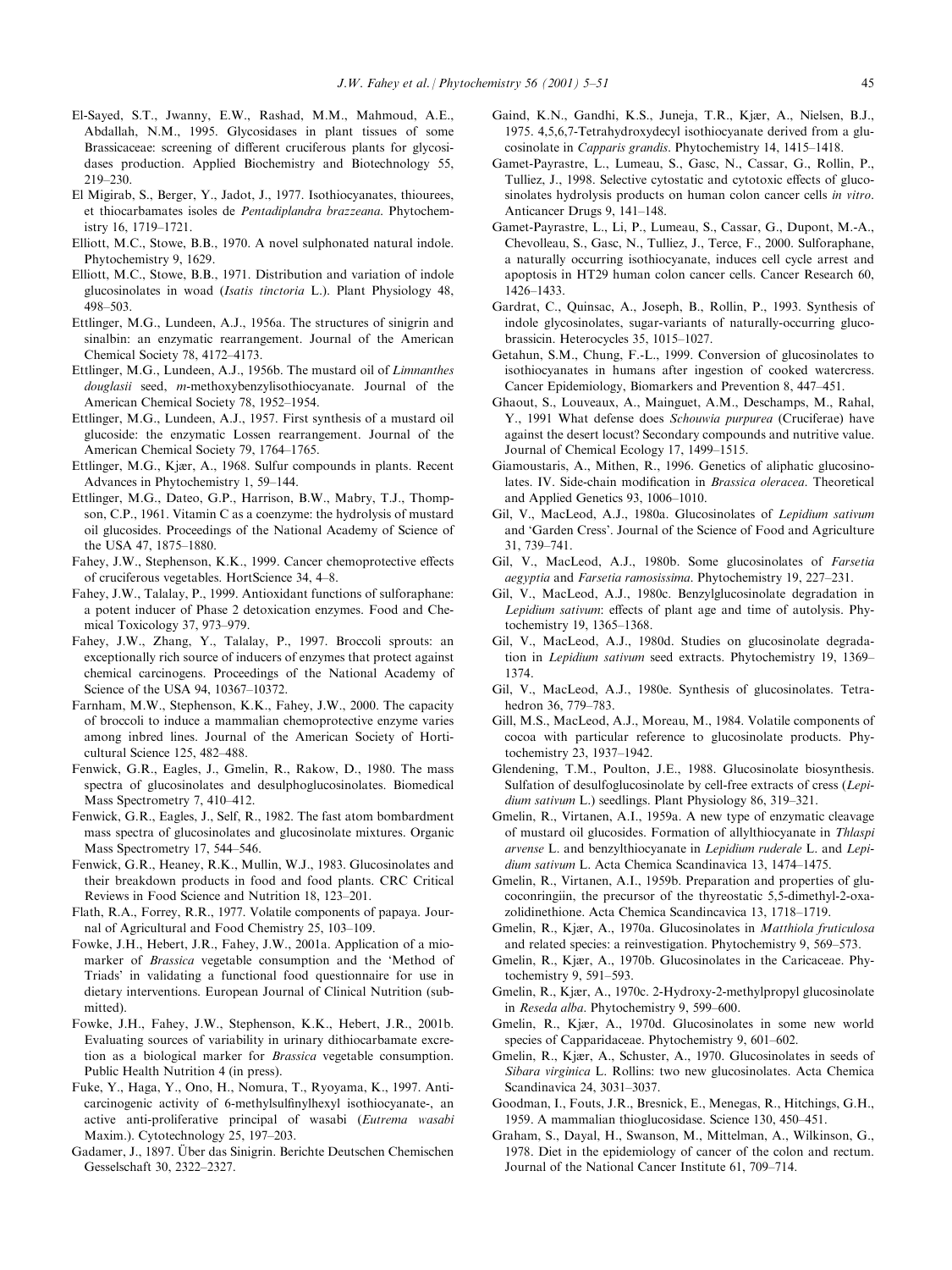- El-Sayed, S.T., Jwanny, E.W., Rashad, M.M., Mahmoud, A.E., Abdallah, N.M., 1995. Glycosidases in plant tissues of some Brassicaceae: screening of different cruciferous plants for glycosidases production. Applied Biochemistry and Biotechnology 55, 219±230.
- El Migirab, S., Berger, Y., Jadot, J., 1977. Isothiocyanates, thiourees, et thiocarbamates isoles de Pentadiplandra brazzeana. Phytochemistry 16, 1719-1721.
- Elliott, M.C., Stowe, B.B., 1970. A novel sulphonated natural indole. Phytochemistry 9, 1629.
- Elliott, M.C., Stowe, B.B., 1971. Distribution and variation of indole glucosinolates in woad (Isatis tinctoria L.). Plant Physiology 48, 498±503.
- Ettlinger, M.G., Lundeen, A.J., 1956a. The structures of sinigrin and sinalbin: an enzymatic rearrangement. Journal of the American Chemical Society 78, 4172-4173.
- Ettlinger, M.G., Lundeen, A.J., 1956b. The mustard oil of Limnanthes douglasii seed, m-methoxybenzylisothiocyanate. Journal of the American Chemical Society 78, 1952-1954.
- Ettlinger, M.G., Lundeen, A.J., 1957. First synthesis of a mustard oil glucoside: the enzymatic Lossen rearrangement. Journal of the American Chemical Society 79, 1764-1765.
- Ettlinger, M.G., Kjær, A., 1968. Sulfur compounds in plants. Recent Advances in Phytochemistry 1, 59-144.
- Ettlinger, M.G., Dateo, G.P., Harrison, B.W., Mabry, T.J., Thompson, C.P., 1961. Vitamin C as a coenzyme: the hydrolysis of mustard oil glucosides. Proceedings of the National Academy of Science of the USA 47, 1875-1880.
- Fahey, J.W., Stephenson, K.K., 1999. Cancer chemoprotective effects of cruciferous vegetables. HortScience 34, 4-8.
- Fahey, J.W., Talalay, P., 1999. Antioxidant functions of sulforaphane: a potent inducer of Phase 2 detoxication enzymes. Food and Chemical Toxicology 37, 973-979.
- Fahey, J.W., Zhang, Y., Talalay, P., 1997. Broccoli sprouts: an exceptionally rich source of inducers of enzymes that protect against chemical carcinogens. Proceedings of the National Academy of Science of the USA 94, 10367-10372.
- Farnham, M.W., Stephenson, K.K., Fahey, J.W., 2000. The capacity of broccoli to induce a mammalian chemoprotective enzyme varies among inbred lines. Journal of the American Society of Horticultural Science 125, 482-488.
- Fenwick, G.R., Eagles, J., Gmelin, R., Rakow, D., 1980. The mass spectra of glucosinolates and desulphoglucosinolates. Biomedical Mass Spectrometry 7, 410-412.
- Fenwick, G.R., Eagles, J., Self, R., 1982. The fast atom bombardment mass spectra of glucosinolates and glucosinolate mixtures. Organic Mass Spectrometry 17, 544-546.
- Fenwick, G.R., Heaney, R.K., Mullin, W.J., 1983. Glucosinolates and their breakdown products in food and food plants. CRC Critical Reviews in Food Science and Nutrition 18, 123-201.
- Flath, R.A., Forrey, R.R., 1977. Volatile components of papaya. Journal of Agricultural and Food Chemistry 25, 103-109.
- Fowke, J.H., Hebert, J.R., Fahey, J.W., 2001a. Application of a miomarker of Brassica vegetable consumption and the `Method of Triads' in validating a functional food questionnaire for use in dietary interventions. European Journal of Clinical Nutrition (submitted).
- Fowke, J.H., Fahey, J.W., Stephenson, K.K., Hebert, J.R., 2001b. Evaluating sources of variability in urinary dithiocarbamate excretion as a biological marker for Brassica vegetable consumption. Public Health Nutrition 4 (in press).
- Fuke, Y., Haga, Y., Ono, H., Nomura, T., Ryoyama, K., 1997. Anticarcinogenic activity of 6-methylsulfinylhexyl isothiocyanate-, an active anti-proliferative principal of wasabi (Eutrema wasabi Maxim.). Cytotechnology 25, 197-203.
- Gadamer, J., 1897. Über das Sinigrin. Berichte Deutschen Chemischen Gesselschaft 30, 2322-2327.
- Gaind, K.N., Gandhi, K.S., Juneja, T.R., Kjær, A., Nielsen, B.J., 1975. 4,5,6,7-Tetrahydroxydecyl isothiocyanate derived from a glucosinolate in Capparis grandis. Phytochemistry 14, 1415-1418.
- Gamet-Payrastre, L., Lumeau, S., Gasc, N., Cassar, G., Rollin, P., Tulliez, J., 1998. Selective cytostatic and cytotoxic effects of glucosinolates hydrolysis products on human colon cancer cells in vitro. Anticancer Drugs 9, 141-148.
- Gamet-Payrastre, L., Li, P., Lumeau, S., Cassar, G., Dupont, M.-A., Chevolleau, S., Gasc, N., Tulliez, J., Terce, F., 2000. Sulforaphane, a naturally occurring isothiocyanate, induces cell cycle arrest and apoptosis in HT29 human colon cancer cells. Cancer Research 60, 1426±1433.
- Gardrat, C., Quinsac, A., Joseph, B., Rollin, P., 1993. Synthesis of indole glycosinolates, sugar-variants of naturally-occurring glucobrassicin. Heterocycles 35, 1015-1027.
- Getahun, S.M., Chung, F.-L., 1999. Conversion of glucosinolates to isothiocyanates in humans after ingestion of cooked watercress. Cancer Epidemiology, Biomarkers and Prevention 8, 447-451.
- Ghaout, S., Louveaux, A., Mainguet, A.M., Deschamps, M., Rahal, Y., 1991 What defense does Schouwia purpurea (Cruciferae) have against the desert locust? Secondary compounds and nutritive value. Journal of Chemical Ecology 17, 1499-1515.
- Giamoustaris, A., Mithen, R., 1996. Genetics of aliphatic glucosinolates. IV. Side-chain modification in Brassica oleracea. Theoretical and Applied Genetics 93,  $1006-1010$ .
- Gil, V., MacLeod, A.J., 1980a. Glucosinolates of Lepidium sativum and 'Garden Cress'. Journal of the Science of Food and Agriculture 31, 739±741.
- Gil, V., MacLeod, A.J., 1980b. Some glucosinolates of Farsetia aegyptia and Farsetia ramosissima. Phytochemistry 19, 227-231.
- Gil, V., MacLeod, A.J., 1980c. Benzylglucosinolate degradation in Lepidium sativum: effects of plant age and time of autolysis. Phytochemistry 19, 1365-1368.
- Gil, V., MacLeod, A.J., 1980d. Studies on glucosinolate degradation in Lepidium sativum seed extracts. Phytochemistry 19, 1369-1374.
- Gil, V., MacLeod, A.J., 1980e. Synthesis of glucosinolates. Tetrahedron 36, 779-783.
- Gill, M.S., MacLeod, A.J., Moreau, M., 1984. Volatile components of cocoa with particular reference to glucosinolate products. Phytochemistry 23, 1937-1942.
- Glendening, T.M., Poulton, J.E., 1988. Glucosinolate biosynthesis. Sulfation of desulfoglucosinolate by cell-free extracts of cress (Lepi $dium sativum L.$ ) seedlings. Plant Physiology 86, 319–321.
- Gmelin, R., Virtanen, A.I., 1959a. A new type of enzymatic cleavage of mustard oil glucosides. Formation of allylthiocyanate in Thlaspi arvense L. and benzylthiocyanate in Lepidium ruderale L. and Lepidium sativum L. Acta Chemica Scandinavica 13, 1474-1475.
- Gmelin, R., Virtanen, A.I., 1959b. Preparation and properties of glucoconringiin, the precursor of the thyreostatic 5,5-dimethyl-2-oxazolidinethione. Acta Chemica Scandincavica 13, 1718-1719.
- Gmelin, R., Kjær, A., 1970a. Glucosinolates in Matthiola fruticulosa and related species: a reinvestigation. Phytochemistry 9, 569-573.
- Gmelin, R., Kjær, A., 1970b. Glucosinolates in the Caricaceae. Phytochemistry 9, 591-593.
- Gmelin, R., Kjær, A., 1970c. 2-Hydroxy-2-methylpropyl glucosinolate in Reseda alba. Phytochemistry 9, 599-600.
- Gmelin, R., Kjær, A., 1970d. Glucosinolates in some new world species of Capparidaceae. Phytochemistry 9, 601–602.
- Gmelin, R., Kjær, A., Schuster, A., 1970. Glucosinolates in seeds of Sibara virginica L. Rollins: two new glucosinolates. Acta Chemica Scandinavica 24, 3031-3037.
- Goodman, I., Fouts, J.R., Bresnick, E., Menegas, R., Hitchings, G.H., 1959. A mammalian thioglucosidase. Science 130, 450-451.
- Graham, S., Dayal, H., Swanson, M., Mittelman, A., Wilkinson, G., 1978. Diet in the epidemiology of cancer of the colon and rectum. Journal of the National Cancer Institute 61, 709-714.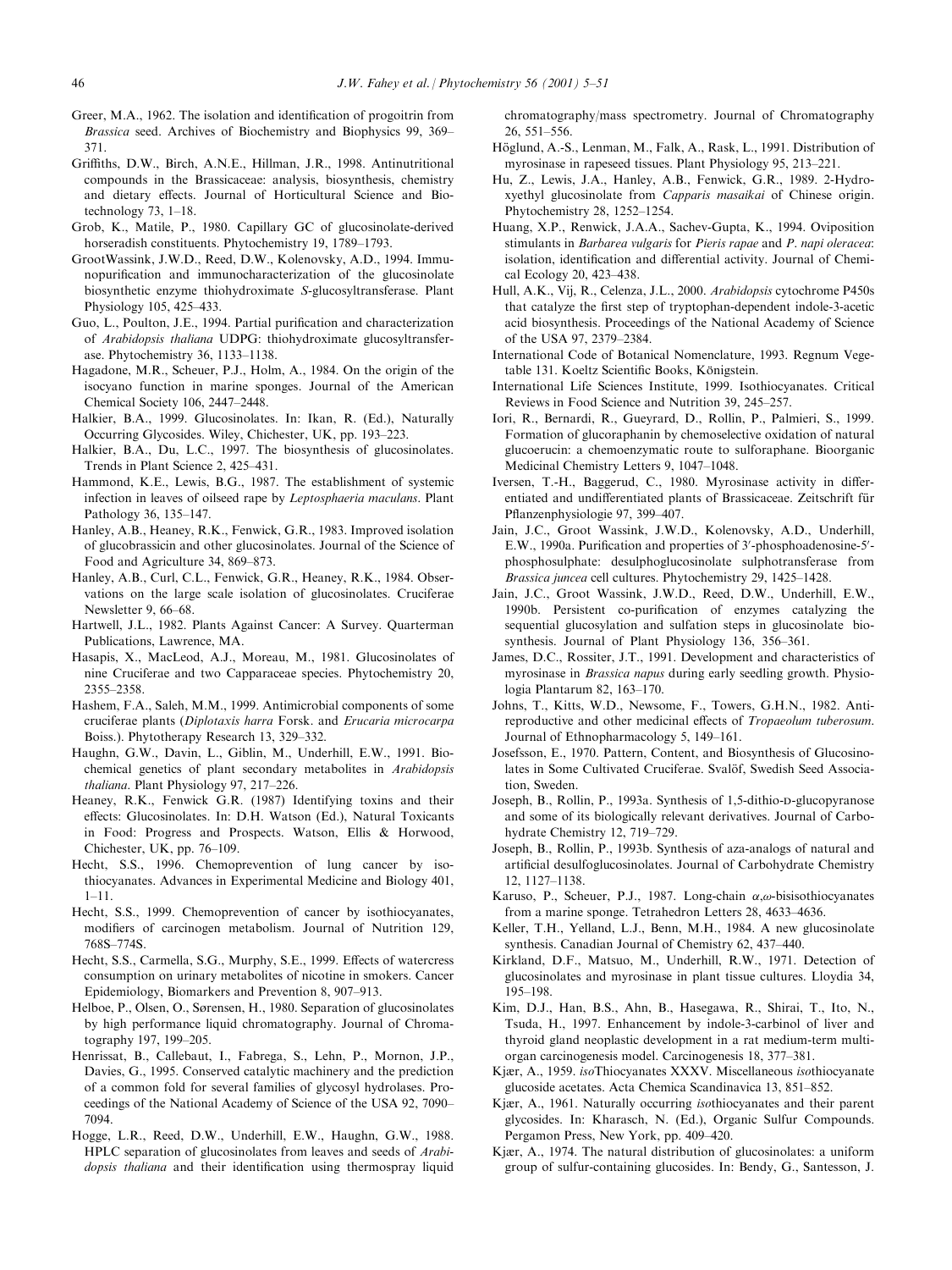- Greer, M.A., 1962. The isolation and identification of progoitrin from Brassica seed. Archives of Biochemistry and Biophysics 99, 369– 371.
- Griths, D.W., Birch, A.N.E., Hillman, J.R., 1998. Antinutritional compounds in the Brassicaceae: analysis, biosynthesis, chemistry and dietary effects. Journal of Horticultural Science and Biotechnology  $73, 1-18$ .
- Grob, K., Matile, P., 1980. Capillary GC of glucosinolate-derived horseradish constituents. Phytochemistry 19, 1789-1793.
- GrootWassink, J.W.D., Reed, D.W., Kolenovsky, A.D., 1994. Immunopurification and immunocharacterization of the glucosinolate biosynthetic enzyme thiohydroximate S-glucosyltransferase. Plant Physiology 105, 425-433.
- Guo, L., Poulton, J.E., 1994. Partial purification and characterization of Arabidopsis thaliana UDPG: thiohydroximate glucosyltransferase. Phytochemistry 36, 1133-1138.
- Hagadone, M.R., Scheuer, P.J., Holm, A., 1984. On the origin of the isocyano function in marine sponges. Journal of the American Chemical Society 106, 2447-2448.
- Halkier, B.A., 1999. Glucosinolates. In: Ikan, R. (Ed.), Naturally Occurring Glycosides. Wiley, Chichester, UK, pp. 193-223.
- Halkier, B.A., Du, L.C., 1997. The biosynthesis of glucosinolates. Trends in Plant Science 2, 425-431.
- Hammond, K.E., Lewis, B.G., 1987. The establishment of systemic infection in leaves of oilseed rape by Leptosphaeria maculans. Plant Pathology 36, 135-147.
- Hanley, A.B., Heaney, R.K., Fenwick, G.R., 1983. Improved isolation of glucobrassicin and other glucosinolates. Journal of the Science of Food and Agriculture 34, 869-873.
- Hanley, A.B., Curl, C.L., Fenwick, G.R., Heaney, R.K., 1984. Observations on the large scale isolation of glucosinolates. Cruciferae Newsletter 9, 66-68.
- Hartwell, J.L., 1982. Plants Against Cancer: A Survey. Quarterman Publications, Lawrence, MA.
- Hasapis, X., MacLeod, A.J., Moreau, M., 1981. Glucosinolates of nine Cruciferae and two Capparaceae species. Phytochemistry 20, 2355±2358.
- Hashem, F.A., Saleh, M.M., 1999. Antimicrobial components of some cruciferae plants (Diplotaxis harra Forsk. and Erucaria microcarpa Boiss.). Phytotherapy Research 13, 329–332.
- Haughn, G.W., Davin, L., Giblin, M., Underhill, E.W., 1991. Biochemical genetics of plant secondary metabolites in Arabidopsis thaliana. Plant Physiology 97, 217-226.
- Heaney, R.K., Fenwick G.R. (1987) Identifying toxins and their effects: Glucosinolates. In: D.H. Watson (Ed.), Natural Toxicants in Food: Progress and Prospects. Watson, Ellis & Horwood, Chichester, UK, pp.  $76-109$ .
- Hecht, S.S., 1996. Chemoprevention of lung cancer by isothiocyanates. Advances in Experimental Medicine and Biology 401,  $1 - 11$ .
- Hecht, S.S., 1999. Chemoprevention of cancer by isothiocyanates, modifiers of carcinogen metabolism. Journal of Nutrition 129, 768S±774S.
- Hecht, S.S., Carmella, S.G., Murphy, S.E., 1999. Effects of watercress consumption on urinary metabolites of nicotine in smokers. Cancer Epidemiology, Biomarkers and Prevention 8, 907-913.
- Helboe, P., Olsen, O., Sørensen, H., 1980. Separation of glucosinolates by high performance liquid chromatography. Journal of Chromatography 197, 199-205.
- Henrissat, B., Callebaut, I., Fabrega, S., Lehn, P., Mornon, J.P., Davies, G., 1995. Conserved catalytic machinery and the prediction of a common fold for several families of glycosyl hydrolases. Proceedings of the National Academy of Science of the USA 92, 7090-7094.
- Hogge, L.R., Reed, D.W., Underhill, E.W., Haughn, G.W., 1988. HPLC separation of glucosinolates from leaves and seeds of Arabidopsis thaliana and their identification using thermospray liquid

chromatography/mass spectrometry. Journal of Chromatography 26, 551±556.

- Höglund, A.-S., Lenman, M., Falk, A., Rask, L., 1991. Distribution of myrosinase in rapeseed tissues. Plant Physiology 95, 213-221.
- Hu, Z., Lewis, J.A., Hanley, A.B., Fenwick, G.R., 1989. 2-Hydroxyethyl glucosinolate from Capparis masaikai of Chinese origin. Phytochemistry 28, 1252-1254.
- Huang, X.P., Renwick, J.A.A., Sachev-Gupta, K., 1994. Oviposition stimulants in Barbarea vulgaris for Pieris rapae and P. napi oleracea: isolation, identification and differential activity. Journal of Chemical Ecology 20, 423-438.
- Hull, A.K., Vij, R., Celenza, J.L., 2000. Arabidopsis cytochrome P450s that catalyze the first step of tryptophan-dependent indole-3-acetic acid biosynthesis. Proceedings of the National Academy of Science of the USA 97, 2379-2384.
- International Code of Botanical Nomenclature, 1993. Regnum Vegetable 131. Koeltz Scientific Books, Königstein.
- International Life Sciences Institute, 1999. Isothiocyanates. Critical Reviews in Food Science and Nutrition 39, 245-257.
- Iori, R., Bernardi, R., Gueyrard, D., Rollin, P., Palmieri, S., 1999. Formation of glucoraphanin by chemoselective oxidation of natural glucoerucin: a chemoenzymatic route to sulforaphane. Bioorganic Medicinal Chemistry Letters 9, 1047-1048.
- Iversen, T.-H., Baggerud, C., 1980. Myrosinase activity in differentiated and undifferentiated plants of Brassicaceae. Zeitschrift für Pflanzenphysiologie 97, 399-407.
- Jain, J.C., Groot Wassink, J.W.D., Kolenovsky, A.D., Underhill, E.W., 1990a. Purification and properties of 3'-phosphoadenosine-5'phosphosulphate: desulphoglucosinolate sulphotransferase from Brassica juncea cell cultures. Phytochemistry 29, 1425-1428.
- Jain, J.C., Groot Wassink, J.W.D., Reed, D.W., Underhill, E.W., 1990b. Persistent co-purification of enzymes catalyzing the sequential glucosylation and sulfation steps in glucosinolate biosynthesis. Journal of Plant Physiology 136, 356-361.
- James, D.C., Rossiter, J.T., 1991. Development and characteristics of myrosinase in Brassica napus during early seedling growth. Physiologia Plantarum 82, 163-170.
- Johns, T., Kitts, W.D., Newsome, F., Towers, G.H.N., 1982. Antireproductive and other medicinal effects of Tropaeolum tuberosum. Journal of Ethnopharmacology 5, 149-161.
- Josefsson, E., 1970. Pattern, Content, and Biosynthesis of Glucosinolates in Some Cultivated Cruciferae. Svalöf, Swedish Seed Association, Sweden.
- Joseph, B., Rollin, P., 1993a. Synthesis of 1.5-dithio-p-glucopyranose and some of its biologically relevant derivatives. Journal of Carbohydrate Chemistry 12, 719-729.
- Joseph, B., Rollin, P., 1993b. Synthesis of aza-analogs of natural and artificial desulfoglucosinolates. Journal of Carbohydrate Chemistry 12, 1127±1138.
- Karuso, P., Scheuer, P.J., 1987. Long-chain  $\alpha$ , $\omega$ -bisisothiocyanates from a marine sponge. Tetrahedron Letters 28, 4633-4636.
- Keller, T.H., Yelland, L.J., Benn, M.H., 1984. A new glucosinolate synthesis. Canadian Journal of Chemistry 62, 437-440.
- Kirkland, D.F., Matsuo, M., Underhill, R.W., 1971. Detection of glucosinolates and myrosinase in plant tissue cultures. Lloydia 34, 195±198.
- Kim, D.J., Han, B.S., Ahn, B., Hasegawa, R., Shirai, T., Ito, N., Tsuda, H., 1997. Enhancement by indole-3-carbinol of liver and thyroid gland neoplastic development in a rat medium-term multiorgan carcinogenesis model. Carcinogenesis 18, 377-381.
- Kjær, A., 1959. *iso*Thiocyanates XXXV. Miscellaneous *isothiocyanate* glucoside acetates. Acta Chemica Scandinavica 13, 851-852.
- Kjær, A., 1961. Naturally occurring *isothiocyanates* and their parent glycosides. In: Kharasch, N. (Ed.), Organic Sulfur Compounds. Pergamon Press, New York, pp. 409-420.
- Kjær, A., 1974. The natural distribution of glucosinolates: a uniform group of sulfur-containing glucosides. In: Bendy, G., Santesson, J.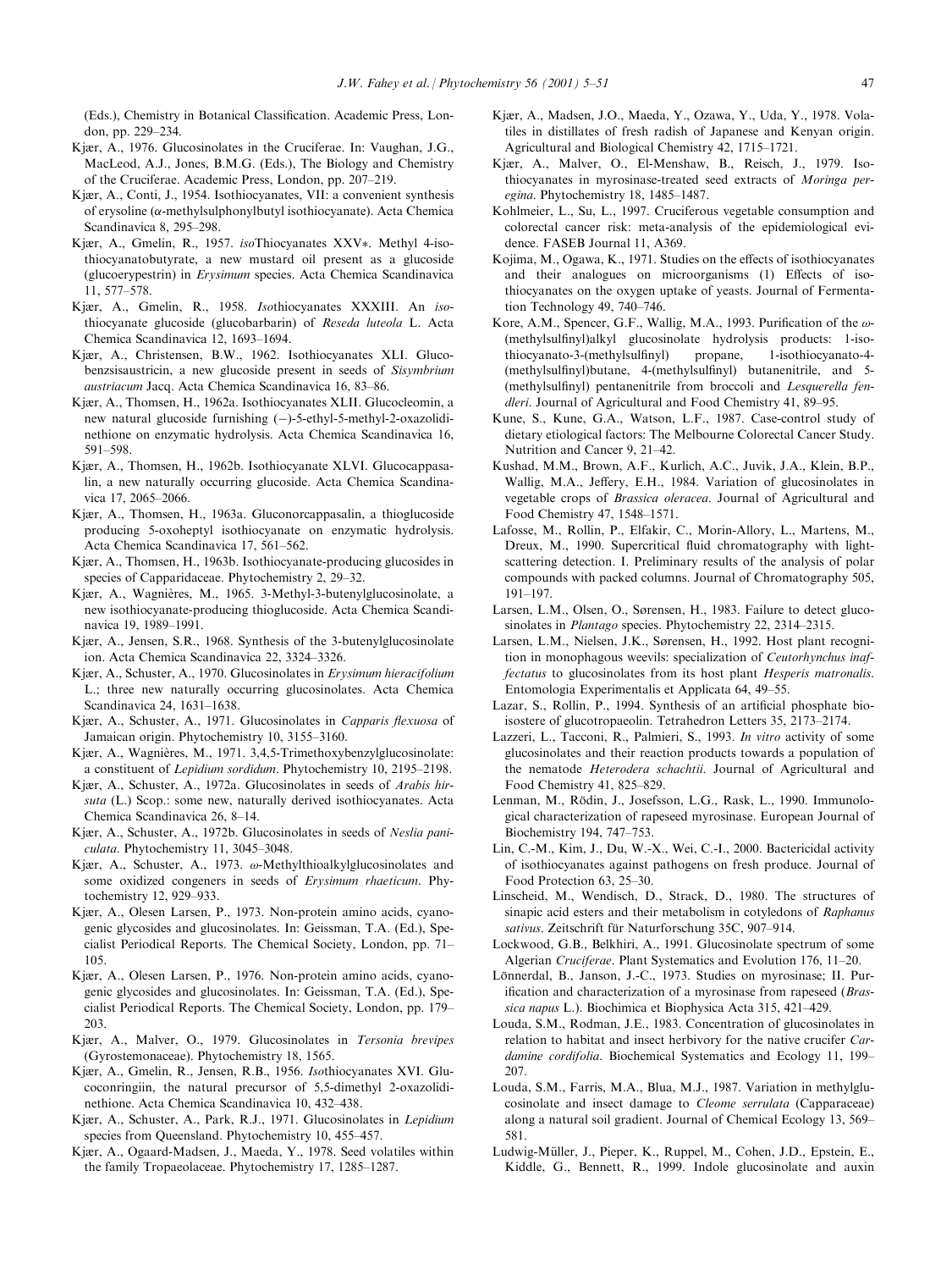(Eds.), Chemistry in Botanical Classification. Academic Press, London, pp. 229-234.

- Kjær, A., 1976. Glucosinolates in the Cruciferae. In: Vaughan, J.G., MacLeod, A.J., Jones, B.M.G. (Eds.), The Biology and Chemistry of the Cruciferae. Academic Press, London, pp. 207-219.
- Kjær, A., Conti, J., 1954. Isothiocyanates, VII: a convenient synthesis of erysoline ( $\alpha$ -methylsulphonylbutyl isothiocyanate). Acta Chemica Scandinavica 8, 295-298.
- Kjær, A., Gmelin, R., 1957. isoThiocyanates XXV\*. Methyl 4-isothiocyanatobutyrate, a new mustard oil present as a glucoside (glucoerypestrin) in Erysimum species. Acta Chemica Scandinavica 11, 577-578.
- Kjær, A., Gmelin, R., 1958. Isothiocyanates XXXIII. An isothiocyanate glucoside (glucobarbarin) of Reseda luteola L. Acta Chemica Scandinavica 12, 1693-1694.
- Kjær, A., Christensen, B.W., 1962. Isothiocyanates XLI. Glucobenzsisaustricin, a new glucoside present in seeds of Sisymbrium austriacum Jacq. Acta Chemica Scandinavica 16, 83-86.
- Kjær, A., Thomsen, H., 1962a. Isothiocyanates XLII. Glucocleomin, a new natural glucoside furnishing (-)-5-ethyl-5-methyl-2-oxazolidinethione on enzymatic hydrolysis. Acta Chemica Scandinavica 16, 591±598.
- Kjær, A., Thomsen, H., 1962b. Isothiocyanate XLVI. Glucocappasalin, a new naturally occurring glucoside. Acta Chemica Scandinavica 17, 2065-2066.
- Kjær, A., Thomsen, H., 1963a. Gluconorcappasalin, a thioglucoside producing 5-oxoheptyl isothiocyanate on enzymatic hydrolysis. Acta Chemica Scandinavica 17, 561-562.
- Kjær, A., Thomsen, H., 1963b. Isothiocyanate-producing glucosides in species of Capparidaceae. Phytochemistry 2, 29-32.
- Kjær, A., Wagnières, M., 1965. 3-Methyl-3-butenylglucosinolate, a new isothiocyanate-producing thioglucoside. Acta Chemica Scandinavica 19, 1989-1991.
- Kjær, A., Jensen, S.R., 1968. Synthesis of the 3-butenylglucosinolate ion. Acta Chemica Scandinavica 22, 3324-3326.
- Kjær, A., Schuster, A., 1970. Glucosinolates in Erysimum hieracifolium L.; three new naturally occurring glucosinolates. Acta Chemica Scandinavica 24, 1631-1638.
- Kjær, A., Schuster, A., 1971. Glucosinolates in Capparis flexuosa of Jamaican origin. Phytochemistry 10, 3155-3160.
- Kjær, A., Wagnières, M., 1971. 3,4,5-Trimethoxybenzylglucosinolate: a constituent of Lepidium sordidum. Phytochemistry 10, 2195-2198.
- Kjær, A., Schuster, A., 1972a. Glucosinolates in seeds of Arabis hirsuta (L.) Scop.: some new, naturally derived isothiocyanates. Acta Chemica Scandinavica 26, 8-14.
- Kjær, A., Schuster, A., 1972b. Glucosinolates in seeds of Neslia paniculata. Phytochemistry 11, 3045-3048.
- Kjær, A., Schuster, A., 1973.  $\omega$ -Methylthioalkylglucosinolates and some oxidized congeners in seeds of Erysimum rhaeticum. Phytochemistry 12, 929-933.
- Kjær, A., Olesen Larsen, P., 1973. Non-protein amino acids, cyanogenic glycosides and glucosinolates. In: Geissman, T.A. (Ed.), Specialist Periodical Reports. The Chemical Society, London, pp. 71– 105.
- Kjær, A., Olesen Larsen, P., 1976. Non-protein amino acids, cyanogenic glycosides and glucosinolates. In: Geissman, T.A. (Ed.), Specialist Periodical Reports. The Chemical Society, London, pp. 179-203.
- Kjær, A., Malver, O., 1979. Glucosinolates in Tersonia brevipes (Gyrostemonaceae). Phytochemistry 18, 1565.
- Kjær, A., Gmelin, R., Jensen, R.B., 1956. Isothiocyanates XVI. Glucoconringiin, the natural precursor of 5,5-dimethyl 2-oxazolidinethione. Acta Chemica Scandinavica 10, 432-438.
- Kjær, A., Schuster, A., Park, R.J., 1971. Glucosinolates in Lepidium species from Queensland. Phytochemistry 10, 455-457.
- Kjær, A., Ogaard-Madsen, J., Maeda, Y., 1978. Seed volatiles within the family Tropaeolaceae. Phytochemistry 17, 1285-1287.
- Kjær, A., Madsen, J.O., Maeda, Y., Ozawa, Y., Uda, Y., 1978. Volatiles in distillates of fresh radish of Japanese and Kenyan origin. Agricultural and Biological Chemistry 42, 1715-1721.
- Kjær, A., Malver, O., El-Menshaw, B., Reisch, J., 1979. Isothiocyanates in myrosinase-treated seed extracts of Moringa peregina. Phytochemistry 18, 1485-1487.
- Kohlmeier, L., Su, L., 1997. Cruciferous vegetable consumption and colorectal cancer risk: meta-analysis of the epidemiological evidence. FASEB Journal 11, A369.
- Kojima, M., Ogawa, K., 1971. Studies on the effects of isothiocyanates and their analogues on microorganisms (1) Effects of isothiocyanates on the oxygen uptake of yeasts. Journal of Fermentation Technology 49, 740-746.
- Kore, A.M., Spencer, G.F., Wallig, M.A., 1993. Purification of the  $\omega$ -(methylsulfinyl)alkyl glucosinolate hydrolysis products: 1-isothiocyanato-3-(methylsulfinyl) propane, 1-isothiocyanato-4-(methylsulfinyl)butane, 4-(methylsulfinyl) butanenitrile, and 5-(methylsulfinyl) pentanenitrile from broccoli and Lesquerella fendleri. Journal of Agricultural and Food Chemistry 41, 89-95.
- Kune, S., Kune, G.A., Watson, L.F., 1987. Case-control study of dietary etiological factors: The Melbourne Colorectal Cancer Study. Nutrition and Cancer 9, 21-42.
- Kushad, M.M., Brown, A.F., Kurlich, A.C., Juvik, J.A., Klein, B.P., Wallig, M.A., Jeffery, E.H., 1984. Variation of glucosinolates in vegetable crops of Brassica oleracea. Journal of Agricultural and Food Chemistry 47, 1548-1571.
- Lafosse, M., Rollin, P., Elfakir, C., Morin-Allory, L., Martens, M., Dreux, M., 1990. Supercritical fluid chromatography with lightscattering detection. I. Preliminary results of the analysis of polar compounds with packed columns. Journal of Chromatography 505, 191±197.
- Larsen, L.M., Olsen, O., Sørensen, H., 1983. Failure to detect glucosinolates in *Plantago* species. Phytochemistry 22, 2314-2315.
- Larsen, L.M., Nielsen, J.K., Sørensen, H., 1992. Host plant recognition in monophagous weevils: specialization of Ceutorhynchus inaffectatus to glucosinolates from its host plant Hesperis matronalis. Entomologia Experimentalis et Applicata 64, 49-55.
- Lazar, S., Rollin, P., 1994. Synthesis of an artificial phosphate bioisostere of glucotropaeolin. Tetrahedron Letters 35, 2173-2174.
- Lazzeri, L., Tacconi, R., Palmieri, S., 1993. In vitro activity of some glucosinolates and their reaction products towards a population of the nematode Heterodera schachtii. Journal of Agricultural and Food Chemistry 41, 825-829.
- Lenman, M., Rödin, J., Josefsson, L.G., Rask, L., 1990. Immunological characterization of rapeseed myrosinase. European Journal of Biochemistry 194, 747-753.
- Lin, C.-M., Kim, J., Du, W.-X., Wei, C.-I., 2000. Bactericidal activity of isothiocyanates against pathogens on fresh produce. Journal of Food Protection 63, 25-30.
- Linscheid, M., Wendisch, D., Strack, D., 1980. The structures of sinapic acid esters and their metabolism in cotyledons of Raphanus sativus. Zeitschrift für Naturforschung 35C, 907-914.
- Lockwood, G.B., Belkhiri, A., 1991. Glucosinolate spectrum of some Algerian Cruciferae. Plant Systematics and Evolution 176, 11-20.
- Lönnerdal, B., Janson, J.-C., 1973. Studies on myrosinase; II. Purification and characterization of a myrosinase from rapeseed ( $Bras$ sica napus L.). Biochimica et Biophysica Acta 315, 421-429.
- Louda, S.M., Rodman, J.E., 1983. Concentration of glucosinolates in relation to habitat and insect herbivory for the native crucifer Cardamine cordifolia. Biochemical Systematics and Ecology 11, 199-207.
- Louda, S.M., Farris, M.A., Blua, M.J., 1987. Variation in methylglucosinolate and insect damage to Cleome serrulata (Capparaceae) along a natural soil gradient. Journal of Chemical Ecology 13, 569-581.
- Ludwig-Müller, J., Pieper, K., Ruppel, M., Cohen, J.D., Epstein, E., Kiddle, G., Bennett, R., 1999. Indole glucosinolate and auxin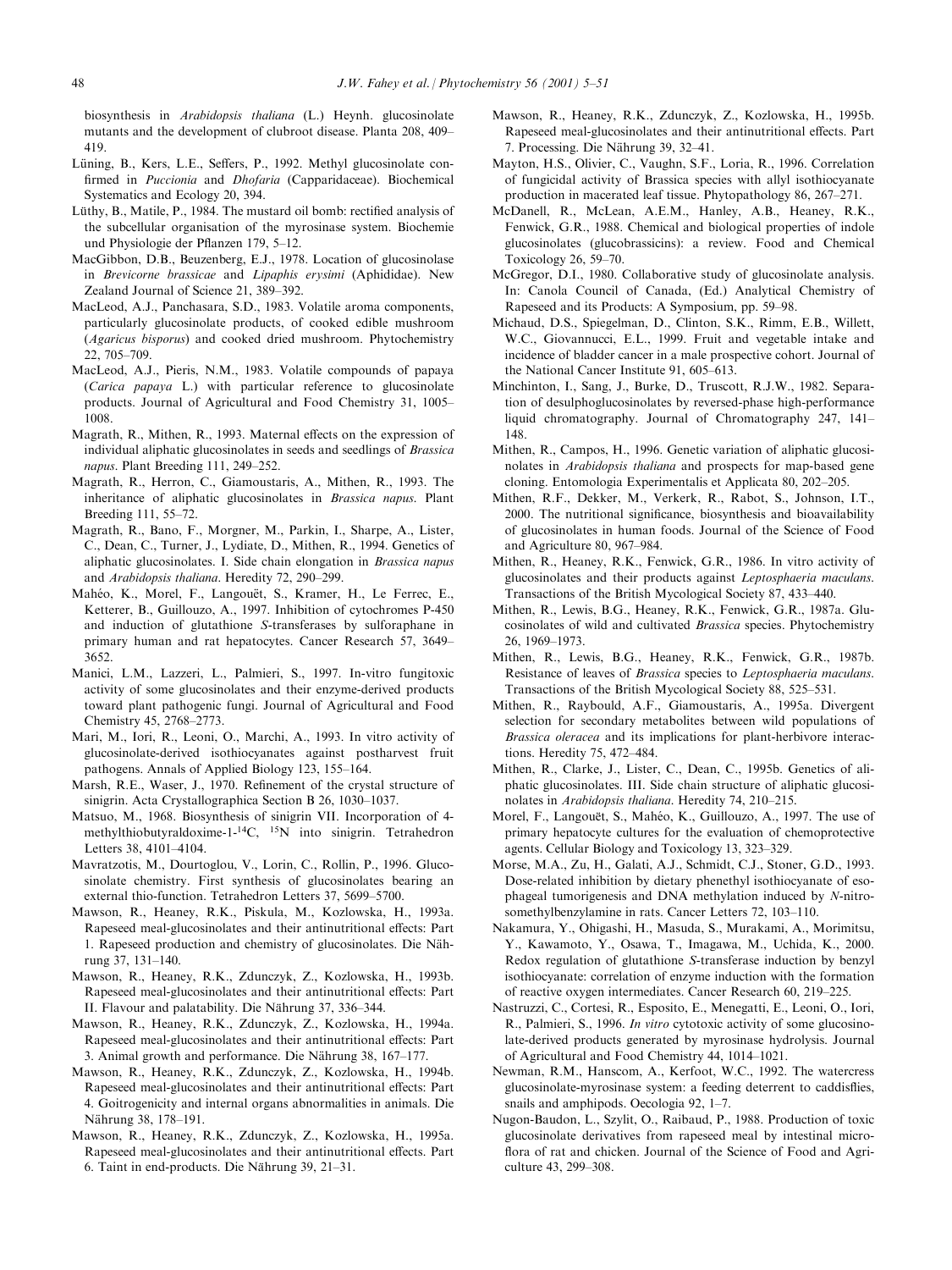biosynthesis in Arabidopsis thaliana (L.) Heynh. glucosinolate mutants and the development of clubroot disease. Planta 208, 409-419.

- Lüning, B., Kers, L.E., Seffers, P., 1992. Methyl glucosinolate confirmed in Puccionia and Dhofaria (Capparidaceae). Biochemical Systematics and Ecology 20, 394.
- Lüthy, B., Matile, P., 1984. The mustard oil bomb: rectified analysis of the subcellular organisation of the myrosinase system. Biochemie und Physiologie der Pflanzen 179, 5-12.
- MacGibbon, D.B., Beuzenberg, E.J., 1978. Location of glucosinolase in Brevicorne brassicae and Lipaphis erysimi (Aphididae). New Zealand Journal of Science 21, 389-392.
- MacLeod, A.J., Panchasara, S.D., 1983. Volatile aroma components, particularly glucosinolate products, of cooked edible mushroom (Agaricus bisporus) and cooked dried mushroom. Phytochemistry 22, 705±709.
- MacLeod, A.J., Pieris, N.M., 1983. Volatile compounds of papaya (Carica papaya L.) with particular reference to glucosinolate products. Journal of Agricultural and Food Chemistry 31, 1005-1008.
- Magrath, R., Mithen, R., 1993. Maternal effects on the expression of individual aliphatic glucosinolates in seeds and seedlings of Brassica napus. Plant Breeding 111, 249-252.
- Magrath, R., Herron, C., Giamoustaris, A., Mithen, R., 1993. The inheritance of aliphatic glucosinolates in Brassica napus. Plant Breeding 111, 55-72.
- Magrath, R., Bano, F., Morgner, M., Parkin, I., Sharpe, A., Lister, C., Dean, C., Turner, J., Lydiate, D., Mithen, R., 1994. Genetics of aliphatic glucosinolates. I. Side chain elongation in Brassica napus and Arabidopsis thaliana. Heredity 72, 290-299.
- Mahéo, K., Morel, F., Langouët, S., Kramer, H., Le Ferrec, E., Ketterer, B., Guillouzo, A., 1997. Inhibition of cytochromes P-450 and induction of glutathione S-transferases by sulforaphane in primary human and rat hepatocytes. Cancer Research 57, 3649-3652.
- Manici, L.M., Lazzeri, L., Palmieri, S., 1997. In-vitro fungitoxic activity of some glucosinolates and their enzyme-derived products toward plant pathogenic fungi. Journal of Agricultural and Food Chemistry 45, 2768-2773.
- Mari, M., Iori, R., Leoni, O., Marchi, A., 1993. In vitro activity of glucosinolate-derived isothiocyanates against postharvest fruit pathogens. Annals of Applied Biology 123, 155–164.
- Marsh, R.E., Waser, J., 1970. Refinement of the crystal structure of sinigrin. Acta Crystallographica Section B 26, 1030-1037.
- Matsuo, M., 1968. Biosynthesis of sinigrin VII. Incorporation of 4 methylthiobutyraldoxime-1-14C, 15N into sinigrin. Tetrahedron Letters 38, 4101-4104.
- Mavratzotis, M., Dourtoglou, V., Lorin, C., Rollin, P., 1996. Glucosinolate chemistry. First synthesis of glucosinolates bearing an external thio-function. Tetrahedron Letters 37, 5699-5700.
- Mawson, R., Heaney, R.K., Piskula, M., Kozlowska, H., 1993a. Rapeseed meal-glucosinolates and their antinutritional effects: Part 1. Rapeseed production and chemistry of glucosinolates. Die Nährung 37, 131-140.
- Mawson, R., Heaney, R.K., Zdunczyk, Z., Kozlowska, H., 1993b. Rapeseed meal-glucosinolates and their antinutritional effects: Part II. Flavour and palatability. Die Nährung 37, 336–344.
- Mawson, R., Heaney, R.K., Zdunczyk, Z., Kozlowska, H., 1994a. Rapeseed meal-glucosinolates and their antinutritional effects: Part 3. Animal growth and performance. Die Nährung 38, 167-177.
- Mawson, R., Heaney, R.K., Zdunczyk, Z., Kozlowska, H., 1994b. Rapeseed meal-glucosinolates and their antinutritional effects: Part 4. Goitrogenicity and internal organs abnormalities in animals. Die Nährung 38, 178-191.
- Mawson, R., Heaney, R.K., Zdunczyk, Z., Kozlowska, H., 1995a. Rapeseed meal-glucosinolates and their antinutritional effects. Part 6. Taint in end-products. Die Nährung 39, 21-31.
- Mawson, R., Heaney, R.K., Zdunczyk, Z., Kozlowska, H., 1995b. Rapeseed meal-glucosinolates and their antinutritional effects. Part 7. Processing. Die Nährung 39, 32-41.
- Mayton, H.S., Olivier, C., Vaughn, S.F., Loria, R., 1996. Correlation of fungicidal activity of Brassica species with allyl isothiocyanate production in macerated leaf tissue. Phytopathology  $86, 267-271$ .
- McDanell, R., McLean, A.E.M., Hanley, A.B., Heaney, R.K., Fenwick, G.R., 1988. Chemical and biological properties of indole glucosinolates (glucobrassicins): a review. Food and Chemical Toxicology  $26$ ,  $59-70$ .
- McGregor, D.I., 1980. Collaborative study of glucosinolate analysis. In: Canola Council of Canada, (Ed.) Analytical Chemistry of Rapeseed and its Products: A Symposium, pp. 59-98.
- Michaud, D.S., Spiegelman, D., Clinton, S.K., Rimm, E.B., Willett, W.C., Giovannucci, E.L., 1999. Fruit and vegetable intake and incidence of bladder cancer in a male prospective cohort. Journal of the National Cancer Institute 91, 605-613.
- Minchinton, I., Sang, J., Burke, D., Truscott, R.J.W., 1982. Separation of desulphoglucosinolates by reversed-phase high-performance liquid chromatography. Journal of Chromatography 247, 141-148.
- Mithen, R., Campos, H., 1996. Genetic variation of aliphatic glucosinolates in Arabidopsis thaliana and prospects for map-based gene cloning. Entomologia Experimentalis et Applicata 80, 202–205.
- Mithen, R.F., Dekker, M., Verkerk, R., Rabot, S., Johnson, I.T., 2000. The nutritional significance, biosynthesis and bioavailability of glucosinolates in human foods. Journal of the Science of Food and Agriculture 80, 967-984.
- Mithen, R., Heaney, R.K., Fenwick, G.R., 1986. In vitro activity of glucosinolates and their products against Leptosphaeria maculans. Transactions of the British Mycological Society 87, 433-440.
- Mithen, R., Lewis, B.G., Heaney, R.K., Fenwick, G.R., 1987a. Glucosinolates of wild and cultivated Brassica species. Phytochemistry 26, 1969±1973.
- Mithen, R., Lewis, B.G., Heaney, R.K., Fenwick, G.R., 1987b. Resistance of leaves of Brassica species to Leptosphaeria maculans. Transactions of the British Mycological Society 88, 525–531.
- Mithen, R., Raybould, A.F., Giamoustaris, A., 1995a. Divergent selection for secondary metabolites between wild populations of Brassica oleracea and its implications for plant-herbivore interactions. Heredity 75, 472-484.
- Mithen, R., Clarke, J., Lister, C., Dean, C., 1995b. Genetics of aliphatic glucosinolates. III. Side chain structure of aliphatic glucosinolates in Arabidopsis thaliana. Heredity 74, 210-215.
- Morel, F., Langouët, S., Mahéo, K., Guillouzo, A., 1997. The use of primary hepatocyte cultures for the evaluation of chemoprotective agents. Cellular Biology and Toxicology 13, 323–329.
- Morse, M.A., Zu, H., Galati, A.J., Schmidt, C.J., Stoner, G.D., 1993. Dose-related inhibition by dietary phenethyl isothiocyanate of esophageal tumorigenesis and DNA methylation induced by N-nitrosomethylbenzylamine in rats. Cancer Letters 72, 103-110.
- Nakamura, Y., Ohigashi, H., Masuda, S., Murakami, A., Morimitsu, Y., Kawamoto, Y., Osawa, T., Imagawa, M., Uchida, K., 2000. Redox regulation of glutathione S-transferase induction by benzyl isothiocyanate: correlation of enzyme induction with the formation of reactive oxygen intermediates. Cancer Research 60, 219-225.
- Nastruzzi, C., Cortesi, R., Esposito, E., Menegatti, E., Leoni, O., Iori, R., Palmieri, S., 1996. In vitro cytotoxic activity of some glucosinolate-derived products generated by myrosinase hydrolysis. Journal of Agricultural and Food Chemistry 44, 1014-1021.
- Newman, R.M., Hanscom, A., Kerfoot, W.C., 1992. The watercress glucosinolate-myrosinase system: a feeding deterrent to caddisflies, snails and amphipods. Oecologia 92,  $1-7$ .
- Nugon-Baudon, L., Szylit, O., Raibaud, P., 1988. Production of toxic glucosinolate derivatives from rapeseed meal by intestinal micro flora of rat and chicken. Journal of the Science of Food and Agriculture 43, 299-308.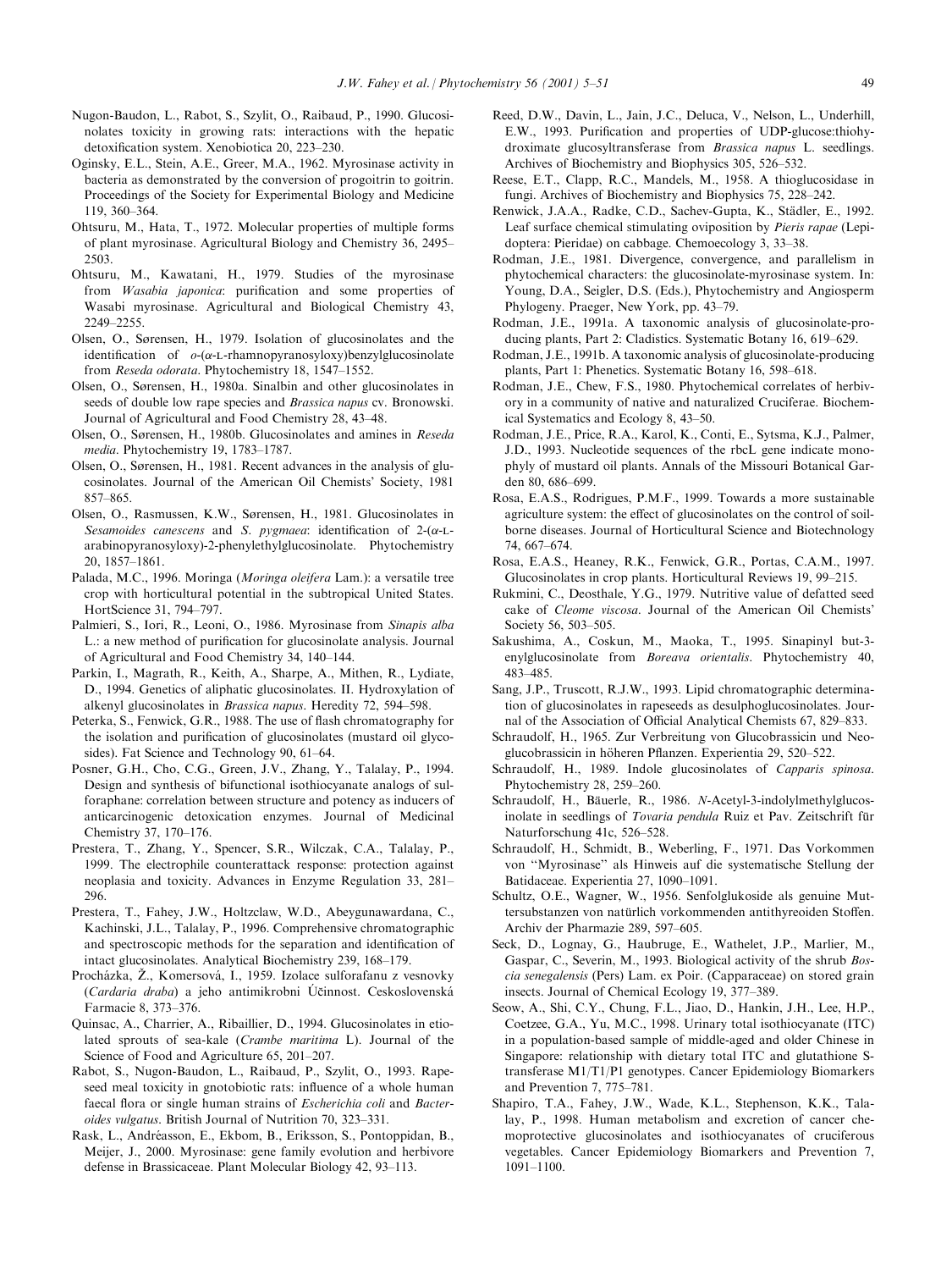- Nugon-Baudon, L., Rabot, S., Szylit, O., Raibaud, P., 1990. Glucosinolates toxicity in growing rats: interactions with the hepatic detoxification system. Xenobiotica 20, 223-230.
- Oginsky, E.L., Stein, A.E., Greer, M.A., 1962. Myrosinase activity in bacteria as demonstrated by the conversion of progoitrin to goitrin. Proceedings of the Society for Experimental Biology and Medicine 119, 360-364.
- Ohtsuru, M., Hata, T., 1972. Molecular properties of multiple forms of plant myrosinase. Agricultural Biology and Chemistry 36, 2495± 2503.
- Ohtsuru, M., Kawatani, H., 1979. Studies of the myrosinase from Wasabia japonica: purification and some properties of Wasabi myrosinase. Agricultural and Biological Chemistry 43, 2249±2255.
- Olsen, O., Sørensen, H., 1979. Isolation of glucosinolates and the identification of  $o-(\alpha-L-rhamnopyranosyloxy)benzylglucosinolate$ from Reseda odorata. Phytochemistry 18, 1547-1552.
- Olsen, O., Sørensen, H., 1980a. Sinalbin and other glucosinolates in seeds of double low rape species and Brassica napus cv. Bronowski. Journal of Agricultural and Food Chemistry 28, 43-48.
- Olsen, O., Sørensen, H., 1980b. Glucosinolates and amines in Reseda media. Phytochemistry 19, 1783-1787.
- Olsen, O., Sørensen, H., 1981. Recent advances in the analysis of glucosinolates. Journal of the American Oil Chemists' Society, 1981 857±865.
- Olsen, O., Rasmussen, K.W., Sørensen, H., 1981. Glucosinolates in Sesamoides canescens and S. pygmaea: identification of  $2-(\alpha-L)$ arabinopyranosyloxy)-2-phenylethylglucosinolate. Phytochemistry 20, 1857±1861.
- Palada, M.C., 1996. Moringa (Moringa oleifera Lam.): a versatile tree crop with horticultural potential in the subtropical United States. HortScience 31, 794-797.
- Palmieri, S., Iori, R., Leoni, O., 1986. Myrosinase from Sinapis alba L.: a new method of purification for glucosinolate analysis. Journal of Agricultural and Food Chemistry 34, 140-144.
- Parkin, I., Magrath, R., Keith, A., Sharpe, A., Mithen, R., Lydiate, D., 1994. Genetics of aliphatic glucosinolates. II. Hydroxylation of alkenyl glucosinolates in *Brassica napus*. Heredity 72, 594-598.
- Peterka, S., Fenwick, G.R., 1988. The use of flash chromatography for the isolation and purification of glucosinolates (mustard oil glycosides). Fat Science and Technology 90, 61-64.
- Posner, G.H., Cho, C.G., Green, J.V., Zhang, Y., Talalay, P., 1994. Design and synthesis of bifunctional isothiocyanate analogs of sulforaphane: correlation between structure and potency as inducers of anticarcinogenic detoxication enzymes. Journal of Medicinal Chemistry 37, 170-176.
- Prestera, T., Zhang, Y., Spencer, S.R., Wilczak, C.A., Talalay, P., 1999. The electrophile counterattack response: protection against neoplasia and toxicity. Advances in Enzyme Regulation 33, 281-296.
- Prestera, T., Fahey, J.W., Holtzclaw, W.D., Abeygunawardana, C., Kachinski, J.L., Talalay, P., 1996. Comprehensive chromatographic and spectroscopic methods for the separation and identification of intact glucosinolates. Analytical Biochemistry 239, 168-179.
- Procházka, Ž., Komersová, I., 1959. Izolace sulforafanu z vesnovky (Cardaria draba) a jeho antimikrobni Účinnost. Ceskoslovenská Farmacie 8, 373-376.
- Quinsac, A., Charrier, A., Ribaillier, D., 1994. Glucosinolates in etiolated sprouts of sea-kale (Crambe maritima L). Journal of the Science of Food and Agriculture 65, 201-207.
- Rabot, S., Nugon-Baudon, L., Raibaud, P., Szylit, O., 1993. Rapeseed meal toxicity in gnotobiotic rats: influence of a whole human faecal flora or single human strains of *Escherichia coli* and *Bacter*oides vulgatus. British Journal of Nutrition 70, 323-331.
- Rask, L., Andréasson, E., Ekbom, B., Eriksson, S., Pontoppidan, B., Meijer, J., 2000. Myrosinase: gene family evolution and herbivore defense in Brassicaceae. Plant Molecular Biology 42, 93-113.
- Reed, D.W., Davin, L., Jain, J.C., Deluca, V., Nelson, L., Underhill, E.W., 1993. Purification and properties of UDP-glucose:thiohydroximate glucosyltransferase from Brassica napus L. seedlings. Archives of Biochemistry and Biophysics 305, 526-532.
- Reese, E.T., Clapp, R.C., Mandels, M., 1958. A thioglucosidase in fungi. Archives of Biochemistry and Biophysics 75, 228-242.
- Renwick, J.A.A., Radke, C.D., Sachev-Gupta, K., Städler, E., 1992. Leaf surface chemical stimulating oviposition by Pieris rapae (Lepidoptera: Pieridae) on cabbage. Chemoecology 3, 33-38.
- Rodman, J.E., 1981. Divergence, convergence, and parallelism in phytochemical characters: the glucosinolate-myrosinase system. In: Young, D.A., Seigler, D.S. (Eds.), Phytochemistry and Angiosperm Phylogeny. Praeger, New York, pp. 43-79.
- Rodman, J.E., 1991a. A taxonomic analysis of glucosinolate-producing plants, Part 2: Cladistics. Systematic Botany 16, 619–629.
- Rodman, J.E., 1991b. A taxonomic analysis of glucosinolate-producing plants, Part 1: Phenetics. Systematic Botany 16, 598-618.
- Rodman, J.E., Chew, F.S., 1980. Phytochemical correlates of herbivory in a community of native and naturalized Cruciferae. Biochemical Systematics and Ecology 8, 43–50.
- Rodman, J.E., Price, R.A., Karol, K., Conti, E., Sytsma, K.J., Palmer, J.D., 1993. Nucleotide sequences of the rbcL gene indicate monophyly of mustard oil plants. Annals of the Missouri Botanical Garden 80, 686-699.
- Rosa, E.A.S., Rodrigues, P.M.F., 1999. Towards a more sustainable agriculture system: the effect of glucosinolates on the control of soilborne diseases. Journal of Horticultural Science and Biotechnology 74, 667±674.
- Rosa, E.A.S., Heaney, R.K., Fenwick, G.R., Portas, C.A.M., 1997. Glucosinolates in crop plants. Horticultural Reviews 19, 99-215.
- Rukmini, C., Deosthale, Y.G., 1979. Nutritive value of defatted seed cake of Cleome viscosa. Journal of the American Oil Chemists' Society 56, 503-505.
- Sakushima, A., Coskun, M., Maoka, T., 1995. Sinapinyl but-3 enylglucosinolate from Boreava orientalis. Phytochemistry 40, 483±485.
- Sang, J.P., Truscott, R.J.W., 1993. Lipid chromatographic determination of glucosinolates in rapeseeds as desulphoglucosinolates. Journal of the Association of Official Analytical Chemists 67, 829-833.
- Schraudolf, H., 1965. Zur Verbreitung von Glucobrassicin und Neoglucobrassicin in höheren Pflanzen. Experientia 29, 520-522.
- Schraudolf, H., 1989. Indole glucosinolates of *Capparis spinosa*. Phytochemistry 28, 259-260.
- Schraudolf, H., Bäuerle, R., 1986. N-Acetyl-3-indolylmethylglucosinolate in seedlings of Tovaria pendula Ruiz et Pav. Zeitschrift für Naturforschung 41c, 526-528.
- Schraudolf, H., Schmidt, B., Weberling, F., 1971. Das Vorkommen von ``Myrosinase'' als Hinweis auf die systematische Stellung der Batidaceae. Experientia 27, 1090-1091.
- Schultz, O.E., Wagner, W., 1956. Senfolglukoside als genuine Muttersubstanzen von natürlich vorkommenden antithyreoiden Stoffen. Archiv der Pharmazie 289, 597-605.
- Seck, D., Lognay, G., Haubruge, E., Wathelet, J.P., Marlier, M., Gaspar, C., Severin, M., 1993. Biological activity of the shrub Boscia senegalensis (Pers) Lam. ex Poir. (Capparaceae) on stored grain insects. Journal of Chemical Ecology 19, 377-389.
- Seow, A., Shi, C.Y., Chung, F.L., Jiao, D., Hankin, J.H., Lee, H.P., Coetzee, G.A., Yu, M.C., 1998. Urinary total isothiocyanate (ITC) in a population-based sample of middle-aged and older Chinese in Singapore: relationship with dietary total ITC and glutathione Stransferase M1/T1/P1 genotypes. Cancer Epidemiology Biomarkers and Prevention 7, 775-781.
- Shapiro, T.A., Fahey, J.W., Wade, K.L., Stephenson, K.K., Talalay, P., 1998. Human metabolism and excretion of cancer chemoprotective glucosinolates and isothiocyanates of cruciferous vegetables. Cancer Epidemiology Biomarkers and Prevention 7, 1091±1100.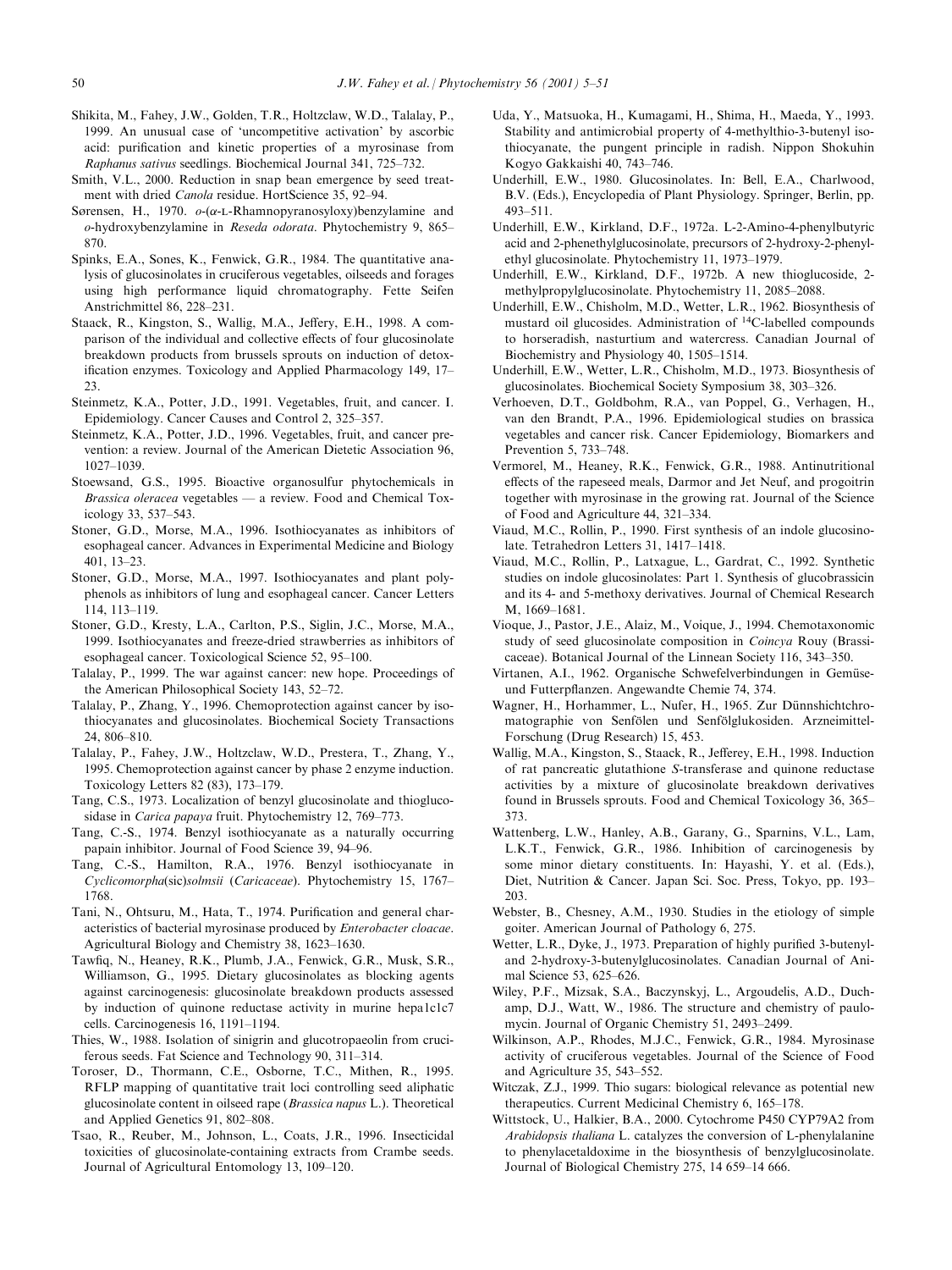- Shikita, M., Fahey, J.W., Golden, T.R., Holtzclaw, W.D., Talalay, P., 1999. An unusual case of `uncompetitive activation' by ascorbic acid: purification and kinetic properties of a myrosinase from Raphanus sativus seedlings. Biochemical Journal 341, 725-732.
- Smith, V.L., 2000. Reduction in snap bean emergence by seed treatment with dried Canola residue. HortScience 35, 92-94.
- Sørensen, H., 1970.  $o-(\alpha-L-Rhamnopy ranosyloxy)benzylamine and$ o-hydroxybenzylamine in Reseda odorata. Phytochemistry 9, 865-870.
- Spinks, E.A., Sones, K., Fenwick, G.R., 1984. The quantitative analysis of glucosinolates in cruciferous vegetables, oilseeds and forages using high performance liquid chromatography. Fette Seifen Anstrichmittel 86, 228-231.
- Staack, R., Kingston, S., Wallig, M.A., Jeffery, E.H., 1998. A comparison of the individual and collective effects of four glucosinolate breakdown products from brussels sprouts on induction of detoxification enzymes. Toxicology and Applied Pharmacology 149, 17- $23$
- Steinmetz, K.A., Potter, J.D., 1991. Vegetables, fruit, and cancer. I. Epidemiology. Cancer Causes and Control 2, 325–357.
- Steinmetz, K.A., Potter, J.D., 1996. Vegetables, fruit, and cancer prevention: a review. Journal of the American Dietetic Association 96, 1027±1039.
- Stoewsand, G.S., 1995. Bioactive organosulfur phytochemicals in *Brassica oleracea* vegetables  $-$  a review. Food and Chemical Toxicology 33, 537-543.
- Stoner, G.D., Morse, M.A., 1996. Isothiocyanates as inhibitors of esophageal cancer. Advances in Experimental Medicine and Biology 401, 13±23.
- Stoner, G.D., Morse, M.A., 1997. Isothiocyanates and plant polyphenols as inhibitors of lung and esophageal cancer. Cancer Letters 114, 113±119.
- Stoner, G.D., Kresty, L.A., Carlton, P.S., Siglin, J.C., Morse, M.A., 1999. Isothiocyanates and freeze-dried strawberries as inhibitors of esophageal cancer. Toxicological Science 52, 95-100.
- Talalay, P., 1999. The war against cancer: new hope. Proceedings of the American Philosophical Society 143, 52-72.
- Talalay, P., Zhang, Y., 1996. Chemoprotection against cancer by isothiocyanates and glucosinolates. Biochemical Society Transactions 24, 806±810.
- Talalay, P., Fahey, J.W., Holtzclaw, W.D., Prestera, T., Zhang, Y., 1995. Chemoprotection against cancer by phase 2 enzyme induction. Toxicology Letters 82 (83), 173-179.
- Tang, C.S., 1973. Localization of benzyl glucosinolate and thioglucosidase in Carica papaya fruit. Phytochemistry 12, 769-773.
- Tang, C.-S., 1974. Benzyl isothiocyanate as a naturally occurring papain inhibitor. Journal of Food Science 39, 94-96.
- Tang, C.-S., Hamilton, R.A., 1976. Benzyl isothiocyanate in Cyclicomorpha(sic)solmsii (Caricaceae). Phytochemistry 15, 1767-1768.
- Tani, N., Ohtsuru, M., Hata, T., 1974. Purification and general characteristics of bacterial myrosinase produced by Enterobacter cloacae. Agricultural Biology and Chemistry 38, 1623-1630.
- Tawfiq, N., Heaney, R.K., Plumb, J.A., Fenwick, G.R., Musk, S.R., Williamson, G., 1995. Dietary glucosinolates as blocking agents against carcinogenesis: glucosinolate breakdown products assessed by induction of quinone reductase activity in murine hepa1c1c7 cells. Carcinogenesis 16, 1191-1194.
- Thies, W., 1988. Isolation of sinigrin and glucotropaeolin from cruciferous seeds. Fat Science and Technology 90, 311-314.
- Toroser, D., Thormann, C.E., Osborne, T.C., Mithen, R., 1995. RFLP mapping of quantitative trait loci controlling seed aliphatic glucosinolate content in oilseed rape (Brassica napus L.). Theoretical and Applied Genetics 91, 802-808.
- Tsao, R., Reuber, M., Johnson, L., Coats, J.R., 1996. Insecticidal toxicities of glucosinolate-containing extracts from Crambe seeds. Journal of Agricultural Entomology 13, 109-120.
- Uda, Y., Matsuoka, H., Kumagami, H., Shima, H., Maeda, Y., 1993. Stability and antimicrobial property of 4-methylthio-3-butenyl isothiocyanate, the pungent principle in radish. Nippon Shokuhin Kogyo Gakkaishi 40, 743-746.
- Underhill, E.W., 1980. Glucosinolates. In: Bell, E.A., Charlwood, B.V. (Eds.), Encyclopedia of Plant Physiology. Springer, Berlin, pp. 493±511.
- Underhill, E.W., Kirkland, D.F., 1972a. L-2-Amino-4-phenylbutyric acid and 2-phenethylglucosinolate, precursors of 2-hydroxy-2-phenylethyl glucosinolate. Phytochemistry 11, 1973-1979.
- Underhill, E.W., Kirkland, D.F., 1972b. A new thioglucoside, 2 methylpropylglucosinolate. Phytochemistry 11, 2085-2088.
- Underhill, E.W., Chisholm, M.D., Wetter, L.R., 1962. Biosynthesis of mustard oil glucosides. Administration of 14C-labelled compounds to horseradish, nasturtium and watercress. Canadian Journal of Biochemistry and Physiology 40, 1505-1514.
- Underhill, E.W., Wetter, L.R., Chisholm, M.D., 1973. Biosynthesis of glucosinolates. Biochemical Society Symposium 38, 303-326.
- Verhoeven, D.T., Goldbohm, R.A., van Poppel, G., Verhagen, H., van den Brandt, P.A., 1996. Epidemiological studies on brassica vegetables and cancer risk. Cancer Epidemiology, Biomarkers and Prevention 5, 733-748.
- Vermorel, M., Heaney, R.K., Fenwick, G.R., 1988. Antinutritional effects of the rapeseed meals, Darmor and Jet Neuf, and progoitrin together with myrosinase in the growing rat. Journal of the Science of Food and Agriculture 44, 321-334.
- Viaud, M.C., Rollin, P., 1990. First synthesis of an indole glucosinolate. Tetrahedron Letters 31, 1417-1418.
- Viaud, M.C., Rollin, P., Latxague, L., Gardrat, C., 1992. Synthetic studies on indole glucosinolates: Part 1. Synthesis of glucobrassicin and its 4- and 5-methoxy derivatives. Journal of Chemical Research M, 1669-1681.
- Vioque, J., Pastor, J.E., Alaiz, M., Voique, J., 1994. Chemotaxonomic study of seed glucosinolate composition in Coincya Rouy (Brassicaceae). Botanical Journal of the Linnean Society 116, 343–350.
- Virtanen, A.I., 1962. Organische Schwefelverbindungen in Gemüseund Futterpflanzen. Angewandte Chemie 74, 374.
- Wagner, H., Horhammer, L., Nufer, H., 1965. Zur Dünnshichtchromatographie von Senfölen und Senfölglukosiden. Arzneimittel-Forschung (Drug Research) 15, 453.
- Wallig, M.A., Kingston, S., Staack, R., Jefferey, E.H., 1998. Induction of rat pancreatic glutathione S-transferase and quinone reductase activities by a mixture of glucosinolate breakdown derivatives found in Brussels sprouts. Food and Chemical Toxicology 36, 365 $-$ 373.
- Wattenberg, L.W., Hanley, A.B., Garany, G., Sparnins, V.L., Lam, L.K.T., Fenwick, G.R., 1986. Inhibition of carcinogenesis by some minor dietary constituents. In: Hayashi, Y. et al. (Eds.), Diet, Nutrition & Cancer. Japan Sci. Soc. Press, Tokyo, pp. 193-203.
- Webster, B., Chesney, A.M., 1930. Studies in the etiology of simple goiter. American Journal of Pathology 6, 275.
- Wetter, L.R., Dyke, J., 1973. Preparation of highly purified 3-butenyland 2-hydroxy-3-butenylglucosinolates. Canadian Journal of Animal Science 53, 625-626.
- Wiley, P.F., Mizsak, S.A., Baczynskyj, L., Argoudelis, A.D., Duchamp, D.J., Watt, W., 1986. The structure and chemistry of paulomycin. Journal of Organic Chemistry 51, 2493-2499.
- Wilkinson, A.P., Rhodes, M.J.C., Fenwick, G.R., 1984. Myrosinase activity of cruciferous vegetables. Journal of the Science of Food and Agriculture 35, 543-552.
- Witczak, Z.J., 1999. Thio sugars: biological relevance as potential new therapeutics. Current Medicinal Chemistry 6, 165-178.
- Wittstock, U., Halkier, B.A., 2000. Cytochrome P450 CYP79A2 from Arabidopsis thaliana L. catalyzes the conversion of L-phenylalanine to phenylacetaldoxime in the biosynthesis of benzylglucosinolate. Journal of Biological Chemistry 275, 14 659-14 666.